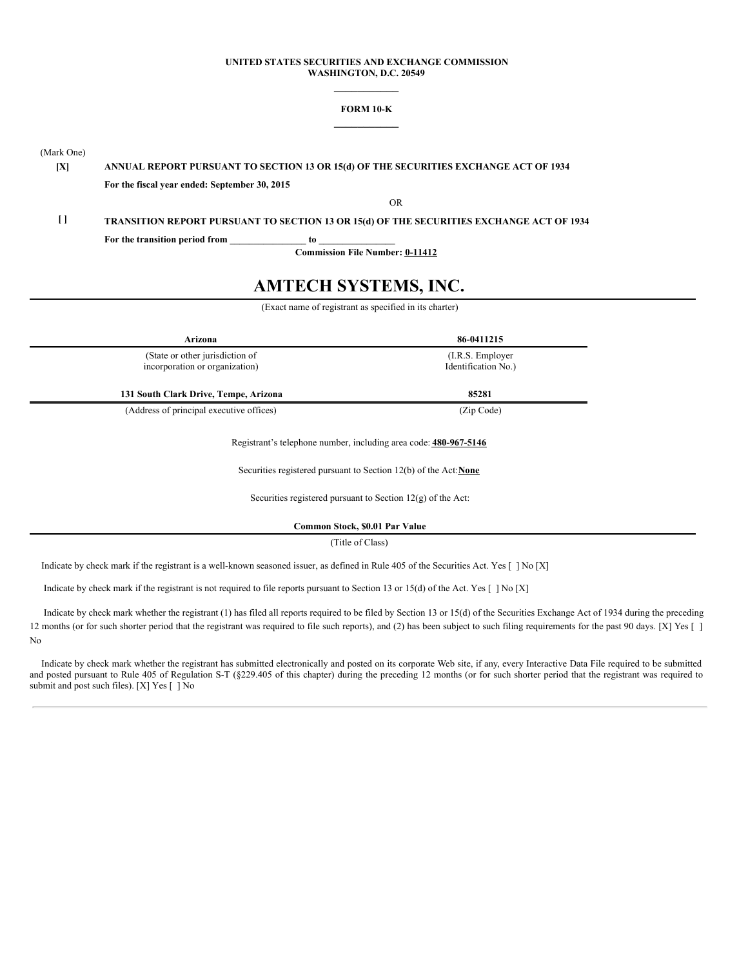# **UNITED STATES SECURITIES AND EXCHANGE COMMISSION WASHINGTON, D.C. 20549**

# **FORM 10-K \_\_\_\_\_\_\_\_\_\_\_**

(Mark One)

**[X] ANNUAL REPORT PURSUANT TO SECTION 13 OR 15(d) OF THE SECURITIES EXCHANGE ACT OF 1934**

**For the fiscal year ended: September 30, 2015**

OR

**[ ] TRANSITION REPORT PURSUANT TO SECTION 13 OR 15(d) OF THE SECURITIES EXCHANGE ACT OF 1934**

**For the transition period from \_\_\_\_\_\_\_\_\_\_\_\_\_\_\_\_ to \_\_\_\_\_\_\_\_\_\_\_\_\_\_\_\_**

**Commission File Number: 0-11412**

# **AMTECH SYSTEMS, INC.**

(Exact name of registrant as specified in its charter)

| Arizona                                                           | 86-0411215                               |
|-------------------------------------------------------------------|------------------------------------------|
| (State or other jurisdiction of<br>incorporation or organization) | (I.R.S. Employer)<br>Identification No.) |
| 131 South Clark Drive, Tempe, Arizona                             | 85281                                    |
| (Address of principal executive offices)                          | (Zip Code)                               |

Registrant's telephone number, including area code: **480-967-5146**

Securities registered pursuant to Section 12(b) of the Act:**None**

Securities registered pursuant to Section 12(g) of the Act:

**Common Stock, \$0.01 Par Value**

(Title of Class)

Indicate by check mark if the registrant is a well-known seasoned issuer, as defined in Rule 405 of the Securities Act. Yes [ ] No [X]

Indicate by check mark if the registrant is not required to file reports pursuant to Section 13 or 15(d) of the Act. Yes [ ] No [X]

Indicate by check mark whether the registrant (1) has filed all reports required to be filed by Section 13 or 15(d) of the Securities Exchange Act of 1934 during the preceding 12 months (or for such shorter period that the registrant was required to file such reports), and (2) has been subject to such filing requirements for the past 90 days. [X] Yes [] No

Indicate by check mark whether the registrant has submitted electronically and posted on its corporate Web site, if any, every Interactive Data File required to be submitted and posted pursuant to Rule 405 of Regulation S-T (§229.405 of this chapter) during the preceding 12 months (or for such shorter period that the registrant was required to submit and post such files). [X] Yes [ ] No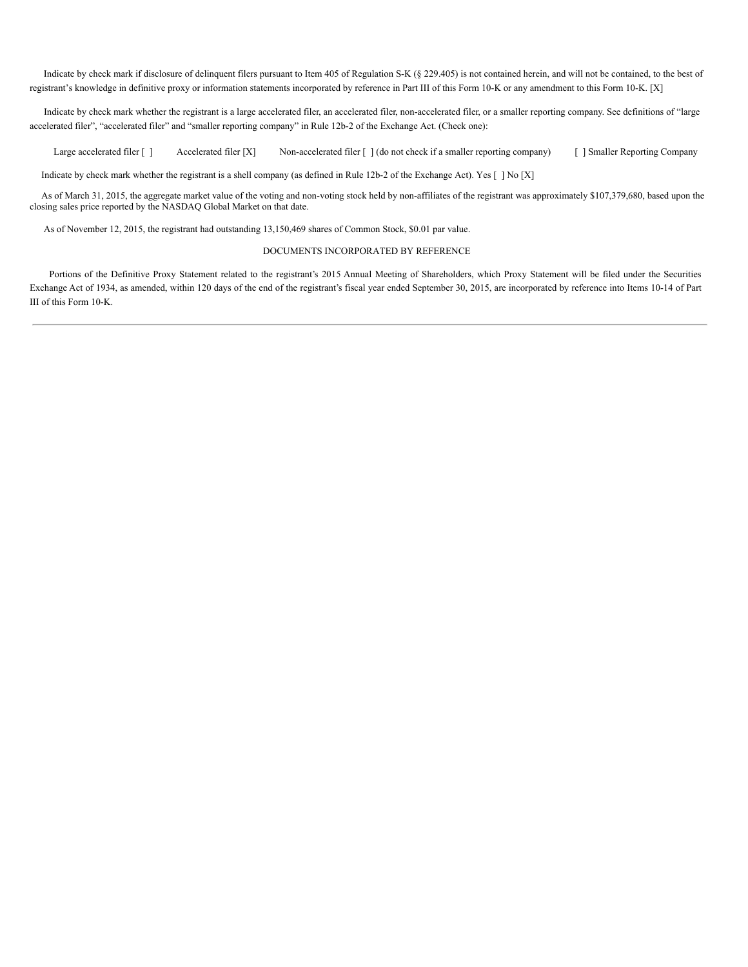Indicate by check mark if disclosure of delinquent filers pursuant to Item 405 of Regulation S-K (§ 229.405) is not contained herein, and will not be contained, to the best of registrant's knowledge in definitive proxy or information statements incorporated by reference in Part III of this Form 10-K or any amendment to this Form 10-K. [X]

Indicate by check mark whether the registrant is a large accelerated filer, an accelerated filer, non-accelerated filer, or a smaller reporting company. See definitions of "large accelerated filer", "accelerated filer" and "smaller reporting company" in Rule 12b-2 of the Exchange Act. (Check one):

Large accelerated filer [ ] Accelerated filer [X] Non-accelerated filer [ ] (do not check if a smaller reporting company) [ ] Smaller Reporting Company

Indicate by check mark whether the registrant is a shell company (as defined in Rule 12b-2 of the Exchange Act). Yes [ ] No [X]

As of March 31, 2015, the aggregate market value of the voting and non-voting stock held by non-affiliates of the registrant was approximately \$107,379,680, based upon the closing sales price reported by the NASDAQ Global Market on that date.

As of November 12, 2015, the registrant had outstanding 13,150,469 shares of Common Stock, \$0.01 par value.

#### DOCUMENTS INCORPORATED BY REFERENCE

Portions of the Definitive Proxy Statement related to the registrant's 2015 Annual Meeting of Shareholders, which Proxy Statement will be filed under the Securities Exchange Act of 1934, as amended, within 120 days of the end of the registrant's fiscal year ended September 30, 2015, are incorporated by reference into Items 10-14 of Part III of this Form 10-K.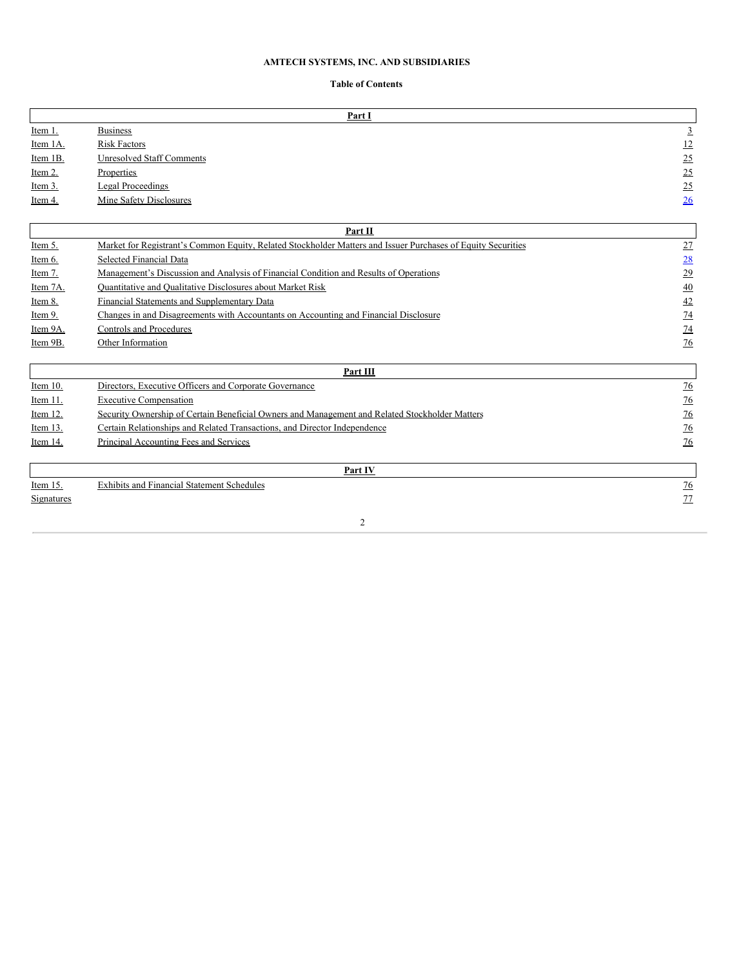# **AMTECH SYSTEMS, INC. AND SUBSIDIARIES**

# **Table of Contents**

|            | Part I                                                                                                       |                  |
|------------|--------------------------------------------------------------------------------------------------------------|------------------|
| Item 1.    | <b>Business</b>                                                                                              | $\underline{3}$  |
| Item 1A.   | <b>Risk Factors</b>                                                                                          | $\underline{12}$ |
| Item 1B.   | <b>Unresolved Staff Comments</b>                                                                             | 25               |
| Item 2.    | Properties                                                                                                   | 25               |
| Item 3.    | <b>Legal Proceedings</b>                                                                                     | 25               |
| Item 4.    | Mine Safety Disclosures                                                                                      | $\overline{26}$  |
|            | Part II                                                                                                      |                  |
| Item 5.    | Market for Registrant's Common Equity, Related Stockholder Matters and Issuer Purchases of Equity Securities | 27               |
| Item 6.    | Selected Financial Data                                                                                      | 28               |
| Item 7.    | Management's Discussion and Analysis of Financial Condition and Results of Operations                        | 29               |
| Item 7A.   | Quantitative and Qualitative Disclosures about Market Risk                                                   | $\overline{40}$  |
| Item 8.    | Financial Statements and Supplementary Data                                                                  | $\frac{42}{5}$   |
| Item 9.    | Changes in and Disagreements with Accountants on Accounting and Financial Disclosure                         | $\frac{74}{1}$   |
| Item 9A.   | <b>Controls and Procedures</b>                                                                               | $\frac{74}{1}$   |
| Item 9B.   | Other Information                                                                                            | $\frac{76}{1}$   |
|            | Part III                                                                                                     |                  |
| Item 10.   | Directors, Executive Officers and Corporate Governance                                                       | 76               |
| Item 11.   | <b>Executive Compensation</b>                                                                                | 76               |
| Item 12.   | Security Ownership of Certain Beneficial Owners and Management and Related Stockholder Matters               | $\frac{76}{5}$   |
| Item 13.   | Certain Relationships and Related Transactions, and Director Independence                                    | $\frac{76}{5}$   |
| Item 14.   | Principal Accounting Fees and Services                                                                       | $\frac{76}{5}$   |
|            | Part IV                                                                                                      |                  |
| Item 15.   | Exhibits and Financial Statement Schedules                                                                   | $\frac{76}{1}$   |
| Signatures |                                                                                                              | 77               |
|            | $\overline{c}$                                                                                               |                  |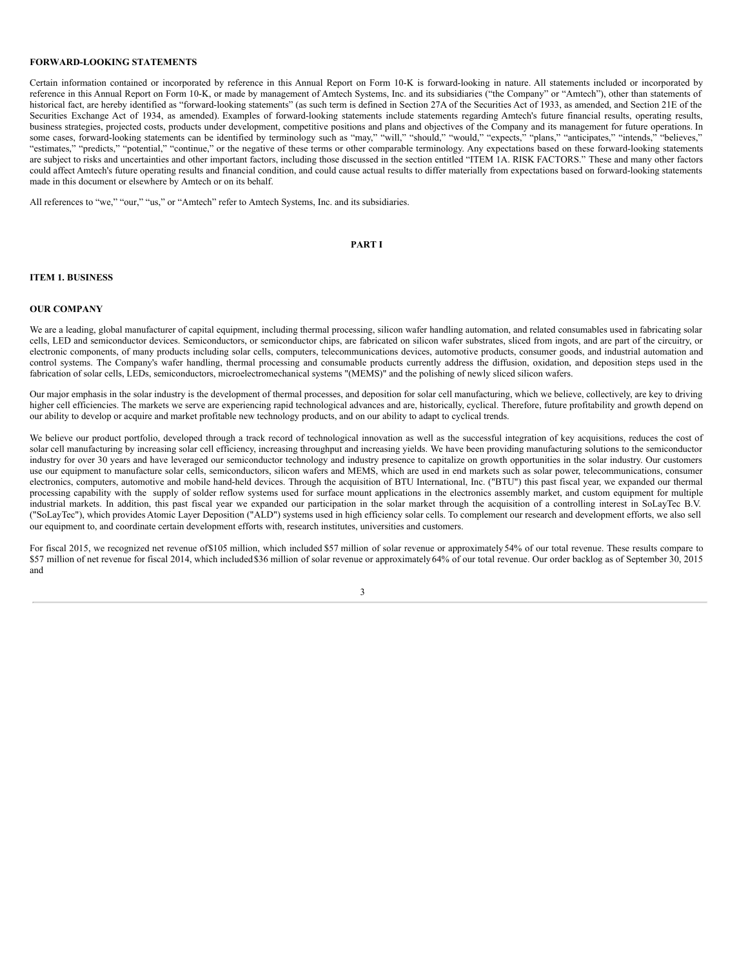#### **FORWARD-LOOKING STATEMENTS**

Certain information contained or incorporated by reference in this Annual Report on Form 10-K is forward-looking in nature. All statements included or incorporated by reference in this Annual Report on Form 10-K, or made by management of Amtech Systems, Inc. and its subsidiaries ("the Company" or "Amtech"), other than statements of historical fact, are hereby identified as "forward-looking statements" (as such term is defined in Section 27A of the Securities Act of 1933, as amended, and Section 21E of the Securities Exchange Act of 1934, as amended). Examples of forward-looking statements include statements regarding Amtech's future financial results, operating results, business strategies, projected costs, products under development, competitive positions and plans and objectives of the Company and its management for future operations. In some cases, forward-looking statements can be identified by terminology such as "may," "will," "should," "would," "expects," "plans," "anticipates," "intends," "believes," "estimates," "predicts," "potential," "continue," or the negative of these terms or other comparable terminology. Any expectations based on these forward-looking statements are subject to risks and uncertainties and other important factors, including those discussed in the section entitled "ITEM 1A. RISK FACTORS." These and many other factors could affect Amtech's future operating results and financial condition, and could cause actual results to differ materially from expectations based on forward-looking statements made in this document or elsewhere by Amtech or on its behalf.

<span id="page-3-0"></span>All references to "we," "our," "us," or "Amtech" refer to Amtech Systems, Inc. and its subsidiaries.

#### **PART I**

#### <span id="page-3-1"></span>**ITEM 1. BUSINESS**

#### **OUR COMPANY**

We are a leading, global manufacturer of capital equipment, including thermal processing, silicon wafer handling automation, and related consumables used in fabricating solar cells, LED and semiconductor devices. Semiconductors, or semiconductor chips, are fabricated on silicon wafer substrates, sliced from ingots, and are part of the circuitry, or electronic components, of many products including solar cells, computers, telecommunications devices, automotive products, consumer goods, and industrial automation and control systems. The Company's wafer handling, thermal processing and consumable products currently address the diffusion, oxidation, and deposition steps used in the fabrication of solar cells, LEDs, semiconductors, microelectromechanical systems "(MEMS)" and the polishing of newly sliced silicon wafers.

Our major emphasis in the solar industry is the development of thermal processes, and deposition for solar cell manufacturing, which we believe, collectively, are key to driving higher cell efficiencies. The markets we serve are experiencing rapid technological advances and are, historically, cyclical. Therefore, future profitability and growth depend on our ability to develop or acquire and market profitable new technology products, and on our ability to adapt to cyclical trends.

We believe our product portfolio, developed through a track record of technological innovation as well as the successful integration of key acquisitions, reduces the cost of solar cell manufacturing by increasing solar cell efficiency, increasing throughput and increasing yields. We have been providing manufacturing solutions to the semiconductor industry for over 30 years and have leveraged our semiconductor technology and industry presence to capitalize on growth opportunities in the solar industry. Our customers use our equipment to manufacture solar cells, semiconductors, silicon wafers and MEMS, which are used in end markets such as solar power, telecommunications, consumer electronics, computers, automotive and mobile hand-held devices. Through the acquisition of BTU International, Inc. ("BTU") this past fiscal year, we expanded our thermal processing capability with the supply of solder reflow systems used for surface mount applications in the electronics assembly market, and custom equipment for multiple industrial markets. In addition, this past fiscal year we expanded our participation in the solar market through the acquisition of a controlling interest in SoLayTec B.V. ("SoLayTec"), which provides Atomic Layer Deposition ("ALD") systems used in high efficiency solar cells. To complement our research and development efforts, we also sell our equipment to, and coordinate certain development efforts with, research institutes, universities and customers.

For fiscal 2015, we recognized net revenue of\$105 million, which included \$57 million of solar revenue or approximately 54% of our total revenue. These results compare to \$57 million of net revenue for fiscal 2014, which included\$36 million of solar revenue or approximately 64% of our total revenue. Our order backlog as of September 30, 2015 and

## 3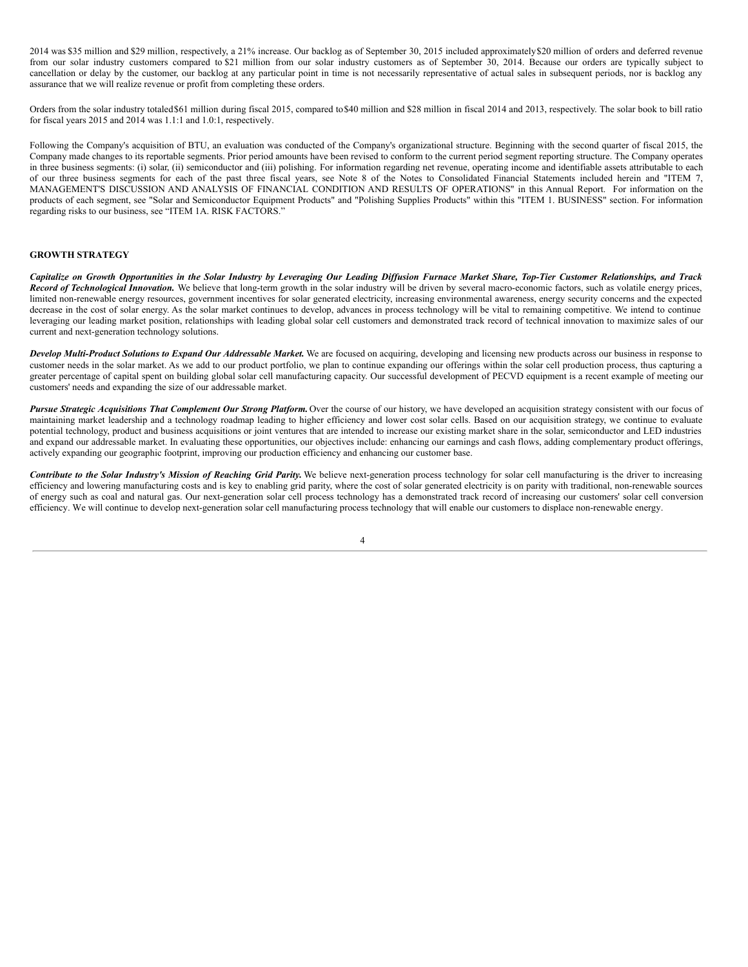2014 was \$35 million and \$29 million, respectively, a 21% increase. Our backlog as of September 30, 2015 included approximately\$20 million of orders and deferred revenue from our solar industry customers compared to \$21 million from our solar industry customers as of September 30, 2014. Because our orders are typically subject to cancellation or delay by the customer, our backlog at any particular point in time is not necessarily representative of actual sales in subsequent periods, nor is backlog any assurance that we will realize revenue or profit from completing these orders.

Orders from the solar industry totaled\$61 million during fiscal 2015, compared to\$40 million and \$28 million in fiscal 2014 and 2013, respectively. The solar book to bill ratio for fiscal years 2015 and 2014 was 1.1:1 and 1.0:1, respectively.

Following the Company's acquisition of BTU, an evaluation was conducted of the Company's organizational structure. Beginning with the second quarter of fiscal 2015, the Company made changes to its reportable segments. Prior period amounts have been revised to conform to the current period segment reporting structure. The Company operates in three business segments: (i) solar, (ii) semiconductor and (iii) polishing. For information regarding net revenue, operating income and identifiable assets attributable to each of our three business segments for each of the past three fiscal years, see Note 8 of the Notes to Consolidated Financial Statements included herein and "ITEM 7, MANAGEMENT'S DISCUSSION AND ANALYSIS OF FINANCIAL CONDITION AND RESULTS OF OPERATIONS" in this Annual Report. For information on the products of each segment, see "Solar and Semiconductor Equipment Products" and "Polishing Supplies Products" within this "ITEM 1. BUSINESS" section. For information regarding risks to our business, see "ITEM 1A. RISK FACTORS."

# **GROWTH STRATEGY**

Capitalize on Growth Opportunities in the Solar Industry by Leveraging Our Leading Diffusion Furnace Market Share, Top-Tier Customer Relationships, and Track *Record of Technological Innovation.* We believe that long-term growth in the solar industry will be driven by several macro-economic factors, such as volatile energy prices, limited non-renewable energy resources, government incentives for solar generated electricity, increasing environmental awareness, energy security concerns and the expected decrease in the cost of solar energy. As the solar market continues to develop, advances in process technology will be vital to remaining competitive. We intend to continue leveraging our leading market position, relationships with leading global solar cell customers and demonstrated track record of technical innovation to maximize sales of our current and next-generation technology solutions.

*Develop Multi-Product Solutions to Expand Our Addressable Market.* We are focused on acquiring, developing and licensing new products across our business in response to customer needs in the solar market. As we add to our product portfolio, we plan to continue expanding our offerings within the solar cell production process, thus capturing a greater percentage of capital spent on building global solar cell manufacturing capacity. Our successful development of PECVD equipment is a recent example of meeting our customers' needs and expanding the size of our addressable market.

Pursue Strategic Acquisitions That Complement Our Strong Platform. Over the course of our history, we have developed an acquisition strategy consistent with our focus of maintaining market leadership and a technology roadmap leading to higher efficiency and lower cost solar cells. Based on our acquisition strategy, we continue to evaluate potential technology, product and business acquisitions or joint ventures that are intended to increase our existing market share in the solar, semiconductor and LED industries and expand our addressable market. In evaluating these opportunities, our objectives include: enhancing our earnings and cash flows, adding complementary product offerings, actively expanding our geographic footprint, improving our production efficiency and enhancing our customer base.

Contribute to the Solar Industry's Mission of Reaching Grid Parity. We believe next-generation process technology for solar cell manufacturing is the driver to increasing efficiency and lowering manufacturing costs and is key to enabling grid parity, where the cost of solar generated electricity is on parity with traditional, non-renewable sources of energy such as coal and natural gas. Our next-generation solar cell process technology has a demonstrated track record of increasing our customers' solar cell conversion efficiency. We will continue to develop next-generation solar cell manufacturing process technology that will enable our customers to displace non-renewable energy.

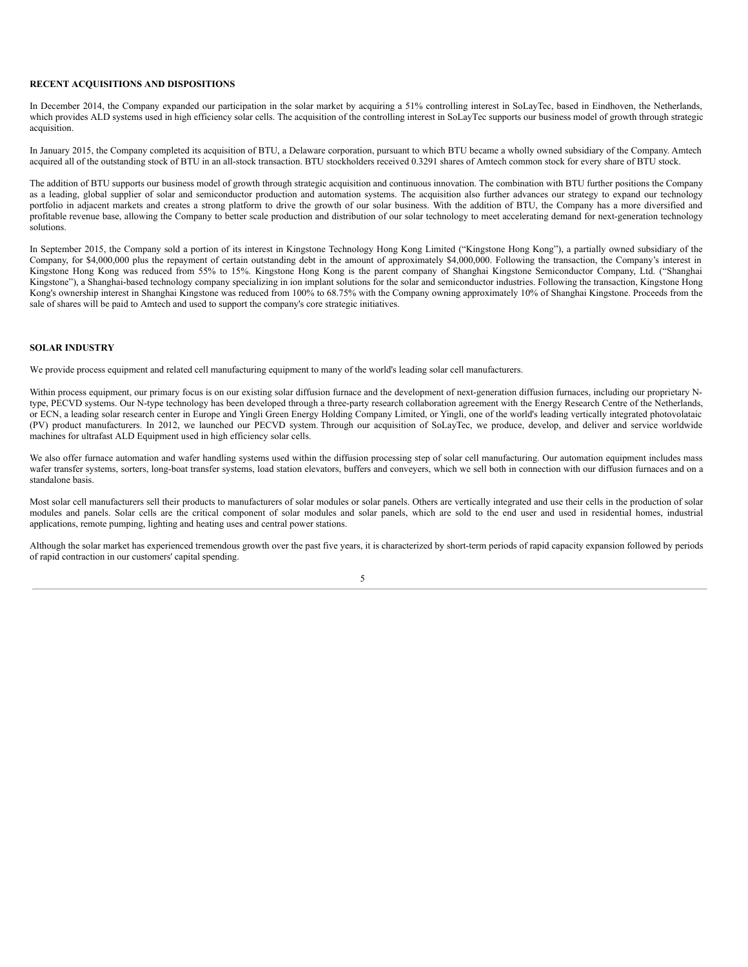## **RECENT ACQUISITIONS AND DISPOSITIONS**

In December 2014, the Company expanded our participation in the solar market by acquiring a 51% controlling interest in SoLayTec, based in Eindhoven, the Netherlands, which provides ALD systems used in high efficiency solar cells. The acquisition of the controlling interest in SoLayTec supports our business model of growth through strategic acquisition.

In January 2015, the Company completed its acquisition of BTU, a Delaware corporation, pursuant to which BTU became a wholly owned subsidiary of the Company. Amtech acquired all of the outstanding stock of BTU in an all-stock transaction. BTU stockholders received 0.3291 shares of Amtech common stock for every share of BTU stock.

The addition of BTU supports our business model of growth through strategic acquisition and continuous innovation. The combination with BTU further positions the Company as a leading, global supplier of solar and semiconductor production and automation systems. The acquisition also further advances our strategy to expand our technology portfolio in adjacent markets and creates a strong platform to drive the growth of our solar business. With the addition of BTU, the Company has a more diversified and profitable revenue base, allowing the Company to better scale production and distribution of our solar technology to meet accelerating demand for next-generation technology solutions.

In September 2015, the Company sold a portion of its interest in Kingstone Technology Hong Kong Limited ("Kingstone Hong Kong"), a partially owned subsidiary of the Company, for \$4,000,000 plus the repayment of certain outstanding debt in the amount of approximately \$4,000,000. Following the transaction, the Company's interest in Kingstone Hong Kong was reduced from 55% to 15%. Kingstone Hong Kong is the parent company of Shanghai Kingstone Semiconductor Company, Ltd. ("Shanghai Kingstone"), a Shanghai-based technology company specializing in ion implant solutions for the solar and semiconductor industries. Following the transaction, Kingstone Hong Kong's ownership interest in Shanghai Kingstone was reduced from 100% to 68.75% with the Company owning approximately 10% of Shanghai Kingstone. Proceeds from the sale of shares will be paid to Amtech and used to support the company's core strategic initiatives.

# **SOLAR INDUSTRY**

We provide process equipment and related cell manufacturing equipment to many of the world's leading solar cell manufacturers.

Within process equipment, our primary focus is on our existing solar diffusion furnace and the development of next-generation diffusion furnaces, including our proprietary Ntype, PECVD systems. Our N-type technology has been developed through a three-party research collaboration agreement with the Energy Research Centre of the Netherlands, or ECN, a leading solar research center in Europe and Yingli Green Energy Holding Company Limited, or Yingli, one of the world's leading vertically integrated photovolataic (PV) product manufacturers. In 2012, we launched our PECVD system. Through our acquisition of SoLayTec, we produce, develop, and deliver and service worldwide machines for ultrafast ALD Equipment used in high efficiency solar cells.

We also offer furnace automation and wafer handling systems used within the diffusion processing step of solar cell manufacturing. Our automation equipment includes mass wafer transfer systems, sorters, long-boat transfer systems, load station elevators, buffers and conveyers, which we sell both in connection with our diffusion furnaces and on a standalone basis.

Most solar cell manufacturers sell their products to manufacturers of solar modules or solar panels. Others are vertically integrated and use their cells in the production of solar modules and panels. Solar cells are the critical component of solar modules and solar panels, which are sold to the end user and used in residential homes, industrial applications, remote pumping, lighting and heating uses and central power stations.

Although the solar market has experienced tremendous growth over the past five years, it is characterized by short-term periods of rapid capacity expansion followed by periods of rapid contraction in our customers' capital spending.

5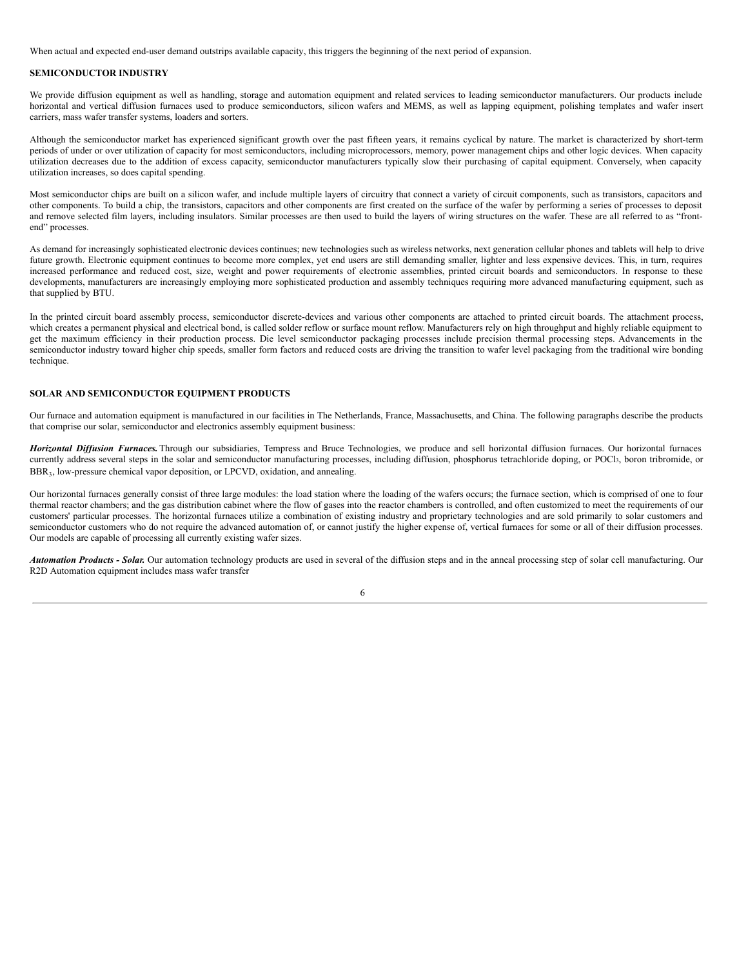When actual and expected end-user demand outstrips available capacity, this triggers the beginning of the next period of expansion.

## **SEMICONDUCTOR INDUSTRY**

We provide diffusion equipment as well as handling, storage and automation equipment and related services to leading semiconductor manufacturers. Our products include horizontal and vertical diffusion furnaces used to produce semiconductors, silicon wafers and MEMS, as well as lapping equipment, polishing templates and wafer insert carriers, mass wafer transfer systems, loaders and sorters.

Although the semiconductor market has experienced significant growth over the past fifteen years, it remains cyclical by nature. The market is characterized by short-term periods of under or over utilization of capacity for most semiconductors, including microprocessors, memory, power management chips and other logic devices. When capacity utilization decreases due to the addition of excess capacity, semiconductor manufacturers typically slow their purchasing of capital equipment. Conversely, when capacity utilization increases, so does capital spending.

Most semiconductor chips are built on a silicon wafer, and include multiple layers of circuitry that connect a variety of circuit components, such as transistors, capacitors and other components. To build a chip, the transistors, capacitors and other components are first created on the surface of the wafer by performing a series of processes to deposit and remove selected film layers, including insulators. Similar processes are then used to build the layers of wiring structures on the wafer. These are all referred to as "frontend" processes.

As demand for increasingly sophisticated electronic devices continues; new technologies such as wireless networks, next generation cellular phones and tablets will help to drive future growth. Electronic equipment continues to become more complex, yet end users are still demanding smaller, lighter and less expensive devices. This, in turn, requires increased performance and reduced cost, size, weight and power requirements of electronic assemblies, printed circuit boards and semiconductors. In response to these developments, manufacturers are increasingly employing more sophisticated production and assembly techniques requiring more advanced manufacturing equipment, such as that supplied by BTU.

In the printed circuit board assembly process, semiconductor discrete-devices and various other components are attached to printed circuit boards. The attachment process, which creates a permanent physical and electrical bond, is called solder reflow or surface mount reflow. Manufacturers rely on high throughput and highly reliable equipment to get the maximum efficiency in their production process. Die level semiconductor packaging processes include precision thermal processing steps. Advancements in the semiconductor industry toward higher chip speeds, smaller form factors and reduced costs are driving the transition to wafer level packaging from the traditional wire bonding technique.

#### **SOLAR AND SEMICONDUCTOR EQUIPMENT PRODUCTS**

Our furnace and automation equipment is manufactured in our facilities in The Netherlands, France, Massachusetts, and China. The following paragraphs describe the products that comprise our solar, semiconductor and electronics assembly equipment business:

*Horizontal Dif usion Furnaces.* Through our subsidiaries, Tempress and Bruce Technologies, we produce and sell horizontal diffusion furnaces. Our horizontal furnaces currently address several steps in the solar and semiconductor manufacturing processes, including diffusion, phosphorus tetrachloride doping, or POCl3, boron tribromide, or BBR3, low-pressure chemical vapor deposition, or LPCVD, oxidation, and annealing.

Our horizontal furnaces generally consist of three large modules: the load station where the loading of the wafers occurs; the furnace section, which is comprised of one to four thermal reactor chambers; and the gas distribution cabinet where the flow of gases into the reactor chambers is controlled, and often customized to meet the requirements of our customers' particular processes. The horizontal furnaces utilize a combination of existing industry and proprietary technologies and are sold primarily to solar customers and semiconductor customers who do not require the advanced automation of, or cannot justify the higher expense of, vertical furnaces for some or all of their diffusion processes. Our models are capable of processing all currently existing wafer sizes.

*Automation Products - Solar.* Our automation technology products are used in several of the diffusion steps and in the anneal processing step of solar cell manufacturing. Our R2D Automation equipment includes mass wafer transfer

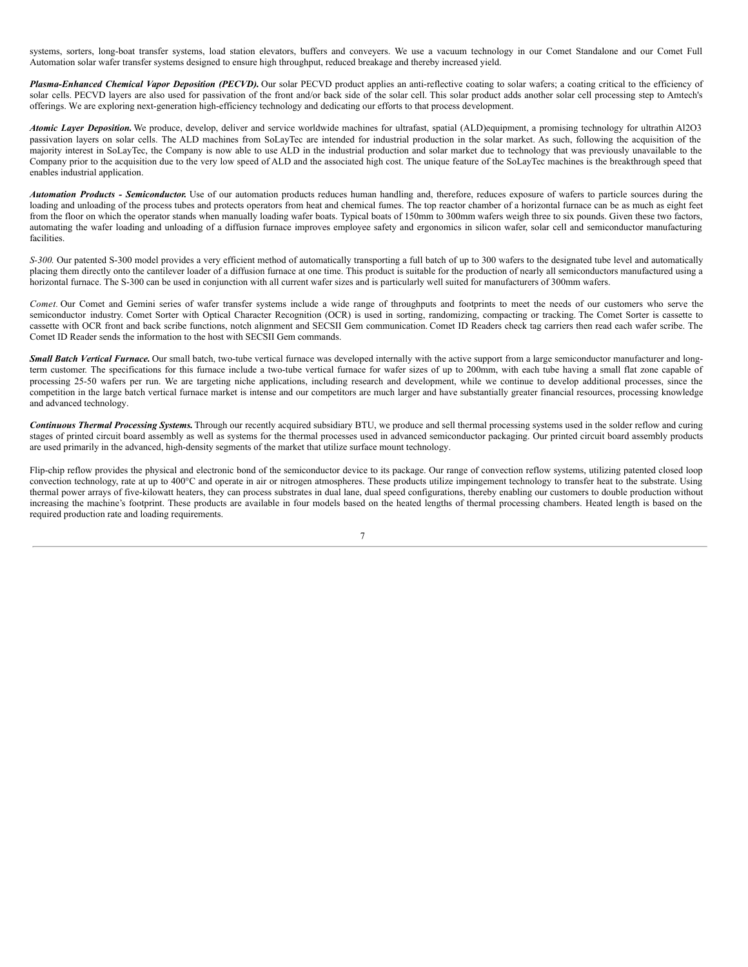systems, sorters, long-boat transfer systems, load station elevators, buffers and conveyers. We use a vacuum technology in our Comet Standalone and our Comet Full Automation solar wafer transfer systems designed to ensure high throughput, reduced breakage and thereby increased yield.

*Plasma-Enhanced Chemical Vapor Deposition (PECVD).* Our solar PECVD product applies an anti-reflective coating to solar wafers; a coating critical to the efficiency of solar cells. PECVD layers are also used for passivation of the front and/or back side of the solar cell. This solar product adds another solar cell processing step to Amtech's offerings. We are exploring next-generation high-efficiency technology and dedicating our efforts to that process development.

*Atomic Layer Deposition.* We produce, develop, deliver and service worldwide machines for ultrafast, spatial (ALD)equipment, a promising technology for ultrathin Al2O3 passivation layers on solar cells. The ALD machines from SoLayTec are intended for industrial production in the solar market. As such, following the acquisition of the majority interest in SoLayTec, the Company is now able to use ALD in the industrial production and solar market due to technology that was previously unavailable to the Company prior to the acquisition due to the very low speed of ALD and the associated high cost. The unique feature of the SoLayTec machines is the breakthrough speed that enables industrial application.

*Automation Products - Semiconductor.* Use of our automation products reduces human handling and, therefore, reduces exposure of wafers to particle sources during the loading and unloading of the process tubes and protects operators from heat and chemical fumes. The top reactor chamber of a horizontal furnace can be as much as eight feet from the floor on which the operator stands when manually loading wafer boats. Typical boats of 150mm to 300mm wafers weigh three to six pounds. Given these two factors, automating the wafer loading and unloading of a diffusion furnace improves employee safety and ergonomics in silicon wafer, solar cell and semiconductor manufacturing facilities.

*S-300.* Our patented S-300 model provides a very efficient method of automatically transporting a full batch of up to 300 wafers to the designated tube level and automatically placing them directly onto the cantilever loader of a diffusion furnace at one time. This product is suitable for the production of nearly all semiconductors manufactured using a horizontal furnace. The S-300 can be used in conjunction with all current wafer sizes and is particularly well suited for manufacturers of 300mm wafers.

*Comet.* Our Comet and Gemini series of wafer transfer systems include a wide range of throughputs and footprints to meet the needs of our customers who serve the semiconductor industry. Comet Sorter with Optical Character Recognition (OCR) is used in sorting, randomizing, compacting or tracking. The Comet Sorter is cassette to cassette with OCR front and back scribe functions, notch alignment and SECSII Gem communication. Comet ID Readers check tag carriers then read each wafer scribe. The Comet ID Reader sends the information to the host with SECSII Gem commands.

*Small Batch Vertical Furnace.* Our small batch, two-tube vertical furnace was developed internally with the active support from a large semiconductor manufacturer and longterm customer. The specifications for this furnace include a two-tube vertical furnace for wafer sizes of up to 200mm, with each tube having a small flat zone capable of processing 25-50 wafers per run. We are targeting niche applications, including research and development, while we continue to develop additional processes, since the competition in the large batch vertical furnace market is intense and our competitors are much larger and have substantially greater financial resources, processing knowledge and advanced technology.

*Continuous Thermal Processing Systems.* Through our recently acquired subsidiary BTU, we produce and sell thermal processing systems used in the solder reflow and curing stages of printed circuit board assembly as well as systems for the thermal processes used in advanced semiconductor packaging. Our printed circuit board assembly products are used primarily in the advanced, high-density segments of the market that utilize surface mount technology.

Flip-chip reflow provides the physical and electronic bond of the semiconductor device to its package. Our range of convection reflow systems, utilizing patented closed loop convection technology, rate at up to 400°C and operate in air or nitrogen atmospheres. These products utilize impingement technology to transfer heat to the substrate. Using thermal power arrays of five-kilowatt heaters, they can process substrates in dual lane, dual speed configurations, thereby enabling our customers to double production without increasing the machine's footprint. These products are available in four models based on the heated lengths of thermal processing chambers. Heated length is based on the required production rate and loading requirements.

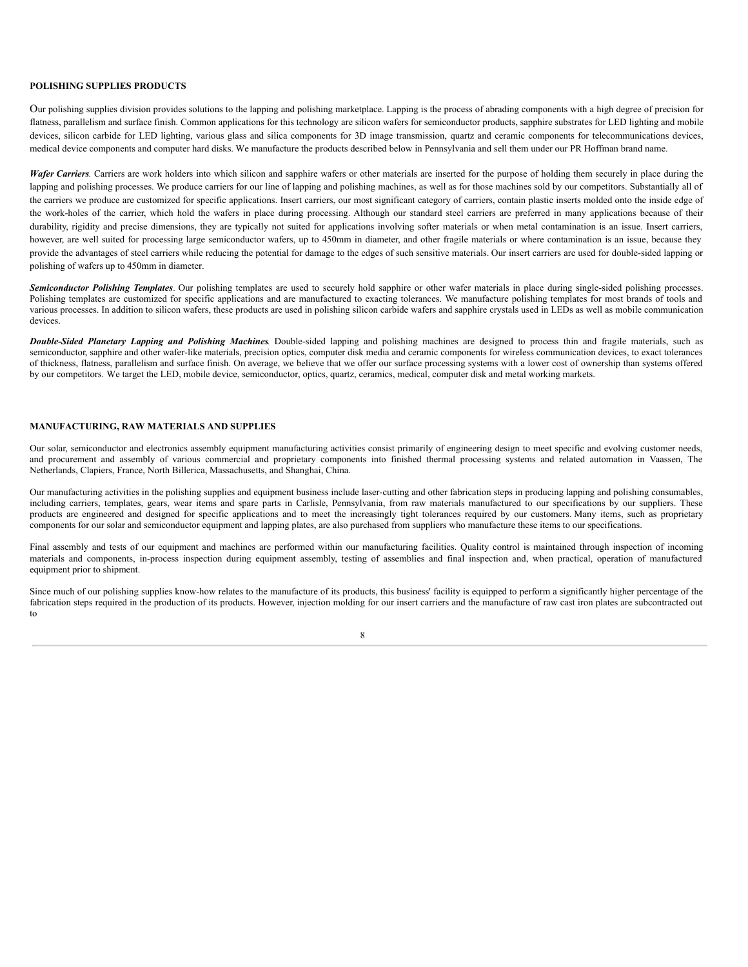## **POLISHING SUPPLIES PRODUCTS**

Our polishing supplies division provides solutions to the lapping and polishing marketplace. Lapping is the process of abrading components with a high degree of precision for flatness, parallelism and surface finish. Common applications for this technology are silicon wafers for semiconductor products, sapphire substrates for LED lighting and mobile devices, silicon carbide for LED lighting, various glass and silica components for 3D image transmission, quartz and ceramic components for telecommunications devices, medical device components and computer hard disks. We manufacture the products described below in Pennsylvania and sell them under our PR Hoffman brand name.

Wafer Carriers. Carriers are work holders into which silicon and sapphire wafers or other materials are inserted for the purpose of holding them securely in place during the lapping and polishing processes. We produce carriers for our line of lapping and polishing machines, as well as for those machines sold by our competitors. Substantially all of the carriers we produce are customized for specific applications. Insert carriers, our most significant category of carriers, contain plastic inserts molded onto the inside edge of the work-holes of the carrier, which hold the wafers in place during processing. Although our standard steel carriers are preferred in many applications because of their durability, rigidity and precise dimensions, they are typically not suited for applications involving softer materials or when metal contamination is an issue. Insert carriers, however, are well suited for processing large semiconductor wafers, up to 450mm in diameter, and other fragile materials or where contamination is an issue, because they provide the advantages of steel carriers while reducing the potential for damage to the edges of such sensitive materials. Our insert carriers are used for double-sided lapping or polishing of wafers up to 450mm in diameter.

*Semiconductor Polishing Templates.* Our polishing templates are used to securely hold sapphire or other wafer materials in place during single-sided polishing processes. Polishing templates are customized for specific applications and are manufactured to exacting tolerances. We manufacture polishing templates for most brands of tools and various processes. In addition to silicon wafers, these products are used in polishing silicon carbide wafers and sapphire crystals used in LEDs as well as mobile communication devices.

*Double-Sided Planetary Lapping and Polishing Machines.* Double-sided lapping and polishing machines are designed to process thin and fragile materials, such as semiconductor, sapphire and other wafer-like materials, precision optics, computer disk media and ceramic components for wireless communication devices, to exact tolerances of thickness, flatness, parallelism and surface finish. On average, we believe that we offer our surface processing systems with a lower cost of ownership than systems offered by our competitors. We target the LED, mobile device, semiconductor, optics, quartz, ceramics, medical, computer disk and metal working markets.

## **MANUFACTURING, RAW MATERIALS AND SUPPLIES**

Our solar, semiconductor and electronics assembly equipment manufacturing activities consist primarily of engineering design to meet specific and evolving customer needs, and procurement and assembly of various commercial and proprietary components into finished thermal processing systems and related automation in Vaassen, The Netherlands, Clapiers, France, North Billerica, Massachusetts, and Shanghai, China.

Our manufacturing activities in the polishing supplies and equipment business include laser-cutting and other fabrication steps in producing lapping and polishing consumables, including carriers, templates, gears, wear items and spare parts in Carlisle, Pennsylvania, from raw materials manufactured to our specifications by our suppliers. These products are engineered and designed for specific applications and to meet the increasingly tight tolerances required by our customers. Many items, such as proprietary components for our solar and semiconductor equipment and lapping plates, are also purchased from suppliers who manufacture these items to our specifications.

Final assembly and tests of our equipment and machines are performed within our manufacturing facilities. Quality control is maintained through inspection of incoming materials and components, in-process inspection during equipment assembly, testing of assemblies and final inspection and, when practical, operation of manufactured equipment prior to shipment.

Since much of our polishing supplies know-how relates to the manufacture of its products, this business' facility is equipped to perform a significantly higher percentage of the fabrication steps required in the production of its products. However, injection molding for our insert carriers and the manufacture of raw cast iron plates are subcontracted out to

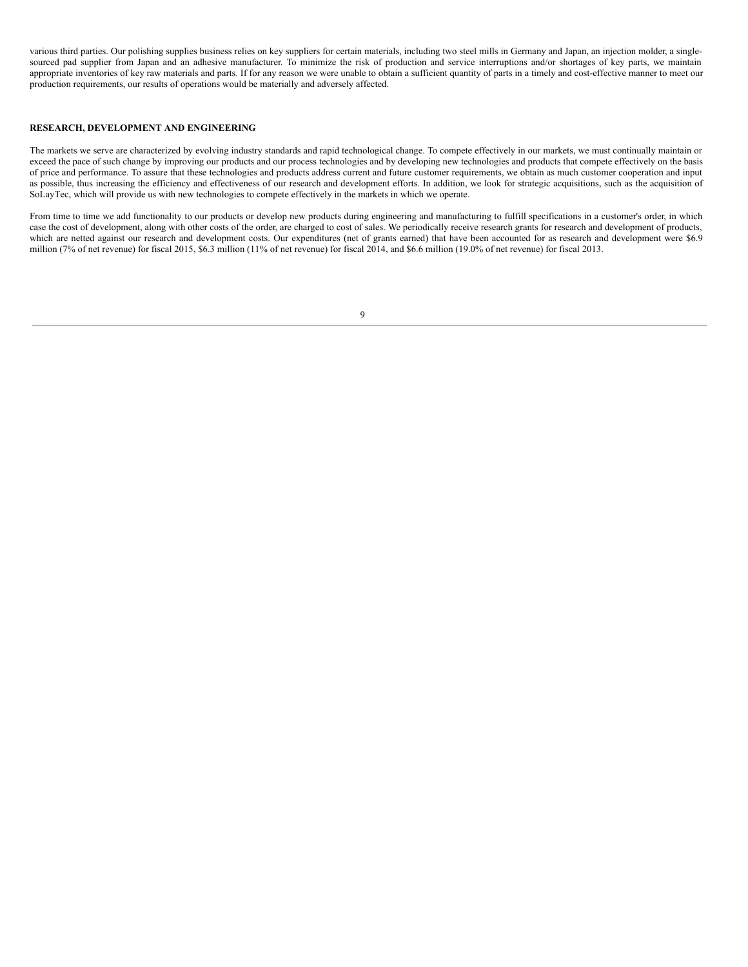various third parties. Our polishing supplies business relies on key suppliers for certain materials, including two steel mills in Germany and Japan, an injection molder, a singlesourced pad supplier from Japan and an adhesive manufacturer. To minimize the risk of production and service interruptions and/or shortages of key parts, we maintain appropriate inventories of key raw materials and parts. If for any reason we were unable to obtain a sufficient quantity of parts in a timely and cost-effective manner to meet our production requirements, our results of operations would be materially and adversely affected.

## **RESEARCH, DEVELOPMENT AND ENGINEERING**

The markets we serve are characterized by evolving industry standards and rapid technological change. To compete effectively in our markets, we must continually maintain or exceed the pace of such change by improving our products and our process technologies and by developing new technologies and products that compete effectively on the basis of price and performance. To assure that these technologies and products address current and future customer requirements, we obtain as much customer cooperation and input as possible, thus increasing the efficiency and effectiveness of our research and development efforts. In addition, we look for strategic acquisitions, such as the acquisition of SoLayTec, which will provide us with new technologies to compete effectively in the markets in which we operate.

From time to time we add functionality to our products or develop new products during engineering and manufacturing to fulfill specifications in a customer's order, in which case the cost of development, along with other costs of the order, are charged to cost of sales. We periodically receive research grants for research and development of products, which are netted against our research and development costs. Our expenditures (net of grants earned) that have been accounted for as research and development were \$6.9 million (7% of net revenue) for fiscal 2015, \$6.3 million (11% of net revenue) for fiscal 2014, and \$6.6 million (19.0% of net revenue) for fiscal 2013.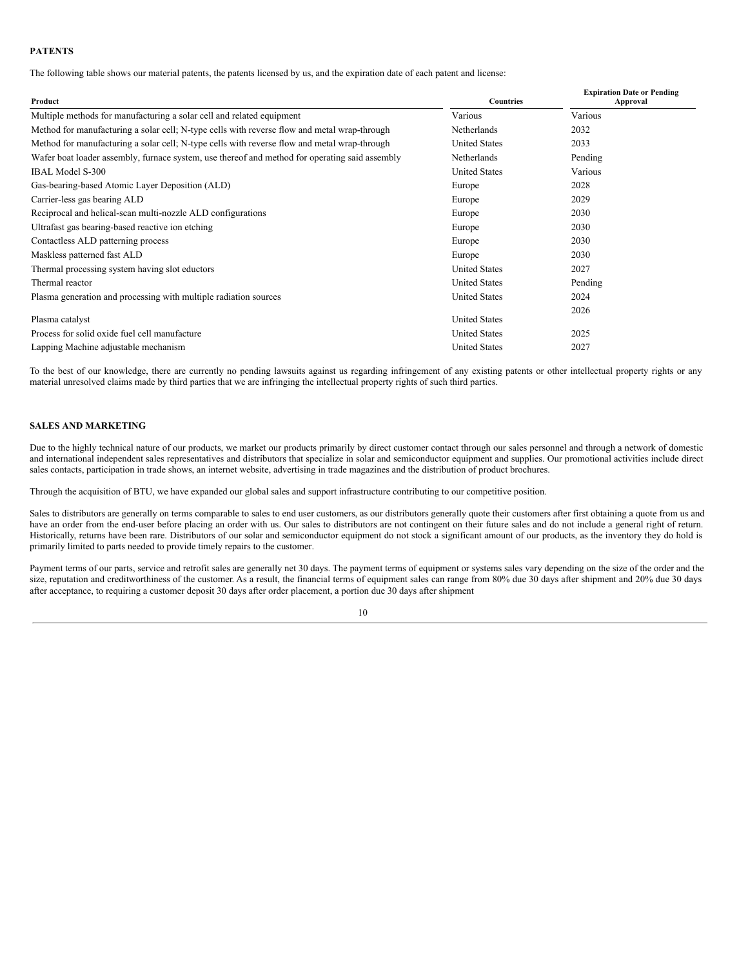# **PATENTS**

The following table shows our material patents, the patents licensed by us, and the expiration date of each patent and license:

| Product                                                                                        | <b>Countries</b>     | <b>Expiration Date or Pending</b><br>Approval |
|------------------------------------------------------------------------------------------------|----------------------|-----------------------------------------------|
| Multiple methods for manufacturing a solar cell and related equipment                          | Various              | Various                                       |
| Method for manufacturing a solar cell; N-type cells with reverse flow and metal wrap-through   | Netherlands          | 2032                                          |
| Method for manufacturing a solar cell; N-type cells with reverse flow and metal wrap-through   | <b>United States</b> | 2033                                          |
| Wafer boat loader assembly, furnace system, use thereof and method for operating said assembly | Netherlands          | Pending                                       |
| <b>IBAL Model S-300</b>                                                                        | <b>United States</b> | Various                                       |
| Gas-bearing-based Atomic Layer Deposition (ALD)                                                | Europe               | 2028                                          |
| Carrier-less gas bearing ALD                                                                   | Europe               | 2029                                          |
| Reciprocal and helical-scan multi-nozzle ALD configurations                                    | Europe               | 2030                                          |
| Ultrafast gas bearing-based reactive ion etching                                               | Europe               | 2030                                          |
| Contactless ALD patterning process                                                             | Europe               | 2030                                          |
| Maskless patterned fast ALD                                                                    | Europe               | 2030                                          |
| Thermal processing system having slot eductors                                                 | <b>United States</b> | 2027                                          |
| Thermal reactor                                                                                | <b>United States</b> | Pending                                       |
| Plasma generation and processing with multiple radiation sources                               | <b>United States</b> | 2024                                          |
| Plasma catalyst                                                                                | <b>United States</b> | 2026                                          |
| Process for solid oxide fuel cell manufacture                                                  | <b>United States</b> | 2025                                          |
| Lapping Machine adjustable mechanism                                                           | <b>United States</b> | 2027                                          |

To the best of our knowledge, there are currently no pending lawsuits against us regarding infringement of any existing patents or other intellectual property rights or any material unresolved claims made by third parties that we are infringing the intellectual property rights of such third parties.

## **SALES AND MARKETING**

Due to the highly technical nature of our products, we market our products primarily by direct customer contact through our sales personnel and through a network of domestic and international independent sales representatives and distributors that specialize in solar and semiconductor equipment and supplies. Our promotional activities include direct sales contacts, participation in trade shows, an internet website, advertising in trade magazines and the distribution of product brochures.

Through the acquisition of BTU, we have expanded our global sales and support infrastructure contributing to our competitive position.

Sales to distributors are generally on terms comparable to sales to end user customers, as our distributors generally quote their customers after first obtaining a quote from us and have an order from the end-user before placing an order with us. Our sales to distributors are not contingent on their future sales and do not include a general right of return. Historically, returns have been rare. Distributors of our solar and semiconductor equipment do not stock a significant amount of our products, as the inventory they do hold is primarily limited to parts needed to provide timely repairs to the customer.

Payment terms of our parts, service and retrofit sales are generally net 30 days. The payment terms of equipment or systems sales vary depending on the size of the order and the size, reputation and creditworthiness of the customer. As a result, the financial terms of equipment sales can range from 80% due 30 days after shipment and 20% due 30 days after acceptance, to requiring a customer deposit 30 days after order placement, a portion due 30 days after shipment

10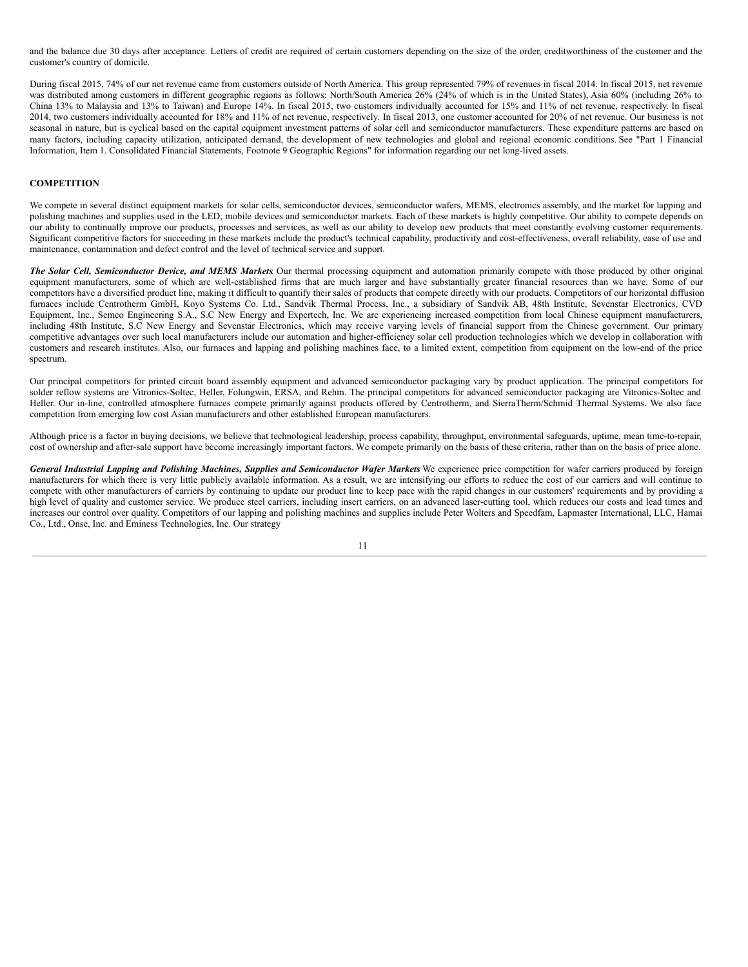and the balance due 30 days after acceptance. Letters of credit are required of certain customers depending on the size of the order, creditworthiness of the customer and the customer's country of domicile.

During fiscal 2015, 74% of our net revenue came from customers outside of North America. This group represented 79% of revenues in fiscal 2014. In fiscal 2015, net revenue was distributed among customers in different geographic regions as follows: North/South America 26% (24% of which is in the United States), Asia 60% (including 26% to China 13% to Malaysia and 13% to Taiwan) and Europe 14%. In fiscal 2015, two customers individually accounted for 15% and 11% of net revenue, respectively. In fiscal 2014, two customers individually accounted for 18% and 11% of net revenue, respectively. In fiscal 2013, one customer accounted for 20% of net revenue. Our business is not seasonal in nature, but is cyclical based on the capital equipment investment patterns of solar cell and semiconductor manufacturers. These expenditure patterns are based on many factors, including capacity utilization, anticipated demand, the development of new technologies and global and regional economic conditions. See "Part 1 Financial Information, Item 1. Consolidated Financial Statements, Footnote 9 Geographic Regions" for information regarding our net long-lived assets.

## **COMPETITION**

We compete in several distinct equipment markets for solar cells, semiconductor devices, semiconductor wafers, MEMS, electronics assembly, and the market for lapping and polishing machines and supplies used in the LED, mobile devices and semiconductor markets. Each of these markets is highly competitive. Our ability to compete depends on our ability to continually improve our products, processes and services, as well as our ability to develop new products that meet constantly evolving customer requirements. Significant competitive factors for succeeding in these markets include the product's technical capability, productivity and cost-effectiveness, overall reliability, ease of use and maintenance, contamination and defect control and the level of technical service and support.

*The Solar Cell, Semiconductor Device, and MEMS Markets.* Our thermal processing equipment and automation primarily compete with those produced by other original equipment manufacturers, some of which are well-established firms that are much larger and have substantially greater financial resources than we have. Some of our competitors have a diversified product line, making it difficult to quantify their sales of products that compete directly with our products. Competitors of our horizontal diffusion furnaces include Centrotherm GmbH, Koyo Systems Co. Ltd., Sandvik Thermal Process, Inc., a subsidiary of Sandvik AB, 48th Institute, Sevenstar Electronics, CVD Equipment, Inc., Semco Engineering S.A., S.C New Energy and Expertech, Inc. We are experiencing increased competition from local Chinese equipment manufacturers, including 48th Institute, S.C New Energy and Sevenstar Electronics, which may receive varying levels of financial support from the Chinese government. Our primary competitive advantages over such local manufacturers include our automation and higher-efficiency solar cell production technologies which we develop in collaboration with customers and research institutes. Also, our furnaces and lapping and polishing machines face, to a limited extent, competition from equipment on the low-end of the price spectrum.

Our principal competitors for printed circuit board assembly equipment and advanced semiconductor packaging vary by product application. The principal competitors for solder reflow systems are Vitronics-Soltec, Heller, Folungwin, ERSA, and Rehm. The principal competitors for advanced semiconductor packaging are Vitronics-Soltec and Heller. Our in-line, controlled atmosphere furnaces compete primarily against products offered by Centrotherm, and SierraTherm/Schmid Thermal Systems. We also face competition from emerging low cost Asian manufacturers and other established European manufacturers.

Although price is a factor in buying decisions, we believe that technological leadership, process capability, throughput, environmental safeguards, uptime, mean time-to-repair, cost of ownership and after-sale support have become increasingly important factors. We compete primarily on the basis of these criteria, rather than on the basis of price alone.

General Industrial Lapping and Polishing Machines, Supplies and Semiconductor Wafer Markets We experience price competition for wafer carriers produced by foreign manufacturers for which there is very little publicly available information. As a result, we are intensifying our efforts to reduce the cost of our carriers and will continue to compete with other manufacturers of carriers by continuing to update our product line to keep pace with the rapid changes in our customers' requirements and by providing a high level of quality and customer service. We produce steel carriers, including insert carriers, on an advanced laser-cutting tool, which reduces our costs and lead times and increases our control over quality. Competitors of our lapping and polishing machines and supplies include Peter Wolters and Speedfam, Lapmaster International, LLC, Hamai Co., Ltd., Onse, Inc. and Eminess Technologies, Inc. Our strategy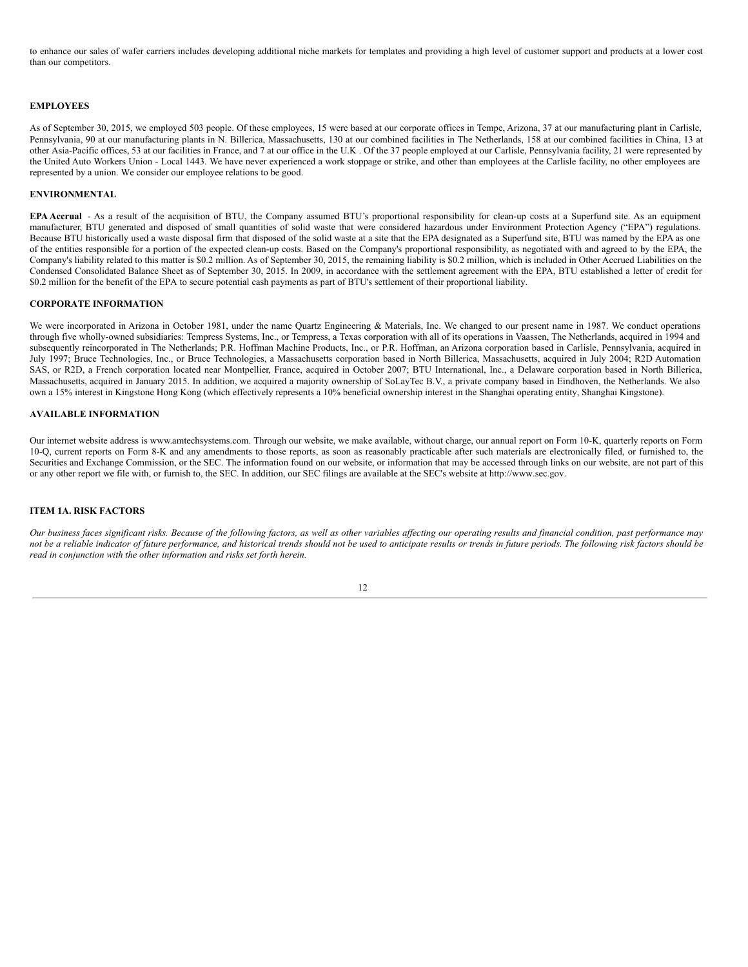to enhance our sales of wafer carriers includes developing additional niche markets for templates and providing a high level of customer support and products at a lower cost than our competitors.

## **EMPLOYEES**

As of September 30, 2015, we employed 503 people. Of these employees, 15 were based at our corporate offices in Tempe, Arizona, 37 at our manufacturing plant in Carlisle, Pennsylvania, 90 at our manufacturing plants in N. Billerica, Massachusetts, 130 at our combined facilities in The Netherlands, 158 at our combined facilities in China, 13 at other Asia-Pacific offices, 53 at our facilities in France, and 7 at our office in the U.K . Of the 37 people employed at our Carlisle, Pennsylvania facility, 21 were represented by the United Auto Workers Union - Local 1443. We have never experienced a work stoppage or strike, and other than employees at the Carlisle facility, no other employees are represented by a union. We consider our employee relations to be good.

# **ENVIRONMENTAL**

**EPA Accrual** - As a result of the acquisition of BTU, the Company assumed BTU's proportional responsibility for clean-up costs at a Superfund site. As an equipment manufacturer, BTU generated and disposed of small quantities of solid waste that were considered hazardous under Environment Protection Agency ("EPA") regulations. Because BTU historically used a waste disposal firm that disposed of the solid waste at a site that the EPA designated as a Superfund site, BTU was named by the EPA as one of the entities responsible for a portion of the expected clean-up costs. Based on the Company's proportional responsibility, as negotiated with and agreed to by the EPA, the Company's liability related to this matter is \$0.2 million. As of September 30, 2015, the remaining liability is \$0.2 million, which is included in Other Accrued Liabilities on the Condensed Consolidated Balance Sheet as of September 30, 2015. In 2009, in accordance with the settlement agreement with the EPA, BTU established a letter of credit for \$0.2 million for the benefit of the EPA to secure potential cash payments as part of BTU's settlement of their proportional liability.

#### **CORPORATE INFORMATION**

We were incorporated in Arizona in October 1981, under the name Quartz Engineering & Materials, Inc. We changed to our present name in 1987. We conduct operations through five wholly-owned subsidiaries: Tempress Systems, Inc., or Tempress, a Texas corporation with all of its operations in Vaassen, The Netherlands, acquired in 1994 and subsequently reincorporated in The Netherlands; P.R. Hoffman Machine Products, Inc., or P.R. Hoffman, an Arizona corporation based in Carlisle, Pennsylvania, acquired in July 1997; Bruce Technologies, Inc., or Bruce Technologies, a Massachusetts corporation based in North Billerica, Massachusetts, acquired in July 2004; R2D Automation SAS, or R2D, a French corporation located near Montpellier, France, acquired in October 2007; BTU International, Inc., a Delaware corporation based in North Billerica, Massachusetts, acquired in January 2015. In addition, we acquired a majority ownership of SoLayTec B.V., a private company based in Eindhoven, the Netherlands. We also own a 15% interest in Kingstone Hong Kong (which effectively represents a 10% beneficial ownership interest in the Shanghai operating entity, Shanghai Kingstone).

#### **AVAILABLE INFORMATION**

Our internet website address is www.amtechsystems.com. Through our website, we make available, without charge, our annual report on Form 10-K, quarterly reports on Form 10-Q, current reports on Form 8-K and any amendments to those reports, as soon as reasonably practicable after such materials are electronically filed, or furnished to, the Securities and Exchange Commission, or the SEC. The information found on our website, or information that may be accessed through links on our website, are not part of this or any other report we file with, or furnish to, the SEC. In addition, our SEC filings are available at the SEC's website at http://www.sec.gov.

# <span id="page-12-0"></span>**ITEM 1A. RISK FACTORS**

Our business faces significant risks. Because of the following factors, as well as other variables affecting our operating results and financial condition, past performance may not be a reliable indicator of future performance, and historical trends should not be used to anticipate results or trends in future periods. The following risk factors should be *read in conjunction with the other information and risks set forth herein.*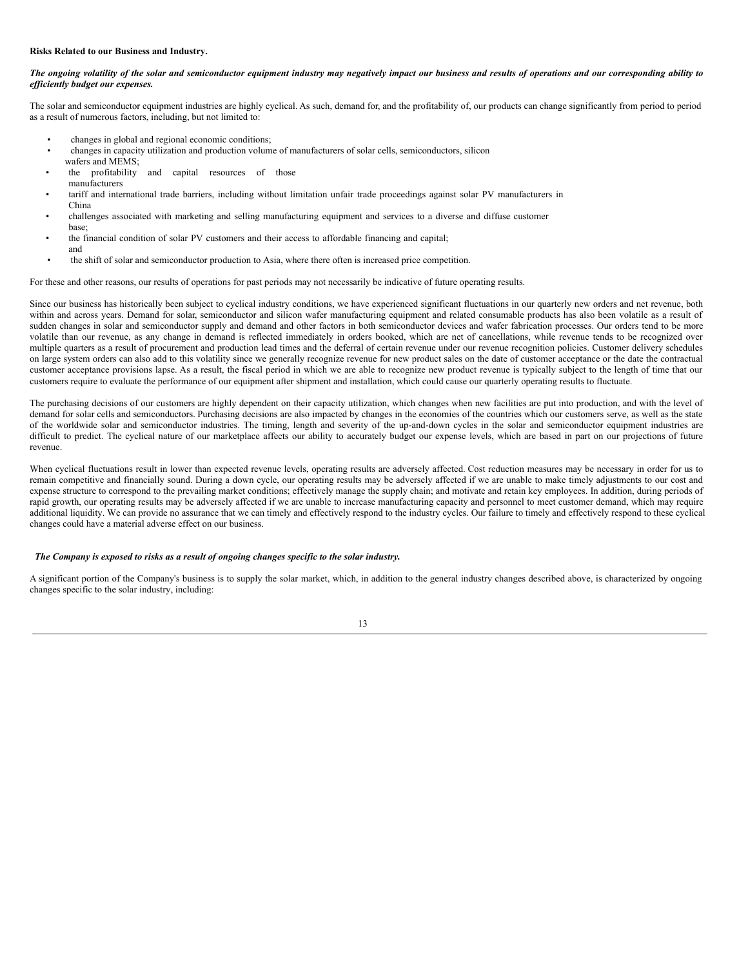#### **Risks Related to our Business and Industry.**

## The ongoing volatility of the solar and semiconductor equipment industry may negatively impact our business and results of operations and our corresponding ability to *ef iciently budget our expenses.*

The solar and semiconductor equipment industries are highly cyclical. As such, demand for, and the profitability of, our products can change significantly from period to period as a result of numerous factors, including, but not limited to:

- changes in global and regional economic conditions;
- changes in capacity utilization and production volume of manufacturers of solar cells, semiconductors, silicon
- wafers and MEMS; the profitability and capital resources of those
- manufacturers
- tariff and international trade barriers, including without limitation unfair trade proceedings against solar PV manufacturers in China
- challenges associated with marketing and selling manufacturing equipment and services to a diverse and diffuse customer base;
- the financial condition of solar PV customers and their access to affordable financing and capital; and
	- the shift of solar and semiconductor production to Asia, where there often is increased price competition.

For these and other reasons, our results of operations for past periods may not necessarily be indicative of future operating results.

Since our business has historically been subject to cyclical industry conditions, we have experienced significant fluctuations in our quarterly new orders and net revenue, both within and across years. Demand for solar, semiconductor and silicon wafer manufacturing equipment and related consumable products has also been volatile as a result of sudden changes in solar and semiconductor supply and demand and other factors in both semiconductor devices and wafer fabrication processes. Our orders tend to be more volatile than our revenue, as any change in demand is reflected immediately in orders booked, which are net of cancellations, while revenue tends to be recognized over multiple quarters as a result of procurement and production lead times and the deferral of certain revenue under our revenue recognition policies. Customer delivery schedules on large system orders can also add to this volatility since we generally recognize revenue for new product sales on the date of customer acceptance or the date the contractual customer acceptance provisions lapse. As a result, the fiscal period in which we are able to recognize new product revenue is typically subject to the length of time that our customers require to evaluate the performance of our equipment after shipment and installation, which could cause our quarterly operating results to fluctuate.

The purchasing decisions of our customers are highly dependent on their capacity utilization, which changes when new facilities are put into production, and with the level of demand for solar cells and semiconductors. Purchasing decisions are also impacted by changes in the economies of the countries which our customers serve, as well as the state of the worldwide solar and semiconductor industries. The timing, length and severity of the up-and-down cycles in the solar and semiconductor equipment industries are difficult to predict. The cyclical nature of our marketplace affects our ability to accurately budget our expense levels, which are based in part on our projections of future revenue.

When cyclical fluctuations result in lower than expected revenue levels, operating results are adversely affected. Cost reduction measures may be necessary in order for us to remain competitive and financially sound. During a down cycle, our operating results may be adversely affected if we are unable to make timely adjustments to our cost and expense structure to correspond to the prevailing market conditions; effectively manage the supply chain; and motivate and retain key employees. In addition, during periods of rapid growth, our operating results may be adversely affected if we are unable to increase manufacturing capacity and personnel to meet customer demand, which may require additional liquidity. We can provide no assurance that we can timely and effectively respond to the industry cycles. Our failure to timely and effectively respond to these cyclical changes could have a material adverse effect on our business.

#### *The Company is exposed to risks as a result of ongoing changes specific to the solar industry.*

A significant portion of the Company's business is to supply the solar market, which, in addition to the general industry changes described above, is characterized by ongoing changes specific to the solar industry, including:

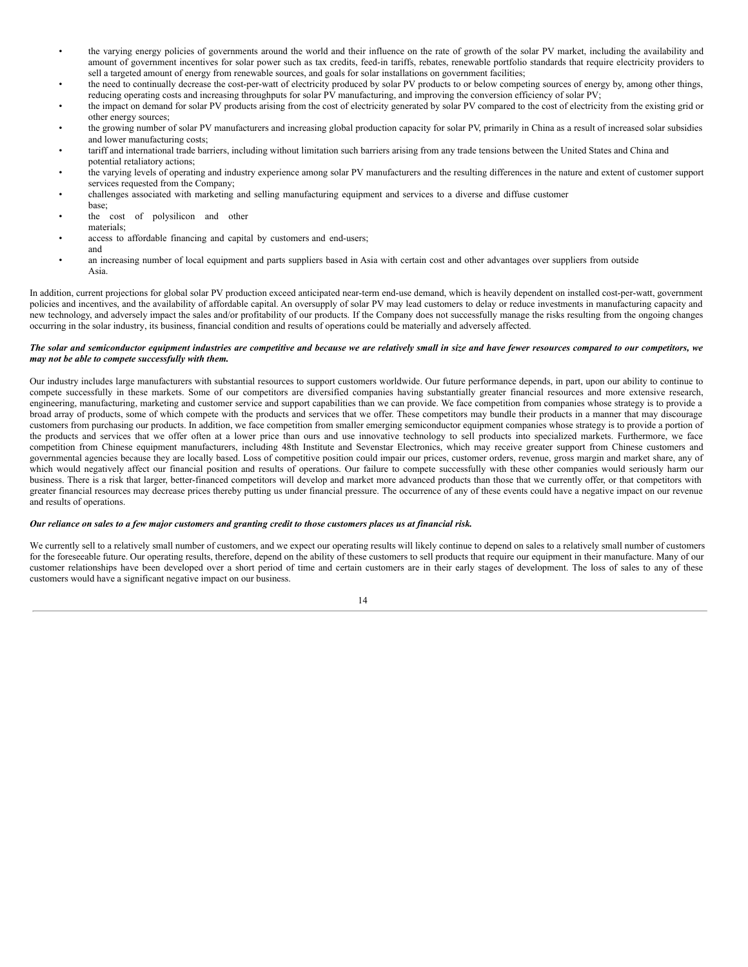- the varying energy policies of governments around the world and their influence on the rate of growth of the solar PV market, including the availability and amount of government incentives for solar power such as tax credits, feed-in tariffs, rebates, renewable portfolio standards that require electricity providers to sell a targeted amount of energy from renewable sources, and goals for solar installations on government facilities;
- the need to continually decrease the cost-per-watt of electricity produced by solar PV products to or below competing sources of energy by, among other things, reducing operating costs and increasing throughputs for solar PV manufacturing, and improving the conversion efficiency of solar PV;
- the impact on demand for solar PV products arising from the cost of electricity generated by solar PV compared to the cost of electricity from the existing grid or other energy sources;
- the growing number of solar PV manufacturers and increasing global production capacity for solar PV, primarily in China as a result of increased solar subsidies and lower manufacturing costs;
- tariff and international trade barriers, including without limitation such barriers arising from any trade tensions between the United States and China and potential retaliatory actions;
- the varying levels of operating and industry experience among solar PV manufacturers and the resulting differences in the nature and extent of customer support services requested from the Company;
- challenges associated with marketing and selling manufacturing equipment and services to a diverse and diffuse customer
- base; the cost of polysilicon and other
- materials;
- access to affordable financing and capital by customers and end-users; and
- an increasing number of local equipment and parts suppliers based in Asia with certain cost and other advantages over suppliers from outside Asia.

In addition, current projections for global solar PV production exceed anticipated near-term end-use demand, which is heavily dependent on installed cost-per-watt, government policies and incentives, and the availability of affordable capital. An oversupply of solar PV may lead customers to delay or reduce investments in manufacturing capacity and new technology, and adversely impact the sales and/or profitability of our products. If the Company does not successfully manage the risks resulting from the ongoing changes occurring in the solar industry, its business, financial condition and results of operations could be materially and adversely affected.

#### The solar and semiconductor equipment industries are competitive and because we are relatively small in size and have fewer resources compared to our competitors, we *may not be able to compete successfully with them.*

Our industry includes large manufacturers with substantial resources to support customers worldwide. Our future performance depends, in part, upon our ability to continue to compete successfully in these markets. Some of our competitors are diversified companies having substantially greater financial resources and more extensive research, engineering, manufacturing, marketing and customer service and support capabilities than we can provide. We face competition from companies whose strategy is to provide a broad array of products, some of which compete with the products and services that we offer. These competitors may bundle their products in a manner that may discourage customers from purchasing our products. In addition, we face competition from smaller emerging semiconductor equipment companies whose strategy is to provide a portion of the products and services that we offer often at a lower price than ours and use innovative technology to sell products into specialized markets. Furthermore, we face competition from Chinese equipment manufacturers, including 48th Institute and Sevenstar Electronics, which may receive greater support from Chinese customers and governmental agencies because they are locally based. Loss of competitive position could impair our prices, customer orders, revenue, gross margin and market share, any of which would negatively affect our financial position and results of operations. Our failure to compete successfully with these other companies would seriously harm our business. There is a risk that larger, better-financed competitors will develop and market more advanced products than those that we currently offer, or that competitors with greater financial resources may decrease prices thereby putting us under financial pressure. The occurrence of any of these events could have a negative impact on our revenue and results of operations.

## Our reliance on sales to a few major customers and granting credit to those customers places us at financial risk.

We currently sell to a relatively small number of customers, and we expect our operating results will likely continue to depend on sales to a relatively small number of customers for the foreseeable future. Our operating results, therefore, depend on the ability of these customers to sell products that require our equipment in their manufacture. Many of our customer relationships have been developed over a short period of time and certain customers are in their early stages of development. The loss of sales to any of these customers would have a significant negative impact on our business.

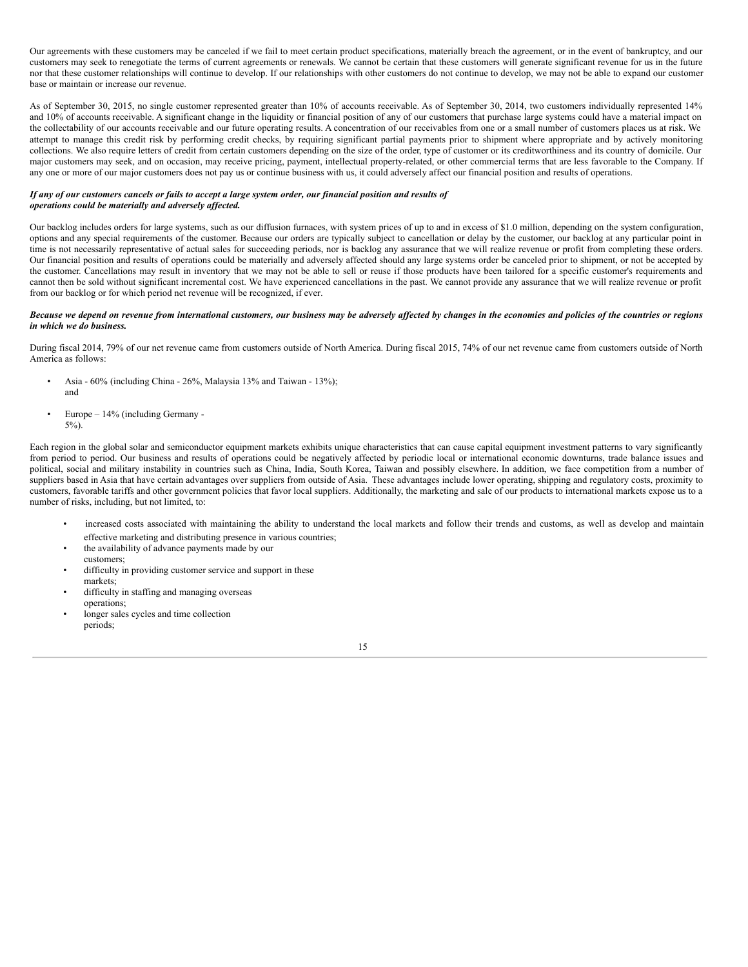Our agreements with these customers may be canceled if we fail to meet certain product specifications, materially breach the agreement, or in the event of bankruptcy, and our customers may seek to renegotiate the terms of current agreements or renewals. We cannot be certain that these customers will generate significant revenue for us in the future nor that these customer relationships will continue to develop. If our relationships with other customers do not continue to develop, we may not be able to expand our customer base or maintain or increase our revenue.

As of September 30, 2015, no single customer represented greater than 10% of accounts receivable. As of September 30, 2014, two customers individually represented 14% and 10% of accounts receivable. A significant change in the liquidity or financial position of any of our customers that purchase large systems could have a material impact on the collectability of our accounts receivable and our future operating results. A concentration of our receivables from one or a small number of customers places us at risk. We attempt to manage this credit risk by performing credit checks, by requiring significant partial payments prior to shipment where appropriate and by actively monitoring collections. We also require letters of credit from certain customers depending on the size of the order, type of customer or its creditworthiness and its country of domicile. Our major customers may seek, and on occasion, may receive pricing, payment, intellectual property-related, or other commercial terms that are less favorable to the Company. If any one or more of our major customers does not pay us or continue business with us, it could adversely affect our financial position and results of operations.

#### If any of our customers cancels or fails to accept a large system order, our financial position and results of *operations could be materially and adversely af ected.*

Our backlog includes orders for large systems, such as our diffusion furnaces, with system prices of up to and in excess of \$1.0 million, depending on the system configuration, options and any special requirements of the customer. Because our orders are typically subject to cancellation or delay by the customer, our backlog at any particular point in time is not necessarily representative of actual sales for succeeding periods, nor is backlog any assurance that we will realize revenue or profit from completing these orders. Our financial position and results of operations could be materially and adversely affected should any large systems order be canceled prior to shipment, or not be accepted by the customer. Cancellations may result in inventory that we may not be able to sell or reuse if those products have been tailored for a specific customer's requirements and cannot then be sold without significant incremental cost. We have experienced cancellations in the past. We cannot provide any assurance that we will realize revenue or profit from our backlog or for which period net revenue will be recognized, if ever.

#### Because we depend on revenue from international customers, our business may be adversely affected by changes in the economies and policies of the countries or regions *in which we do business.*

During fiscal 2014, 79% of our net revenue came from customers outside of North America. During fiscal 2015, 74% of our net revenue came from customers outside of North America as follows:

- Asia 60% (including China 26%, Malaysia 13% and Taiwan 13%); and
- Europe 14% (including Germany 5%).

Each region in the global solar and semiconductor equipment markets exhibits unique characteristics that can cause capital equipment investment patterns to vary significantly from period to period. Our business and results of operations could be negatively affected by periodic local or international economic downturns, trade balance issues and political, social and military instability in countries such as China, India, South Korea, Taiwan and possibly elsewhere. In addition, we face competition from a number of suppliers based in Asia that have certain advantages over suppliers from outside of Asia. These advantages include lower operating, shipping and regulatory costs, proximity to customers, favorable tariffs and other government policies that favor local suppliers. Additionally, the marketing and sale of our products to international markets expose us to a number of risks, including, but not limited, to:

- increased costs associated with maintaining the ability to understand the local markets and follow their trends and customs, as well as develop and maintain effective marketing and distributing presence in various countries;
- the availability of advance payments made by our customers;
- difficulty in providing customer service and support in these markets;
- difficulty in staffing and managing overseas operations;
- longer sales cycles and time collection periods;

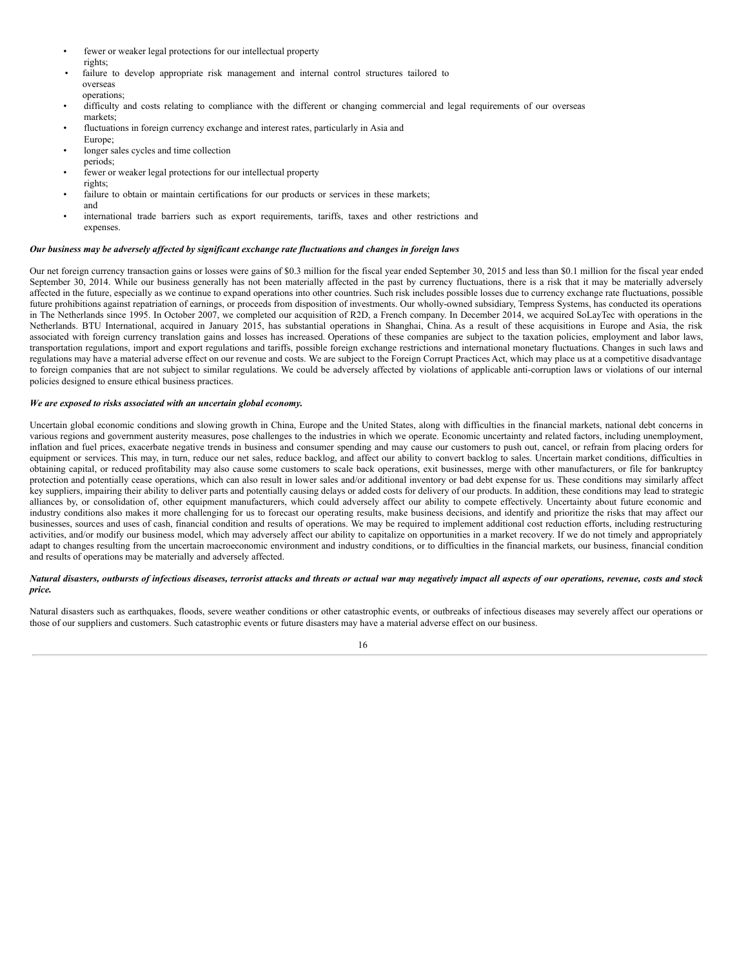- fewer or weaker legal protections for our intellectual property rights;
- failure to develop appropriate risk management and internal control structures tailored to overseas operations;
- difficulty and costs relating to compliance with the different or changing commercial and legal requirements of our overseas
- markets; • fluctuations in foreign currency exchange and interest rates, particularly in Asia and
- Europe;
- longer sales cycles and time collection periods;
- fewer or weaker legal protections for our intellectual property rights;
- failure to obtain or maintain certifications for our products or services in these markets; and
- international trade barriers such as export requirements, tariffs, taxes and other restrictions and expenses.

## Our business may be adversely affected by significant exchange rate fluctuations and changes in foreign laws

Our net foreign currency transaction gains or losses were gains of \$0.3 million for the fiscal year ended September 30, 2015 and less than \$0.1 million for the fiscal year ended September 30, 2014. While our business generally has not been materially affected in the past by currency fluctuations, there is a risk that it may be materially adversely affected in the future, especially as we continue to expand operations into other countries. Such risk includes possible losses due to currency exchange rate fluctuations, possible future prohibitions against repatriation of earnings, or proceeds from disposition of investments. Our wholly-owned subsidiary, Tempress Systems, has conducted its operations in The Netherlands since 1995. In October 2007, we completed our acquisition of R2D, a French company. In December 2014, we acquired SoLayTec with operations in the Netherlands. BTU International, acquired in January 2015, has substantial operations in Shanghai, China. As a result of these acquisitions in Europe and Asia, the risk associated with foreign currency translation gains and losses has increased. Operations of these companies are subject to the taxation policies, employment and labor laws, transportation regulations, import and export regulations and tariffs, possible foreign exchange restrictions and international monetary fluctuations. Changes in such laws and regulations may have a material adverse effect on our revenue and costs. We are subject to the Foreign Corrupt Practices Act, which may place us at a competitive disadvantage to foreign companies that are not subject to similar regulations. We could be adversely affected by violations of applicable anti-corruption laws or violations of our internal policies designed to ensure ethical business practices.

# *We are exposed to risks associated with an uncertain global economy.*

Uncertain global economic conditions and slowing growth in China, Europe and the United States, along with difficulties in the financial markets, national debt concerns in various regions and government austerity measures, pose challenges to the industries in which we operate. Economic uncertainty and related factors, including unemployment, inflation and fuel prices, exacerbate negative trends in business and consumer spending and may cause our customers to push out, cancel, or refrain from placing orders for equipment or services. This may, in turn, reduce our net sales, reduce backlog, and affect our ability to convert backlog to sales. Uncertain market conditions, difficulties in obtaining capital, or reduced profitability may also cause some customers to scale back operations, exit businesses, merge with other manufacturers, or file for bankruptcy protection and potentially cease operations, which can also result in lower sales and/or additional inventory or bad debt expense for us. These conditions may similarly affect key suppliers, impairing their ability to deliver parts and potentially causing delays or added costs for delivery of our products. In addition, these conditions may lead to strategic alliances by, or consolidation of, other equipment manufacturers, which could adversely affect our ability to compete effectively. Uncertainty about future economic and industry conditions also makes it more challenging for us to forecast our operating results, make business decisions, and identify and prioritize the risks that may affect our businesses, sources and uses of cash, financial condition and results of operations. We may be required to implement additional cost reduction efforts, including restructuring activities, and/or modify our business model, which may adversely affect our ability to capitalize on opportunities in a market recovery. If we do not timely and appropriately adapt to changes resulting from the uncertain macroeconomic environment and industry conditions, or to difficulties in the financial markets, our business, financial condition and results of operations may be materially and adversely affected.

## Natural disasters, outbursts of infectious diseases, terrorist attacks and threats or actual war may negatively impact all aspects of our operations, revenue, costs and stock *price.*

Natural disasters such as earthquakes, floods, severe weather conditions or other catastrophic events, or outbreaks of infectious diseases may severely affect our operations or those of our suppliers and customers. Such catastrophic events or future disasters may have a material adverse effect on our business.

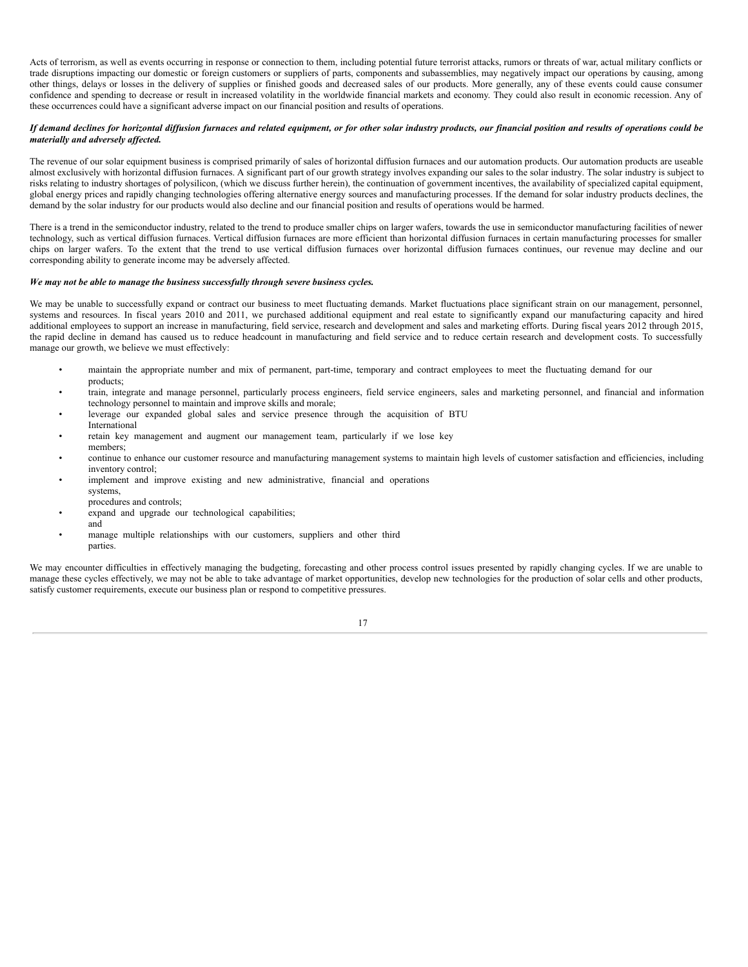Acts of terrorism, as well as events occurring in response or connection to them, including potential future terrorist attacks, rumors or threats of war, actual military conflicts or trade disruptions impacting our domestic or foreign customers or suppliers of parts, components and subassemblies, may negatively impact our operations by causing, among other things, delays or losses in the delivery of supplies or finished goods and decreased sales of our products. More generally, any of these events could cause consumer confidence and spending to decrease or result in increased volatility in the worldwide financial markets and economy. They could also result in economic recession. Any of these occurrences could have a significant adverse impact on our financial position and results of operations.

## If demand declines for horizontal diffusion furnaces and related equipment, or for other solar industry products, our financial position and results of operations could be *materially and adversely af ected.*

The revenue of our solar equipment business is comprised primarily of sales of horizontal diffusion furnaces and our automation products. Our automation products are useable almost exclusively with horizontal diffusion furnaces. A significant part of our growth strategy involves expanding our sales to the solar industry. The solar industry is subject to risks relating to industry shortages of polysilicon, (which we discuss further herein), the continuation of government incentives, the availability of specialized capital equipment, global energy prices and rapidly changing technologies offering alternative energy sources and manufacturing processes. If the demand for solar industry products declines, the demand by the solar industry for our products would also decline and our financial position and results of operations would be harmed.

There is a trend in the semiconductor industry, related to the trend to produce smaller chips on larger wafers, towards the use in semiconductor manufacturing facilities of newer technology, such as vertical diffusion furnaces. Vertical diffusion furnaces are more efficient than horizontal diffusion furnaces in certain manufacturing processes for smaller chips on larger wafers. To the extent that the trend to use vertical diffusion furnaces over horizontal diffusion furnaces continues, our revenue may decline and our corresponding ability to generate income may be adversely affected.

#### *We may not be able to manage the business successfully through severe business cycles.*

We may be unable to successfully expand or contract our business to meet fluctuating demands. Market fluctuations place significant strain on our management, personnel, systems and resources. In fiscal years 2010 and 2011, we purchased additional equipment and real estate to significantly expand our manufacturing capacity and hired additional employees to support an increase in manufacturing, field service, research and development and sales and marketing efforts. During fiscal years 2012 through 2015, the rapid decline in demand has caused us to reduce headcount in manufacturing and field service and to reduce certain research and development costs. To successfully manage our growth, we believe we must effectively:

- maintain the appropriate number and mix of permanent, part-time, temporary and contract employees to meet the fluctuating demand for our products;
- train, integrate and manage personnel, particularly process engineers, field service engineers, sales and marketing personnel, and financial and information technology personnel to maintain and improve skills and morale;
- leverage our expanded global sales and service presence through the acquisition of BTU International
- retain key management and augment our management team, particularly if we lose key members;
- continue to enhance our customer resource and manufacturing management systems to maintain high levels of customer satisfaction and efficiencies, including inventory control;
- implement and improve existing and new administrative, financial and operations systems,
- procedures and controls;
- expand and upgrade our technological capabilities;
- and
- manage multiple relationships with our customers, suppliers and other third parties.

We may encounter difficulties in effectively managing the budgeting, forecasting and other process control issues presented by rapidly changing cycles. If we are unable to manage these cycles effectively, we may not be able to take advantage of market opportunities, develop new technologies for the production of solar cells and other products, satisfy customer requirements, execute our business plan or respond to competitive pressures.

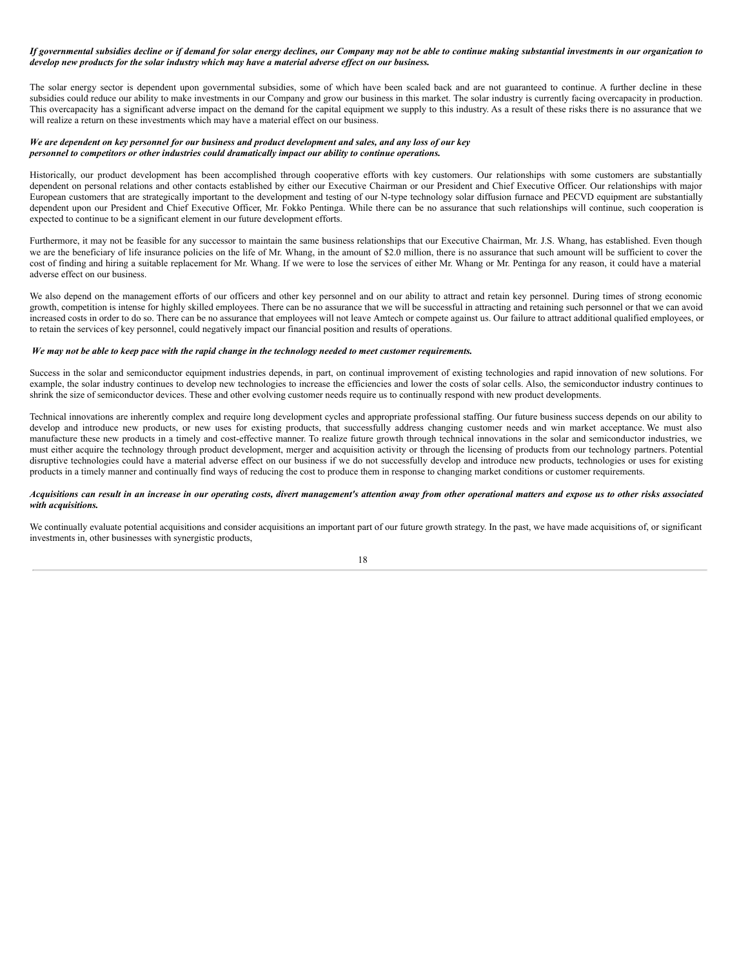#### If governmental subsidies decline or if demand for solar energy declines, our Company may not be able to continue making substantial investments in our organization to develop new products for the solar industry which may have a material adverse effect on our business.

The solar energy sector is dependent upon governmental subsidies, some of which have been scaled back and are not guaranteed to continue. A further decline in these subsidies could reduce our ability to make investments in our Company and grow our business in this market. The solar industry is currently facing overcapacity in production. This overcapacity has a significant adverse impact on the demand for the capital equipment we supply to this industry. As a result of these risks there is no assurance that we will realize a return on these investments which may have a material effect on our business.

#### We are dependent on key personnel for our business and product development and sales, and any loss of our key *personnel to competitors or other industries could dramatically impact our ability to continue operations.*

Historically, our product development has been accomplished through cooperative efforts with key customers. Our relationships with some customers are substantially dependent on personal relations and other contacts established by either our Executive Chairman or our President and Chief Executive Officer. Our relationships with major European customers that are strategically important to the development and testing of our N-type technology solar diffusion furnace and PECVD equipment are substantially dependent upon our President and Chief Executive Officer, Mr. Fokko Pentinga. While there can be no assurance that such relationships will continue, such cooperation is expected to continue to be a significant element in our future development efforts.

Furthermore, it may not be feasible for any successor to maintain the same business relationships that our Executive Chairman, Mr. J.S. Whang, has established. Even though we are the beneficiary of life insurance policies on the life of Mr. Whang, in the amount of \$2.0 million, there is no assurance that such amount will be sufficient to cover the cost of finding and hiring a suitable replacement for Mr. Whang. If we were to lose the services of either Mr. Whang or Mr. Pentinga for any reason, it could have a material adverse effect on our business.

We also depend on the management efforts of our officers and other key personnel and on our ability to attract and retain key personnel. During times of strong economic growth, competition is intense for highly skilled employees. There can be no assurance that we will be successful in attracting and retaining such personnel or that we can avoid increased costs in order to do so. There can be no assurance that employees will not leave Amtech or compete against us. Our failure to attract additional qualified employees, or to retain the services of key personnel, could negatively impact our financial position and results of operations.

#### We may not be able to keep pace with the rapid change in the technology needed to meet customer requirements.

Success in the solar and semiconductor equipment industries depends, in part, on continual improvement of existing technologies and rapid innovation of new solutions. For example, the solar industry continues to develop new technologies to increase the efficiencies and lower the costs of solar cells. Also, the semiconductor industry continues to shrink the size of semiconductor devices. These and other evolving customer needs require us to continually respond with new product developments.

Technical innovations are inherently complex and require long development cycles and appropriate professional staffing. Our future business success depends on our ability to develop and introduce new products, or new uses for existing products, that successfully address changing customer needs and win market acceptance. We must also manufacture these new products in a timely and cost-effective manner. To realize future growth through technical innovations in the solar and semiconductor industries, we must either acquire the technology through product development, merger and acquisition activity or through the licensing of products from our technology partners. Potential disruptive technologies could have a material adverse effect on our business if we do not successfully develop and introduce new products, technologies or uses for existing products in a timely manner and continually find ways of reducing the cost to produce them in response to changing market conditions or customer requirements.

#### Acquisitions can result in an increase in our operating costs, divert management's attention away from other operational matters and expose us to other risks associated *with acquisitions.*

We continually evaluate potential acquisitions and consider acquisitions an important part of our future growth strategy. In the past, we have made acquisitions of, or significant investments in, other businesses with synergistic products,

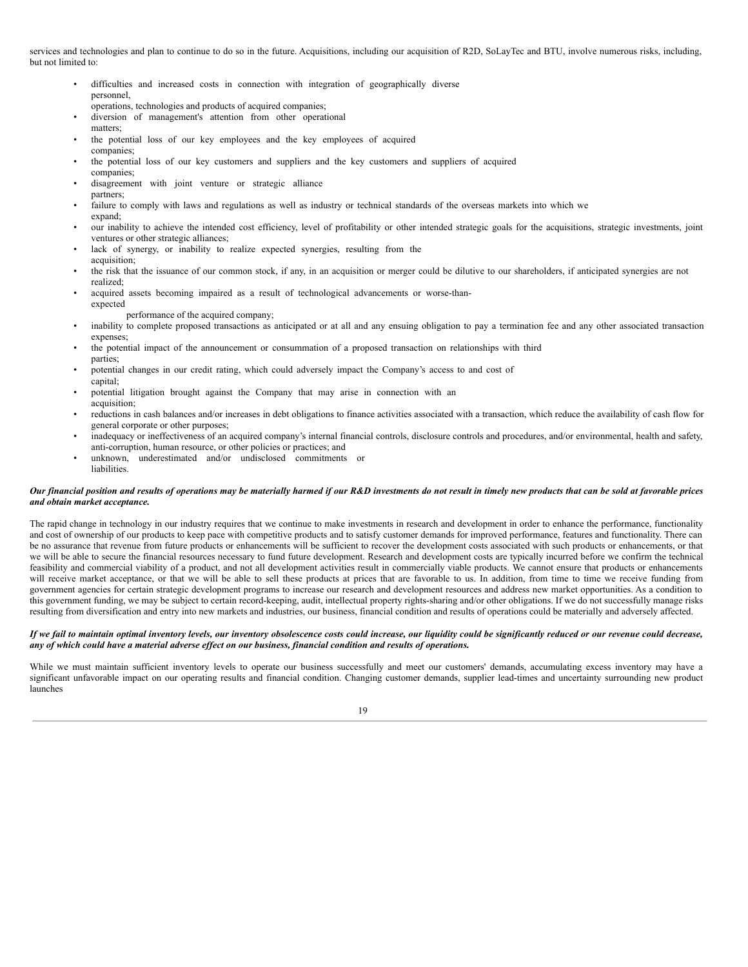services and technologies and plan to continue to do so in the future. Acquisitions, including our acquisition of R2D, SoLayTec and BTU, involve numerous risks, including, but not limited to:

- difficulties and increased costs in connection with integration of geographically diverse personnel,
- operations, technologies and products of acquired companies;
- diversion of management's attention from other operational matters;
- the potential loss of our key employees and the key employees of acquired companies;
- the potential loss of our key customers and suppliers and the key customers and suppliers of acquired companies;
- disagreement with joint venture or strategic alliance partners;
- failure to comply with laws and regulations as well as industry or technical standards of the overseas markets into which we expand;
- our inability to achieve the intended cost efficiency, level of profitability or other intended strategic goals for the acquisitions, strategic investments, joint ventures or other strategic alliances;
- lack of synergy, or inability to realize expected synergies, resulting from the
- acquisition; the risk that the issuance of our common stock, if any, in an acquisition or merger could be dilutive to our shareholders, if anticipated synergies are not realized;
- acquired assets becoming impaired as a result of technological advancements or worse-thanexpected
	- performance of the acquired company;
- inability to complete proposed transactions as anticipated or at all and any ensuing obligation to pay a termination fee and any other associated transaction expenses;
- the potential impact of the announcement or consummation of a proposed transaction on relationships with third parties;
- potential changes in our credit rating, which could adversely impact the Company's access to and cost of capital;
- potential litigation brought against the Company that may arise in connection with an acquisition;
- reductions in cash balances and/or increases in debt obligations to finance activities associated with a transaction, which reduce the availability of cash flow for general corporate or other purposes;
- inadequacy or ineffectiveness of an acquired company's internal financial controls, disclosure controls and procedures, and/or environmental, health and safety, anti-corruption, human resource, or other policies or practices; and
- unknown, underestimated and/or undisclosed commitments or liabilities.

#### Our financial position and results of operations may be materially harmed if our R&D investments do not result in timely new products that can be sold at favorable prices *and obtain market acceptance.*

The rapid change in technology in our industry requires that we continue to make investments in research and development in order to enhance the performance, functionality and cost of ownership of our products to keep pace with competitive products and to satisfy customer demands for improved performance, features and functionality. There can be no assurance that revenue from future products or enhancements will be sufficient to recover the development costs associated with such products or enhancements, or that we will be able to secure the financial resources necessary to fund future development. Research and development costs are typically incurred before we confirm the technical feasibility and commercial viability of a product, and not all development activities result in commercially viable products. We cannot ensure that products or enhancements will receive market acceptance, or that we will be able to sell these products at prices that are favorable to us. In addition, from time to time we receive funding from government agencies for certain strategic development programs to increase our research and development resources and address new market opportunities. As a condition to this government funding, we may be subject to certain record-keeping, audit, intellectual property rights-sharing and/or other obligations. If we do not successfully manage risks resulting from diversification and entry into new markets and industries, our business, financial condition and results of operations could be materially and adversely affected.

## If we fail to maintain optimal inventory levels, our inventory obsolescence costs could increase, our liquidity could be significantly reduced or our revenue could decrease, any of which could have a material adverse effect on our business, financial condition and results of operations.

While we must maintain sufficient inventory levels to operate our business successfully and meet our customers' demands, accumulating excess inventory may have a significant unfavorable impact on our operating results and financial condition. Changing customer demands, supplier lead-times and uncertainty surrounding new product launches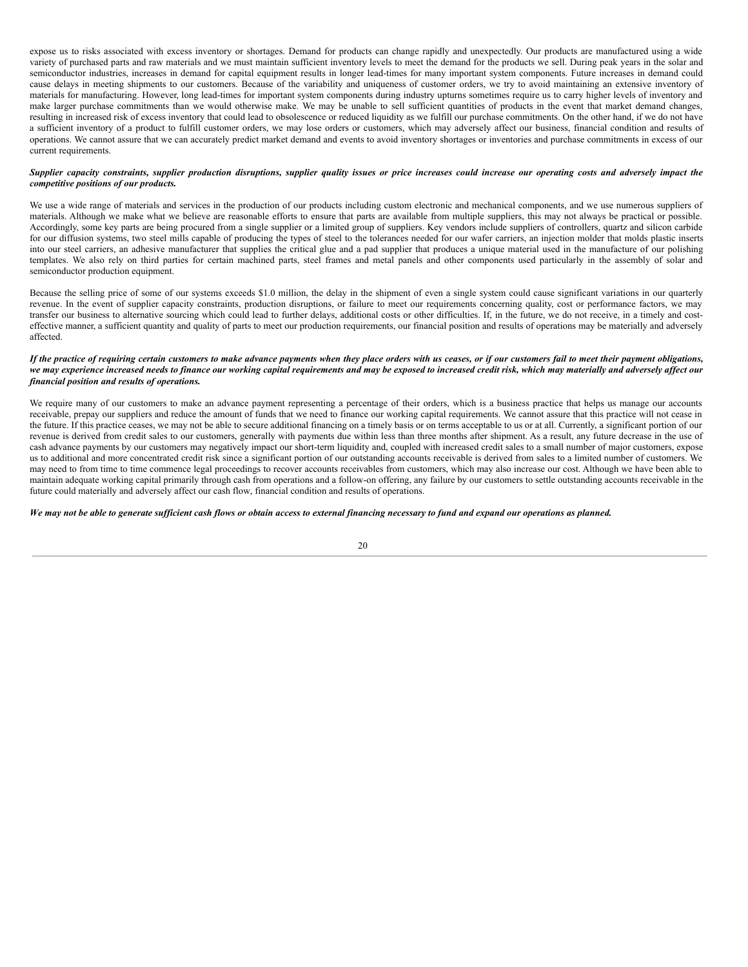expose us to risks associated with excess inventory or shortages. Demand for products can change rapidly and unexpectedly. Our products are manufactured using a wide variety of purchased parts and raw materials and we must maintain sufficient inventory levels to meet the demand for the products we sell. During peak years in the solar and semiconductor industries, increases in demand for capital equipment results in longer lead-times for many important system components. Future increases in demand could cause delays in meeting shipments to our customers. Because of the variability and uniqueness of customer orders, we try to avoid maintaining an extensive inventory of materials for manufacturing. However, long lead-times for important system components during industry upturns sometimes require us to carry higher levels of inventory and make larger purchase commitments than we would otherwise make. We may be unable to sell sufficient quantities of products in the event that market demand changes, resulting in increased risk of excess inventory that could lead to obsolescence or reduced liquidity as we fulfill our purchase commitments. On the other hand, if we do not have a sufficient inventory of a product to fulfill customer orders, we may lose orders or customers, which may adversely affect our business, financial condition and results of operations. We cannot assure that we can accurately predict market demand and events to avoid inventory shortages or inventories and purchase commitments in excess of our current requirements.

#### Supplier capacity constraints, supplier production disruptions, supplier quality issues or price increases could increase our operating costs and adversely impact the *competitive positions of our products.*

We use a wide range of materials and services in the production of our products including custom electronic and mechanical components, and we use numerous suppliers of materials. Although we make what we believe are reasonable efforts to ensure that parts are available from multiple suppliers, this may not always be practical or possible. Accordingly, some key parts are being procured from a single supplier or a limited group of suppliers. Key vendors include suppliers of controllers, quartz and silicon carbide for our diffusion systems, two steel mills capable of producing the types of steel to the tolerances needed for our wafer carriers, an injection molder that molds plastic inserts into our steel carriers, an adhesive manufacturer that supplies the critical glue and a pad supplier that produces a unique material used in the manufacture of our polishing templates. We also rely on third parties for certain machined parts, steel frames and metal panels and other components used particularly in the assembly of solar and semiconductor production equipment.

Because the selling price of some of our systems exceeds \$1.0 million, the delay in the shipment of even a single system could cause significant variations in our quarterly revenue. In the event of supplier capacity constraints, production disruptions, or failure to meet our requirements concerning quality, cost or performance factors, we may transfer our business to alternative sourcing which could lead to further delays, additional costs or other difficulties. If, in the future, we do not receive, in a timely and costeffective manner, a sufficient quantity and quality of parts to meet our production requirements, our financial position and results of operations may be materially and adversely affected.

#### If the practice of requiring certain customers to make advance payments when they place orders with us ceases, or if our customers fail to meet their payment obligations, we may experience increased needs to finance our working capital requirements and may be exposed to increased credit risk, which may materially and adversely affect our *financial position and results of operations.*

We require many of our customers to make an advance payment representing a percentage of their orders, which is a business practice that helps us manage our accounts receivable, prepay our suppliers and reduce the amount of funds that we need to finance our working capital requirements. We cannot assure that this practice will not cease in the future. If this practice ceases, we may not be able to secure additional financing on a timely basis or on terms acceptable to us or at all. Currently, a significant portion of our revenue is derived from credit sales to our customers, generally with payments due within less than three months after shipment. As a result, any future decrease in the use of cash advance payments by our customers may negatively impact our short-term liquidity and, coupled with increased credit sales to a small number of major customers, expose us to additional and more concentrated credit risk since a significant portion of our outstanding accounts receivable is derived from sales to a limited number of customers. We may need to from time to time commence legal proceedings to recover accounts receivables from customers, which may also increase our cost. Although we have been able to maintain adequate working capital primarily through cash from operations and a follow-on offering, any failure by our customers to settle outstanding accounts receivable in the future could materially and adversely affect our cash flow, financial condition and results of operations.

## We may not be able to generate sufficient cash flows or obtain access to external financing necessary to fund and expand our operations as planned.

#### 20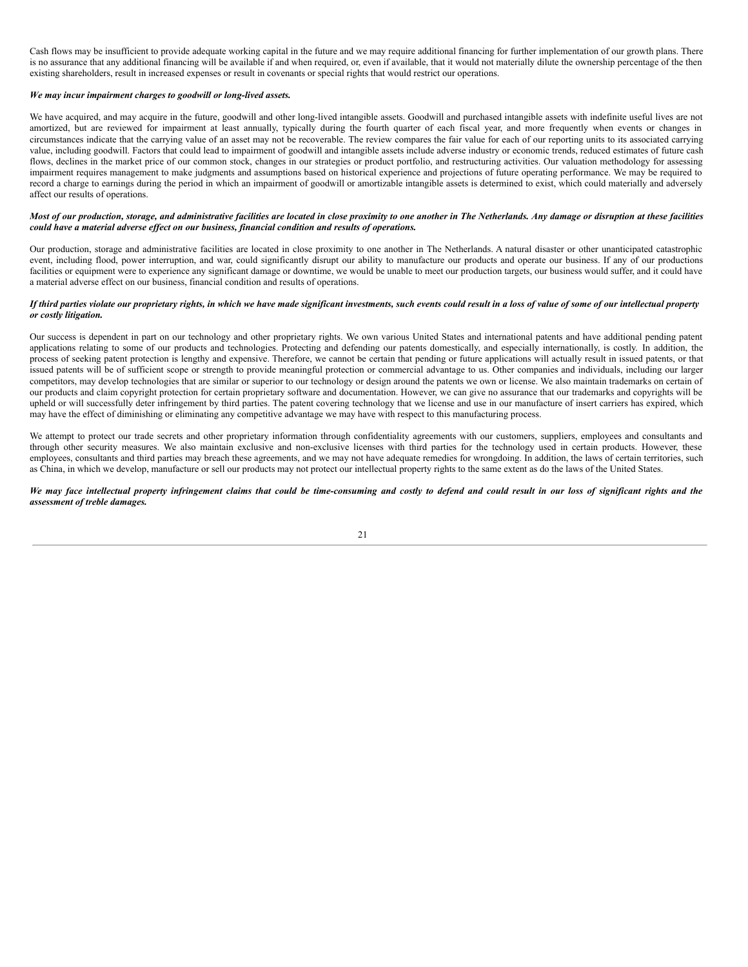Cash flows may be insufficient to provide adequate working capital in the future and we may require additional financing for further implementation of our growth plans. There is no assurance that any additional financing will be available if and when required, or, even if available, that it would not materially dilute the ownership percentage of the then existing shareholders, result in increased expenses or result in covenants or special rights that would restrict our operations.

#### *We may incur impairment charges to goodwill or long-lived assets.*

We have acquired, and may acquire in the future, goodwill and other long-lived intangible assets. Goodwill and purchased intangible assets with indefinite useful lives are not amortized, but are reviewed for impairment at least annually, typically during the fourth quarter of each fiscal year, and more frequently when events or changes in circumstances indicate that the carrying value of an asset may not be recoverable. The review compares the fair value for each of our reporting units to its associated carrying value, including goodwill. Factors that could lead to impairment of goodwill and intangible assets include adverse industry or economic trends, reduced estimates of future cash flows, declines in the market price of our common stock, changes in our strategies or product portfolio, and restructuring activities. Our valuation methodology for assessing impairment requires management to make judgments and assumptions based on historical experience and projections of future operating performance. We may be required to record a charge to earnings during the period in which an impairment of goodwill or amortizable intangible assets is determined to exist, which could materially and adversely affect our results of operations.

## Most of our production, storage, and administrative facilities are located in close proximity to one another in The Netherlands. Any damage or disruption at these facilities *could have a material adverse ef ect on our business, financial condition and results of operations.*

Our production, storage and administrative facilities are located in close proximity to one another in The Netherlands. A natural disaster or other unanticipated catastrophic event, including flood, power interruption, and war, could significantly disrupt our ability to manufacture our products and operate our business. If any of our productions facilities or equipment were to experience any significant damage or downtime, we would be unable to meet our production targets, our business would suffer, and it could have a material adverse effect on our business, financial condition and results of operations.

#### If third parties violate our proprietary rights, in which we have made significant investments, such events could result in a loss of value of some of our intellectual property *or costly litigation.*

Our success is dependent in part on our technology and other proprietary rights. We own various United States and international patents and have additional pending patent applications relating to some of our products and technologies. Protecting and defending our patents domestically, and especially internationally, is costly. In addition, the process of seeking patent protection is lengthy and expensive. Therefore, we cannot be certain that pending or future applications will actually result in issued patents, or that issued patents will be of sufficient scope or strength to provide meaningful protection or commercial advantage to us. Other companies and individuals, including our larger competitors, may develop technologies that are similar or superior to our technology or design around the patents we own or license. We also maintain trademarks on certain of our products and claim copyright protection for certain proprietary software and documentation. However, we can give no assurance that our trademarks and copyrights will be upheld or will successfully deter infringement by third parties. The patent covering technology that we license and use in our manufacture of insert carriers has expired, which may have the effect of diminishing or eliminating any competitive advantage we may have with respect to this manufacturing process.

We attempt to protect our trade secrets and other proprietary information through confidentiality agreements with our customers, suppliers, employees and consultants and through other security measures. We also maintain exclusive and non-exclusive licenses with third parties for the technology used in certain products. However, these employees, consultants and third parties may breach these agreements, and we may not have adequate remedies for wrongdoing. In addition, the laws of certain territories, such as China, in which we develop, manufacture or sell our products may not protect our intellectual property rights to the same extent as do the laws of the United States.

## We may face intellectual property infringement claims that could be time-consuming and costly to defend and could result in our loss of significant rights and the *assessment of treble damages.*

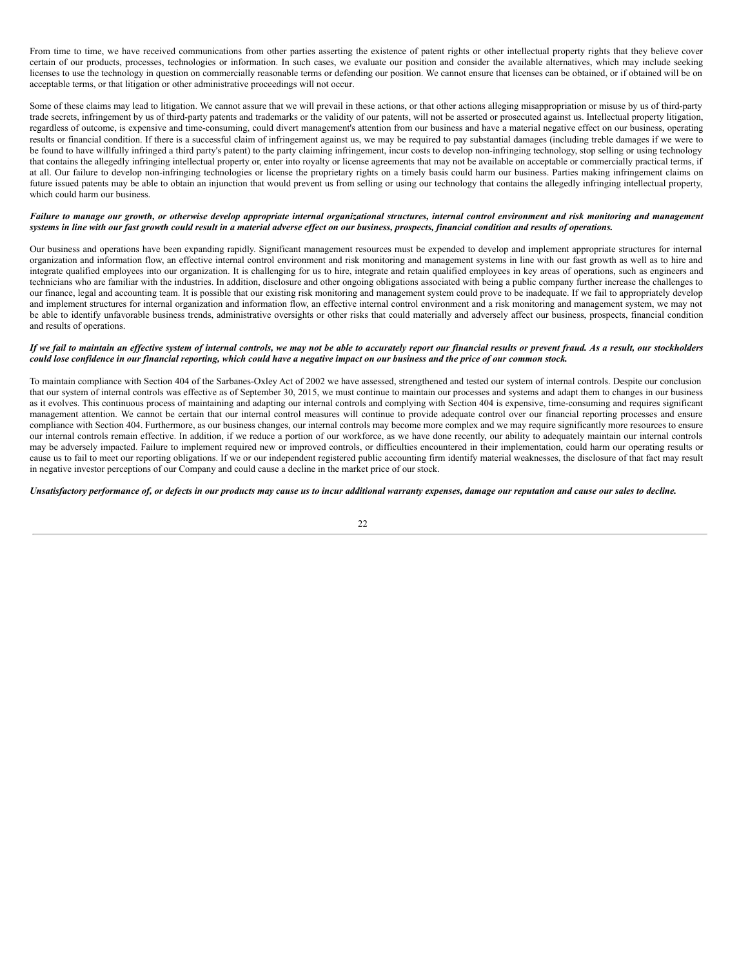From time to time, we have received communications from other parties asserting the existence of patent rights or other intellectual property rights that they believe cover certain of our products, processes, technologies or information. In such cases, we evaluate our position and consider the available alternatives, which may include seeking licenses to use the technology in question on commercially reasonable terms or defending our position. We cannot ensure that licenses can be obtained, or if obtained will be on acceptable terms, or that litigation or other administrative proceedings will not occur.

Some of these claims may lead to litigation. We cannot assure that we will prevail in these actions, or that other actions alleging misappropriation or misuse by us of third-party trade secrets, infringement by us of third-party patents and trademarks or the validity of our patents, will not be asserted or prosecuted against us. Intellectual property litigation, regardless of outcome, is expensive and time-consuming, could divert management's attention from our business and have a material negative effect on our business, operating results or financial condition. If there is a successful claim of infringement against us, we may be required to pay substantial damages (including treble damages if we were to be found to have willfully infringed a third party's patent) to the party claiming infringement, incur costs to develop non-infringing technology, stop selling or using technology that contains the allegedly infringing intellectual property or, enter into royalty or license agreements that may not be available on acceptable or commercially practical terms, if at all. Our failure to develop non-infringing technologies or license the proprietary rights on a timely basis could harm our business. Parties making infringement claims on future issued patents may be able to obtain an injunction that would prevent us from selling or using our technology that contains the allegedly infringing intellectual property, which could harm our business.

## Failure to manage our growth, or otherwise develop appropriate internal organizational structures, internal control environment and risk monitoring and management systems in line with our fast growth could result in a material adverse effect on our business, prospects, financial condition and results of operations.

Our business and operations have been expanding rapidly. Significant management resources must be expended to develop and implement appropriate structures for internal organization and information flow, an effective internal control environment and risk monitoring and management systems in line with our fast growth as well as to hire and integrate qualified employees into our organization. It is challenging for us to hire, integrate and retain qualified employees in key areas of operations, such as engineers and technicians who are familiar with the industries. In addition, disclosure and other ongoing obligations associated with being a public company further increase the challenges to our finance, legal and accounting team. It is possible that our existing risk monitoring and management system could prove to be inadequate. If we fail to appropriately develop and implement structures for internal organization and information flow, an effective internal control environment and a risk monitoring and management system, we may not be able to identify unfavorable business trends, administrative oversights or other risks that could materially and adversely affect our business, prospects, financial condition and results of operations.

## If we fail to maintain an effective system of internal controls, we may not be able to accurately report our financial results or prevent fraud. As a result, our stockholders could lose confidence in our financial reporting, which could have a negative impact on our business and the price of our common stock.

To maintain compliance with Section 404 of the Sarbanes-Oxley Act of 2002 we have assessed, strengthened and tested our system of internal controls. Despite our conclusion that our system of internal controls was effective as of September 30, 2015, we must continue to maintain our processes and systems and adapt them to changes in our business as it evolves. This continuous process of maintaining and adapting our internal controls and complying with Section 404 is expensive, time-consuming and requires significant management attention. We cannot be certain that our internal control measures will continue to provide adequate control over our financial reporting processes and ensure compliance with Section 404. Furthermore, as our business changes, our internal controls may become more complex and we may require significantly more resources to ensure our internal controls remain effective. In addition, if we reduce a portion of our workforce, as we have done recently, our ability to adequately maintain our internal controls may be adversely impacted. Failure to implement required new or improved controls, or difficulties encountered in their implementation, could harm our operating results or cause us to fail to meet our reporting obligations. If we or our independent registered public accounting firm identify material weaknesses, the disclosure of that fact may result in negative investor perceptions of our Company and could cause a decline in the market price of our stock.

# Unsatisfactory performance of, or defects in our products may cause us to incur additional warranty expenses, damage our reputation and cause our sales to decline.

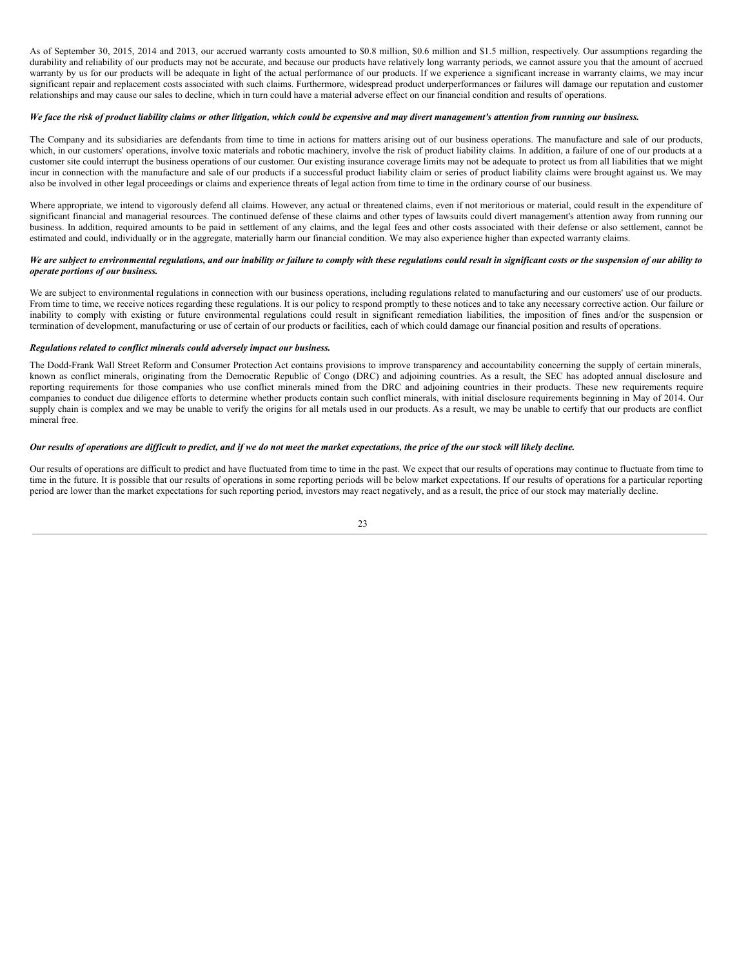As of September 30, 2015, 2014 and 2013, our accrued warranty costs amounted to \$0.8 million, \$0.6 million and \$1.5 million, respectively. Our assumptions regarding the durability and reliability of our products may not be accurate, and because our products have relatively long warranty periods, we cannot assure you that the amount of accrued warranty by us for our products will be adequate in light of the actual performance of our products. If we experience a significant increase in warranty claims, we may incur significant repair and replacement costs associated with such claims. Furthermore, widespread product underperformances or failures will damage our reputation and customer relationships and may cause our sales to decline, which in turn could have a material adverse effect on our financial condition and results of operations.

#### We face the risk of product liability claims or other litigation, which could be expensive and may divert management's attention from running our business.

The Company and its subsidiaries are defendants from time to time in actions for matters arising out of our business operations. The manufacture and sale of our products, which, in our customers' operations, involve toxic materials and robotic machinery, involve the risk of product liability claims. In addition, a failure of one of our products at a customer site could interrupt the business operations of our customer. Our existing insurance coverage limits may not be adequate to protect us from all liabilities that we might incur in connection with the manufacture and sale of our products if a successful product liability claim or series of product liability claims were brought against us. We may also be involved in other legal proceedings or claims and experience threats of legal action from time to time in the ordinary course of our business.

Where appropriate, we intend to vigorously defend all claims. However, any actual or threatened claims, even if not meritorious or material, could result in the expenditure of significant financial and managerial resources. The continued defense of these claims and other types of lawsuits could divert management's attention away from running our business. In addition, required amounts to be paid in settlement of any claims, and the legal fees and other costs associated with their defense or also settlement, cannot be estimated and could, individually or in the aggregate, materially harm our financial condition. We may also experience higher than expected warranty claims.

## We are subject to environmental regulations, and our inability or failure to comply with these regulations could result in significant costs or the suspension of our ability to *operate portions of our business.*

We are subject to environmental regulations in connection with our business operations, including regulations related to manufacturing and our customers' use of our products. From time to time, we receive notices regarding these regulations. It is our policy to respond promptly to these notices and to take any necessary corrective action. Our failure or inability to comply with existing or future environmental regulations could result in significant remediation liabilities, the imposition of fines and/or the suspension or termination of development, manufacturing or use of certain of our products or facilities, each of which could damage our financial position and results of operations.

#### *Regulations related to conflict minerals could adversely impact our business.*

The Dodd-Frank Wall Street Reform and Consumer Protection Act contains provisions to improve transparency and accountability concerning the supply of certain minerals, known as conflict minerals, originating from the Democratic Republic of Congo (DRC) and adjoining countries. As a result, the SEC has adopted annual disclosure and reporting requirements for those companies who use conflict minerals mined from the DRC and adjoining countries in their products. These new requirements require companies to conduct due diligence efforts to determine whether products contain such conflict minerals, with initial disclosure requirements beginning in May of 2014. Our supply chain is complex and we may be unable to verify the origins for all metals used in our products. As a result, we may be unable to certify that our products are conflict mineral free.

#### Our results of operations are difficult to predict, and if we do not meet the market expectations, the price of the our stock will likely decline.

Our results of operations are difficult to predict and have fluctuated from time to time in the past. We expect that our results of operations may continue to fluctuate from time to time in the future. It is possible that our results of operations in some reporting periods will be below market expectations. If our results of operations for a particular reporting period are lower than the market expectations for such reporting period, investors may react negatively, and as a result, the price of our stock may materially decline.

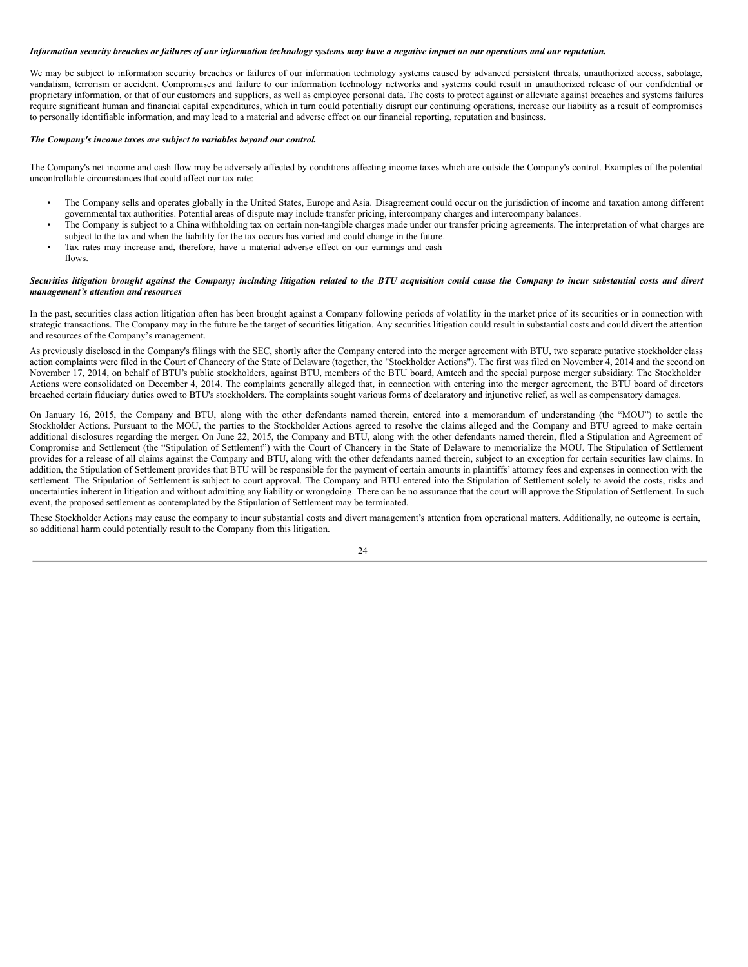## Information security breaches or failures of our information technology systems may have a negative impact on our operations and our reputation.

We may be subject to information security breaches or failures of our information technology systems caused by advanced persistent threats, unauthorized access, sabotage, vandalism, terrorism or accident. Compromises and failure to our information technology networks and systems could result in unauthorized release of our confidential or proprietary information, or that of our customers and suppliers, as well as employee personal data. The costs to protect against or alleviate against breaches and systems failures require significant human and financial capital expenditures, which in turn could potentially disrupt our continuing operations, increase our liability as a result of compromises to personally identifiable information, and may lead to a material and adverse effect on our financial reporting, reputation and business.

#### *The Company's income taxes are subject to variables beyond our control.*

The Company's net income and cash flow may be adversely affected by conditions affecting income taxes which are outside the Company's control. Examples of the potential uncontrollable circumstances that could affect our tax rate:

- The Company sells and operates globally in the United States, Europe and Asia. Disagreement could occur on the jurisdiction of income and taxation among different governmental tax authorities. Potential areas of dispute may include transfer pricing, intercompany charges and intercompany balances.
- The Company is subject to a China withholding tax on certain non-tangible charges made under our transfer pricing agreements. The interpretation of what charges are subject to the tax and when the liability for the tax occurs has varied and could change in the future.
- Tax rates may increase and, therefore, have a material adverse effect on our earnings and cash flows.

#### Securities litigation brought against the Company; including litigation related to the BTU acquisition could cause the Company to incur substantial costs and divert *management's attention and resources*

In the past, securities class action litigation often has been brought against a Company following periods of volatility in the market price of its securities or in connection with strategic transactions. The Company may in the future be the target of securities litigation. Any securities litigation could result in substantial costs and could divert the attention and resources of the Company's management.

As previously disclosed in the Company's filings with the SEC, shortly after the Company entered into the merger agreement with BTU, two separate putative stockholder class action complaints were filed in the Court of Chancery of the State of Delaware (together, the "Stockholder Actions"). The first was filed on November 4, 2014 and the second on November 17, 2014, on behalf of BTU's public stockholders, against BTU, members of the BTU board, Amtech and the special purpose merger subsidiary. The Stockholder Actions were consolidated on December 4, 2014. The complaints generally alleged that, in connection with entering into the merger agreement, the BTU board of directors breached certain fiduciary duties owed to BTU's stockholders. The complaints sought various forms of declaratory and injunctive relief, as well as compensatory damages.

On January 16, 2015, the Company and BTU, along with the other defendants named therein, entered into a memorandum of understanding (the "MOU") to settle the Stockholder Actions. Pursuant to the MOU, the parties to the Stockholder Actions agreed to resolve the claims alleged and the Company and BTU agreed to make certain additional disclosures regarding the merger. On June 22, 2015, the Company and BTU, along with the other defendants named therein, filed a Stipulation and Agreement of Compromise and Settlement (the "Stipulation of Settlement") with the Court of Chancery in the State of Delaware to memorialize the MOU. The Stipulation of Settlement provides for a release of all claims against the Company and BTU, along with the other defendants named therein, subject to an exception for certain securities law claims. In addition, the Stipulation of Settlement provides that BTU will be responsible for the payment of certain amounts in plaintiffs' attorney fees and expenses in connection with the settlement. The Stipulation of Settlement is subject to court approval. The Company and BTU entered into the Stipulation of Settlement solely to avoid the costs, risks and uncertainties inherent in litigation and without admitting any liability or wrongdoing. There can be no assurance that the court will approve the Stipulation of Settlement. In such event, the proposed settlement as contemplated by the Stipulation of Settlement may be terminated.

These Stockholder Actions may cause the company to incur substantial costs and divert management's attention from operational matters. Additionally, no outcome is certain, so additional harm could potentially result to the Company from this litigation.

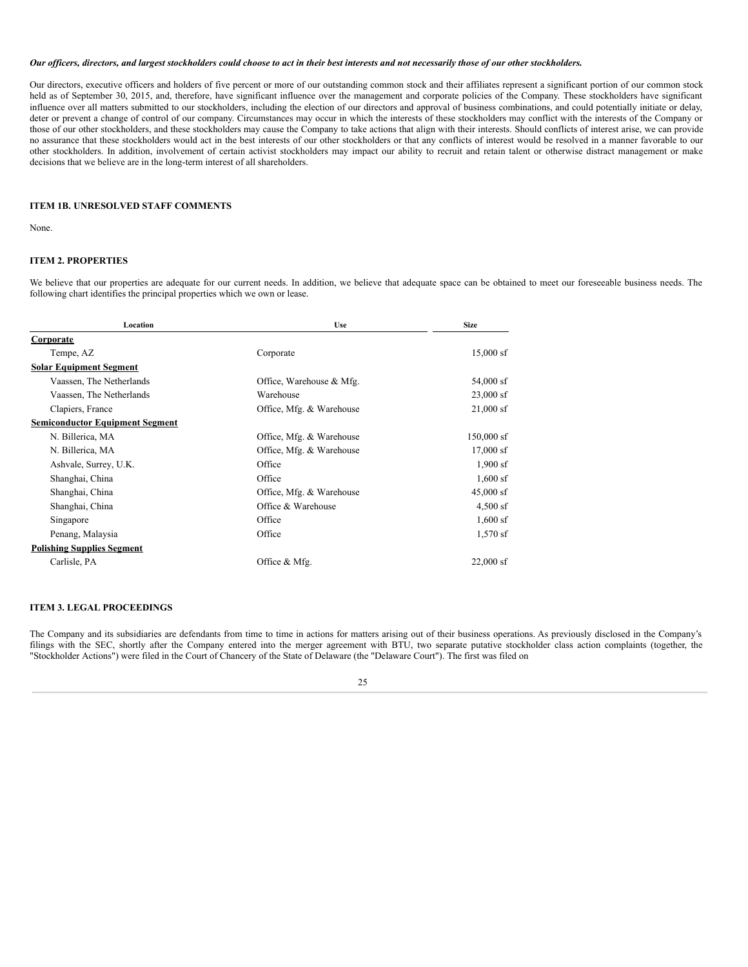#### Our officers, directors, and largest stockholders could choose to act in their best interests and not necessarily those of our other stockholders.

Our directors, executive officers and holders of five percent or more of our outstanding common stock and their affiliates represent a significant portion of our common stock held as of September 30, 2015, and, therefore, have significant influence over the management and corporate policies of the Company. These stockholders have significant influence over all matters submitted to our stockholders, including the election of our directors and approval of business combinations, and could potentially initiate or delay, deter or prevent a change of control of our company. Circumstances may occur in which the interests of these stockholders may conflict with the interests of the Company or those of our other stockholders, and these stockholders may cause the Company to take actions that align with their interests. Should conflicts of interest arise, we can provide no assurance that these stockholders would act in the best interests of our other stockholders or that any conflicts of interest would be resolved in a manner favorable to our other stockholders. In addition, involvement of certain activist stockholders may impact our ability to recruit and retain talent or otherwise distract management or make decisions that we believe are in the long-term interest of all shareholders.

#### <span id="page-25-0"></span>**ITEM 1B. UNRESOLVED STAFF COMMENTS**

None.

#### <span id="page-25-1"></span>**ITEM 2. PROPERTIES**

We believe that our properties are adequate for our current needs. In addition, we believe that adequate space can be obtained to meet our foreseeable business needs. The following chart identifies the principal properties which we own or lease.

| Location                               | <b>Use</b>               |             |
|----------------------------------------|--------------------------|-------------|
| <b>Corporate</b>                       |                          |             |
| Tempe, AZ                              | Corporate                | $15,000$ sf |
| <b>Solar Equipment Segment</b>         |                          |             |
| Vaassen, The Netherlands               | Office, Warehouse & Mfg. | 54,000 sf   |
| Vaassen, The Netherlands               | Warehouse                | $23,000$ sf |
| Clapiers, France                       | Office, Mfg. & Warehouse | $21,000$ sf |
| <b>Semiconductor Equipment Segment</b> |                          |             |
| N. Billerica, MA                       | Office, Mfg. & Warehouse | 150,000 sf  |
| N. Billerica, MA                       | Office, Mfg. & Warehouse | $17,000$ sf |
| Ashvale, Surrey, U.K.                  | Office                   | $1,900$ sf  |
| Shanghai, China                        | Office                   | $1,600$ sf  |
| Shanghai, China                        | Office, Mfg. & Warehouse | $45,000$ sf |
| Shanghai, China                        | Office & Warehouse       | $4,500$ sf  |
| Singapore                              | Office                   | $1,600$ sf  |
| Penang, Malaysia                       | Office                   | $1,570$ sf  |
| <b>Polishing Supplies Segment</b>      |                          |             |
| Carlisle, PA                           | Office & Mfg.            | $22,000$ sf |

# <span id="page-25-2"></span>**ITEM 3. LEGAL PROCEEDINGS**

The Company and its subsidiaries are defendants from time to time in actions for matters arising out of their business operations. As previously disclosed in the Company's filings with the SEC, shortly after the Company entered into the merger agreement with BTU, two separate putative stockholder class action complaints (together, the "Stockholder Actions") were filed in the Court of Chancery of the State of Delaware (the "Delaware Court"). The first was filed on

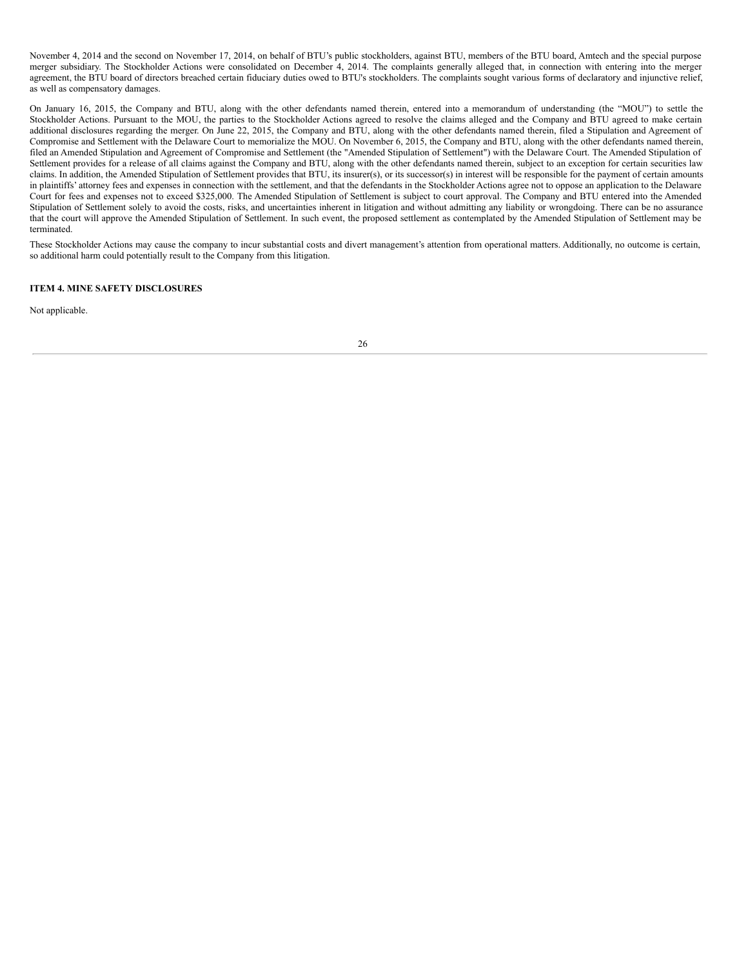November 4, 2014 and the second on November 17, 2014, on behalf of BTU's public stockholders, against BTU, members of the BTU board, Amtech and the special purpose merger subsidiary. The Stockholder Actions were consolidated on December 4, 2014. The complaints generally alleged that, in connection with entering into the merger agreement, the BTU board of directors breached certain fiduciary duties owed to BTU's stockholders. The complaints sought various forms of declaratory and injunctive relief, as well as compensatory damages.

On January 16, 2015, the Company and BTU, along with the other defendants named therein, entered into a memorandum of understanding (the "MOU") to settle the Stockholder Actions. Pursuant to the MOU, the parties to the Stockholder Actions agreed to resolve the claims alleged and the Company and BTU agreed to make certain additional disclosures regarding the merger. On June 22, 2015, the Company and BTU, along with the other defendants named therein, filed a Stipulation and Agreement of Compromise and Settlement with the Delaware Court to memorialize the MOU. On November 6, 2015, the Company and BTU, along with the other defendants named therein, filed an Amended Stipulation and Agreement of Compromise and Settlement (the "Amended Stipulation of Settlement") with the Delaware Court. The Amended Stipulation of Settlement provides for a release of all claims against the Company and BTU, along with the other defendants named therein, subject to an exception for certain securities law claims. In addition, the Amended Stipulation of Settlement provides that BTU, its insurer(s), or its successor(s) in interest will be responsible for the payment of certain amounts in plaintiffs' attorney fees and expenses in connection with the settlement, and that the defendants in the Stockholder Actions agree not to oppose an application to the Delaware Court for fees and expenses not to exceed \$325,000. The Amended Stipulation of Settlement is subject to court approval. The Company and BTU entered into the Amended Stipulation of Settlement solely to avoid the costs, risks, and uncertainties inherent in litigation and without admitting any liability or wrongdoing. There can be no assurance that the court will approve the Amended Stipulation of Settlement. In such event, the proposed settlement as contemplated by the Amended Stipulation of Settlement may be terminated.

These Stockholder Actions may cause the company to incur substantial costs and divert management's attention from operational matters. Additionally, no outcome is certain, so additional harm could potentially result to the Company from this litigation.

# <span id="page-26-0"></span>**ITEM 4. MINE SAFETY DISCLOSURES**

Not applicable.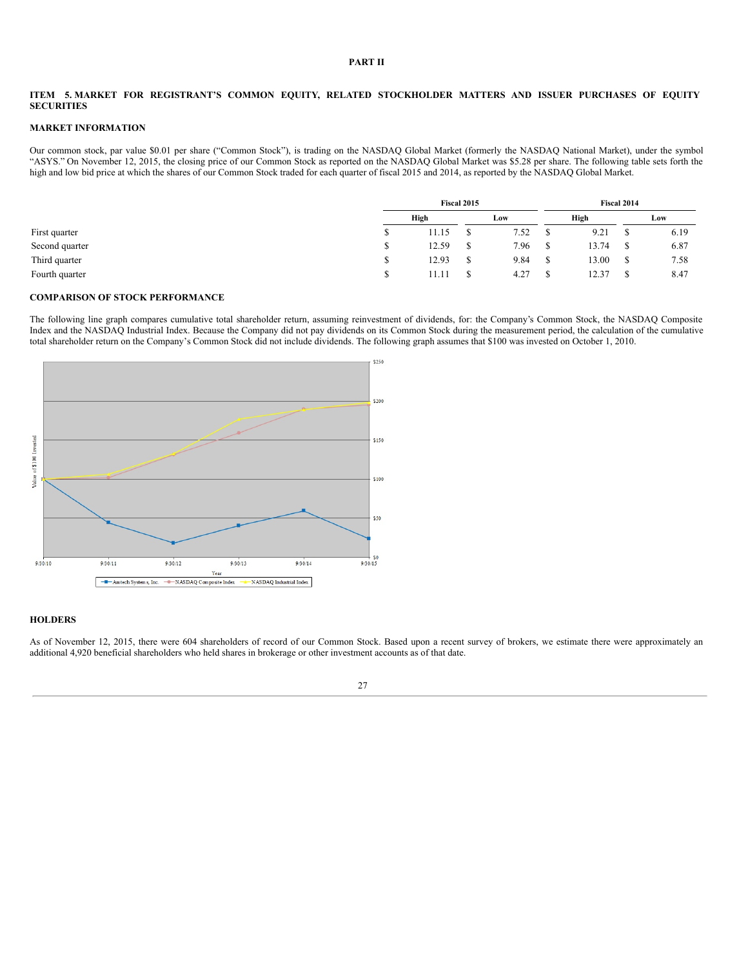# **PART II**

# <span id="page-27-1"></span><span id="page-27-0"></span>**ITEM 5. MARKET FOR REGISTRANT'S COMMON EQUITY, RELATED STOCKHOLDER MATTERS AND ISSUER PURCHASES OF EQUITY SECURITIES**

#### **MARKET INFORMATION**

Our common stock, par value \$0.01 per share ("Common Stock"), is trading on the NASDAQ Global Market (formerly the NASDAQ National Market), under the symbol "ASYS." On November 12, 2015, the closing price of our Common Stock as reported on the NASDAQ Global Market was \$5.28 per share. The following table sets forth the high and low bid price at which the shares of our Common Stock traded for each quarter of fiscal 2015 and 2014, as reported by the NASDAQ Global Market.

|                | Fiscal 2015 |       |  |      |   | Fiscal 2014 |  |      |  |
|----------------|-------------|-------|--|------|---|-------------|--|------|--|
|                |             | High  |  | Low  |   | High        |  | Low  |  |
| First quarter  |             | 11.15 |  | 7.52 | D | 9.21        |  | 6.19 |  |
| Second quarter |             | 12.59 |  | 7.96 |   | 13.74       |  | 6.87 |  |
| Third quarter  |             | 12.93 |  | 9.84 |   | 13.00       |  | 7.58 |  |
| Fourth quarter |             | 11.11 |  | 4.27 |   | 12.37       |  | 8.47 |  |

# **COMPARISON OF STOCK PERFORMANCE**

The following line graph compares cumulative total shareholder return, assuming reinvestment of dividends, for: the Company's Common Stock, the NASDAQ Composite Index and the NASDAQ Industrial Index. Because the Company did not pay dividends on its Common Stock during the measurement period, the calculation of the cumulative total shareholder return on the Company's Common Stock did not include dividends. The following graph assumes that \$100 was invested on October 1, 2010.



# **HOLDERS**

As of November 12, 2015, there were 604 shareholders of record of our Common Stock. Based upon a recent survey of brokers, we estimate there were approximately an additional 4,920 beneficial shareholders who held shares in brokerage or other investment accounts as of that date.

# 27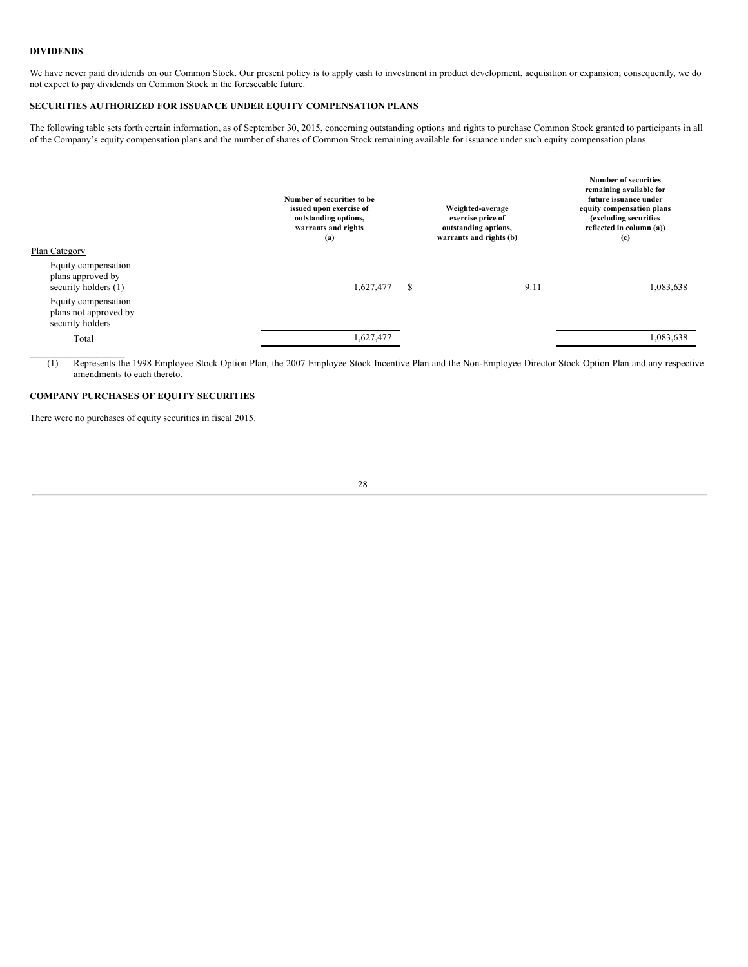#### **DIVIDENDS**

We have never paid dividends on our Common Stock. Our present policy is to apply cash to investment in product development, acquisition or expansion; consequently, we do not expect to pay dividends on Common Stock in the foreseeable future.

# **SECURITIES AUTHORIZED FOR ISSUANCE UNDER EQUITY COMPENSATION PLANS**

The following table sets forth certain information, as of September 30, 2015, concerning outstanding options and rights to purchase Common Stock granted to participants in all of the Company's equity compensation plans and the number of shares of Common Stock remaining available for issuance under such equity compensation plans.

|                                                                  | Number of securities to be<br>issued upon exercise of<br>outstanding options,<br>warrants and rights<br>(a) |               | Weighted-average<br>exercise price of<br>outstanding options,<br>warrants and rights (b) | <b>Number of securities</b><br>remaining available for<br>future issuance under<br>equity compensation plans<br>(excluding securities<br>reflected in column (a))<br>(c) |
|------------------------------------------------------------------|-------------------------------------------------------------------------------------------------------------|---------------|------------------------------------------------------------------------------------------|--------------------------------------------------------------------------------------------------------------------------------------------------------------------------|
| Plan Category                                                    |                                                                                                             |               |                                                                                          |                                                                                                                                                                          |
| Equity compensation<br>plans approved by<br>security holders (1) | 1,627,477                                                                                                   | <sup>\$</sup> | 9.11                                                                                     | 1,083,638                                                                                                                                                                |
| Equity compensation<br>plans not approved by<br>security holders |                                                                                                             |               |                                                                                          |                                                                                                                                                                          |
| Total                                                            | 1,627,477                                                                                                   |               |                                                                                          | 1,083,638                                                                                                                                                                |

(1) Represents the 1998 Employee Stock Option Plan, the 2007 Employee Stock Incentive Plan and the Non-Employee Director Stock Option Plan and any respective amendments to each thereto.

# **COMPANY PURCHASES OF EQUITY SECURITIES**

 $\mathcal{L}_\text{max}$ 

<span id="page-28-0"></span>There were no purchases of equity securities in fiscal 2015.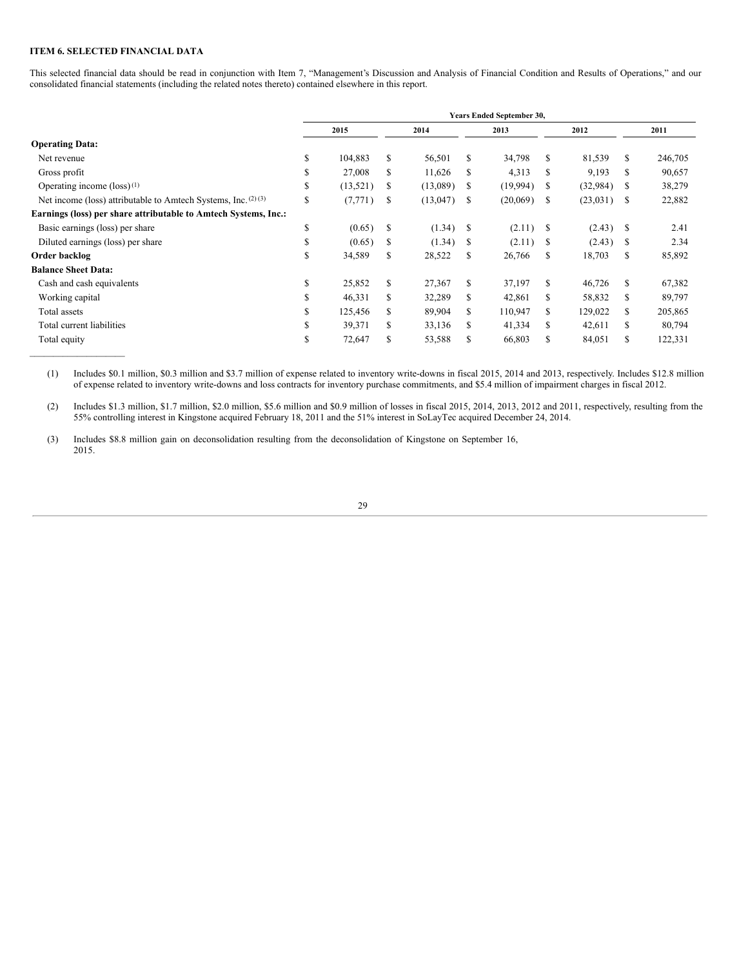## **ITEM 6. SELECTED FINANCIAL DATA**

This selected financial data should be read in conjunction with Item 7, "Management's Discussion and Analysis of Financial Condition and Results of Operations," and our consolidated financial statements (including the related notes thereto) contained elsewhere in this report.

|                                                                 |        |           |    |          |               | <b>Years Ended September 30,</b> |    |           |    |         |
|-----------------------------------------------------------------|--------|-----------|----|----------|---------------|----------------------------------|----|-----------|----|---------|
|                                                                 |        | 2015      |    | 2014     |               | 2013                             |    | 2012      |    | 2011    |
| <b>Operating Data:</b>                                          |        |           |    |          |               |                                  |    |           |    |         |
| Net revenue                                                     | \$     | 104,883   | S  | 56,501   | S             | 34,798                           | S  | 81,539    | S  | 246,705 |
| Gross profit                                                    | ъ      | 27,008    | S  | 11,626   | <sup>\$</sup> | 4,313                            | S  | 9,193     | S  | 90,657  |
| Operating income $(\text{loss})^{(1)}$                          | ъ.     | (13, 521) | \$ | (13,089) | <sup>\$</sup> | (19,994)                         | \$ | (32,984)  | S  | 38,279  |
| Net income (loss) attributable to Amtech Systems, Inc. (2) (3)  | \$     | (7, 771)  | S  | (13,047) | \$            | (20,069)                         | S  | (23, 031) | S  | 22,882  |
| Earnings (loss) per share attributable to Amtech Systems, Inc.: |        |           |    |          |               |                                  |    |           |    |         |
| Basic earnings (loss) per share                                 | \$     | (0.65)    | S  | (1.34)   | -S            | $(2.11)$ \$                      |    | (2.43)    | -S | 2.41    |
| Diluted earnings (loss) per share                               | ъ      | (0.65)    | S  | (1.34)   | -S            | (2.11)                           | -S | (2.43)    | -S | 2.34    |
| Order backlog                                                   | \$     | 34,589    | S  | 28,522   | <sup>\$</sup> | 26,766                           | S  | 18,703    | S  | 85,892  |
| <b>Balance Sheet Data:</b>                                      |        |           |    |          |               |                                  |    |           |    |         |
| Cash and cash equivalents                                       | \$     | 25,852    | \$ | 27,367   | \$            | 37,197                           | S  | 46,726    | S  | 67,382  |
| Working capital                                                 | ъ.     | 46,331    | S  | 32,289   | \$            | 42,861                           | S  | 58,832    | S  | 89,797  |
| Total assets                                                    | ъ      | 125,456   | S  | 89,904   | \$            | 110,947                          | S  | 129,022   | S  | 205,865 |
| Total current liabilities                                       | \$     | 39,371    | S  | 33,136   | \$            | 41,334                           | S  | 42,611    | S  | 80,794  |
| Total equity                                                    | ¢<br>ъ | 72,647    | \$ | 53,588   | S             | 66,803                           | \$ | 84,051    | S  | 122,331 |
|                                                                 |        |           |    |          |               |                                  |    |           |    |         |

(1) Includes \$0.1 million, \$0.3 million and \$3.7 million of expense related to inventory write-downs in fiscal 2015, 2014 and 2013, respectively. Includes \$12.8 million of expense related to inventory write-downs and loss contracts for inventory purchase commitments, and \$5.4 million of impairment charges in fiscal 2012.

(2) Includes \$1.3 million, \$1.7 million, \$2.0 million, \$5.6 million and \$0.9 million of losses in fiscal 2015, 2014, 2013, 2012 and 2011, respectively, resulting from the 55% controlling interest in Kingstone acquired February 18, 2011 and the 51% interest in SoLayTec acquired December 24, 2014.

<span id="page-29-0"></span>(3) Includes \$8.8 million gain on deconsolidation resulting from the deconsolidation of Kingstone on September 16, 2015.

29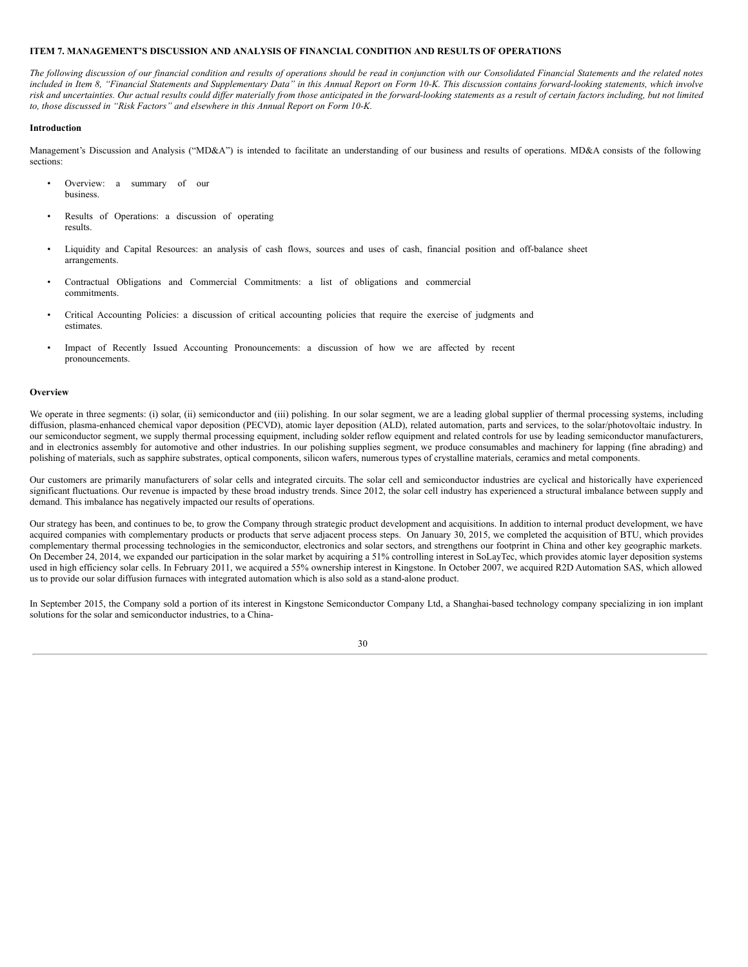#### **ITEM 7. MANAGEMENT'S DISCUSSION AND ANALYSIS OF FINANCIAL CONDITION AND RESULTS OF OPERATIONS**

The following discussion of our financial condition and results of operations should be read in conjunction with our Consolidated Financial Statements and the related notes included in Item 8, "Financial Statements and Supplementary Data" in this Annual Report on Form 10-K. This discussion contains forward-looking statements, which involve risk and uncertainties. Our actual results could differ materially from those anticipated in the forward-looking statements as a result of certain factors including, but not limited *to, those discussed in "Risk Factors" and elsewhere in this Annual Report on Form 10-K.*

#### **Introduction**

Management's Discussion and Analysis ("MD&A") is intended to facilitate an understanding of our business and results of operations. MD&A consists of the following sections:

- Overview: a summary of our business.
- Results of Operations: a discussion of operating results.
- Liquidity and Capital Resources: an analysis of cash flows, sources and uses of cash, financial position and off-balance sheet arrangements.
- Contractual Obligations and Commercial Commitments: a list of obligations and commercial commitments.
- Critical Accounting Policies: a discussion of critical accounting policies that require the exercise of judgments and estimates.
- Impact of Recently Issued Accounting Pronouncements: a discussion of how we are affected by recent pronouncements.

#### **Overview**

We operate in three segments: (i) solar, (ii) semiconductor and (iii) polishing. In our solar segment, we are a leading global supplier of thermal processing systems, including diffusion, plasma-enhanced chemical vapor deposition (PECVD), atomic layer deposition (ALD), related automation, parts and services, to the solar/photovoltaic industry. In our semiconductor segment, we supply thermal processing equipment, including solder reflow equipment and related controls for use by leading semiconductor manufacturers, and in electronics assembly for automotive and other industries. In our polishing supplies segment, we produce consumables and machinery for lapping (fine abrading) and polishing of materials, such as sapphire substrates, optical components, silicon wafers, numerous types of crystalline materials, ceramics and metal components.

Our customers are primarily manufacturers of solar cells and integrated circuits. The solar cell and semiconductor industries are cyclical and historically have experienced significant fluctuations. Our revenue is impacted by these broad industry trends. Since 2012, the solar cell industry has experienced a structural imbalance between supply and demand. This imbalance has negatively impacted our results of operations.

Our strategy has been, and continues to be, to grow the Company through strategic product development and acquisitions. In addition to internal product development, we have acquired companies with complementary products or products that serve adjacent process steps. On January 30, 2015, we completed the acquisition of BTU, which provides complementary thermal processing technologies in the semiconductor, electronics and solar sectors, and strengthens our footprint in China and other key geographic markets. On December 24, 2014, we expanded our participation in the solar market by acquiring a 51% controlling interest in SoLayTec, which provides atomic layer deposition systems used in high efficiency solar cells. In February 2011, we acquired a 55% ownership interest in Kingstone. In October 2007, we acquired R2D Automation SAS, which allowed us to provide our solar diffusion furnaces with integrated automation which is also sold as a stand-alone product.

In September 2015, the Company sold a portion of its interest in Kingstone Semiconductor Company Ltd, a Shanghai-based technology company specializing in ion implant solutions for the solar and semiconductor industries, to a China-

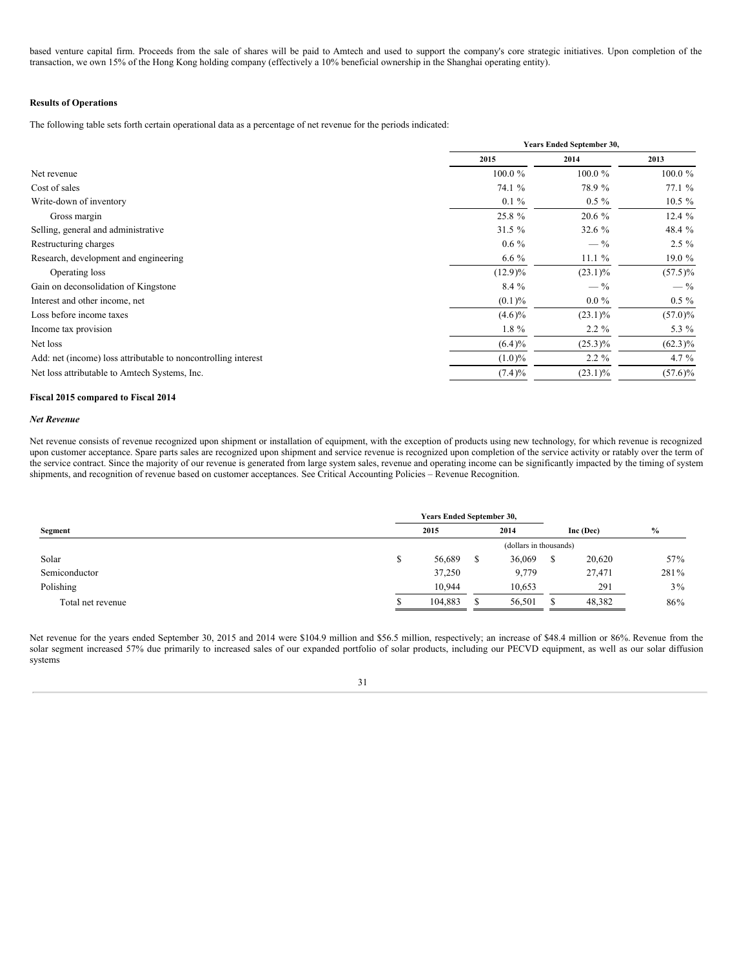based venture capital firm. Proceeds from the sale of shares will be paid to Amtech and used to support the company's core strategic initiatives. Upon completion of the transaction, we own 15% of the Hong Kong holding company (effectively a 10% beneficial ownership in the Shanghai operating entity).

## **Results of Operations**

The following table sets forth certain operational data as a percentage of net revenue for the periods indicated:

|                                                                |            | <b>Years Ended September 30,</b> |                 |  |  |  |
|----------------------------------------------------------------|------------|----------------------------------|-----------------|--|--|--|
|                                                                | 2015       | 2014                             | 2013            |  |  |  |
| Net revenue                                                    | 100.0%     | 100.0%                           | $100.0 \%$      |  |  |  |
| Cost of sales                                                  | 74.1 %     | 78.9 %                           | 77.1%           |  |  |  |
| Write-down of inventory                                        | $0.1 \%$   | $0.5\%$                          | $10.5 \%$       |  |  |  |
| Gross margin                                                   | 25.8 %     | 20.6 %                           | 12.4%           |  |  |  |
| Selling, general and administrative                            | 31.5%      | 32.6 %                           | 48.4 %          |  |  |  |
| Restructuring charges                                          | $0.6\%$    | $-$ %                            | $2.5\%$         |  |  |  |
| Research, development and engineering                          | $6.6\%$    | 11.1%                            | 19.0 $%$        |  |  |  |
| Operating loss                                                 | $(12.9)\%$ | $(23.1)\%$                       | $(57.5)\%$      |  |  |  |
| Gain on deconsolidation of Kingstone                           | 8.4 %      | $-$ %                            | $- \frac{6}{6}$ |  |  |  |
| Interest and other income, net                                 | $(0.1) \%$ | $0.0\%$                          | $0.5\%$         |  |  |  |
| Loss before income taxes                                       | $(4.6)\%$  | $(23.1)\%$                       | $(57.0)\%$      |  |  |  |
| Income tax provision                                           | $1.8\%$    | $2.2\%$                          | 5.3 $%$         |  |  |  |
| Net loss                                                       | $(6.4)\%$  | $(25.3)\%$                       | $(62.3)\%$      |  |  |  |
| Add: net (income) loss attributable to noncontrolling interest | $(1.0)\%$  | $2.2\%$                          | 4.7 $%$         |  |  |  |
| Net loss attributable to Amtech Systems, Inc.                  | $(7.4)\%$  | $(23.1)\%$                       | $(57.6)\%$      |  |  |  |

# **Fiscal 2015 compared to Fiscal 2014**

## *Net Revenue*

Net revenue consists of revenue recognized upon shipment or installation of equipment, with the exception of products using new technology, for which revenue is recognized upon customer acceptance. Spare parts sales are recognized upon shipment and service revenue is recognized upon completion of the service activity or ratably over the term of the service contract. Since the majority of our revenue is generated from large system sales, revenue and operating income can be significantly impacted by the timing of system shipments, and recognition of revenue based on customer acceptances. See Critical Accounting Policies – Revenue Recognition.

|                   |   | <b>Years Ended September 30,</b> |   |        |  |           |               |
|-------------------|---|----------------------------------|---|--------|--|-----------|---------------|
| Segment           |   | 2014<br>2015                     |   |        |  | Inc (Dec) | $\frac{0}{0}$ |
|                   |   | (dollars in thousands)           |   |        |  |           |               |
| Solar             | Æ | 56,689                           | S | 36,069 |  | 20,620    | 57%           |
| Semiconductor     |   | 37,250                           |   | 9,779  |  | 27,471    | 281%          |
| Polishing         |   | 10.944                           |   | 10.653 |  | 291       | $3\%$         |
| Total net revenue |   | 104,883                          | S | 56,501 |  | 48,382    | 86%           |

Net revenue for the years ended September 30, 2015 and 2014 were \$104.9 million and \$56.5 million, respectively; an increase of \$48.4 million or 86%. Revenue from the solar segment increased 57% due primarily to increased sales of our expanded portfolio of solar products, including our PECVD equipment, as well as our solar diffusion systems

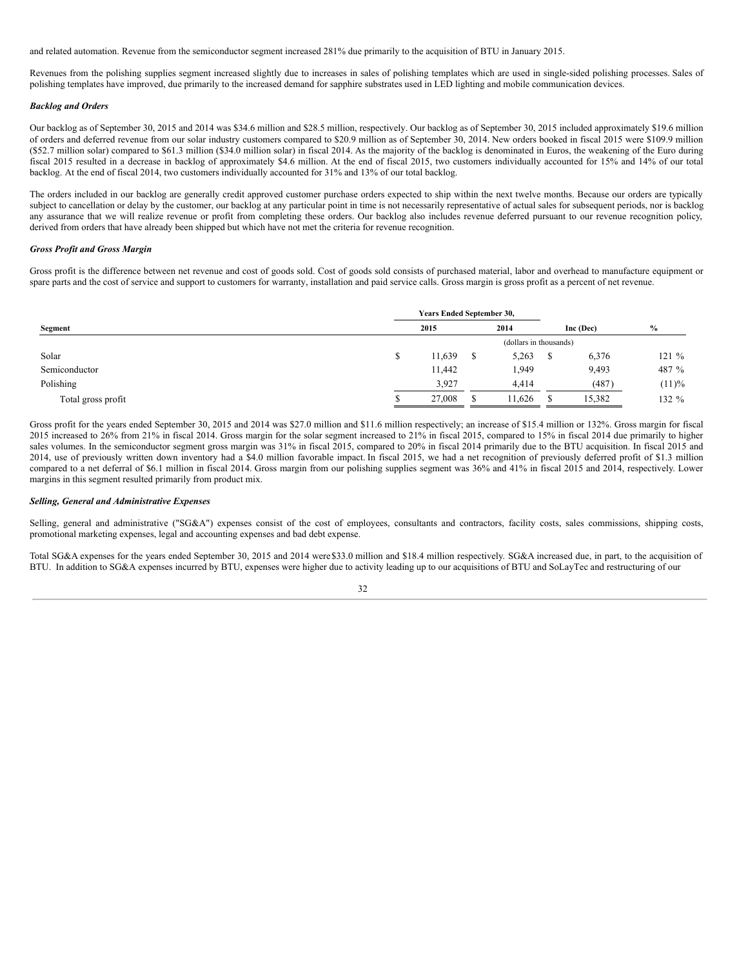and related automation. Revenue from the semiconductor segment increased 281% due primarily to the acquisition of BTU in January 2015.

Revenues from the polishing supplies segment increased slightly due to increases in sales of polishing templates which are used in single-sided polishing processes. Sales of polishing templates have improved, due primarily to the increased demand for sapphire substrates used in LED lighting and mobile communication devices.

#### *Backlog and Orders*

Our backlog as of September 30, 2015 and 2014 was \$34.6 million and \$28.5 million, respectively. Our backlog as of September 30, 2015 included approximately \$19.6 million of orders and deferred revenue from our solar industry customers compared to \$20.9 million as of September 30, 2014. New orders booked in fiscal 2015 were \$109.9 million (\$52.7 million solar) compared to \$61.3 million (\$34.0 million solar) in fiscal 2014. As the majority of the backlog is denominated in Euros, the weakening of the Euro during fiscal 2015 resulted in a decrease in backlog of approximately \$4.6 million. At the end of fiscal 2015, two customers individually accounted for 15% and 14% of our total backlog. At the end of fiscal 2014, two customers individually accounted for 31% and 13% of our total backlog.

The orders included in our backlog are generally credit approved customer purchase orders expected to ship within the next twelve months. Because our orders are typically subject to cancellation or delay by the customer, our backlog at any particular point in time is not necessarily representative of actual sales for subsequent periods, nor is backlog any assurance that we will realize revenue or profit from completing these orders. Our backlog also includes revenue deferred pursuant to our revenue recognition policy, derived from orders that have already been shipped but which have not met the criteria for revenue recognition.

## *Gross Profit and Gross Margin*

Gross profit is the difference between net revenue and cost of goods sold. Cost of goods sold consists of purchased material, labor and overhead to manufacture equipment or spare parts and the cost of service and support to customers for warranty, installation and paid service calls. Gross margin is gross profit as a percent of net revenue.

|                    |  | <b>Years Ended September 30,</b><br>2014<br>2015 |                        |        |  |        |               |
|--------------------|--|--------------------------------------------------|------------------------|--------|--|--------|---------------|
| Segment            |  |                                                  |                        |        |  |        | $\frac{0}{0}$ |
|                    |  |                                                  | (dollars in thousands) |        |  |        |               |
| Solar              |  | 11,639                                           |                        | 5,263  |  | 6,376  | $121 \%$      |
| Semiconductor      |  | 11,442                                           |                        | 1,949  |  | 9,493  | 487 %         |
| Polishing          |  | 3.927                                            |                        | 4.414  |  | (487)  | (11)%         |
| Total gross profit |  | 27,008                                           |                        | 11,626 |  | 15,382 | 132 %         |

Gross profit for the years ended September 30, 2015 and 2014 was \$27.0 million and \$11.6 million respectively; an increase of \$15.4 million or 132%. Gross margin for fiscal 2015 increased to 26% from 21% in fiscal 2014. Gross margin for the solar segment increased to 21% in fiscal 2015, compared to 15% in fiscal 2014 due primarily to higher sales volumes. In the semiconductor segment gross margin was 31% in fiscal 2015, compared to 20% in fiscal 2014 primarily due to the BTU acquisition. In fiscal 2015 and 2014, use of previously written down inventory had a \$4.0 million favorable impact. In fiscal 2015, we had a net recognition of previously deferred profit of \$1.3 million compared to a net deferral of \$6.1 million in fiscal 2014. Gross margin from our polishing supplies segment was 36% and 41% in fiscal 2015 and 2014, respectively. Lower margins in this segment resulted primarily from product mix.

#### *Selling, General and Administrative Expenses*

Selling, general and administrative ("SG&A") expenses consist of the cost of employees, consultants and contractors, facility costs, sales commissions, shipping costs, promotional marketing expenses, legal and accounting expenses and bad debt expense.

Total SG&A expenses for the years ended September 30, 2015 and 2014 were\$33.0 million and \$18.4 million respectively. SG&A increased due, in part, to the acquisition of BTU. In addition to SG&A expenses incurred by BTU, expenses were higher due to activity leading up to our acquisitions of BTU and SoLayTec and restructuring of our

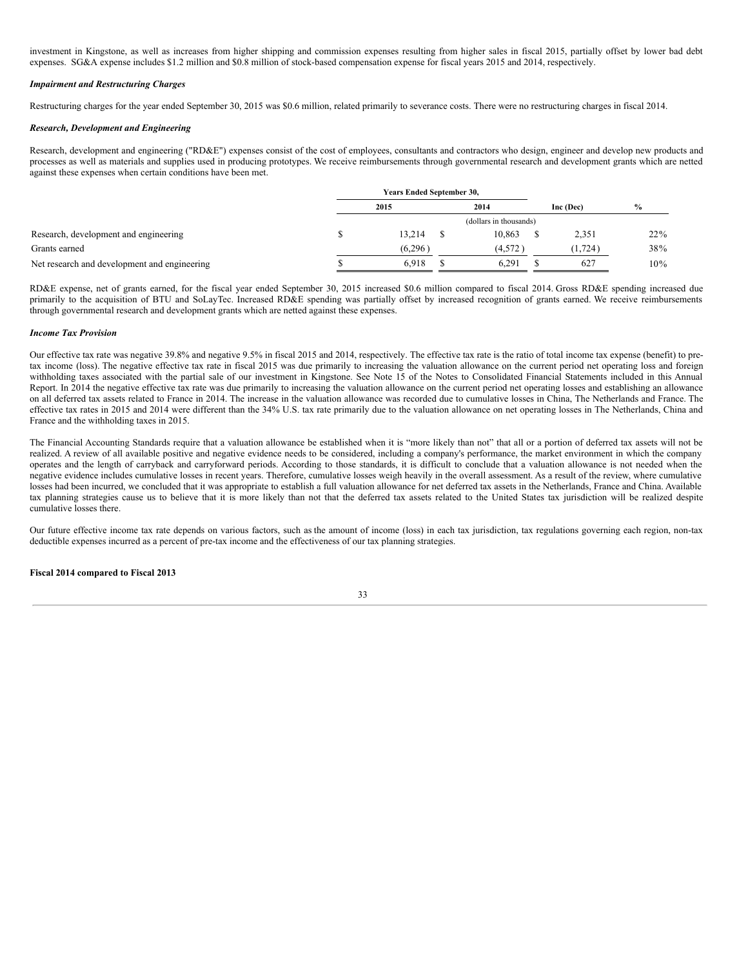investment in Kingstone, as well as increases from higher shipping and commission expenses resulting from higher sales in fiscal 2015, partially offset by lower bad debt expenses. SG&A expense includes \$1.2 million and \$0.8 million of stock-based compensation expense for fiscal years 2015 and 2014, respectively.

#### *Impairment and Restructuring Charges*

Restructuring charges for the year ended September 30, 2015 was \$0.6 million, related primarily to severance costs. There were no restructuring charges in fiscal 2014.

#### *Research, Development and Engineering*

Research, development and engineering ("RD&E") expenses consist of the cost of employees, consultants and contractors who design, engineer and develop new products and processes as well as materials and supplies used in producing prototypes. We receive reimbursements through governmental research and development grants which are netted against these expenses when certain conditions have been met.

|                                              | <b>Years Ended September 30,</b> |  |                        |           |         |               |
|----------------------------------------------|----------------------------------|--|------------------------|-----------|---------|---------------|
|                                              | 2015                             |  | 2014                   | Inc (Dec) |         | $\frac{0}{0}$ |
|                                              |                                  |  | (dollars in thousands) |           |         |               |
| Research, development and engineering        | 13.214                           |  | 10.863                 |           | 2,351   | 22%           |
| Grants earned                                | (6.296)                          |  | (4,572)                |           | (1.724) | 38%           |
| Net research and development and engineering | 6.918                            |  | 6.291                  |           | 627     | $10\%$        |

RD&E expense, net of grants earned, for the fiscal year ended September 30, 2015 increased \$0.6 million compared to fiscal 2014. Gross RD&E spending increased due primarily to the acquisition of BTU and SoLayTec. Increased RD&E spending was partially offset by increased recognition of grants earned. We receive reimbursements through governmental research and development grants which are netted against these expenses.

#### *Income Tax Provision*

Our effective tax rate was negative 39.8% and negative 9.5% in fiscal 2015 and 2014, respectively. The effective tax rate is the ratio of total income tax expense (benefit) to pretax income (loss). The negative effective tax rate in fiscal 2015 was due primarily to increasing the valuation allowance on the current period net operating loss and foreign withholding taxes associated with the partial sale of our investment in Kingstone. See Note 15 of the Notes to Consolidated Financial Statements included in this Annual Report. In 2014 the negative effective tax rate was due primarily to increasing the valuation allowance on the current period net operating losses and establishing an allowance on all deferred tax assets related to France in 2014. The increase in the valuation allowance was recorded due to cumulative losses in China, The Netherlands and France. The effective tax rates in 2015 and 2014 were different than the 34% U.S. tax rate primarily due to the valuation allowance on net operating losses in The Netherlands, China and France and the withholding taxes in 2015.

The Financial Accounting Standards require that a valuation allowance be established when it is "more likely than not" that all or a portion of deferred tax assets will not be realized. A review of all available positive and negative evidence needs to be considered, including a company's performance, the market environment in which the company operates and the length of carryback and carryforward periods. According to those standards, it is difficult to conclude that a valuation allowance is not needed when the negative evidence includes cumulative losses in recent years. Therefore, cumulative losses weigh heavily in the overall assessment. As a result of the review, where cumulative losses had been incurred, we concluded that it was appropriate to establish a full valuation allowance for net deferred tax assets in the Netherlands, France and China. Available tax planning strategies cause us to believe that it is more likely than not that the deferred tax assets related to the United States tax jurisdiction will be realized despite cumulative losses there.

Our future effective income tax rate depends on various factors, such as the amount of income (loss) in each tax jurisdiction, tax regulations governing each region, non-tax deductible expenses incurred as a percent of pre-tax income and the effectiveness of our tax planning strategies.

#### **Fiscal 2014 compared to Fiscal 2013**

#### 33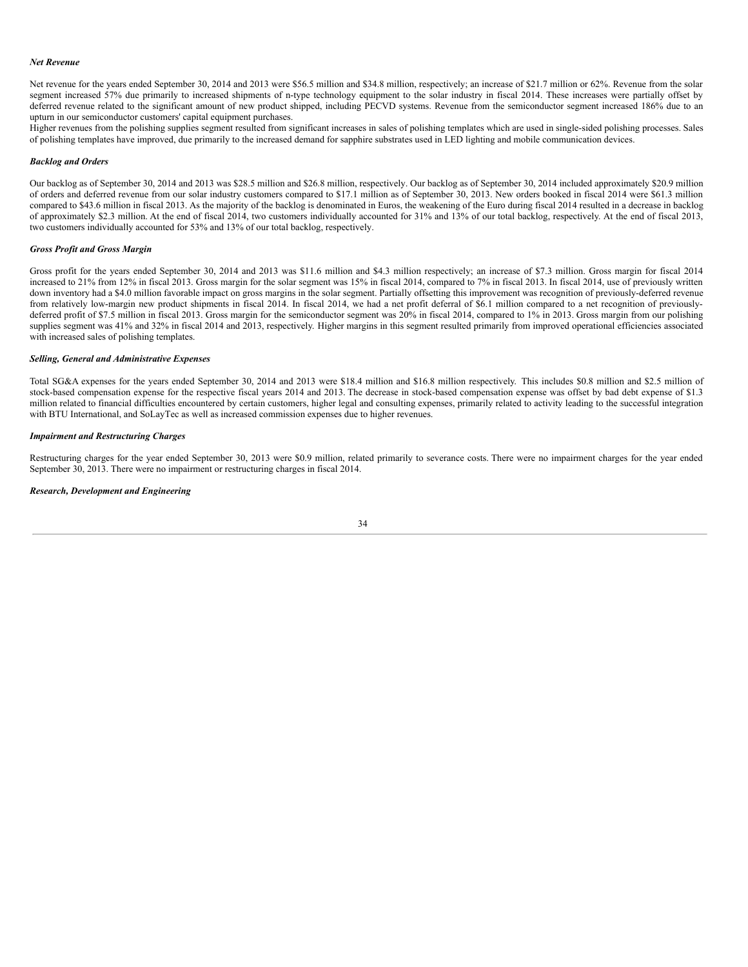#### *Net Revenue*

Net revenue for the years ended September 30, 2014 and 2013 were \$56.5 million and \$34.8 million, respectively; an increase of \$21.7 million or 62%. Revenue from the solar segment increased 57% due primarily to increased shipments of n-type technology equipment to the solar industry in fiscal 2014. These increases were partially offset by deferred revenue related to the significant amount of new product shipped, including PECVD systems. Revenue from the semiconductor segment increased 186% due to an upturn in our semiconductor customers' capital equipment purchases.

Higher revenues from the polishing supplies segment resulted from significant increases in sales of polishing templates which are used in single-sided polishing processes. Sales of polishing templates have improved, due primarily to the increased demand for sapphire substrates used in LED lighting and mobile communication devices.

#### *Backlog and Orders*

Our backlog as of September 30, 2014 and 2013 was \$28.5 million and \$26.8 million, respectively. Our backlog as of September 30, 2014 included approximately \$20.9 million of orders and deferred revenue from our solar industry customers compared to \$17.1 million as of September 30, 2013. New orders booked in fiscal 2014 were \$61.3 million compared to \$43.6 million in fiscal 2013. As the majority of the backlog is denominated in Euros, the weakening of the Euro during fiscal 2014 resulted in a decrease in backlog of approximately \$2.3 million. At the end of fiscal 2014, two customers individually accounted for 31% and 13% of our total backlog, respectively. At the end of fiscal 2013, two customers individually accounted for 53% and 13% of our total backlog, respectively.

#### *Gross Profit and Gross Margin*

Gross profit for the years ended September 30, 2014 and 2013 was \$11.6 million and \$4.3 million respectively; an increase of \$7.3 million. Gross margin for fiscal 2014 increased to 21% from 12% in fiscal 2013. Gross margin for the solar segment was 15% in fiscal 2014, compared to 7% in fiscal 2013. In fiscal 2014, use of previously written down inventory had a \$4.0 million favorable impact on gross margins in the solar segment. Partially offsetting this improvement was recognition of previously-deferred revenue from relatively low-margin new product shipments in fiscal 2014. In fiscal 2014, we had a net profit deferral of \$6.1 million compared to a net recognition of previouslydeferred profit of \$7.5 million in fiscal 2013. Gross margin for the semiconductor segment was 20% in fiscal 2014, compared to 1% in 2013. Gross margin from our polishing supplies segment was 41% and 32% in fiscal 2014 and 2013, respectively. Higher margins in this segment resulted primarily from improved operational efficiencies associated with increased sales of polishing templates.

#### *Selling, General and Administrative Expenses*

Total SG&A expenses for the years ended September 30, 2014 and 2013 were \$18.4 million and \$16.8 million respectively. This includes \$0.8 million and \$2.5 million of stock-based compensation expense for the respective fiscal years 2014 and 2013. The decrease in stock-based compensation expense was offset by bad debt expense of \$1.3 million related to financial difficulties encountered by certain customers, higher legal and consulting expenses, primarily related to activity leading to the successful integration with BTU International, and SoLayTec as well as increased commission expenses due to higher revenues.

#### *Impairment and Restructuring Charges*

Restructuring charges for the year ended September 30, 2013 were \$0.9 million, related primarily to severance costs. There were no impairment charges for the year ended September 30, 2013. There were no impairment or restructuring charges in fiscal 2014.

## *Research, Development and Engineering*

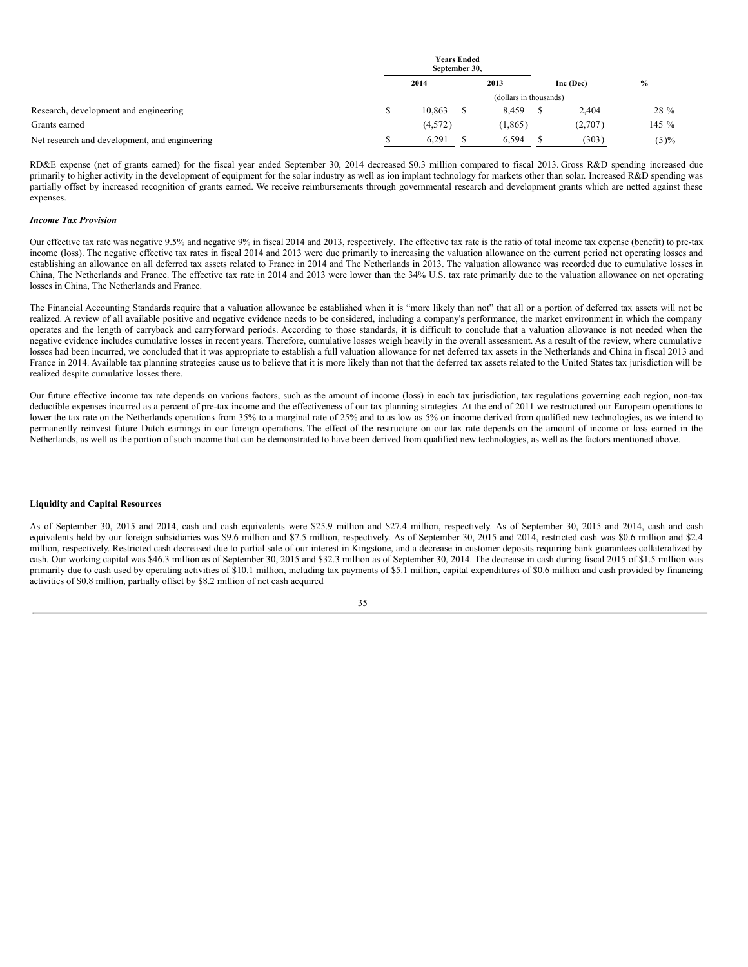|                                               | <b>Years Ended</b><br>September 30, |         |  |                        |           |         |               |
|-----------------------------------------------|-------------------------------------|---------|--|------------------------|-----------|---------|---------------|
|                                               | 2014                                |         |  | 2013                   | Inc (Dec) |         | $\frac{0}{0}$ |
|                                               |                                     |         |  | (dollars in thousands) |           |         |               |
| Research, development and engineering         |                                     | 10.863  |  | 8.459                  |           | 2,404   | 28 %          |
| Grants earned                                 |                                     | (4,572) |  | (1, 865)               |           | (2,707) | 145 $%$       |
| Net research and development, and engineering |                                     | 6.291   |  | 6,594                  |           | (303)   | $(5)\%$       |

RD&E expense (net of grants earned) for the fiscal year ended September 30, 2014 decreased \$0.3 million compared to fiscal 2013. Gross R&D spending increased due primarily to higher activity in the development of equipment for the solar industry as well as ion implant technology for markets other than solar. Increased R&D spending was partially offset by increased recognition of grants earned. We receive reimbursements through governmental research and development grants which are netted against these expenses.

## *Income Tax Provision*

Our effective tax rate was negative 9.5% and negative 9% in fiscal 2014 and 2013, respectively. The effective tax rate is the ratio of total income tax expense (benefit) to pre-tax income (loss). The negative effective tax rates in fiscal 2014 and 2013 were due primarily to increasing the valuation allowance on the current period net operating losses and establishing an allowance on all deferred tax assets related to France in 2014 and The Netherlands in 2013. The valuation allowance was recorded due to cumulative losses in China, The Netherlands and France. The effective tax rate in 2014 and 2013 were lower than the 34% U.S. tax rate primarily due to the valuation allowance on net operating losses in China, The Netherlands and France.

The Financial Accounting Standards require that a valuation allowance be established when it is "more likely than not" that all or a portion of deferred tax assets will not be realized. A review of all available positive and negative evidence needs to be considered, including a company's performance, the market environment in which the company operates and the length of carryback and carryforward periods. According to those standards, it is difficult to conclude that a valuation allowance is not needed when the negative evidence includes cumulative losses in recent years. Therefore, cumulative losses weigh heavily in the overall assessment. As a result of the review, where cumulative losses had been incurred, we concluded that it was appropriate to establish a full valuation allowance for net deferred tax assets in the Netherlands and China in fiscal 2013 and France in 2014. Available tax planning strategies cause us to believe that it is more likely than not that the deferred tax assets related to the United States tax jurisdiction will be realized despite cumulative losses there.

Our future effective income tax rate depends on various factors, such as the amount of income (loss) in each tax jurisdiction, tax regulations governing each region, non-tax deductible expenses incurred as a percent of pre-tax income and the effectiveness of our tax planning strategies. At the end of 2011 we restructured our European operations to lower the tax rate on the Netherlands operations from 35% to a marginal rate of 25% and to as low as 5% on income derived from qualified new technologies, as we intend to permanently reinvest future Dutch earnings in our foreign operations. The effect of the restructure on our tax rate depends on the amount of income or loss earned in the Netherlands, as well as the portion of such income that can be demonstrated to have been derived from qualified new technologies, as well as the factors mentioned above.

#### **Liquidity and Capital Resources**

As of September 30, 2015 and 2014, cash and cash equivalents were \$25.9 million and \$27.4 million, respectively. As of September 30, 2015 and 2014, cash and cash equivalents held by our foreign subsidiaries was \$9.6 million and \$7.5 million, respectively. As of September 30, 2015 and 2014, restricted cash was \$0.6 million and \$2.4 million, respectively. Restricted cash decreased due to partial sale of our interest in Kingstone, and a decrease in customer deposits requiring bank guarantees collateralized by cash. Our working capital was \$46.3 million as of September 30, 2015 and \$32.3 million as of September 30, 2014. The decrease in cash during fiscal 2015 of \$1.5 million was primarily due to cash used by operating activities of \$10.1 million, including tax payments of \$5.1 million, capital expenditures of \$0.6 million and cash provided by financing activities of \$0.8 million, partially offset by \$8.2 million of net cash acquired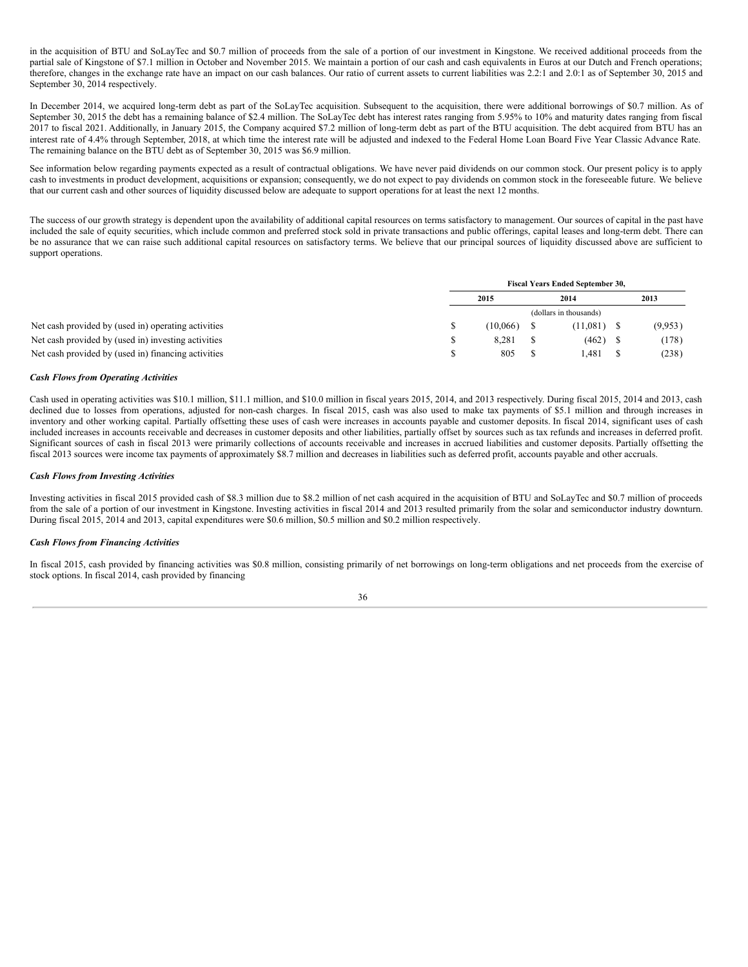in the acquisition of BTU and SoLayTec and \$0.7 million of proceeds from the sale of a portion of our investment in Kingstone. We received additional proceeds from the partial sale of Kingstone of \$7.1 million in October and November 2015. We maintain a portion of our cash and cash equivalents in Euros at our Dutch and French operations; therefore, changes in the exchange rate have an impact on our cash balances. Our ratio of current assets to current liabilities was 2.2:1 and 2.0:1 as of September 30, 2015 and September 30, 2014 respectively.

In December 2014, we acquired long-term debt as part of the SoLayTec acquisition. Subsequent to the acquisition, there were additional borrowings of \$0.7 million. As of September 30, 2015 the debt has a remaining balance of \$2.4 million. The SoLayTec debt has interest rates ranging from 5.95% to 10% and maturity dates ranging from fiscal 2017 to fiscal 2021. Additionally, in January 2015, the Company acquired \$7.2 million of long-term debt as part of the BTU acquisition. The debt acquired from BTU has an interest rate of 4.4% through September, 2018, at which time the interest rate will be adjusted and indexed to the Federal Home Loan Board Five Year Classic Advance Rate. The remaining balance on the BTU debt as of September 30, 2015 was \$6.9 million.

See information below regarding payments expected as a result of contractual obligations. We have never paid dividends on our common stock. Our present policy is to apply cash to investments in product development, acquisitions or expansion; consequently, we do not expect to pay dividends on common stock in the foreseeable future. We believe that our current cash and other sources of liquidity discussed below are adequate to support operations for at least the next 12 months.

The success of our growth strategy is dependent upon the availability of additional capital resources on terms satisfactory to management. Our sources of capital in the past have included the sale of equity securities, which include common and preferred stock sold in private transactions and public offerings, capital leases and long-term debt. There can be no assurance that we can raise such additional capital resources on satisfactory terms. We believe that our principal sources of liquidity discussed above are sufficient to support operations.

|                                                     |                        |          |  | <b>Fiscal Years Ended September 30,</b> |  |         |  |  |
|-----------------------------------------------------|------------------------|----------|--|-----------------------------------------|--|---------|--|--|
|                                                     | 2015                   |          |  | 2014                                    |  | 2013    |  |  |
|                                                     | (dollars in thousands) |          |  |                                         |  |         |  |  |
| Net cash provided by (used in) operating activities |                        | (10.066) |  | $(11,081)$ \$                           |  | (9,953) |  |  |
| Net cash provided by (used in) investing activities |                        | 8.281    |  | $(462)$ \$                              |  | (178)   |  |  |
| Net cash provided by (used in) financing activities |                        | 805      |  | 1.481                                   |  | (238)   |  |  |

#### *Cash Flows from Operating Activities*

Cash used in operating activities was \$10.1 million, \$11.1 million, and \$10.0 million in fiscal years 2015, 2014, and 2013 respectively. During fiscal 2015, 2014 and 2013, cash declined due to losses from operations, adjusted for non-cash charges. In fiscal 2015, cash was also used to make tax payments of \$5.1 million and through increases in inventory and other working capital. Partially offsetting these uses of cash were increases in accounts payable and customer deposits. In fiscal 2014, significant uses of cash included increases in accounts receivable and decreases in customer deposits and other liabilities, partially offset by sources such as tax refunds and increases in deferred profit. Significant sources of cash in fiscal 2013 were primarily collections of accounts receivable and increases in accrued liabilities and customer deposits. Partially offsetting the fiscal 2013 sources were income tax payments of approximately \$8.7 million and decreases in liabilities such as deferred profit, accounts payable and other accruals.

#### *Cash Flows from Investing Activities*

Investing activities in fiscal 2015 provided cash of \$8.3 million due to \$8.2 million of net cash acquired in the acquisition of BTU and SoLayTec and \$0.7 million of proceeds from the sale of a portion of our investment in Kingstone. Investing activities in fiscal 2014 and 2013 resulted primarily from the solar and semiconductor industry downturn. During fiscal 2015, 2014 and 2013, capital expenditures were \$0.6 million, \$0.5 million and \$0.2 million respectively.

#### *Cash Flows from Financing Activities*

In fiscal 2015, cash provided by financing activities was \$0.8 million, consisting primarily of net borrowings on long-term obligations and net proceeds from the exercise of stock options. In fiscal 2014, cash provided by financing

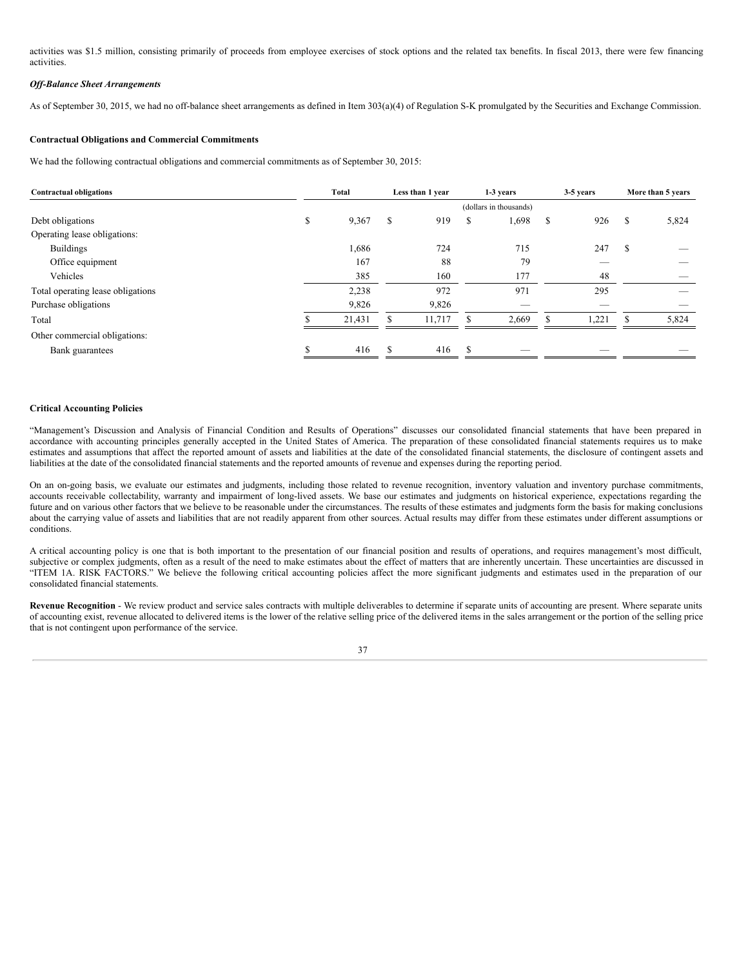activities was \$1.5 million, consisting primarily of proceeds from employee exercises of stock options and the related tax benefits. In fiscal 2013, there were few financing activities.

### *Of -Balance Sheet Arrangements*

As of September 30, 2015, we had no off-balance sheet arrangements as defined in Item 303(a)(4) of Regulation S-K promulgated by the Securities and Exchange Commission.

# **Contractual Obligations and Commercial Commitments**

We had the following contractual obligations and commercial commitments as of September 30, 2015:

| <b>Contractual obligations</b>    | <b>Total</b><br>Less than 1 year<br>1-3 years |        |   | 3-5 years | More than 5 years |                        |     |       |   |       |
|-----------------------------------|-----------------------------------------------|--------|---|-----------|-------------------|------------------------|-----|-------|---|-------|
|                                   |                                               |        |   |           |                   | (dollars in thousands) |     |       |   |       |
| Debt obligations                  | \$                                            | 9,367  | S | 919       | S                 | 1,698                  | S   | 926   | S | 5,824 |
| Operating lease obligations:      |                                               |        |   |           |                   |                        |     |       |   |       |
| <b>Buildings</b>                  |                                               | 1,686  |   | 724       |                   | 715                    |     | 247   | S |       |
| Office equipment                  |                                               | 167    |   | 88        |                   | 79                     |     |       |   |       |
| Vehicles                          |                                               | 385    |   | 160       |                   | 177                    |     | 48    |   |       |
| Total operating lease obligations |                                               | 2,238  |   | 972       |                   | 971                    |     | 295   |   |       |
| Purchase obligations              |                                               | 9,826  |   | 9,826     |                   |                        |     |       |   |       |
| Total                             |                                               | 21,431 |   | 11.717    | £.                | 2.669                  | \$. | 1.221 |   | 5,824 |
| Other commercial obligations:     |                                               |        |   |           |                   |                        |     |       |   |       |
| Bank guarantees                   |                                               | 416    |   | 416       | \$.               |                        |     |       |   |       |

## **Critical Accounting Policies**

"Management's Discussion and Analysis of Financial Condition and Results of Operations" discusses our consolidated financial statements that have been prepared in accordance with accounting principles generally accepted in the United States of America. The preparation of these consolidated financial statements requires us to make estimates and assumptions that affect the reported amount of assets and liabilities at the date of the consolidated financial statements, the disclosure of contingent assets and liabilities at the date of the consolidated financial statements and the reported amounts of revenue and expenses during the reporting period.

On an on-going basis, we evaluate our estimates and judgments, including those related to revenue recognition, inventory valuation and inventory purchase commitments, accounts receivable collectability, warranty and impairment of long-lived assets. We base our estimates and judgments on historical experience, expectations regarding the future and on various other factors that we believe to be reasonable under the circumstances. The results of these estimates and judgments form the basis for making conclusions about the carrying value of assets and liabilities that are not readily apparent from other sources. Actual results may differ from these estimates under different assumptions or conditions.

A critical accounting policy is one that is both important to the presentation of our financial position and results of operations, and requires management's most difficult, subjective or complex judgments, often as a result of the need to make estimates about the effect of matters that are inherently uncertain. These uncertainties are discussed in "ITEM 1A. RISK FACTORS." We believe the following critical accounting policies affect the more significant judgments and estimates used in the preparation of our consolidated financial statements.

Revenue Recognition - We review product and service sales contracts with multiple deliverables to determine if separate units of accounting are present. Where separate units of accounting exist, revenue allocated to delivered items is the lower of the relative selling price of the delivered items in the sales arrangement or the portion of the selling price that is not contingent upon performance of the service.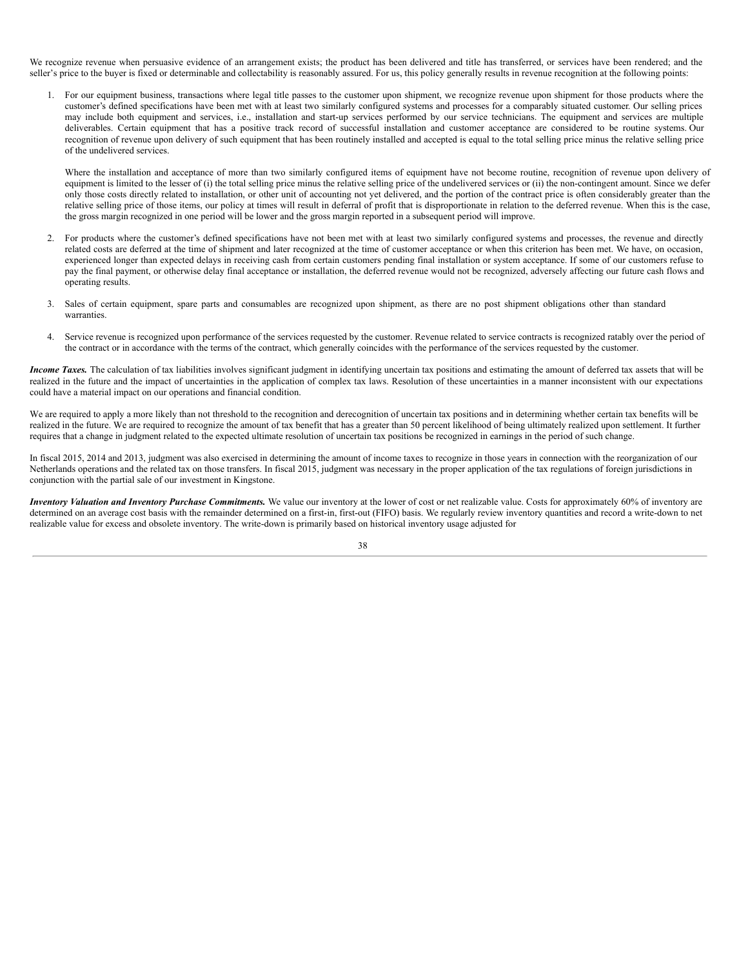We recognize revenue when persuasive evidence of an arrangement exists; the product has been delivered and title has transferred, or services have been rendered; and the seller's price to the buyer is fixed or determinable and collectability is reasonably assured. For us, this policy generally results in revenue recognition at the following points:

1. For our equipment business, transactions where legal title passes to the customer upon shipment, we recognize revenue upon shipment for those products where the customer's defined specifications have been met with at least two similarly configured systems and processes for a comparably situated customer. Our selling prices may include both equipment and services, i.e., installation and start-up services performed by our service technicians. The equipment and services are multiple deliverables. Certain equipment that has a positive track record of successful installation and customer acceptance are considered to be routine systems. Our recognition of revenue upon delivery of such equipment that has been routinely installed and accepted is equal to the total selling price minus the relative selling price of the undelivered services.

Where the installation and acceptance of more than two similarly configured items of equipment have not become routine, recognition of revenue upon delivery of equipment is limited to the lesser of (i) the total selling price minus the relative selling price of the undelivered services or (ii) the non-contingent amount. Since we defer only those costs directly related to installation, or other unit of accounting not yet delivered, and the portion of the contract price is often considerably greater than the relative selling price of those items, our policy at times will result in deferral of profit that is disproportionate in relation to the deferred revenue. When this is the case, the gross margin recognized in one period will be lower and the gross margin reported in a subsequent period will improve.

- 2. For products where the customer's defined specifications have not been met with at least two similarly configured systems and processes, the revenue and directly related costs are deferred at the time of shipment and later recognized at the time of customer acceptance or when this criterion has been met. We have, on occasion, experienced longer than expected delays in receiving cash from certain customers pending final installation or system acceptance. If some of our customers refuse to pay the final payment, or otherwise delay final acceptance or installation, the deferred revenue would not be recognized, adversely affecting our future cash flows and operating results.
- 3. Sales of certain equipment, spare parts and consumables are recognized upon shipment, as there are no post shipment obligations other than standard warranties.
- 4. Service revenue is recognized upon performance of the services requested by the customer. Revenue related to service contracts is recognized ratably over the period of the contract or in accordance with the terms of the contract, which generally coincides with the performance of the services requested by the customer.

*Income Taxes.* The calculation of tax liabilities involves significant judgment in identifying uncertain tax positions and estimating the amount of deferred tax assets that will be realized in the future and the impact of uncertainties in the application of complex tax laws. Resolution of these uncertainties in a manner inconsistent with our expectations could have a material impact on our operations and financial condition.

We are required to apply a more likely than not threshold to the recognition and derecognition of uncertain tax positions and in determining whether certain tax benefits will be realized in the future. We are required to recognize the amount of tax benefit that has a greater than 50 percent likelihood of being ultimately realized upon settlement. It further requires that a change in judgment related to the expected ultimate resolution of uncertain tax positions be recognized in earnings in the period of such change.

In fiscal 2015, 2014 and 2013, judgment was also exercised in determining the amount of income taxes to recognize in those years in connection with the reorganization of our Netherlands operations and the related tax on those transfers. In fiscal 2015, judgment was necessary in the proper application of the tax regulations of foreign jurisdictions in conjunction with the partial sale of our investment in Kingstone.

*Inventory Valuation and Inventory Purchase Commitments.* We value our inventory at the lower of cost or net realizable value. Costs for approximately 60% of inventory are determined on an average cost basis with the remainder determined on a first-in, first-out (FIFO) basis. We regularly review inventory quantities and record a write-down to net realizable value for excess and obsolete inventory. The write-down is primarily based on historical inventory usage adjusted for

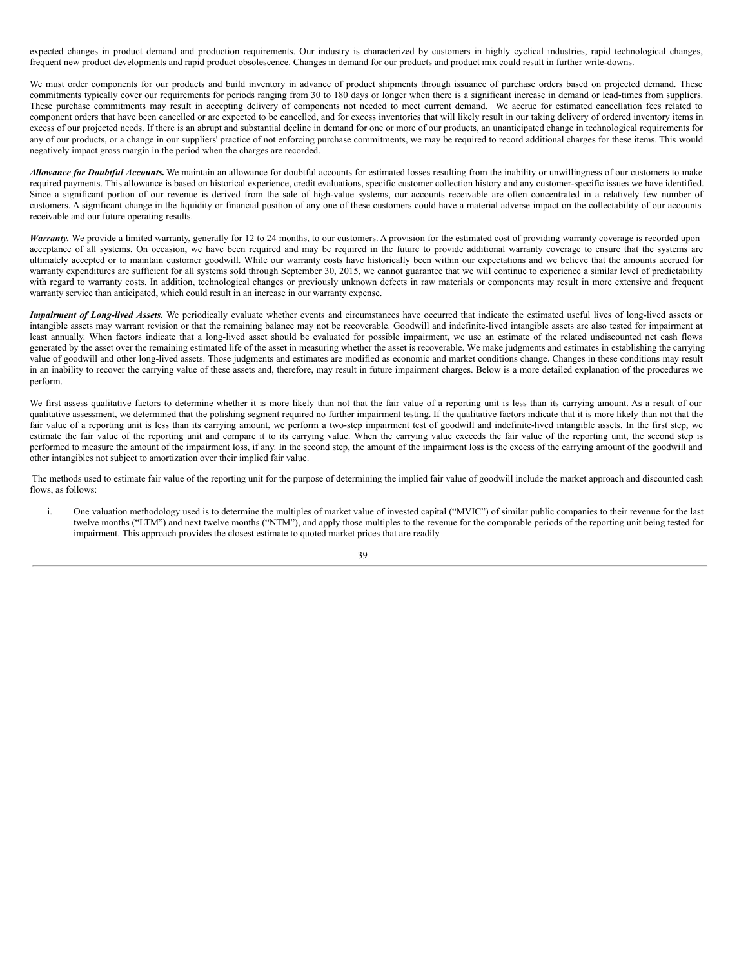expected changes in product demand and production requirements. Our industry is characterized by customers in highly cyclical industries, rapid technological changes, frequent new product developments and rapid product obsolescence. Changes in demand for our products and product mix could result in further write-downs.

We must order components for our products and build inventory in advance of product shipments through issuance of purchase orders based on projected demand. These commitments typically cover our requirements for periods ranging from 30 to 180 days or longer when there is a significant increase in demand or lead-times from suppliers. These purchase commitments may result in accepting delivery of components not needed to meet current demand. We accrue for estimated cancellation fees related to component orders that have been cancelled or are expected to be cancelled, and for excess inventories that will likely result in our taking delivery of ordered inventory items in excess of our projected needs. If there is an abrupt and substantial decline in demand for one or more of our products, an unanticipated change in technological requirements for any of our products, or a change in our suppliers' practice of not enforcing purchase commitments, we may be required to record additional charges for these items. This would negatively impact gross margin in the period when the charges are recorded.

*Allowance for Doubtful Accounts.* We maintain an allowance for doubtful accounts for estimated losses resulting from the inability or unwillingness of our customers to make required payments. This allowance is based on historical experience, credit evaluations, specific customer collection history and any customer-specific issues we have identified. Since a significant portion of our revenue is derived from the sale of high-value systems, our accounts receivable are often concentrated in a relatively few number of customers. A significant change in the liquidity or financial position of any one of these customers could have a material adverse impact on the collectability of our accounts receivable and our future operating results.

Warranty. We provide a limited warranty, generally for 12 to 24 months, to our customers. A provision for the estimated cost of providing warranty coverage is recorded upon acceptance of all systems. On occasion, we have been required and may be required in the future to provide additional warranty coverage to ensure that the systems are ultimately accepted or to maintain customer goodwill. While our warranty costs have historically been within our expectations and we believe that the amounts accrued for warranty expenditures are sufficient for all systems sold through September 30, 2015, we cannot guarantee that we will continue to experience a similar level of predictability with regard to warranty costs. In addition, technological changes or previously unknown defects in raw materials or components may result in more extensive and frequent warranty service than anticipated, which could result in an increase in our warranty expense.

*Impairment of Long-lived Assets.* We periodically evaluate whether events and circumstances have occurred that indicate the estimated useful lives of long-lived assets or intangible assets may warrant revision or that the remaining balance may not be recoverable. Goodwill and indefinite-lived intangible assets are also tested for impairment at least annually. When factors indicate that a long-lived asset should be evaluated for possible impairment, we use an estimate of the related undiscounted net cash flows generated by the asset over the remaining estimated life of the asset in measuring whether the asset is recoverable. We make judgments and estimates in establishing the carrying value of goodwill and other long-lived assets. Those judgments and estimates are modified as economic and market conditions change. Changes in these conditions may result in an inability to recover the carrying value of these assets and, therefore, may result in future impairment charges. Below is a more detailed explanation of the procedures we perform.

We first assess qualitative factors to determine whether it is more likely than not that the fair value of a reporting unit is less than its carrying amount. As a result of our qualitative assessment, we determined that the polishing segment required no further impairment testing. If the qualitative factors indicate that it is more likely than not that the fair value of a reporting unit is less than its carrying amount, we perform a two-step impairment test of goodwill and indefinite-lived intangible assets. In the first step, we estimate the fair value of the reporting unit and compare it to its carrying value. When the carrying value exceeds the fair value of the reporting unit, the second step is performed to measure the amount of the impairment loss, if any. In the second step, the amount of the impairment loss is the excess of the carrying amount of the goodwill and other intangibles not subject to amortization over their implied fair value.

The methods used to estimate fair value of the reporting unit for the purpose of determining the implied fair value of goodwill include the market approach and discounted cash flows, as follows:

i. One valuation methodology used is to determine the multiples of market value of invested capital ("MVIC") of similar public companies to their revenue for the last twelve months ("LTM") and next twelve months ("NTM"), and apply those multiples to the revenue for the comparable periods of the reporting unit being tested for impairment. This approach provides the closest estimate to quoted market prices that are readily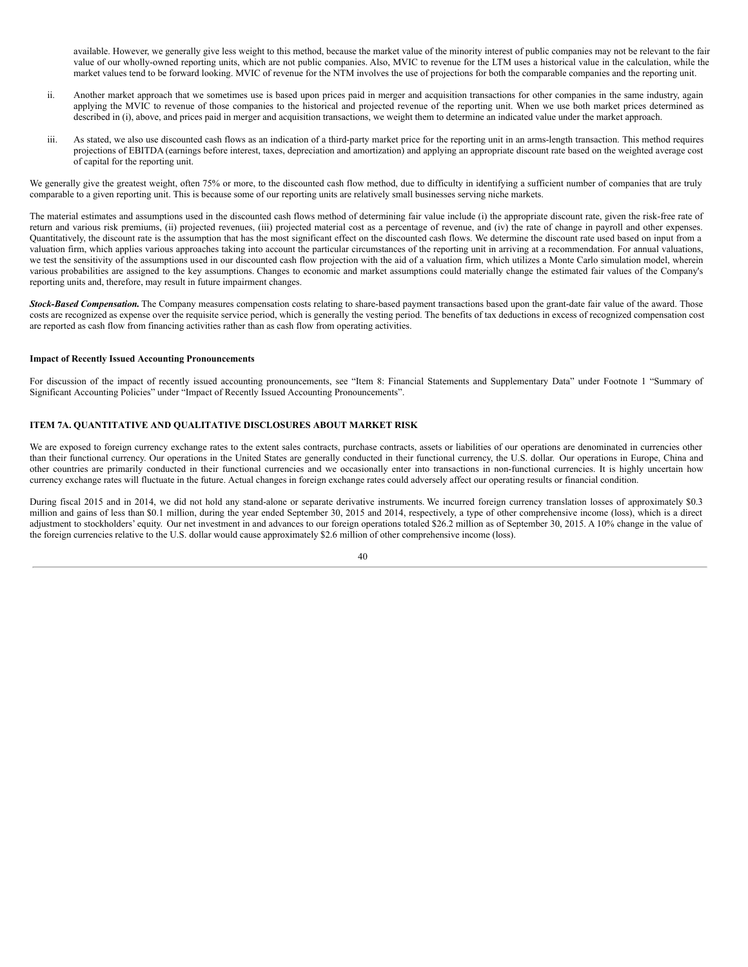available. However, we generally give less weight to this method, because the market value of the minority interest of public companies may not be relevant to the fair value of our wholly-owned reporting units, which are not public companies. Also, MVIC to revenue for the LTM uses a historical value in the calculation, while the market values tend to be forward looking. MVIC of revenue for the NTM involves the use of projections for both the comparable companies and the reporting unit.

- ii. Another market approach that we sometimes use is based upon prices paid in merger and acquisition transactions for other companies in the same industry, again applying the MVIC to revenue of those companies to the historical and projected revenue of the reporting unit. When we use both market prices determined as described in (i), above, and prices paid in merger and acquisition transactions, we weight them to determine an indicated value under the market approach.
- iii. As stated, we also use discounted cash flows as an indication of a third-party market price for the reporting unit in an arms-length transaction. This method requires projections of EBITDA (earnings before interest, taxes, depreciation and amortization) and applying an appropriate discount rate based on the weighted average cost of capital for the reporting unit.

We generally give the greatest weight, often 75% or more, to the discounted cash flow method, due to difficulty in identifying a sufficient number of companies that are truly comparable to a given reporting unit. This is because some of our reporting units are relatively small businesses serving niche markets.

The material estimates and assumptions used in the discounted cash flows method of determining fair value include (i) the appropriate discount rate, given the risk-free rate of return and various risk premiums, (ii) projected revenues, (iii) projected material cost as a percentage of revenue, and (iv) the rate of change in payroll and other expenses. Quantitatively, the discount rate is the assumption that has the most significant effect on the discounted cash flows. We determine the discount rate used based on input from a valuation firm, which applies various approaches taking into account the particular circumstances of the reporting unit in arriving at a recommendation. For annual valuations, we test the sensitivity of the assumptions used in our discounted cash flow projection with the aid of a valuation firm, which utilizes a Monte Carlo simulation model, wherein various probabilities are assigned to the key assumptions. Changes to economic and market assumptions could materially change the estimated fair values of the Company's reporting units and, therefore, may result in future impairment changes.

*Stock-Based Compensation.* The Company measures compensation costs relating to share-based payment transactions based upon the grant-date fair value of the award. Those costs are recognized as expense over the requisite service period, which is generally the vesting period. The benefits of tax deductions in excess of recognized compensation cost are reported as cash flow from financing activities rather than as cash flow from operating activities.

#### **Impact of Recently Issued Accounting Pronouncements**

For discussion of the impact of recently issued accounting pronouncements, see "Item 8: Financial Statements and Supplementary Data" under Footnote 1 "Summary of Significant Accounting Policies" under "Impact of Recently Issued Accounting Pronouncements".

### **ITEM 7A. QUANTITATIVE AND QUALITATIVE DISCLOSURES ABOUT MARKET RISK**

We are exposed to foreign currency exchange rates to the extent sales contracts, purchase contracts, assets or liabilities of our operations are denominated in currencies other than their functional currency. Our operations in the United States are generally conducted in their functional currency, the U.S. dollar. Our operations in Europe, China and other countries are primarily conducted in their functional currencies and we occasionally enter into transactions in non-functional currencies. It is highly uncertain how currency exchange rates will fluctuate in the future. Actual changes in foreign exchange rates could adversely affect our operating results or financial condition.

During fiscal 2015 and in 2014, we did not hold any stand-alone or separate derivative instruments. We incurred foreign currency translation losses of approximately \$0.3 million and gains of less than \$0.1 million, during the year ended September 30, 2015 and 2014, respectively, a type of other comprehensive income (loss), which is a direct adjustment to stockholders' equity. Our net investment in and advances to our foreign operations totaled \$26.2 million as of September 30, 2015. A 10% change in the value of the foreign currencies relative to the U.S. dollar would cause approximately \$2.6 million of other comprehensive income (loss).

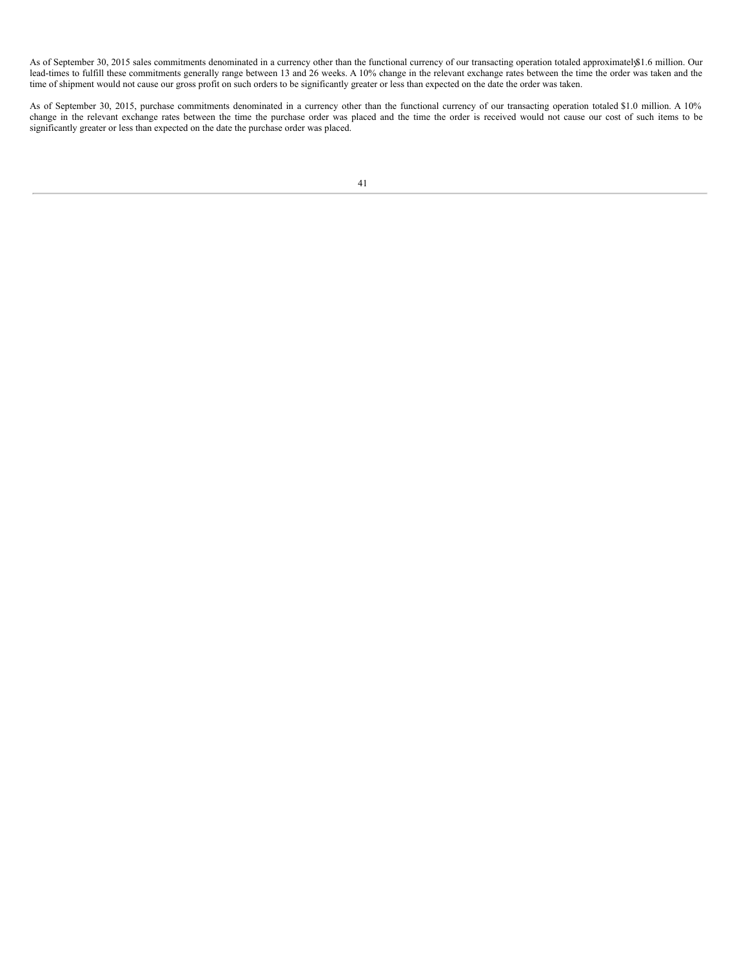As of September 30, 2015 sales commitments denominated in a currency other than the functional currency of our transacting operation totaled approximately\$1.6 million. Our lead-times to fulfill these commitments generally range between 13 and 26 weeks. A 10% change in the relevant exchange rates between the time the order was taken and the time of shipment would not cause our gross profit on such orders to be significantly greater or less than expected on the date the order was taken.

As of September 30, 2015, purchase commitments denominated in a currency other than the functional currency of our transacting operation totaled \$1.0 million. A 10% change in the relevant exchange rates between the time the purchase order was placed and the time the order is received would not cause our cost of such items to be significantly greater or less than expected on the date the purchase order was placed.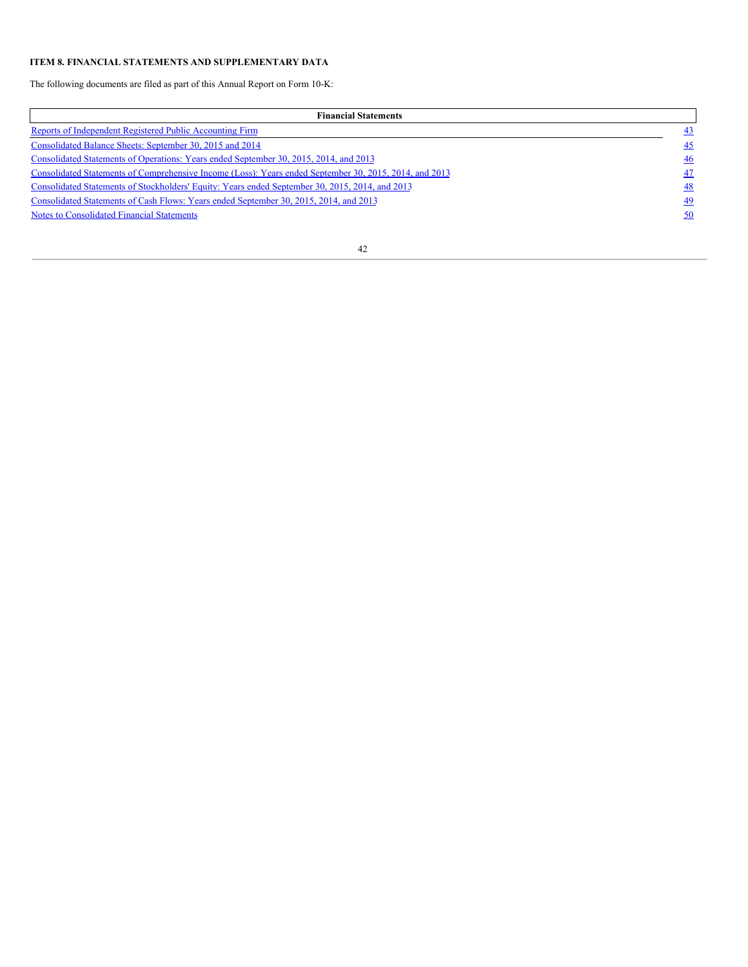# **ITEM 8. FINANCIAL STATEMENTS AND SUPPLEMENTARY DATA**

The following documents are filed as part of this Annual Report on Form 10-K:

| <b>Financial Statements</b>                                                                            |                 |  |  |  |
|--------------------------------------------------------------------------------------------------------|-----------------|--|--|--|
| Reports of Independent Registered Public Accounting Firm                                               | 43              |  |  |  |
| Consolidated Balance Sheets: September 30, 2015 and 2014                                               | $\overline{45}$ |  |  |  |
| Consolidated Statements of Operations: Years ended September 30, 2015, 2014, and 2013                  | $\overline{46}$ |  |  |  |
| Consolidated Statements of Comprehensive Income (Loss): Years ended September 30, 2015, 2014, and 2013 | 47              |  |  |  |
| Consolidated Statements of Stockholders' Equity: Years ended September 30, 2015, 2014, and 2013        | $\overline{48}$ |  |  |  |
| Consolidated Statements of Cash Flows: Years ended September 30, 2015, 2014, and 2013                  | 49              |  |  |  |
| <b>Notes to Consolidated Financial Statements</b>                                                      | <u>50</u>       |  |  |  |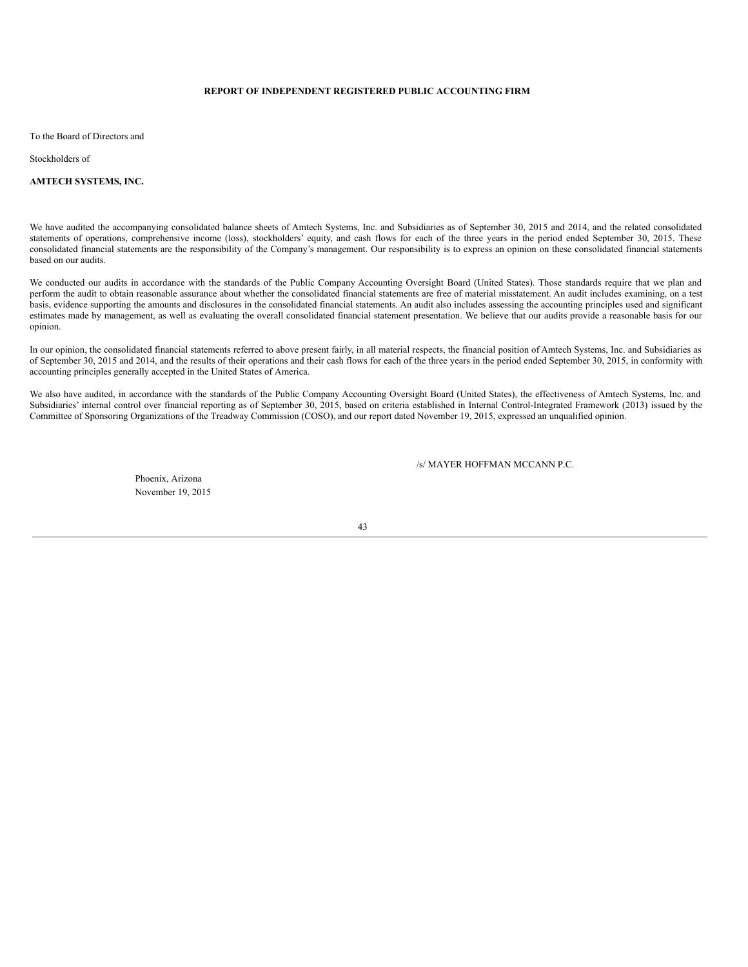## **REPORT OF INDEPENDENT REGISTERED PUBLIC ACCOUNTING FIRM**

<span id="page-43-0"></span>To the Board of Directors and

Stockholders of

# **AMTECH SYSTEMS, INC.**

We have audited the accompanying consolidated balance sheets of Amtech Systems, Inc. and Subsidiaries as of September 30, 2015 and 2014, and the related consolidated statements of operations, comprehensive income (loss), stockholders' equity, and cash flows for each of the three years in the period ended September 30, 2015. These consolidated financial statements are the responsibility of the Company's management. Our responsibility is to express an opinion on these consolidated financial statements based on our audits.

We conducted our audits in accordance with the standards of the Public Company Accounting Oversight Board (United States). Those standards require that we plan and perform the audit to obtain reasonable assurance about whether the consolidated financial statements are free of material misstatement. An audit includes examining, on a test basis, evidence supporting the amounts and disclosures in the consolidated financial statements. An audit also includes assessing the accounting principles used and significant estimates made by management, as well as evaluating the overall consolidated financial statement presentation. We believe that our audits provide a reasonable basis for our opinion.

In our opinion, the consolidated financial statements referred to above present fairly, in all material respects, the financial position of Amtech Systems, Inc. and Subsidiaries as of September 30, 2015 and 2014, and the results of their operations and their cash flows for each of the three years in the period ended September 30, 2015, in conformity with accounting principles generally accepted in the United States of America.

We also have audited, in accordance with the standards of the Public Company Accounting Oversight Board (United States), the effectiveness of Amtech Systems, Inc. and Subsidiaries' internal control over financial reporting as of September 30, 2015, based on criteria established in Internal Control-Integrated Framework (2013) issued by the Committee of Sponsoring Organizations of the Treadway Commission (COSO), and our report dated November 19, 2015, expressed an unqualified opinion.

/s/ MAYER HOFFMAN MCCANN P.C.

Phoenix, Arizona November 19, 2015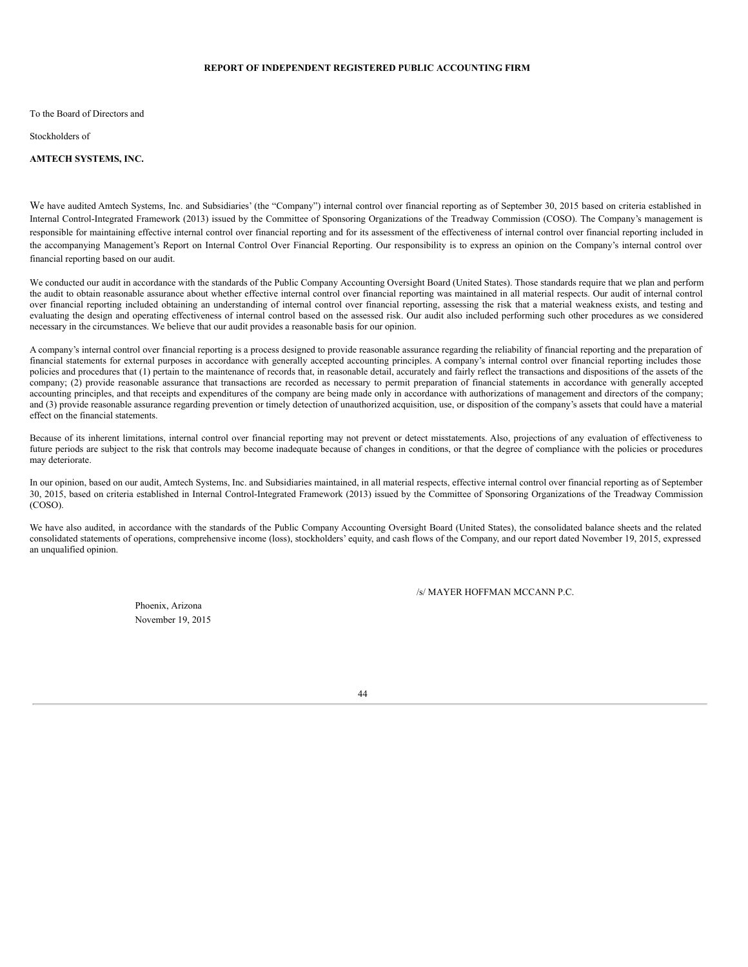# **REPORT OF INDEPENDENT REGISTERED PUBLIC ACCOUNTING FIRM**

To the Board of Directors and

Stockholders of

### **AMTECH SYSTEMS, INC.**

We have audited Amtech Systems, Inc. and Subsidiaries' (the "Company") internal control over financial reporting as of September 30, 2015 based on criteria established in Internal Control-Integrated Framework (2013) issued by the Committee of Sponsoring Organizations of the Treadway Commission (COSO). The Company's management is responsible for maintaining effective internal control over financial reporting and for its assessment of the effectiveness of internal control over financial reporting included in the accompanying Management's Report on Internal Control Over Financial Reporting. Our responsibility is to express an opinion on the Company's internal control over financial reporting based on our audit.

We conducted our audit in accordance with the standards of the Public Company Accounting Oversight Board (United States). Those standards require that we plan and perform the audit to obtain reasonable assurance about whether effective internal control over financial reporting was maintained in all material respects. Our audit of internal control over financial reporting included obtaining an understanding of internal control over financial reporting, assessing the risk that a material weakness exists, and testing and evaluating the design and operating effectiveness of internal control based on the assessed risk. Our audit also included performing such other procedures as we considered necessary in the circumstances. We believe that our audit provides a reasonable basis for our opinion.

A company's internal control over financial reporting is a process designed to provide reasonable assurance regarding the reliability of financial reporting and the preparation of financial statements for external purposes in accordance with generally accepted accounting principles. A company's internal control over financial reporting includes those policies and procedures that (1) pertain to the maintenance of records that, in reasonable detail, accurately and fairly reflect the transactions and dispositions of the assets of the company; (2) provide reasonable assurance that transactions are recorded as necessary to permit preparation of financial statements in accordance with generally accepted accounting principles, and that receipts and expenditures of the company are being made only in accordance with authorizations of management and directors of the company; and (3) provide reasonable assurance regarding prevention or timely detection of unauthorized acquisition, use, or disposition of the company's assets that could have a material effect on the financial statements.

Because of its inherent limitations, internal control over financial reporting may not prevent or detect misstatements. Also, projections of any evaluation of effectiveness to future periods are subject to the risk that controls may become inadequate because of changes in conditions, or that the degree of compliance with the policies or procedures may deteriorate.

In our opinion, based on our audit, Amtech Systems, Inc. and Subsidiaries maintained, in all material respects, effective internal control over financial reporting as of September 30, 2015, based on criteria established in Internal Control-Integrated Framework (2013) issued by the Committee of Sponsoring Organizations of the Treadway Commission (COSO).

We have also audited, in accordance with the standards of the Public Company Accounting Oversight Board (United States), the consolidated balance sheets and the related consolidated statements of operations, comprehensive income (loss), stockholders' equity, and cash flows of the Company, and our report dated November 19, 2015, expressed an unqualified opinion.

/s/ MAYER HOFFMAN MCCANN P.C.

Phoenix, Arizona November 19, 2015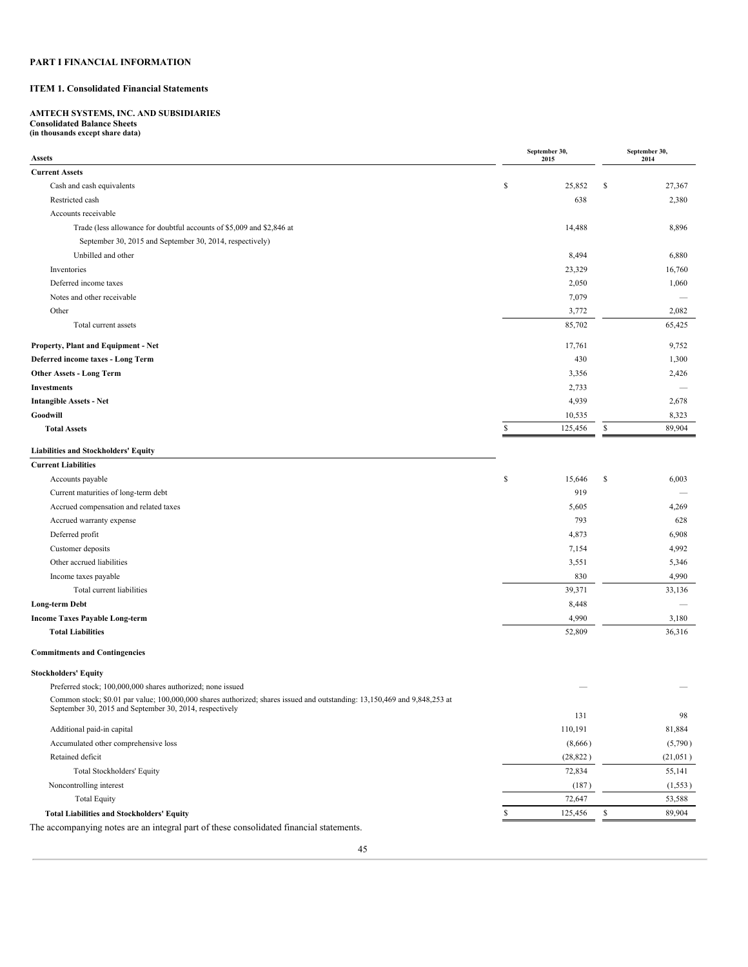# **PART I FINANCIAL INFORMATION**

# **ITEM 1. Consolidated Financial Statements**

### <span id="page-45-0"></span>**AMTECH SYSTEMS, INC. AND SUBSIDIARIES**

**Consolidated Balance Sheets (in thousands except share data)**

| <b>Assets</b>                                                                                                                                                                        | September 30,<br>2015 |           | September 30,<br>2014 |          |
|--------------------------------------------------------------------------------------------------------------------------------------------------------------------------------------|-----------------------|-----------|-----------------------|----------|
| <b>Current Assets</b>                                                                                                                                                                |                       |           |                       |          |
| Cash and cash equivalents                                                                                                                                                            | \$                    | 25,852    | \$                    | 27,367   |
| Restricted cash                                                                                                                                                                      |                       | 638       |                       | 2,380    |
| Accounts receivable                                                                                                                                                                  |                       |           |                       |          |
| Trade (less allowance for doubtful accounts of \$5,009 and \$2,846 at                                                                                                                |                       | 14,488    |                       | 8,896    |
| September 30, 2015 and September 30, 2014, respectively)                                                                                                                             |                       |           |                       |          |
| Unbilled and other                                                                                                                                                                   |                       | 8,494     |                       | 6,880    |
| Inventories                                                                                                                                                                          |                       | 23,329    |                       | 16,760   |
| Deferred income taxes                                                                                                                                                                |                       | 2,050     |                       | 1,060    |
| Notes and other receivable                                                                                                                                                           |                       | 7,079     |                       |          |
| Other                                                                                                                                                                                |                       | 3,772     |                       | 2,082    |
| Total current assets                                                                                                                                                                 |                       | 85,702    |                       | 65,425   |
| Property, Plant and Equipment - Net                                                                                                                                                  |                       | 17,761    |                       | 9,752    |
| Deferred income taxes - Long Term                                                                                                                                                    |                       | 430       |                       | 1,300    |
| <b>Other Assets - Long Term</b>                                                                                                                                                      |                       | 3,356     |                       | 2,426    |
| <b>Investments</b>                                                                                                                                                                   |                       | 2,733     |                       |          |
| <b>Intangible Assets - Net</b>                                                                                                                                                       |                       | 4,939     |                       | 2,678    |
| Goodwill                                                                                                                                                                             |                       | 10,535    |                       | 8,323    |
| <b>Total Assets</b>                                                                                                                                                                  | \$                    | 125,456   | \$                    | 89,904   |
| <b>Liabilities and Stockholders' Equity</b>                                                                                                                                          |                       |           |                       |          |
| <b>Current Liabilities</b>                                                                                                                                                           |                       |           |                       |          |
| Accounts payable                                                                                                                                                                     | \$                    | 15,646    | \$                    | 6,003    |
| Current maturities of long-term debt                                                                                                                                                 |                       | 919       |                       |          |
| Accrued compensation and related taxes                                                                                                                                               |                       | 5,605     |                       | 4,269    |
| Accrued warranty expense                                                                                                                                                             |                       | 793       |                       | 628      |
| Deferred profit                                                                                                                                                                      |                       | 4,873     |                       | 6,908    |
| Customer deposits                                                                                                                                                                    |                       | 7,154     |                       | 4,992    |
| Other accrued liabilities                                                                                                                                                            |                       | 3,551     |                       | 5,346    |
| Income taxes payable                                                                                                                                                                 |                       | 830       |                       | 4,990    |
| Total current liabilities                                                                                                                                                            |                       | 39,371    |                       | 33,136   |
| <b>Long-term Debt</b>                                                                                                                                                                |                       | 8,448     |                       |          |
| <b>Income Taxes Payable Long-term</b>                                                                                                                                                |                       | 4,990     |                       | 3,180    |
| <b>Total Liabilities</b>                                                                                                                                                             |                       | 52,809    |                       | 36,316   |
| <b>Commitments and Contingencies</b>                                                                                                                                                 |                       |           |                       |          |
| <b>Stockholders' Equity</b>                                                                                                                                                          |                       |           |                       |          |
| Preferred stock; 100,000,000 shares authorized; none issued                                                                                                                          |                       |           |                       |          |
| Common stock; \$0.01 par value; 100,000,000 shares authorized; shares issued and outstanding: 13,150,469 and 9,848,253 at<br>September 30, 2015 and September 30, 2014, respectively |                       |           |                       |          |
|                                                                                                                                                                                      |                       | 131       |                       | 98       |
| Additional paid-in capital                                                                                                                                                           |                       | 110,191   |                       | 81,884   |
| Accumulated other comprehensive loss                                                                                                                                                 |                       | (8,666)   |                       | (5,790)  |
| Retained deficit                                                                                                                                                                     |                       | (28, 822) |                       | (21,051) |
| Total Stockholders' Equity                                                                                                                                                           |                       | 72,834    |                       | 55,141   |
| Noncontrolling interest                                                                                                                                                              |                       | (187)     |                       | (1, 553) |
| <b>Total Equity</b>                                                                                                                                                                  |                       | 72,647    |                       | 53,588   |
| <b>Total Liabilities and Stockholders' Equity</b><br>The accompanying notes are an integral part of these consolidated financial statements                                          | \$                    | 125,456   | \$                    | 89,904   |
|                                                                                                                                                                                      |                       |           |                       |          |

The accompanying notes are an integral part of these consolidated financial statements.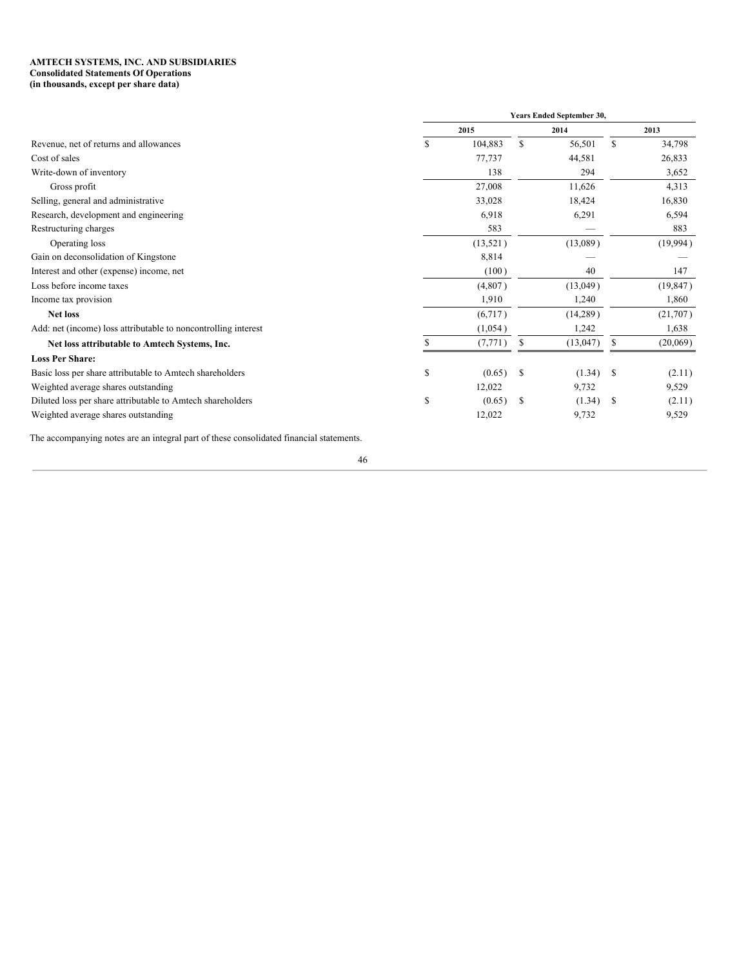#### <span id="page-46-0"></span>**AMTECH SYSTEMS, INC. AND SUBSIDIARIES Consolidated Statements Of Operations (in thousands, except per share data)**

|                                                                                         | Years Ended September 30, |           |               |           |    |           |  |  |
|-----------------------------------------------------------------------------------------|---------------------------|-----------|---------------|-----------|----|-----------|--|--|
|                                                                                         |                           | 2015      |               | 2014      |    | 2013      |  |  |
| Revenue, net of returns and allowances                                                  | S                         | 104,883   | \$            | 56,501    | S  | 34,798    |  |  |
| Cost of sales                                                                           |                           | 77,737    |               | 44,581    |    | 26,833    |  |  |
| Write-down of inventory                                                                 |                           | 138       |               | 294       |    | 3,652     |  |  |
| Gross profit                                                                            |                           | 27,008    |               | 11,626    |    | 4,313     |  |  |
| Selling, general and administrative                                                     |                           | 33,028    |               | 18,424    |    | 16,830    |  |  |
| Research, development and engineering                                                   |                           | 6,918     |               | 6,291     |    | 6,594     |  |  |
| Restructuring charges                                                                   |                           | 583       |               |           |    | 883       |  |  |
| Operating loss                                                                          |                           | (13, 521) |               | (13,089)  |    | (19,994)  |  |  |
| Gain on deconsolidation of Kingstone                                                    |                           | 8,814     |               |           |    |           |  |  |
| Interest and other (expense) income, net                                                |                           | (100)     |               | 40        |    | 147       |  |  |
| Loss before income taxes                                                                |                           | (4,807)   |               | (13,049)  |    | (19, 847) |  |  |
| Income tax provision                                                                    |                           | 1,910     |               | 1.240     |    | 1,860     |  |  |
| <b>Net loss</b>                                                                         |                           | (6,717)   |               | (14, 289) |    | (21,707)  |  |  |
| Add: net (income) loss attributable to noncontrolling interest                          |                           | (1,054)   |               | 1,242     |    | 1,638     |  |  |
| Net loss attributable to Amtech Systems, Inc.                                           | S                         | (7, 771)  | \$            | (13,047)  | S  | (20,069)  |  |  |
| <b>Loss Per Share:</b>                                                                  |                           |           |               |           |    |           |  |  |
| Basic loss per share attributable to Amtech shareholders                                | $\mathbb{S}$              | (0.65)    | \$            | (1.34)    | S. | (2.11)    |  |  |
| Weighted average shares outstanding                                                     |                           | 12,022    |               | 9,732     |    | 9,529     |  |  |
| Diluted loss per share attributable to Amtech shareholders                              | \$                        | (0.65)    | <sup>\$</sup> | (1.34)    | S  | (2.11)    |  |  |
| Weighted average shares outstanding                                                     |                           | 12,022    |               | 9,732     |    | 9,529     |  |  |
| The accompanying notes are an integral part of these consolidated financial statements. |                           |           |               |           |    |           |  |  |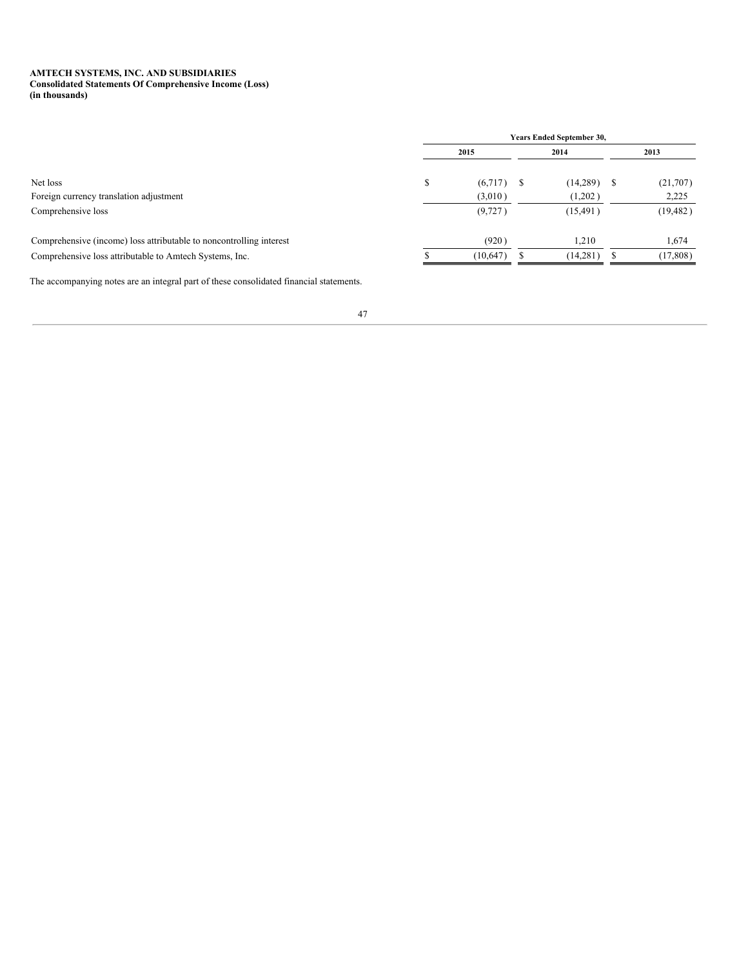### <span id="page-47-0"></span>**AMTECH SYSTEMS, INC. AND SUBSIDIARIES Consolidated Statements Of Comprehensive Income (Loss) (in thousands)**

|                                                                     |      | Years Ended September 30, |   |           |      |           |  |  |  |  |
|---------------------------------------------------------------------|------|---------------------------|---|-----------|------|-----------|--|--|--|--|
|                                                                     | 2015 |                           |   | 2014      | 2013 |           |  |  |  |  |
| Net loss                                                            | \$   | (6,717)                   | Ъ | (14, 289) | S    | (21,707)  |  |  |  |  |
| Foreign currency translation adjustment                             |      | (3,010)                   |   | (1,202)   |      | 2,225     |  |  |  |  |
| Comprehensive loss                                                  |      | (9, 727)                  |   | (15, 491) |      | (19, 482) |  |  |  |  |
| Comprehensive (income) loss attributable to noncontrolling interest |      | (920)                     |   | 1,210     |      | 1,674     |  |  |  |  |
| Comprehensive loss attributable to Amtech Systems, Inc.             |      | (10,647)                  |   | (14, 281) |      | (17, 808) |  |  |  |  |
|                                                                     |      |                           |   |           |      |           |  |  |  |  |

The accompanying notes are an integral part of these consolidated financial statements.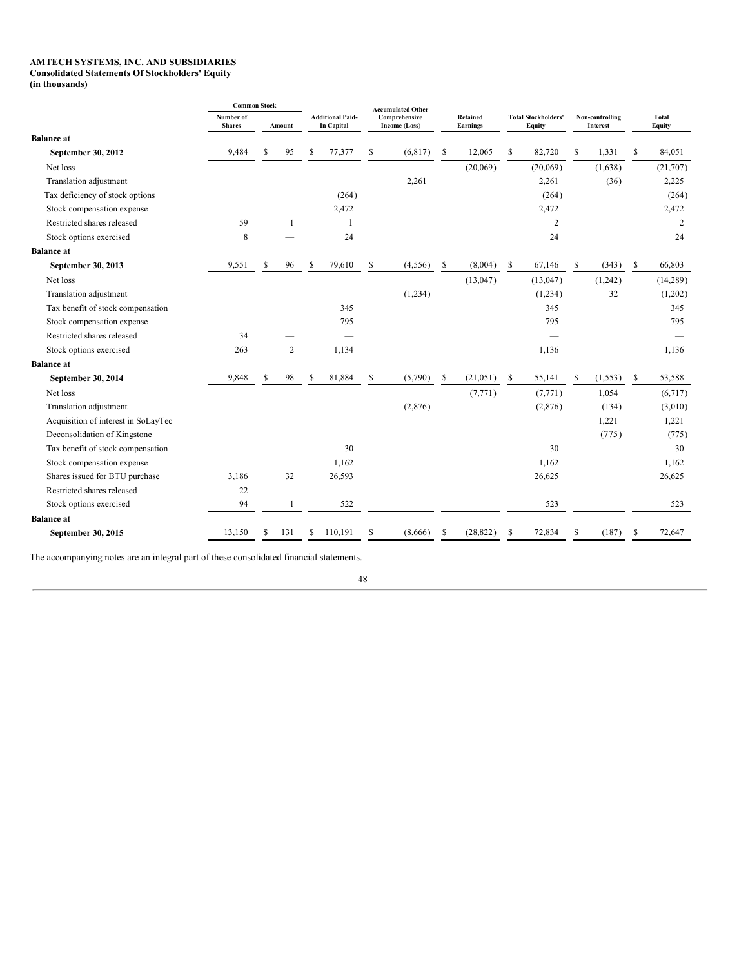### <span id="page-48-0"></span>**AMTECH SYSTEMS, INC. AND SUBSIDIARIES Consolidated Statements Of Stockholders' Equity (in thousands)**

|                                     | <b>Common Stock</b>        |     |              |    |                                       | <b>Accumulated Other</b>       |   |                                    |   |                                      |          |                                    |    |                        |
|-------------------------------------|----------------------------|-----|--------------|----|---------------------------------------|--------------------------------|---|------------------------------------|---|--------------------------------------|----------|------------------------------------|----|------------------------|
|                                     | Number of<br><b>Shares</b> |     | Amount       |    | <b>Additional Paid-</b><br>In Capital | Comprehensive<br>Income (Loss) |   | <b>Retained</b><br><b>Earnings</b> |   | <b>Total Stockholders'</b><br>Equity |          | Non-controlling<br><b>Interest</b> |    | Total<br><b>Equity</b> |
| <b>Balance</b> at                   |                            |     |              |    |                                       |                                |   |                                    |   |                                      |          |                                    |    |                        |
| September 30, 2012                  | 9,484                      | \$. | 95           | S  | 77,377                                | \$<br>(6, 817)                 | S | 12,065                             | S | 82,720                               | S        | 1,331                              | \$ | 84,051                 |
| Net loss                            |                            |     |              |    |                                       |                                |   | (20,069)                           |   | (20,069)                             |          | (1,638)                            |    | (21,707)               |
| Translation adjustment              |                            |     |              |    |                                       | 2,261                          |   |                                    |   | 2,261                                |          | (36)                               |    | 2,225                  |
| Tax deficiency of stock options     |                            |     |              |    | (264)                                 |                                |   |                                    |   | (264)                                |          |                                    |    | (264)                  |
| Stock compensation expense          |                            |     |              |    | 2,472                                 |                                |   |                                    |   | 2,472                                |          |                                    |    | 2,472                  |
| Restricted shares released          | 59                         |     | $\mathbf{1}$ |    | $\mathbf{1}$                          |                                |   |                                    |   | $\overline{c}$                       |          |                                    |    | $\overline{2}$         |
| Stock options exercised             | 8                          |     |              |    | 24                                    |                                |   |                                    |   | 24                                   |          |                                    |    | 24                     |
| <b>Balance</b> at                   |                            |     |              |    |                                       |                                |   |                                    |   |                                      |          |                                    |    |                        |
| September 30, 2013                  | 9,551                      | S   | 96           | \$ | 79,610                                | \$<br>(4, 556)                 | S | (8.004)                            | S | 67.146                               | s        | (343)                              | \$ | 66,803                 |
| Net loss                            |                            |     |              |    |                                       |                                |   | (13,047)                           |   | (13,047)                             |          | (1,242)                            |    | (14, 289)              |
| Translation adjustment              |                            |     |              |    |                                       | (1,234)                        |   |                                    |   | (1,234)                              |          | 32                                 |    | (1,202)                |
| Tax benefit of stock compensation   |                            |     |              |    | 345                                   |                                |   |                                    |   | 345                                  |          |                                    |    | 345                    |
| Stock compensation expense          |                            |     |              |    | 795                                   |                                |   |                                    |   | 795                                  |          |                                    |    | 795                    |
| Restricted shares released          | 34                         |     |              |    |                                       |                                |   |                                    |   |                                      |          |                                    |    |                        |
| Stock options exercised             | 263                        |     | 2            |    | 1,134                                 |                                |   |                                    |   | 1,136                                |          |                                    |    | 1,136                  |
| <b>Balance</b> at                   |                            |     |              |    |                                       |                                |   |                                    |   |                                      |          |                                    |    |                        |
| September 30, 2014                  | 9,848                      | \$. | 98           | S  | 81,884                                | \$<br>(5,790)                  | S | (21, 051)                          | S | 55,141                               | <b>S</b> | (1, 553)                           | \$ | 53,588                 |
| Net loss                            |                            |     |              |    |                                       |                                |   | (7, 771)                           |   | (7, 771)                             |          | 1,054                              |    | (6,717)                |
| Translation adjustment              |                            |     |              |    |                                       | (2,876)                        |   |                                    |   | (2,876)                              |          | (134)                              |    | (3,010)                |
| Acquisition of interest in SoLayTec |                            |     |              |    |                                       |                                |   |                                    |   |                                      |          | 1,221                              |    | 1,221                  |
| Deconsolidation of Kingstone        |                            |     |              |    |                                       |                                |   |                                    |   |                                      |          | (775)                              |    | (775)                  |
| Tax benefit of stock compensation   |                            |     |              |    | 30                                    |                                |   |                                    |   | 30                                   |          |                                    |    | 30                     |
| Stock compensation expense          |                            |     |              |    | 1,162                                 |                                |   |                                    |   | 1,162                                |          |                                    |    | 1,162                  |
| Shares issued for BTU purchase      | 3,186                      |     | 32           |    | 26,593                                |                                |   |                                    |   | 26,625                               |          |                                    |    | 26,625                 |
| Restricted shares released          | 22                         |     |              |    | $\overline{\phantom{0}}$              |                                |   |                                    |   |                                      |          |                                    |    |                        |
| Stock options exercised             | 94                         |     | 1            |    | 522                                   |                                |   |                                    |   | 523                                  |          |                                    |    | 523                    |
| <b>Balance</b> at                   |                            |     |              |    |                                       |                                |   |                                    |   |                                      |          |                                    |    |                        |
| September 30, 2015                  | 13,150                     | \$. | 131          | S  | 110,191                               | \$<br>(8,666)                  |   | (28, 822)                          | S | 72,834                               | S        | (187)                              | S  | 72,647                 |
|                                     |                            |     |              |    |                                       |                                |   |                                    |   |                                      |          |                                    |    |                        |

The accompanying notes are an integral part of these consolidated financial statements.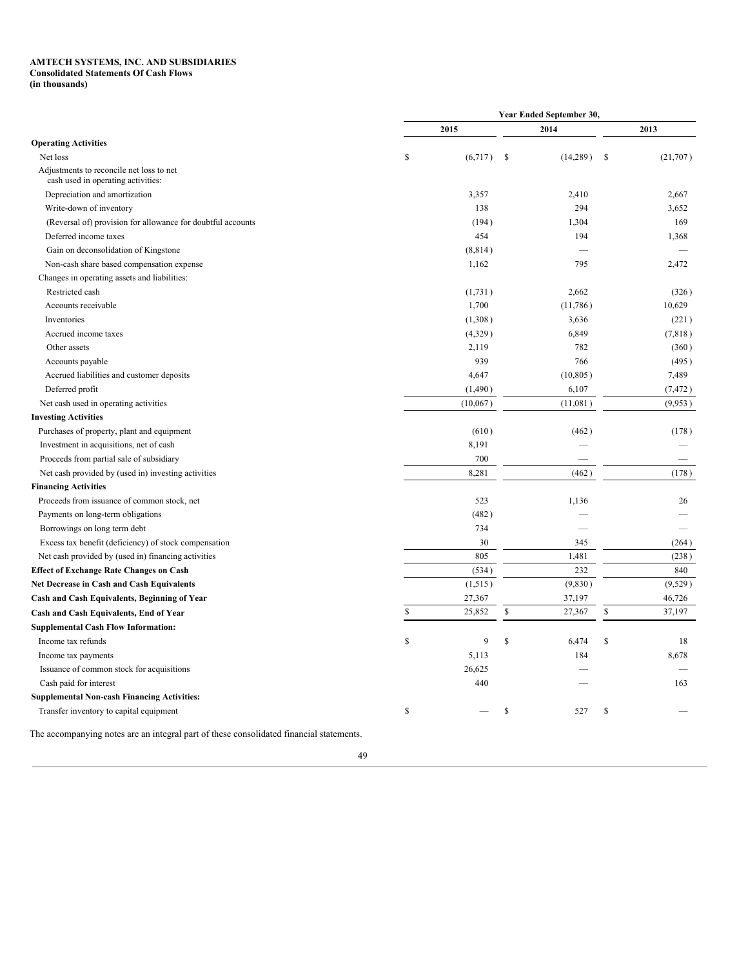## <span id="page-49-0"></span>**AMTECH SYSTEMS, INC. AND SUBSIDIARIES Consolidated Statements Of Cash Flows (in thousands)**

|                                                                                         |    |          |              | Year Ended September 30, |              |          |  |  |
|-----------------------------------------------------------------------------------------|----|----------|--------------|--------------------------|--------------|----------|--|--|
|                                                                                         |    | 2015     |              | 2014                     |              | 2013     |  |  |
| <b>Operating Activities</b>                                                             |    |          |              |                          |              |          |  |  |
| Net loss                                                                                | \$ | (6,717)  | -S           | (14,289)                 | -S           | (21,707) |  |  |
| Adjustments to reconcile net loss to net<br>cash used in operating activities:          |    |          |              |                          |              |          |  |  |
| Depreciation and amortization                                                           |    | 3,357    |              | 2,410                    |              | 2,667    |  |  |
| Write-down of inventory                                                                 |    | 138      |              | 294                      |              | 3,652    |  |  |
| (Reversal of) provision for allowance for doubtful accounts                             |    | (194)    |              | 1,304                    |              | 169      |  |  |
| Deferred income taxes                                                                   |    | 454      |              | 194                      |              | 1,368    |  |  |
| Gain on deconsolidation of Kingstone                                                    |    | (8, 814) |              |                          |              |          |  |  |
| Non-cash share based compensation expense                                               |    | 1,162    |              | 795                      |              | 2,472    |  |  |
| Changes in operating assets and liabilities:                                            |    |          |              |                          |              |          |  |  |
| Restricted cash                                                                         |    | (1,731)  |              | 2,662                    |              | (326)    |  |  |
| Accounts receivable                                                                     |    | 1,700    |              | (11,786)                 |              | 10,629   |  |  |
| Inventories                                                                             |    | (1,308)  |              | 3,636                    |              | (221)    |  |  |
| Accrued income taxes                                                                    |    | (4,329)  |              | 6,849                    |              | (7, 818) |  |  |
| Other assets                                                                            |    | 2,119    |              | 782                      |              | (360)    |  |  |
| Accounts payable                                                                        |    | 939      |              | 766                      |              | (495)    |  |  |
| Accrued liabilities and customer deposits                                               |    | 4,647    |              | (10, 805)                |              | 7,489    |  |  |
| Deferred profit                                                                         |    | (1,490)  |              | 6,107                    |              | (7, 472) |  |  |
| Net cash used in operating activities                                                   |    | (10,067) |              | (11,081)                 |              | (9,953)  |  |  |
| <b>Investing Activities</b>                                                             |    |          |              |                          |              |          |  |  |
| Purchases of property, plant and equipment                                              |    | (610)    |              | (462)                    |              | (178)    |  |  |
| Investment in acquisitions, net of cash                                                 |    | 8,191    |              |                          |              |          |  |  |
| Proceeds from partial sale of subsidiary                                                |    | 700      |              |                          |              |          |  |  |
| Net cash provided by (used in) investing activities                                     |    | 8,281    |              | (462)                    |              | (178)    |  |  |
| <b>Financing Activities</b>                                                             |    |          |              |                          |              |          |  |  |
| Proceeds from issuance of common stock, net                                             |    | 523      |              | 1,136                    |              | 26       |  |  |
| Payments on long-term obligations                                                       |    | (482)    |              |                          |              |          |  |  |
| Borrowings on long term debt                                                            |    | 734      |              |                          |              |          |  |  |
| Excess tax benefit (deficiency) of stock compensation                                   |    | 30       |              | 345                      |              | (264)    |  |  |
| Net cash provided by (used in) financing activities                                     |    | 805      |              | 1,481                    |              | (238)    |  |  |
| <b>Effect of Exchange Rate Changes on Cash</b>                                          |    | (534)    |              | 232                      |              | 840      |  |  |
| Net Decrease in Cash and Cash Equivalents                                               |    | (1,515)  |              | (9,830)                  |              | (9,529)  |  |  |
| Cash and Cash Equivalents, Beginning of Year                                            |    | 27,367   |              | 37,197                   |              | 46,726   |  |  |
| Cash and Cash Equivalents, End of Year                                                  | S  | 25,852   | $\mathbb S$  | 27,367                   | $\mathbb{S}$ | 37,197   |  |  |
| <b>Supplemental Cash Flow Information:</b>                                              |    |          |              |                          |              |          |  |  |
| Income tax refunds                                                                      | \$ | 9        | $\mathbb{S}$ | 6,474                    | \$           | 18       |  |  |
| Income tax payments                                                                     |    | 5,113    |              | 184                      |              | 8,678    |  |  |
| Issuance of common stock for acquisitions                                               |    | 26,625   |              |                          |              |          |  |  |
| Cash paid for interest                                                                  |    | 440      |              |                          |              | 163      |  |  |
| <b>Supplemental Non-cash Financing Activities:</b>                                      |    |          |              |                          |              |          |  |  |
| Transfer inventory to capital equipment                                                 | \$ |          | \$           | 527                      | \$           |          |  |  |
| The accompanying notes are an integral part of these consolidated financial statements. |    |          |              |                          |              |          |  |  |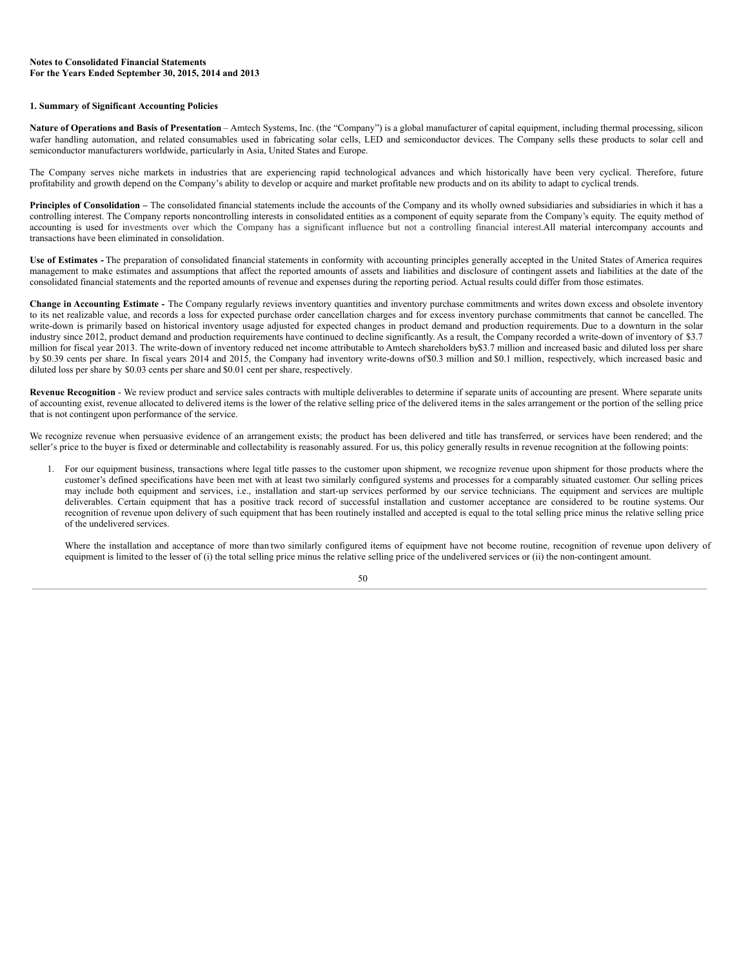### <span id="page-50-0"></span>**Notes to Consolidated Financial Statements For the Years Ended September 30, 2015, 2014 and 2013**

### **1. Summary of Significant Accounting Policies**

**Nature of Operations and Basis of Presentation** – Amtech Systems, Inc. (the "Company") is a global manufacturer of capital equipment, including thermal processing, silicon wafer handling automation, and related consumables used in fabricating solar cells, LED and semiconductor devices. The Company sells these products to solar cell and semiconductor manufacturers worldwide, particularly in Asia, United States and Europe.

The Company serves niche markets in industries that are experiencing rapid technological advances and which historically have been very cyclical. Therefore, future profitability and growth depend on the Company's ability to develop or acquire and market profitable new products and on its ability to adapt to cyclical trends.

**Principles of Consolidation –** The consolidated financial statements include the accounts of the Company and its wholly owned subsidiaries and subsidiaries in which it has a controlling interest. The Company reports noncontrolling interests in consolidated entities as a component of equity separate from the Company's equity. The equity method of accounting is used for investments over which the Company has a significant influence but not a controlling financial interest.All material intercompany accounts and transactions have been eliminated in consolidation.

**Use of Estimates -** The preparation of consolidated financial statements in conformity with accounting principles generally accepted in the United States of America requires management to make estimates and assumptions that affect the reported amounts of assets and liabilities and disclosure of contingent assets and liabilities at the date of the consolidated financial statements and the reported amounts of revenue and expenses during the reporting period. Actual results could differ from those estimates.

**Change in Accounting Estimate -** The Company regularly reviews inventory quantities and inventory purchase commitments and writes down excess and obsolete inventory to its net realizable value, and records a loss for expected purchase order cancellation charges and for excess inventory purchase commitments that cannot be cancelled. The write-down is primarily based on historical inventory usage adjusted for expected changes in product demand and production requirements. Due to a downturn in the solar industry since 2012, product demand and production requirements have continued to decline significantly. As a result, the Company recorded a write-down of inventory of \$3.7 million for fiscal year 2013. The write-down of inventory reduced net income attributable to Amtech shareholders by\$3.7 million and increased basic and diluted loss per share by \$0.39 cents per share. In fiscal years 2014 and 2015, the Company had inventory write-downs of\$0.3 million and \$0.1 million, respectively, which increased basic and diluted loss per share by \$0.03 cents per share and \$0.01 cent per share, respectively.

Revenue Recognition - We review product and service sales contracts with multiple deliverables to determine if separate units of accounting are present. Where separate units of accounting exist, revenue allocated to delivered items is the lower of the relative selling price of the delivered items in the sales arrangement or the portion of the selling price that is not contingent upon performance of the service.

We recognize revenue when persuasive evidence of an arrangement exists; the product has been delivered and title has transferred, or services have been rendered; and the seller's price to the buyer is fixed or determinable and collectability is reasonably assured. For us, this policy generally results in revenue recognition at the following points:

1. For our equipment business, transactions where legal title passes to the customer upon shipment, we recognize revenue upon shipment for those products where the customer's defined specifications have been met with at least two similarly configured systems and processes for a comparably situated customer. Our selling prices may include both equipment and services, i.e., installation and start-up services performed by our service technicians. The equipment and services are multiple deliverables. Certain equipment that has a positive track record of successful installation and customer acceptance are considered to be routine systems. Our recognition of revenue upon delivery of such equipment that has been routinely installed and accepted is equal to the total selling price minus the relative selling price of the undelivered services.

Where the installation and acceptance of more than two similarly configured items of equipment have not become routine, recognition of revenue upon delivery of equipment is limited to the lesser of (i) the total selling price minus the relative selling price of the undelivered services or (ii) the non-contingent amount.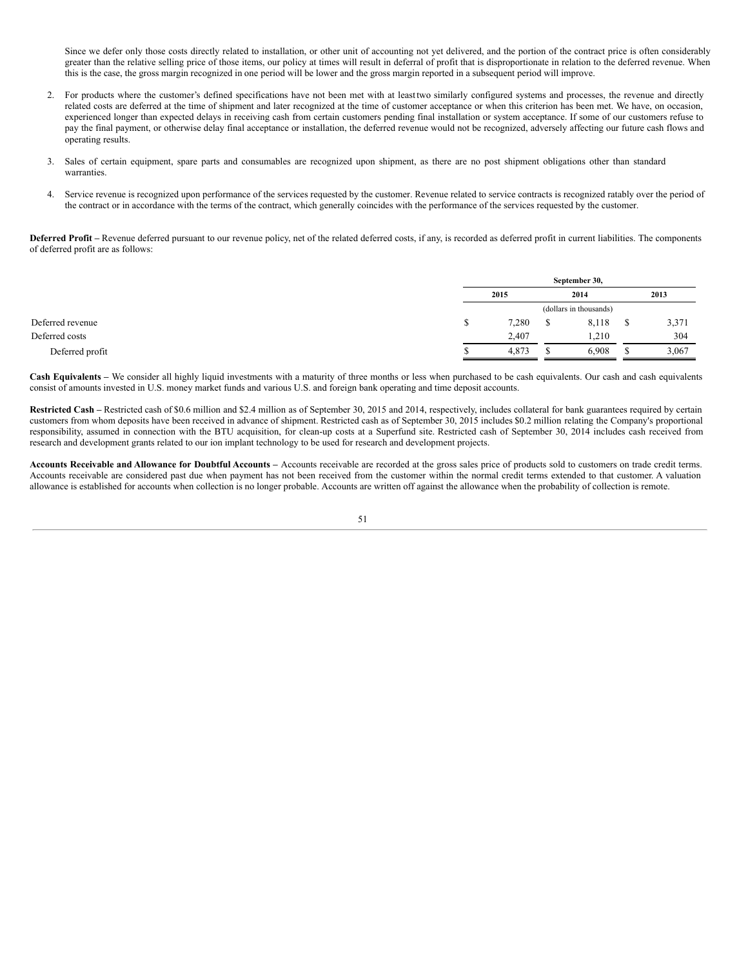Since we defer only those costs directly related to installation, or other unit of accounting not yet delivered, and the portion of the contract price is often considerably greater than the relative selling price of those items, our policy at times will result in deferral of profit that is disproportionate in relation to the deferred revenue. When this is the case, the gross margin recognized in one period will be lower and the gross margin reported in a subsequent period will improve.

- 2. For products where the customer's defined specifications have not been met with at leasttwo similarly configured systems and processes, the revenue and directly related costs are deferred at the time of shipment and later recognized at the time of customer acceptance or when this criterion has been met. We have, on occasion, experienced longer than expected delays in receiving cash from certain customers pending final installation or system acceptance. If some of our customers refuse to pay the final payment, or otherwise delay final acceptance or installation, the deferred revenue would not be recognized, adversely affecting our future cash flows and operating results.
- 3. Sales of certain equipment, spare parts and consumables are recognized upon shipment, as there are no post shipment obligations other than standard warranties.
- 4. Service revenue is recognized upon performance of the services requested by the customer. Revenue related to service contracts is recognized ratably over the period of the contract or in accordance with the terms of the contract, which generally coincides with the performance of the services requested by the customer.

**Deferred Profit** – Revenue deferred pursuant to our revenue policy, net of the related deferred costs, if any, is recorded as deferred profit in current liabilities. The components of deferred profit are as follows:

|   |       |    | September 30,          |    |       |
|---|-------|----|------------------------|----|-------|
|   | 2015  |    | 2014                   |    | 2013  |
|   |       |    | (dollars in thousands) |    |       |
| ъ | 7,280 | -S | 8,118                  | -S | 3,371 |
|   | 2,407 |    | 1,210                  |    | 304   |
|   | 4,873 |    | 6,908                  |    | 3,067 |

**Cash Equivalents –** We consider all highly liquid investments with a maturity of three months or less when purchased to be cash equivalents. Our cash and cash equivalents consist of amounts invested in U.S. money market funds and various U.S. and foreign bank operating and time deposit accounts.

**Restricted Cash –** Restricted cash of \$0.6 million and \$2.4 million as of September 30, 2015 and 2014, respectively, includes collateral for bank guarantees required by certain customers from whom deposits have been received in advance of shipment. Restricted cash as of September 30, 2015 includes \$0.2 million relating the Company's proportional responsibility, assumed in connection with the BTU acquisition, for clean-up costs at a Superfund site. Restricted cash of September 30, 2014 includes cash received from research and development grants related to our ion implant technology to be used for research and development projects.

**Accounts Receivable and Allowance for Doubtful Accounts –** Accounts receivable are recorded at the gross sales price of products sold to customers on trade credit terms. Accounts receivable are considered past due when payment has not been received from the customer within the normal credit terms extended to that customer. A valuation allowance is established for accounts when collection is no longer probable. Accounts are written off against the allowance when the probability of collection is remote.

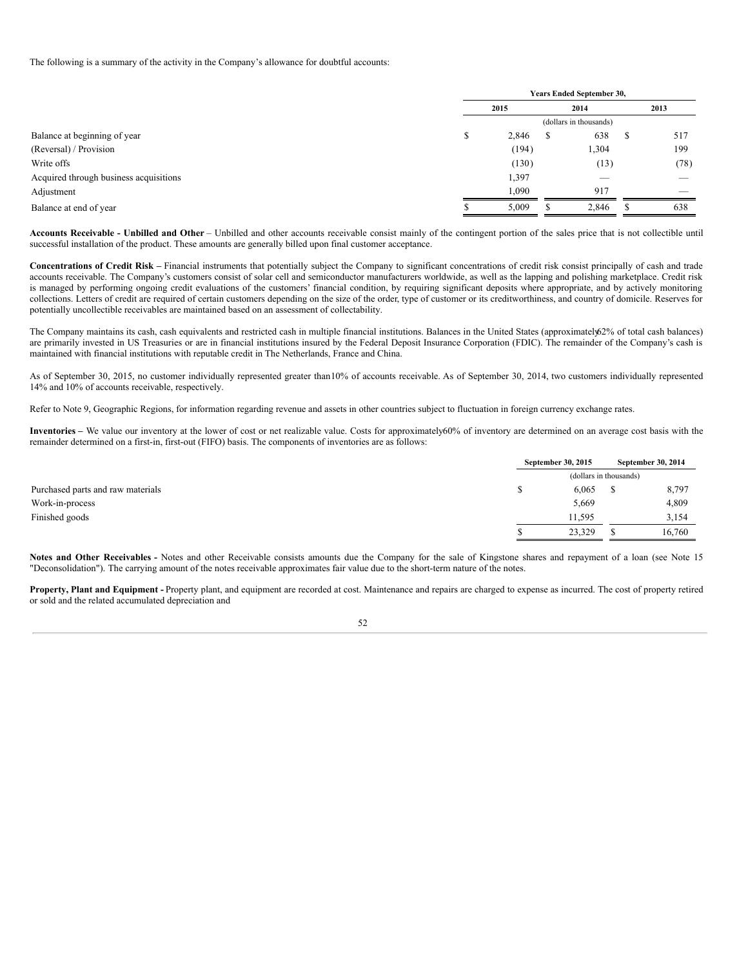The following is a summary of the activity in the Company's allowance for doubtful accounts:

|                                        |       |   | Years Ended September 30, |      |
|----------------------------------------|-------|---|---------------------------|------|
|                                        | 2015  |   | 2014                      | 2013 |
|                                        |       |   |                           |      |
| Balance at beginning of year           | 2,846 | S | 638                       | 517  |
| (Reversal) / Provision                 | (194) |   | 1,304                     | 199  |
| Write offs                             | (130) |   | (13)                      | (78) |
| Acquired through business acquisitions | 1,397 |   |                           |      |
| Adjustment                             | 1,090 |   | 917                       |      |
| Balance at end of year                 | 5,009 |   | 2,846                     | 638  |

**Accounts Receivable - Unbilled and Other** – Unbilled and other accounts receivable consist mainly of the contingent portion of the sales price that is not collectible until successful installation of the product. These amounts are generally billed upon final customer acceptance.

**Concentrations of Credit Risk –** Financial instruments that potentially subject the Company to significant concentrations of credit risk consist principally of cash and trade accounts receivable. The Company's customers consist of solar cell and semiconductor manufacturers worldwide, as well as the lapping and polishing marketplace. Credit risk is managed by performing ongoing credit evaluations of the customers' financial condition, by requiring significant deposits where appropriate, and by actively monitoring collections. Letters of credit are required of certain customers depending on the size of the order, type of customer or its creditworthiness, and country of domicile. Reserves for potentially uncollectible receivables are maintained based on an assessment of collectability.

The Company maintains its cash, cash equivalents and restricted cash in multiple financial institutions. Balances in the United States (approximately62% of total cash balances) are primarily invested in US Treasuries or are in financial institutions insured by the Federal Deposit Insurance Corporation (FDIC). The remainder of the Company's cash is maintained with financial institutions with reputable credit in The Netherlands, France and China.

As of September 30, 2015, no customer individually represented greater than10% of accounts receivable. As of September 30, 2014, two customers individually represented 14% and 10% of accounts receivable, respectively.

Refer to Note 9, Geographic Regions, for information regarding revenue and assets in other countries subject to fluctuation in foreign currency exchange rates.

**Inventories –** We value our inventory at the lower of cost or net realizable value. Costs for approximately60% of inventory are determined on an average cost basis with the remainder determined on a first-in, first-out (FIFO) basis. The components of inventories are as follows:

|                                   | September 30, 2015 |                        | September 30, 2014 |
|-----------------------------------|--------------------|------------------------|--------------------|
|                                   |                    | (dollars in thousands) |                    |
| Purchased parts and raw materials |                    | 6.065                  | 8,797              |
| Work-in-process                   |                    | 5,669                  | 4,809              |
| Finished goods                    |                    | 11.595                 | 3,154              |
|                                   |                    | 23,329                 | 16,760             |

**Notes and Other Receivables -** Notes and other Receivable consists amounts due the Company for the sale of Kingstone shares and repayment of a loan (see Note 15 "Deconsolidation"). The carrying amount of the notes receivable approximates fair value due to the short-term nature of the notes.

**Property, Plant and Equipment -** Property plant, and equipment are recorded at cost. Maintenance and repairs are charged to expense as incurred. The cost of property retired or sold and the related accumulated depreciation and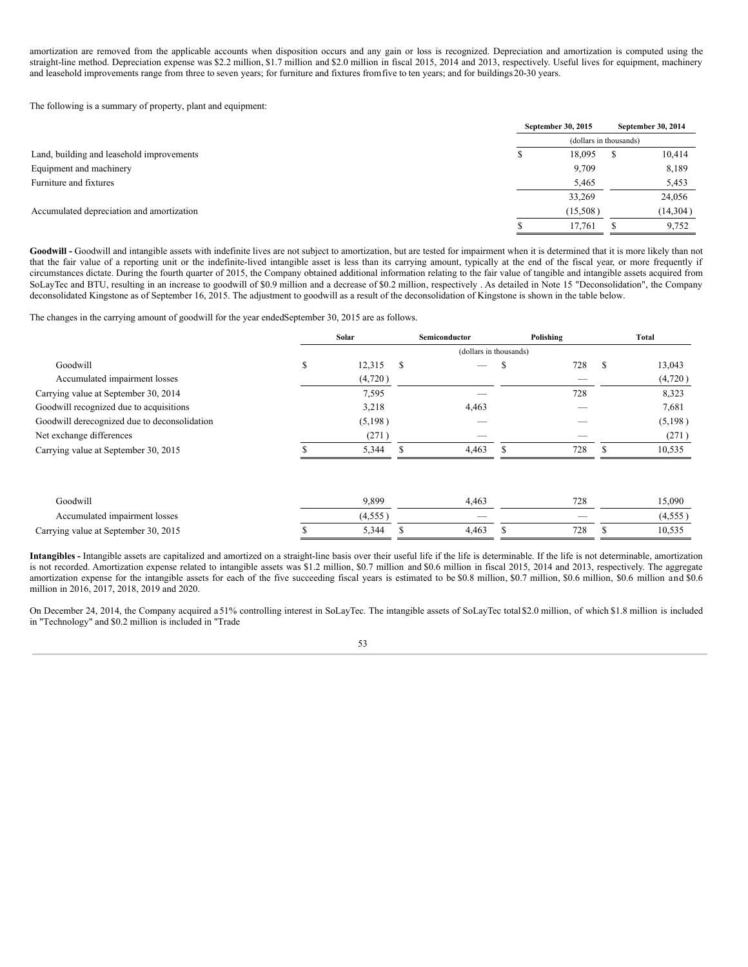amortization are removed from the applicable accounts when disposition occurs and any gain or loss is recognized. Depreciation and amortization is computed using the straight-line method. Depreciation expense was \$2.2 million, \$1.7 million and \$2.0 million in fiscal 2015, 2014 and 2013, respectively. Useful lives for equipment, machinery and leasehold improvements range from three to seven years; for furniture and fixtures fromfive to ten years; and for buildings 20-30 years.

The following is a summary of property, plant and equipment:

|                                           | September 30, 2015     | September 30, 2014 |          |  |
|-------------------------------------------|------------------------|--------------------|----------|--|
|                                           | (dollars in thousands) |                    |          |  |
| Land, building and leasehold improvements | 18,095                 | S                  | 10,414   |  |
| Equipment and machinery                   | 9,709                  |                    | 8,189    |  |
| Furniture and fixtures                    | 5.465                  |                    | 5,453    |  |
|                                           | 33.269                 |                    | 24,056   |  |
| Accumulated depreciation and amortization | (15,508)               |                    | (14,304) |  |
|                                           | 17,761                 |                    | 9,752    |  |

Goodwill - Goodwill and intangible assets with indefinite lives are not subject to amortization, but are tested for impairment when it is determined that it is more likely than not that the fair value of a reporting unit or the indefinite-lived intangible asset is less than its carrying amount, typically at the end of the fiscal year, or more frequently if circumstances dictate. During the fourth quarter of 2015, the Company obtained additional information relating to the fair value of tangible and intangible assets acquired from SoLayTec and BTU, resulting in an increase to goodwill of \$0.9 million and a decrease of \$0.2 million, respectively . As detailed in Note 15 "Deconsolidation", the Company deconsolidated Kingstone as of September 16, 2015. The adjustment to goodwill as a result of the deconsolidation of Kingstone is shown in the table below.

The changes in the carrying amount of goodwill for the year endedSeptember 30, 2015 are as follows.

|                                              |   | Solar   |   | Semiconductor          |     | Polishing |               | Total    |
|----------------------------------------------|---|---------|---|------------------------|-----|-----------|---------------|----------|
|                                              |   |         |   | (dollars in thousands) |     |           |               |          |
| Goodwill                                     | S | 12,315  | S |                        |     | 728       | <sup>\$</sup> | 13,043   |
| Accumulated impairment losses                |   | (4,720) |   |                        |     |           |               | (4,720)  |
| Carrying value at September 30, 2014         |   | 7,595   |   |                        |     | 728       |               | 8,323    |
| Goodwill recognized due to acquisitions      |   | 3,218   |   | 4,463                  |     |           |               | 7,681    |
| Goodwill derecognized due to deconsolidation |   | (5,198) |   |                        |     |           |               | (5,198)  |
| Net exchange differences                     |   | (271)   |   |                        |     |           |               | (271)    |
| Carrying value at September 30, 2015         |   | 5,344   |   | 4,463                  |     | 728       |               | 10,535   |
|                                              |   |         |   |                        |     |           |               |          |
| Goodwill                                     |   | 9,899   |   | 4,463                  |     | 728       |               | 15,090   |
| Accumulated impairment losses                |   | (4,555) |   |                        |     |           |               | (4, 555) |
| Carrying value at September 30, 2015         |   | 5,344   |   | 4,463                  | \$. | 728       |               | 10,535   |

**Intangibles -** Intangible assets are capitalized and amortized on a straight-line basis over their useful life if the life is determinable. If the life is not determinable, amortization is not recorded. Amortization expense related to intangible assets was \$1.2 million, \$0.7 million and \$0.6 million in fiscal 2015, 2014 and 2013, respectively. The aggregate amortization expense for the intangible assets for each of the five succeeding fiscal years is estimated to be \$0.8 million, \$0.7 million, \$0.6 million, \$0.6 million and \$0.6 million in 2016, 2017, 2018, 2019 and 2020.

On December 24, 2014, the Company acquired a 51% controlling interest in SoLayTec. The intangible assets of SoLayTec total \$2.0 million, of which \$1.8 million is included in "Technology" and \$0.2 million is included in "Trade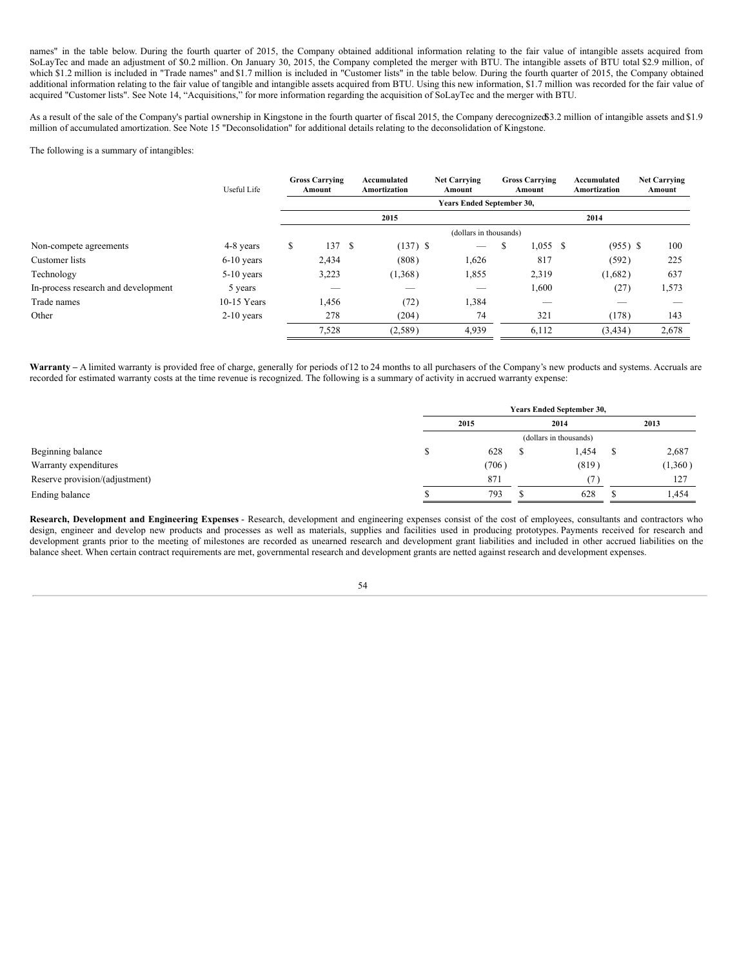names" in the table below. During the fourth quarter of 2015, the Company obtained additional information relating to the fair value of intangible assets acquired from SoLayTec and made an adjustment of \$0.2 million. On January 30, 2015, the Company completed the merger with BTU. The intangible assets of BTU total \$2.9 million, of which \$1.2 million is included in "Trade names" and \$1.7 million is included in "Customer lists" in the table below. During the fourth quarter of 2015, the Company obtained additional information relating to the fair value of tangible and intangible assets acquired from BTU. Using this new information, \$1.7 million was recorded for the fair value of acquired "Customer lists". See Note 14, "Acquisitions," for more information regarding the acquisition of SoLayTec and the merger with BTU.

As a result of the sale of the Company's partial ownership in Kingstone in the fourth quarter of fiscal 2015, the Company derecognized\$3.2 million of intangible assets and \$1.9 million of accumulated amortization. See Note 15 "Deconsolidation" for additional details relating to the deconsolidation of Kingstone.

The following is a summary of intangibles:

|                                     | Useful Life   | <b>Gross Carrying</b><br>Amount | Accumulated<br>Amortization | <b>Net Carrying</b><br>Amount    |   | <b>Gross Carrying</b><br>Amount | Accumulated<br>Amortization | <b>Net Carrying</b><br>Amount |
|-------------------------------------|---------------|---------------------------------|-----------------------------|----------------------------------|---|---------------------------------|-----------------------------|-------------------------------|
|                                     |               |                                 |                             | <b>Years Ended September 30,</b> |   |                                 |                             |                               |
|                                     |               |                                 | 2015                        |                                  |   |                                 | 2014                        |                               |
|                                     |               |                                 |                             | (dollars in thousands)           |   |                                 |                             |                               |
| Non-compete agreements              | 4-8 years     | \$<br>137S                      | $(137)$ \$                  |                                  | S | $1,055$ \$                      | $(955)$ \$                  | 100                           |
| Customer lists                      | $6-10$ years  | 2,434                           | (808)                       | 1,626                            |   | 817                             | (592)                       | 225                           |
| Technology                          | $5-10$ years  | 3,223                           | (1,368)                     | 1,855                            |   | 2,319                           | (1,682)                     | 637                           |
| In-process research and development | 5 years       | --                              |                             |                                  |   | 1,600                           | (27)                        | 1,573                         |
| Trade names                         | $10-15$ Years | 1,456                           | (72)                        | 1,384                            |   | --                              |                             |                               |
| Other                               | $2-10$ years  | 278                             | (204)                       | 74                               |   | 321                             | (178)                       | 143                           |
|                                     |               | 7,528                           | (2,589)                     | 4,939                            |   | 6,112                           | (3, 434)                    | 2,678                         |

Warranty – A limited warranty is provided free of charge, generally for periods of 12 to 24 months to all purchasers of the Company's new products and systems. Accruals are recorded for estimated warranty costs at the time revenue is recognized. The following is a summary of activity in accrued warranty expense:

|  |       | <b>Years Ended September 30,</b> |         |
|--|-------|----------------------------------|---------|
|  | 2015  | 2014                             | 2013    |
|  |       | (dollars in thousands)           |         |
|  | 628   | 1,454                            | 2,687   |
|  | (706) | (819)                            | (1,360) |
|  | 871   |                                  | 127     |
|  | 793   | 628                              | 1,454   |

**Research, Development and Engineering Expenses** - Research, development and engineering expenses consist of the cost of employees, consultants and contractors who design, engineer and develop new products and processes as well as materials, supplies and facilities used in producing prototypes. Payments received for research and development grants prior to the meeting of milestones are recorded as unearned research and development grant liabilities and included in other accrued liabilities on the balance sheet. When certain contract requirements are met, governmental research and development grants are netted against research and development expenses.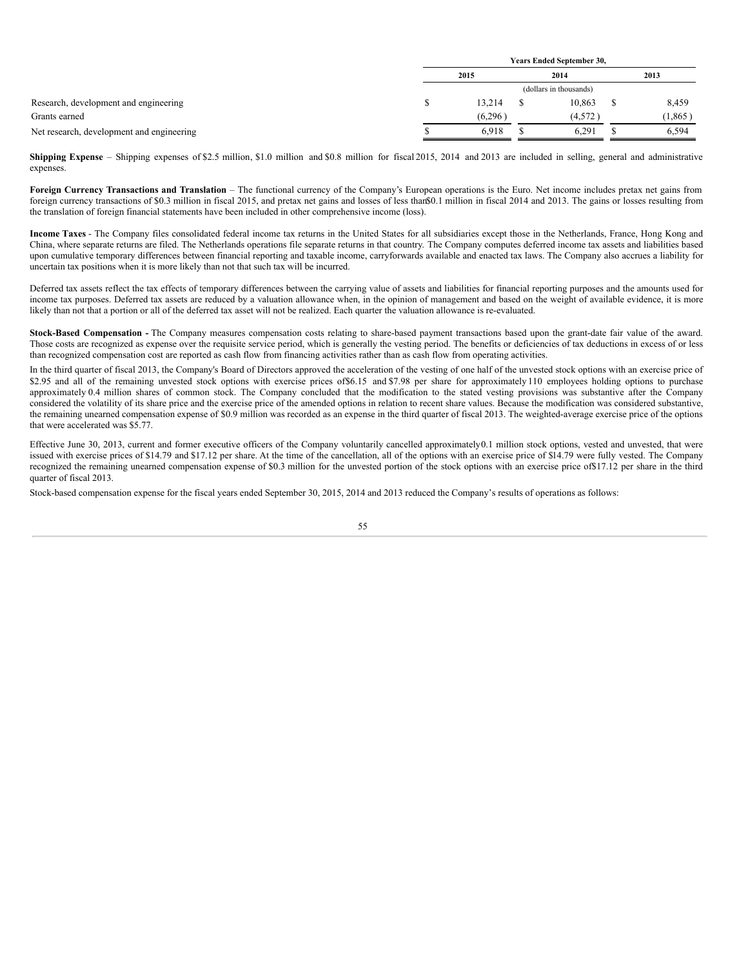|                                           |                        |  | <b>Years Ended September 30,</b> |  |         |  |  |  |
|-------------------------------------------|------------------------|--|----------------------------------|--|---------|--|--|--|
|                                           | 2015                   |  | 2014                             |  | 2013    |  |  |  |
|                                           | (dollars in thousands) |  |                                  |  |         |  |  |  |
| Research, development and engineering     | 13.214                 |  | 10.863                           |  | 8,459   |  |  |  |
|                                           | (6.296)                |  | (4.572)                          |  | (1,865) |  |  |  |
| Net research, development and engineering | 6,918                  |  | 6,291                            |  | 6,594   |  |  |  |

**Shipping Expense** – Shipping expenses of \$2.5 million, \$1.0 million and \$0.8 million for fiscal 2015, 2014 and 2013 are included in selling, general and administrative expenses.

**Foreign Currency Transactions and Translation** – The functional currency of the Company's European operations is the Euro. Net income includes pretax net gains from foreign currency transactions of \$0.3 million in fiscal 2015, and pretax net gains and losses of less than\$0.1 million in fiscal 2014 and 2013. The gains or losses resulting from the translation of foreign financial statements have been included in other comprehensive income (loss).

**Income Taxes** - The Company files consolidated federal income tax returns in the United States for all subsidiaries except those in the Netherlands, France, Hong Kong and China, where separate returns are filed. The Netherlands operations file separate returns in that country. The Company computes deferred income tax assets and liabilities based upon cumulative temporary differences between financial reporting and taxable income, carryforwards available and enacted tax laws. The Company also accrues a liability for uncertain tax positions when it is more likely than not that such tax will be incurred.

Deferred tax assets reflect the tax effects of temporary differences between the carrying value of assets and liabilities for financial reporting purposes and the amounts used for income tax purposes. Deferred tax assets are reduced by a valuation allowance when, in the opinion of management and based on the weight of available evidence, it is more likely than not that a portion or all of the deferred tax asset will not be realized. Each quarter the valuation allowance is re-evaluated.

**Stock-Based Compensation -** The Company measures compensation costs relating to share-based payment transactions based upon the grant-date fair value of the award. Those costs are recognized as expense over the requisite service period, which is generally the vesting period. The benefits or deficiencies of tax deductions in excess of or less than recognized compensation cost are reported as cash flow from financing activities rather than as cash flow from operating activities.

In the third quarter of fiscal 2013, the Company's Board of Directors approved the acceleration of the vesting of one half of the unvested stock options with an exercise price of \$2.95 and all of the remaining unvested stock options with exercise prices of \$6.15 and \$7.98 per share for approximately 110 employees holding options to purchase approximately 0.4 million shares of common stock. The Company concluded that the modification to the stated vesting provisions was substantive after the Company considered the volatility of its share price and the exercise price of the amended options in relation to recent share values. Because the modification was considered substantive, the remaining unearned compensation expense of \$0.9 million was recorded as an expense in the third quarter of fiscal 2013. The weighted-average exercise price of the options that were accelerated was \$5.77.

Effective June 30, 2013, current and former executive officers of the Company voluntarily cancelled approximately0.1 million stock options, vested and unvested, that were issued with exercise prices of \$14.79 and \$17.12 per share. At the time of the cancellation, all of the options with an exercise price of \$14.79 were fully vested. The Company recognized the remaining unearned compensation expense of \$0.3 million for the unvested portion of the stock options with an exercise price of\$17.12 per share in the third quarter of fiscal 2013.

Stock-based compensation expense for the fiscal years ended September 30, 2015, 2014 and 2013 reduced the Company's results of operations as follows:

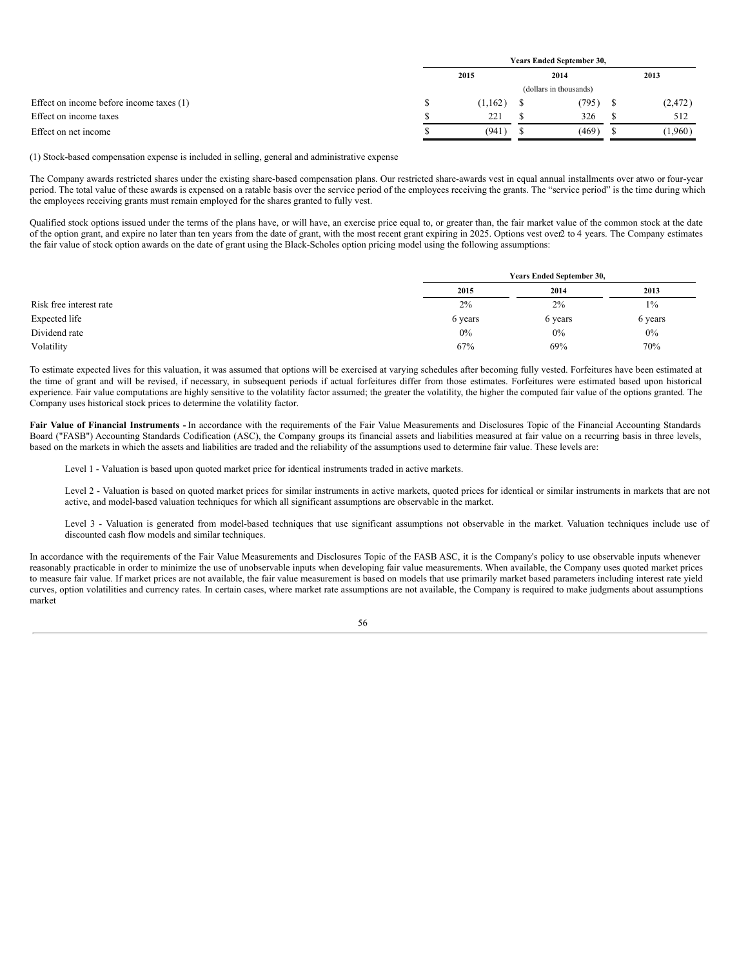|                                          |                        |         |  | <b>Years Ended September 30,</b> |  |          |
|------------------------------------------|------------------------|---------|--|----------------------------------|--|----------|
|                                          |                        | 2015    |  | 2014                             |  | 2013     |
|                                          | (dollars in thousands) |         |  |                                  |  |          |
| Effect on income before income taxes (1) |                        | (1,162) |  | (795)                            |  | (2, 472) |
| Effect on income taxes                   |                        | 221     |  | 326                              |  | 512      |
|                                          |                        | (941)   |  | (469)                            |  | (1,960)  |

(1) Stock-based compensation expense is included in selling, general and administrative expense

The Company awards restricted shares under the existing share-based compensation plans. Our restricted share-awards vest in equal annual installments over atwo or four-year period. The total value of these awards is expensed on a ratable basis over the service period of the employees receiving the grants. The "service period" is the time during which the employees receiving grants must remain employed for the shares granted to fully vest.

Qualified stock options issued under the terms of the plans have, or will have, an exercise price equal to, or greater than, the fair market value of the common stock at the date of the option grant, and expire no later than ten years from the date of grant, with the most recent grant expiring in 2025. Options vest over2 to 4 years. The Company estimates the fair value of stock option awards on the date of grant using the Black-Scholes option pricing model using the following assumptions:

|                         |         | Years Ended September 30, |         |
|-------------------------|---------|---------------------------|---------|
|                         | 2015    | 2014                      | 2013    |
| Risk free interest rate | $2\%$   | $2\%$                     | $1\%$   |
| Expected life           | 6 years | 6 years                   | 6 years |
| Dividend rate           | $0\%$   | $0\%$                     | $0\%$   |
| Volatility              | 67%     | 69%                       | 70%     |

To estimate expected lives for this valuation, it was assumed that options will be exercised at varying schedules after becoming fully vested. Forfeitures have been estimated at the time of grant and will be revised, if necessary, in subsequent periods if actual forfeitures differ from those estimates. Forfeitures were estimated based upon historical experience. Fair value computations are highly sensitive to the volatility factor assumed; the greater the volatility, the higher the computed fair value of the options granted. The Company uses historical stock prices to determine the volatility factor.

Fair Value of Financial Instruments - In accordance with the requirements of the Fair Value Measurements and Disclosures Topic of the Financial Accounting Standards Board ("FASB") Accounting Standards Codification (ASC), the Company groups its financial assets and liabilities measured at fair value on a recurring basis in three levels, based on the markets in which the assets and liabilities are traded and the reliability of the assumptions used to determine fair value. These levels are:

Level 1 - Valuation is based upon quoted market price for identical instruments traded in active markets.

Level 2 - Valuation is based on quoted market prices for similar instruments in active markets, quoted prices for identical or similar instruments in markets that are not active, and model-based valuation techniques for which all significant assumptions are observable in the market.

Level 3 - Valuation is generated from model-based techniques that use significant assumptions not observable in the market. Valuation techniques include use of discounted cash flow models and similar techniques.

In accordance with the requirements of the Fair Value Measurements and Disclosures Topic of the FASB ASC, it is the Company's policy to use observable inputs whenever reasonably practicable in order to minimize the use of unobservable inputs when developing fair value measurements. When available, the Company uses quoted market prices to measure fair value. If market prices are not available, the fair value measurement is based on models that use primarily market based parameters including interest rate yield curves, option volatilities and currency rates. In certain cases, where market rate assumptions are not available, the Company is required to make judgments about assumptions market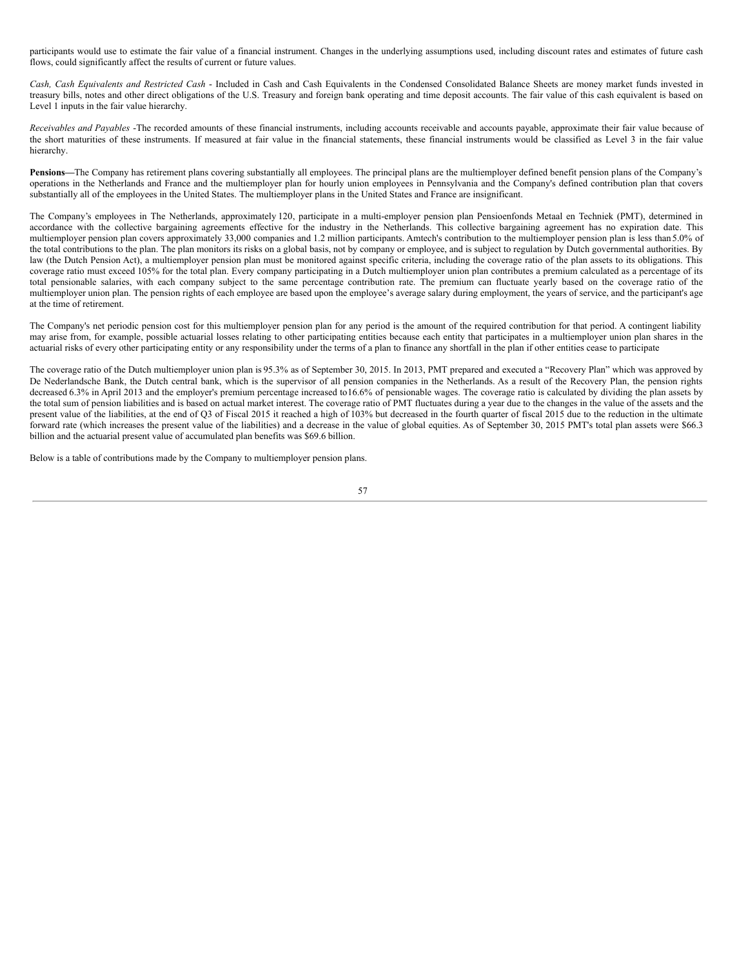participants would use to estimate the fair value of a financial instrument. Changes in the underlying assumptions used, including discount rates and estimates of future cash flows, could significantly affect the results of current or future values.

*Cash, Cash Equivalents and Restricted Cash* - Included in Cash and Cash Equivalents in the Condensed Consolidated Balance Sheets are money market funds invested in treasury bills, notes and other direct obligations of the U.S. Treasury and foreign bank operating and time deposit accounts. The fair value of this cash equivalent is based on Level 1 inputs in the fair value hierarchy.

*Receivables and Payables* -The recorded amounts of these financial instruments, including accounts receivable and accounts payable, approximate their fair value because of the short maturities of these instruments. If measured at fair value in the financial statements, these financial instruments would be classified as Level 3 in the fair value hierarchy.

**Pensions—**The Company has retirement plans covering substantially all employees. The principal plans are the multiemployer defined benefit pension plans of the Company's operations in the Netherlands and France and the multiemployer plan for hourly union employees in Pennsylvania and the Company's defined contribution plan that covers substantially all of the employees in the United States. The multiemployer plans in the United States and France are insignificant.

The Company's employees in The Netherlands, approximately 120, participate in a multi-employer pension plan Pensioenfonds Metaal en Techniek (PMT), determined in accordance with the collective bargaining agreements effective for the industry in the Netherlands. This collective bargaining agreement has no expiration date. This multiemployer pension plan covers approximately 33,000 companies and 1.2 million participants. Amtech's contribution to the multiemployer pension plan is less than 5.0% of the total contributions to the plan. The plan monitors its risks on a global basis, not by company or employee, and is subject to regulation by Dutch governmental authorities. By law (the Dutch Pension Act), a multiemployer pension plan must be monitored against specific criteria, including the coverage ratio of the plan assets to its obligations. This coverage ratio must exceed 105% for the total plan. Every company participating in a Dutch multiemployer union plan contributes a premium calculated as a percentage of its total pensionable salaries, with each company subject to the same percentage contribution rate. The premium can fluctuate yearly based on the coverage ratio of the multiemployer union plan. The pension rights of each employee are based upon the employee's average salary during employment, the years of service, and the participant's age at the time of retirement.

The Company's net periodic pension cost for this multiemployer pension plan for any period is the amount of the required contribution for that period. A contingent liability may arise from, for example, possible actuarial losses relating to other participating entities because each entity that participates in a multiemployer union plan shares in the actuarial risks of every other participating entity or any responsibility under the terms of a plan to finance any shortfall in the plan if other entities cease to participate

The coverage ratio of the Dutch multiemployer union plan is 95.3% as of September 30, 2015. In 2013, PMT prepared and executed a "Recovery Plan" which was approved by De Nederlandsche Bank, the Dutch central bank, which is the supervisor of all pension companies in the Netherlands. As a result of the Recovery Plan, the pension rights decreased 6.3% in April 2013 and the employer's premium percentage increased to 16.6% of pensionable wages. The coverage ratio is calculated by dividing the plan assets by the total sum of pension liabilities and is based on actual market interest. The coverage ratio of PMT fluctuates during a year due to the changes in the value of the assets and the present value of the liabilities, at the end of Q3 of Fiscal 2015 it reached a high of 103% but decreased in the fourth quarter of fiscal 2015 due to the reduction in the ultimate forward rate (which increases the present value of the liabilities) and a decrease in the value of global equities. As of September 30, 2015 PMT's total plan assets were \$66.3 billion and the actuarial present value of accumulated plan benefits was \$69.6 billion.

Below is a table of contributions made by the Company to multiemployer pension plans.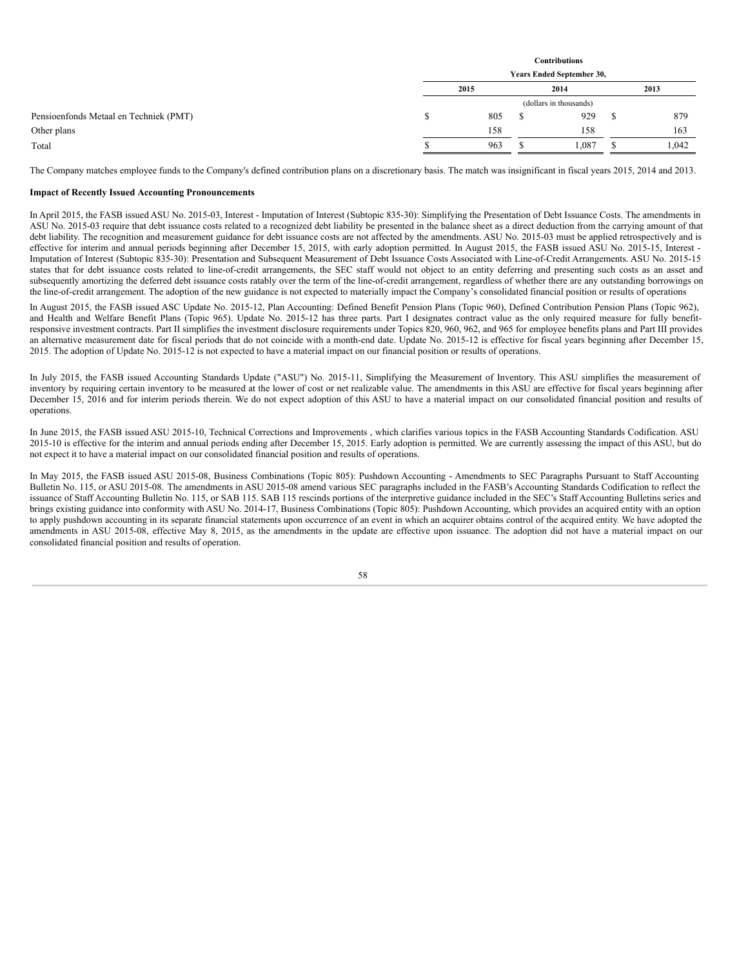| <b>Years Ended September 30,</b> |      |  |       |                                         |       |  |  |  |
|----------------------------------|------|--|-------|-----------------------------------------|-------|--|--|--|
|                                  | 2015 |  | 2014  |                                         | 2013  |  |  |  |
|                                  |      |  |       |                                         |       |  |  |  |
| Φ                                | 805  |  | 929   |                                         | 879   |  |  |  |
|                                  | 158  |  | 158   |                                         | 163   |  |  |  |
|                                  | 963  |  | 1,087 |                                         | 1,042 |  |  |  |
|                                  |      |  |       | Contributions<br>(dollars in thousands) |       |  |  |  |

**Contributions**

The Company matches employee funds to the Company's defined contribution plans on a discretionary basis. The match was insignificant in fiscal years 2015, 2014 and 2013.

### **Impact of Recently Issued Accounting Pronouncements**

In April 2015, the FASB issued ASU No. 2015-03, Interest - Imputation of Interest (Subtopic 835-30): Simplifying the Presentation of Debt Issuance Costs. The amendments in ASU No. 2015-03 require that debt issuance costs related to a recognized debt liability be presented in the balance sheet as a direct deduction from the carrying amount of that debt liability. The recognition and measurement guidance for debt issuance costs are not affected by the amendments. ASU No. 2015-03 must be applied retrospectively and is effective for interim and annual periods beginning after December 15, 2015, with early adoption permitted. In August 2015, the FASB issued ASU No. 2015-15, Interest -Imputation of Interest (Subtopic 835-30): Presentation and Subsequent Measurement of Debt Issuance Costs Associated with Line-of-Credit Arrangements. ASU No. 2015-15 states that for debt issuance costs related to line-of-credit arrangements, the SEC staff would not object to an entity deferring and presenting such costs as an asset and subsequently amortizing the deferred debt issuance costs ratably over the term of the line-of-credit arrangement, regardless of whether there are any outstanding borrowings on the line-of-credit arrangement. The adoption of the new guidance is not expected to materially impact the Company's consolidated financial position or results of operations

In August 2015, the FASB issued ASC Update No. 2015-12, Plan Accounting: Defined Benefit Pension Plans (Topic 960), Defined Contribution Pension Plans (Topic 962), and Health and Welfare Benefit Plans (Topic 965). Update No. 2015-12 has three parts. Part I designates contract value as the only required measure for fully benefitresponsive investment contracts. Part II simplifies the investment disclosure requirements under Topics 820, 960, 962, and 965 for employee benefits plans and Part III provides an alternative measurement date for fiscal periods that do not coincide with a month-end date. Update No. 2015-12 is effective for fiscal years beginning after December 15, 2015. The adoption of Update No. 2015-12 is not expected to have a material impact on our financial position or results of operations.

In July 2015, the FASB issued Accounting Standards Update ("ASU") No. 2015-11, Simplifying the Measurement of Inventory. This ASU simplifies the measurement of inventory by requiring certain inventory to be measured at the lower of cost or net realizable value. The amendments in this ASU are effective for fiscal years beginning after December 15, 2016 and for interim periods therein. We do not expect adoption of this ASU to have a material impact on our consolidated financial position and results of operations.

In June 2015, the FASB issued ASU 2015-10, Technical Corrections and Improvements , which clarifies various topics in the FASB Accounting Standards Codification. ASU 2015-10 is effective for the interim and annual periods ending after December 15, 2015. Early adoption is permitted. We are currently assessing the impact of this ASU, but do not expect it to have a material impact on our consolidated financial position and results of operations.

In May 2015, the FASB issued ASU 2015-08, Business Combinations (Topic 805): Pushdown Accounting - Amendments to SEC Paragraphs Pursuant to Staff Accounting Bulletin No. 115, or ASU 2015-08. The amendments in ASU 2015-08 amend various SEC paragraphs included in the FASB's Accounting Standards Codification to reflect the issuance of Staff Accounting Bulletin No. 115, or SAB 115. SAB 115 rescinds portions of the interpretive guidance included in the SEC's Staff Accounting Bulletins series and brings existing guidance into conformity with ASU No. 2014-17, Business Combinations (Topic 805): Pushdown Accounting, which provides an acquired entity with an option to apply pushdown accounting in its separate financial statements upon occurrence of an event in which an acquirer obtains control of the acquired entity. We have adopted the amendments in ASU 2015-08, effective May 8, 2015, as the amendments in the update are effective upon issuance. The adoption did not have a material impact on our consolidated financial position and results of operation.

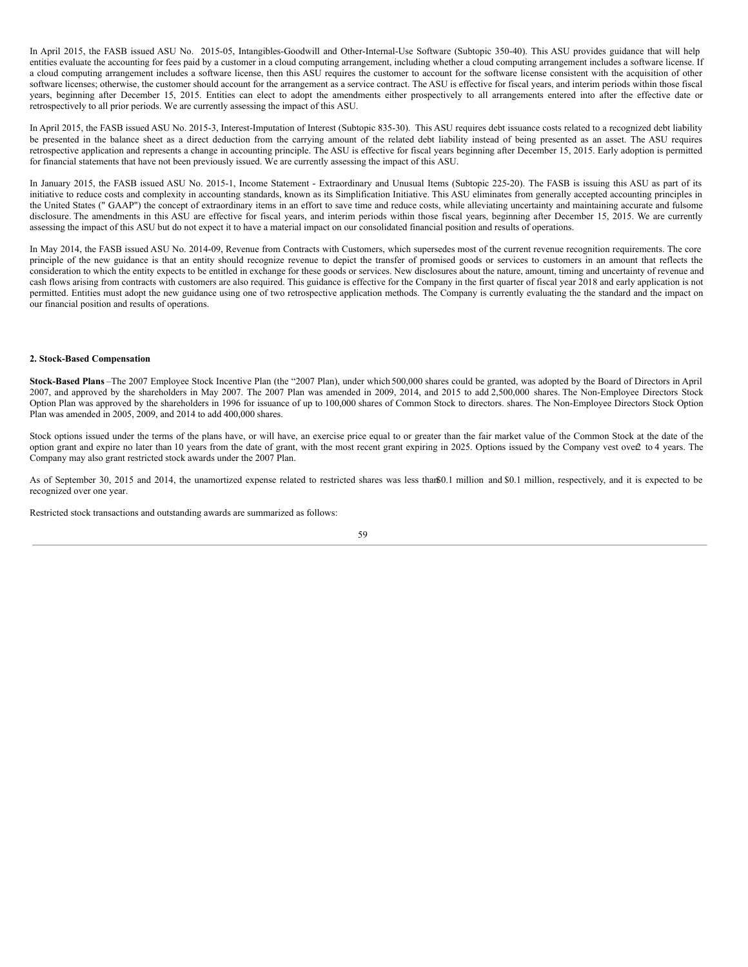In April 2015, the FASB issued ASU No. 2015-05, Intangibles-Goodwill and Other-Internal-Use Software (Subtopic 350-40). This ASU provides guidance that will help entities evaluate the accounting for fees paid by a customer in a cloud computing arrangement, including whether a cloud computing arrangement includes a software license. If a cloud computing arrangement includes a software license, then this ASU requires the customer to account for the software license consistent with the acquisition of other software licenses; otherwise, the customer should account for the arrangement as a service contract. The ASU is effective for fiscal years, and interim periods within those fiscal years, beginning after December 15, 2015. Entities can elect to adopt the amendments either prospectively to all arrangements entered into after the effective date or retrospectively to all prior periods. We are currently assessing the impact of this ASU.

In April 2015, the FASB issued ASU No. 2015-3, Interest-Imputation of Interest (Subtopic 835-30). This ASU requires debt issuance costs related to a recognized debt liability be presented in the balance sheet as a direct deduction from the carrying amount of the related debt liability instead of being presented as an asset. The ASU requires retrospective application and represents a change in accounting principle. The ASU is effective for fiscal years beginning after December 15, 2015. Early adoption is permitted for financial statements that have not been previously issued. We are currently assessing the impact of this ASU.

In January 2015, the FASB issued ASU No. 2015-1, Income Statement - Extraordinary and Unusual Items (Subtopic 225-20). The FASB is issuing this ASU as part of its initiative to reduce costs and complexity in accounting standards, known as its Simplification Initiative. This ASU eliminates from generally accepted accounting principles in the United States (" GAAP") the concept of extraordinary items in an effort to save time and reduce costs, while alleviating uncertainty and maintaining accurate and fulsome disclosure. The amendments in this ASU are effective for fiscal years, and interim periods within those fiscal years, beginning after December 15, 2015. We are currently assessing the impact of this ASU but do not expect it to have a material impact on our consolidated financial position and results of operations.

In May 2014, the FASB issued ASU No. 2014-09, Revenue from Contracts with Customers, which supersedes most of the current revenue recognition requirements. The core principle of the new guidance is that an entity should recognize revenue to depict the transfer of promised goods or services to customers in an amount that reflects the consideration to which the entity expects to be entitled in exchange for these goods or services. New disclosures about the nature, amount, timing and uncertainty of revenue and cash flows arising from contracts with customers are also required. This guidance is effective for the Company in the first quarter of fiscal year 2018 and early application is not permitted. Entities must adopt the new guidance using one of two retrospective application methods. The Company is currently evaluating the the standard and the impact on our financial position and results of operations.

#### **2. Stock-Based Compensation**

**Stock-Based Plans** –The 2007 Employee Stock Incentive Plan (the "2007 Plan), under which 500,000 shares could be granted, was adopted by the Board of Directors in April 2007, and approved by the shareholders in May 2007. The 2007 Plan was amended in 2009, 2014, and 2015 to add 2,500,000 shares. The Non-Employee Directors Stock Option Plan was approved by the shareholders in 1996 for issuance of up to 100,000 shares of Common Stock to directors. shares. The Non-Employee Directors Stock Option Plan was amended in 2005, 2009, and 2014 to add 400,000 shares.

Stock options issued under the terms of the plans have, or will have, an exercise price equal to or greater than the fair market value of the Common Stock at the date of the option grant and expire no later than 10 years from the date of grant, with the most recent grant expiring in 2025. Options issued by the Company vest over2 to 4 years. The Company may also grant restricted stock awards under the 2007 Plan.

As of September 30, 2015 and 2014, the unamortized expense related to restricted shares was less than\$0.1 million and \$0.1 million, respectively, and it is expected to be recognized over one year.

Restricted stock transactions and outstanding awards are summarized as follows: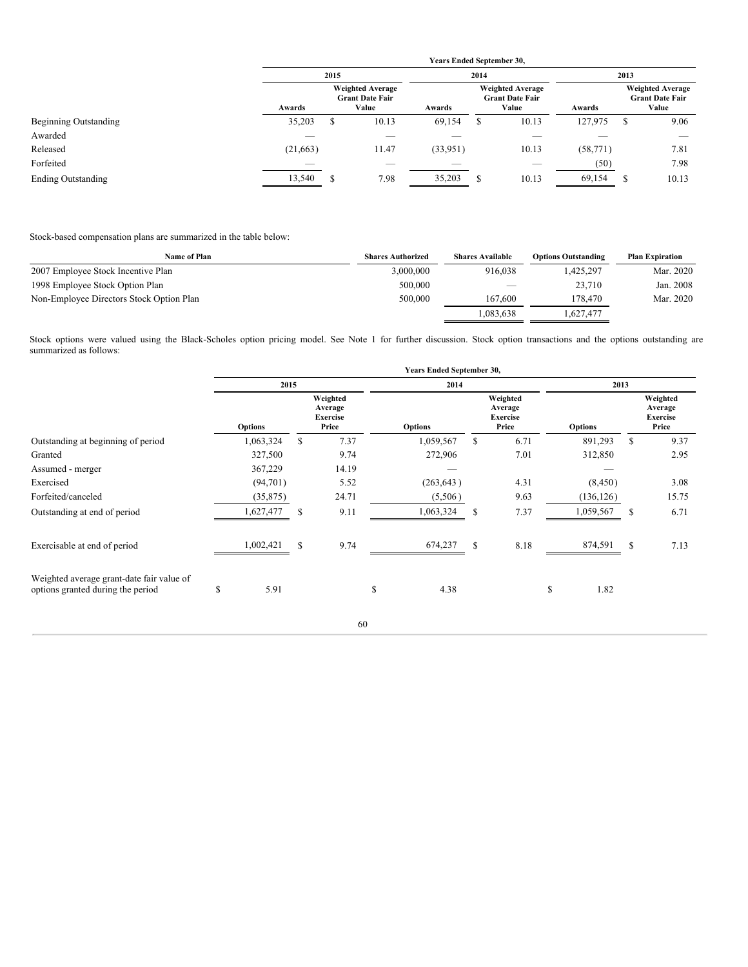|                              |          |   |                                                            | Years Ended September 30, |                                                            |                          |           |   |                                                            |
|------------------------------|----------|---|------------------------------------------------------------|---------------------------|------------------------------------------------------------|--------------------------|-----------|---|------------------------------------------------------------|
|                              | 2015     |   | 2014                                                       |                           | 2013                                                       |                          |           |   |                                                            |
|                              | Awards   |   | <b>Weighted Average</b><br><b>Grant Date Fair</b><br>Value | Awards                    | <b>Weighted Average</b><br><b>Grant Date Fair</b><br>Value |                          | Awards    |   | <b>Weighted Average</b><br><b>Grant Date Fair</b><br>Value |
| <b>Beginning Outstanding</b> | 35,203   | ъ | 10.13                                                      | 69,154                    | -S                                                         | 10.13                    | 127,975   |   | 9.06                                                       |
| Awarded                      | __       |   | _                                                          |                           |                                                            |                          |           |   | _                                                          |
| Released                     | (21,663) |   | 11.47                                                      | (33,951)                  |                                                            | 10.13                    | (58, 771) |   | 7.81                                                       |
| Forfeited                    | __       |   | _                                                          |                           |                                                            | $\overline{\phantom{a}}$ | (50)      |   | 7.98                                                       |
| <b>Ending Outstanding</b>    | 13,540   |   | 7.98                                                       | 35,203                    | S                                                          | 10.13                    | 69,154    | S | 10.13                                                      |

Stock-based compensation plans are summarized in the table below:

| Name of Plan                             | <b>Shares Authorized</b> | <b>Shares Available</b> | <b>Options Outstanding</b> | <b>Plan Expiration</b> |
|------------------------------------------|--------------------------|-------------------------|----------------------------|------------------------|
| 2007 Employee Stock Incentive Plan       | 3,000,000                | 916.038                 | .425.297                   | Mar. 2020              |
| 1998 Employee Stock Option Plan          | 500,000                  | $\hspace{0.05cm}$       | 23,710                     | Jan. 2008              |
| Non-Employee Directors Stock Option Plan | 500,000                  | 167,600                 | 178.470                    | Mar. 2020              |
|                                          |                          | 1,083,638               | .627,477                   |                        |

Stock options were valued using the Black-Scholes option pricing model. See Note 1 for further discussion. Stock option transactions and the options outstanding are summarized as follows:

|                                                                                |                |    |                                                 |    | Years Ended September 30, |    |                                                 |    |                |               |                                                 |
|--------------------------------------------------------------------------------|----------------|----|-------------------------------------------------|----|---------------------------|----|-------------------------------------------------|----|----------------|---------------|-------------------------------------------------|
|                                                                                | 2015           |    |                                                 |    | 2014                      |    |                                                 |    | 2013           |               |                                                 |
|                                                                                | <b>Options</b> |    | Weighted<br>Average<br><b>Exercise</b><br>Price |    | <b>Options</b>            |    | Weighted<br>Average<br><b>Exercise</b><br>Price |    | <b>Options</b> |               | Weighted<br>Average<br><b>Exercise</b><br>Price |
| Outstanding at beginning of period                                             | 1,063,324      | S. | 7.37                                            |    | 1,059,567                 | \$ | 6.71                                            |    | 891,293        | <sup>\$</sup> | 9.37                                            |
| Granted                                                                        | 327,500        |    | 9.74                                            |    | 272,906                   |    | 7.01                                            |    | 312,850        |               | 2.95                                            |
| Assumed - merger                                                               | 367,229        |    | 14.19                                           |    |                           |    |                                                 |    |                |               |                                                 |
| Exercised                                                                      | (94,701)       |    | 5.52                                            |    | (263, 643)                |    | 4.31                                            |    | (8, 450)       |               | 3.08                                            |
| Forfeited/canceled                                                             | (35,875)       |    | 24.71                                           |    | (5,506)                   |    | 9.63                                            |    | (136, 126)     |               | 15.75                                           |
| Outstanding at end of period                                                   | 1,627,477      | \$ | 9.11                                            |    | 1,063,324                 | \$ | 7.37                                            |    | 1,059,567      | \$            | 6.71                                            |
| Exercisable at end of period                                                   | 1,002,421      | \$ | 9.74                                            |    | 674,237                   | \$ | 8.18                                            |    | 874,591        | \$            | 7.13                                            |
| Weighted average grant-date fair value of<br>options granted during the period | \$<br>5.91     |    |                                                 | \$ | 4.38                      |    |                                                 | \$ | 1.82           |               |                                                 |
|                                                                                |                |    |                                                 | 60 |                           |    |                                                 |    |                |               |                                                 |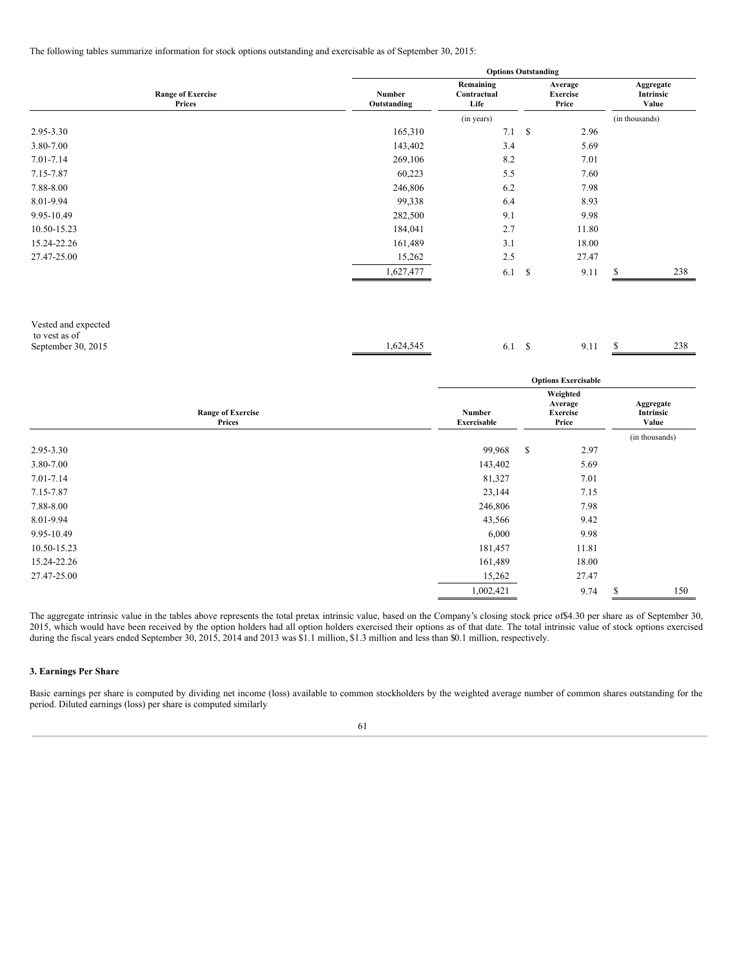The following tables summarize information for stock options outstanding and exercisable as of September 30, 2015:

|                                    | <b>Options Outstanding</b> |                                  |              |                                     |                |                                 |  |  |  |  |
|------------------------------------|----------------------------|----------------------------------|--------------|-------------------------------------|----------------|---------------------------------|--|--|--|--|
| <b>Range of Exercise</b><br>Prices | Number<br>Outstanding      | Remaining<br>Contractual<br>Life |              | Average<br><b>Exercise</b><br>Price |                | Aggregate<br>Intrinsic<br>Value |  |  |  |  |
|                                    |                            | (in years)                       |              |                                     | (in thousands) |                                 |  |  |  |  |
| 2.95-3.30                          | 165,310                    | 7.1                              | $\mathbf{s}$ | 2.96                                |                |                                 |  |  |  |  |
| 3.80-7.00                          | 143,402                    | 3.4                              |              | 5.69                                |                |                                 |  |  |  |  |
| $7.01 - 7.14$                      | 269,106                    | 8.2                              |              | 7.01                                |                |                                 |  |  |  |  |
| 7.15-7.87                          | 60,223                     | 5.5                              |              | 7.60                                |                |                                 |  |  |  |  |
| 7.88-8.00                          | 246,806                    | 6.2                              |              | 7.98                                |                |                                 |  |  |  |  |
| 8.01-9.94                          | 99,338                     | 6.4                              |              | 8.93                                |                |                                 |  |  |  |  |
| 9.95-10.49                         | 282,500                    | 9.1                              |              | 9.98                                |                |                                 |  |  |  |  |
| 10.50-15.23                        | 184,041                    | 2.7                              |              | 11.80                               |                |                                 |  |  |  |  |
| 15.24-22.26                        | 161,489                    | 3.1                              |              | 18.00                               |                |                                 |  |  |  |  |
| 27.47-25.00                        | 15,262                     | 2.5                              |              | 27.47                               |                |                                 |  |  |  |  |
|                                    | 1,627,477                  | 6.1                              | $\mathbf s$  | 9.11                                | \$.            | 238                             |  |  |  |  |
|                                    |                            |                                  |              |                                     |                |                                 |  |  |  |  |

| Vested and expected<br>to vest as of |           |     |         |     |
|--------------------------------------|-----------|-----|---------|-----|
| September 30, 2015                   | 1.624.545 | 6.1 | , , , , | 238 |

|                                    |                       | <b>Options Exercisable</b>                      |       |   |                                 |  |  |  |  |
|------------------------------------|-----------------------|-------------------------------------------------|-------|---|---------------------------------|--|--|--|--|
| <b>Range of Exercise</b><br>Prices | Number<br>Exercisable | Weighted<br>Average<br><b>Exercise</b><br>Price |       |   | Aggregate<br>Intrinsic<br>Value |  |  |  |  |
|                                    |                       |                                                 |       |   | (in thousands)                  |  |  |  |  |
| 2.95-3.30                          | 99,968                | <sup>S</sup>                                    | 2.97  |   |                                 |  |  |  |  |
| 3.80-7.00                          | 143,402               |                                                 | 5.69  |   |                                 |  |  |  |  |
| 7.01-7.14                          | 81,327                |                                                 | 7.01  |   |                                 |  |  |  |  |
| 7.15-7.87                          | 23,144                |                                                 | 7.15  |   |                                 |  |  |  |  |
| 7.88-8.00                          | 246,806               |                                                 | 7.98  |   |                                 |  |  |  |  |
| 8.01-9.94                          | 43,566                |                                                 | 9.42  |   |                                 |  |  |  |  |
| 9.95-10.49                         | 6,000                 |                                                 | 9.98  |   |                                 |  |  |  |  |
| 10.50-15.23                        | 181,457               |                                                 | 11.81 |   |                                 |  |  |  |  |
| 15.24-22.26                        | 161,489               |                                                 | 18.00 |   |                                 |  |  |  |  |
| 27.47-25.00                        | 15,262                |                                                 | 27.47 |   |                                 |  |  |  |  |
|                                    | 1,002,421             |                                                 | 9.74  | S | 150                             |  |  |  |  |

The aggregate intrinsic value in the tables above represents the total pretax intrinsic value, based on the Company's closing stock price of \$4.30 per share as of September 30, 2015, which would have been received by the option holders had all option holders exercised their options as of that date. The total intrinsic value of stock options exercised during the fiscal years ended September 30, 2015, 2014 and 2013 was \$1.1 million, \$1.3 million and less than \$0.1 million, respectively.

# **3. Earnings Per Share**

Basic earnings per share is computed by dividing net income (loss) available to common stockholders by the weighted average number of common shares outstanding for the period. Diluted earnings (loss) per share is computed similarly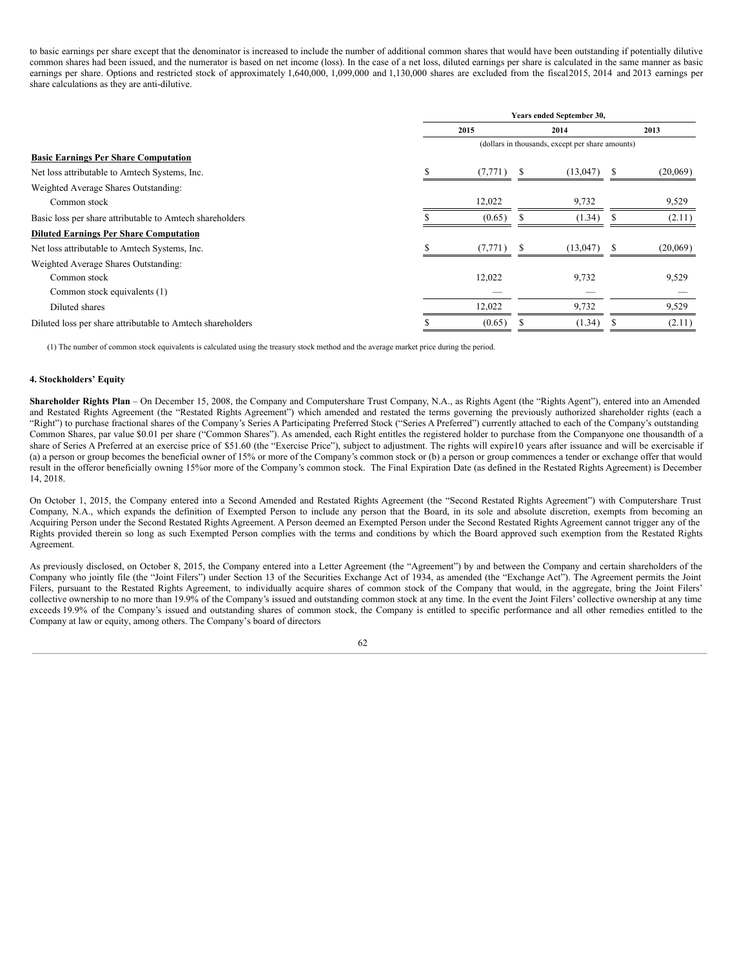to basic earnings per share except that the denominator is increased to include the number of additional common shares that would have been outstanding if potentially dilutive common shares had been issued, and the numerator is based on net income (loss). In the case of a net loss, diluted earnings per share is calculated in the same manner as basic earnings per share. Options and restricted stock of approximately 1,640,000, 1,099,000 and 1,130,000 shares are excluded from the fiscal2015, 2014 and 2013 earnings per share calculations as they are anti-dilutive.

|                                                            | Years ended September 30, |          |   |                                                  |     |          |  |
|------------------------------------------------------------|---------------------------|----------|---|--------------------------------------------------|-----|----------|--|
|                                                            |                           | 2015     |   | 2014                                             |     | 2013     |  |
|                                                            |                           |          |   | (dollars in thousands, except per share amounts) |     |          |  |
| <b>Basic Earnings Per Share Computation</b>                |                           |          |   |                                                  |     |          |  |
| Net loss attributable to Amtech Systems, Inc.              |                           | (7, 771) |   | (13,047)                                         | S   | (20,069) |  |
| Weighted Average Shares Outstanding:                       |                           |          |   |                                                  |     |          |  |
| Common stock                                               |                           | 12,022   |   | 9,732                                            |     | 9,529    |  |
| Basic loss per share attributable to Amtech shareholders   |                           | (0.65)   | ъ | (1.34)                                           | ъ   | (2.11)   |  |
| <b>Diluted Earnings Per Share Computation</b>              |                           |          |   |                                                  |     |          |  |
| Net loss attributable to Amtech Systems, Inc.              |                           | (7,771)  |   | (13,047)                                         | \$. | (20,069) |  |
| Weighted Average Shares Outstanding:                       |                           |          |   |                                                  |     |          |  |
| Common stock                                               |                           | 12,022   |   | 9,732                                            |     | 9,529    |  |
| Common stock equivalents (1)                               |                           | -        |   |                                                  |     |          |  |
| Diluted shares                                             |                           | 12,022   |   | 9,732                                            |     | 9,529    |  |
| Diluted loss per share attributable to Amtech shareholders |                           | (0.65)   |   | (1.34)                                           |     | (2.11)   |  |

(1) The number of common stock equivalents is calculated using the treasury stock method and the average market price during the period.

#### **4. Stockholders' Equity**

**Shareholder Rights Plan** – On December 15, 2008, the Company and Computershare Trust Company, N.A., as Rights Agent (the "Rights Agent"), entered into an Amended and Restated Rights Agreement (the "Restated Rights Agreement") which amended and restated the terms governing the previously authorized shareholder rights (each a "Right") to purchase fractional shares of the Company's Series A Participating Preferred Stock ("Series A Preferred") currently attached to each of the Company's outstanding Common Shares, par value \$0.01 per share ("Common Shares"). As amended, each Right entitles the registered holder to purchase from the Companyone one thousandth of a share of Series A Preferred at an exercise price of \$51.60 (the "Exercise Price"), subject to adjustment. The rights will expire10 years after issuance and will be exercisable if (a) a person or group becomes the beneficial owner of 15% or more of the Company's common stock or (b) a person or group commences a tender or exchange offer that would result in the offeror beneficially owning 15%or more of the Company's common stock. The Final Expiration Date (as defined in the Restated Rights Agreement) is December 14, 2018.

On October 1, 2015, the Company entered into a Second Amended and Restated Rights Agreement (the "Second Restated Rights Agreement") with Computershare Trust Company, N.A., which expands the definition of Exempted Person to include any person that the Board, in its sole and absolute discretion, exempts from becoming an Acquiring Person under the Second Restated Rights Agreement. A Person deemed an Exempted Person under the Second Restated Rights Agreement cannot trigger any of the Rights provided therein so long as such Exempted Person complies with the terms and conditions by which the Board approved such exemption from the Restated Rights Agreement.

As previously disclosed, on October 8, 2015, the Company entered into a Letter Agreement (the "Agreement") by and between the Company and certain shareholders of the Company who jointly file (the "Joint Filers") under Section 13 of the Securities Exchange Act of 1934, as amended (the "Exchange Act"). The Agreement permits the Joint Filers, pursuant to the Restated Rights Agreement, to individually acquire shares of common stock of the Company that would, in the aggregate, bring the Joint Filers' collective ownership to no more than 19.9% of the Company's issued and outstanding common stock at any time. In the event the Joint Filers' collective ownership at any time exceeds 19.9% of the Company's issued and outstanding shares of common stock, the Company is entitled to specific performance and all other remedies entitled to the Company at law or equity, among others. The Company's board of directors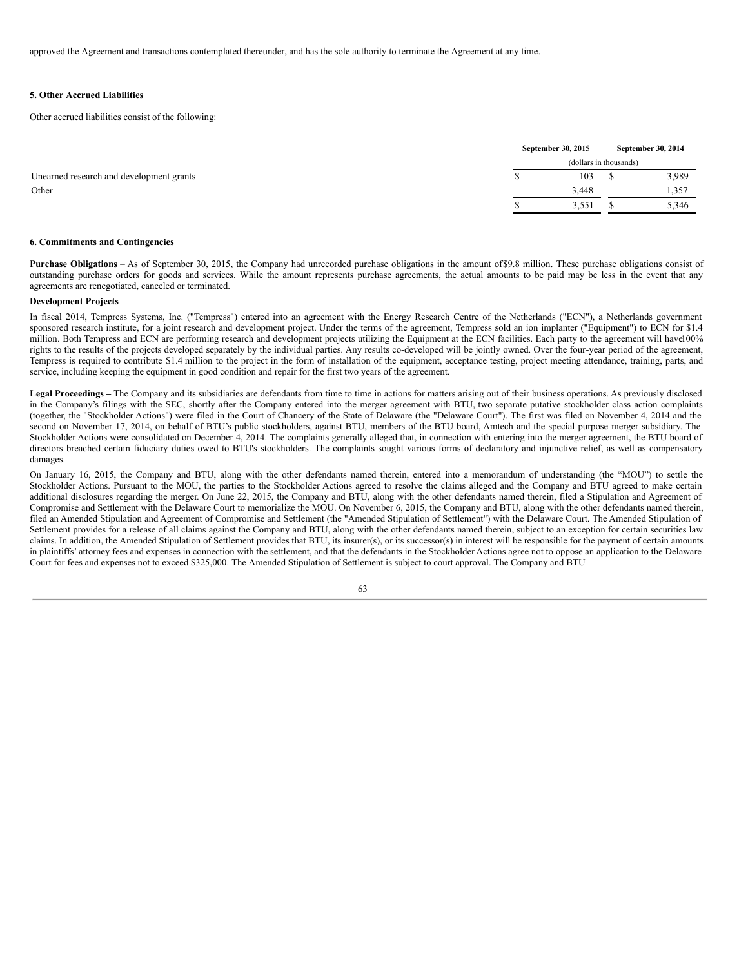approved the Agreement and transactions contemplated thereunder, and has the sole authority to terminate the Agreement at any time.

### **5. Other Accrued Liabilities**

Other accrued liabilities consist of the following:

|                                          | September 30, 2015<br>September 30, 2014 |       |  |       |  |
|------------------------------------------|------------------------------------------|-------|--|-------|--|
|                                          | (dollars in thousands)                   |       |  |       |  |
| Unearned research and development grants |                                          | 103   |  | 3,989 |  |
| Other                                    |                                          | 3.448 |  | 1,357 |  |
|                                          |                                          | 3.551 |  | 5,346 |  |
|                                          |                                          |       |  |       |  |

### **6. Commitments and Contingencies**

**Purchase Obligations** – As of September 30, 2015, the Company had unrecorded purchase obligations in the amount of\$9.8 million. These purchase obligations consist of outstanding purchase orders for goods and services. While the amount represents purchase agreements, the actual amounts to be paid may be less in the event that any agreements are renegotiated, canceled or terminated.

# **Development Projects**

In fiscal 2014, Tempress Systems, Inc. ("Tempress") entered into an agreement with the Energy Research Centre of the Netherlands ("ECN"), a Netherlands government sponsored research institute, for a joint research and development project. Under the terms of the agreement, Tempress sold an ion implanter ("Equipment") to ECN for \$1.4 million. Both Tempress and ECN are performing research and development projects utilizing the Equipment at the ECN facilities. Each party to the agreement will have 00% rights to the results of the projects developed separately by the individual parties. Any results co-developed will be jointly owned. Over the four-year period of the agreement, Tempress is required to contribute \$1.4 million to the project in the form of installation of the equipment, acceptance testing, project meeting attendance, training, parts, and service, including keeping the equipment in good condition and repair for the first two years of the agreement.

Legal Proceedings – The Company and its subsidiaries are defendants from time to time in actions for matters arising out of their business operations. As previously disclosed in the Company's filings with the SEC, shortly after the Company entered into the merger agreement with BTU, two separate putative stockholder class action complaints (together, the "Stockholder Actions") were filed in the Court of Chancery of the State of Delaware (the "Delaware Court"). The first was filed on November 4, 2014 and the second on November 17, 2014, on behalf of BTU's public stockholders, against BTU, members of the BTU board, Amtech and the special purpose merger subsidiary. The Stockholder Actions were consolidated on December 4, 2014. The complaints generally alleged that, in connection with entering into the merger agreement, the BTU board of directors breached certain fiduciary duties owed to BTU's stockholders. The complaints sought various forms of declaratory and injunctive relief, as well as compensatory damages.

On January 16, 2015, the Company and BTU, along with the other defendants named therein, entered into a memorandum of understanding (the "MOU") to settle the Stockholder Actions. Pursuant to the MOU, the parties to the Stockholder Actions agreed to resolve the claims alleged and the Company and BTU agreed to make certain additional disclosures regarding the merger. On June 22, 2015, the Company and BTU, along with the other defendants named therein, filed a Stipulation and Agreement of Compromise and Settlement with the Delaware Court to memorialize the MOU. On November 6, 2015, the Company and BTU, along with the other defendants named therein, filed an Amended Stipulation and Agreement of Compromise and Settlement (the "Amended Stipulation of Settlement") with the Delaware Court. The Amended Stipulation of Settlement provides for a release of all claims against the Company and BTU, along with the other defendants named therein, subject to an exception for certain securities law claims. In addition, the Amended Stipulation of Settlement provides that BTU, its insurer(s), or its successor(s) in interest will be responsible for the payment of certain amounts in plaintiffs' attorney fees and expenses in connection with the settlement, and that the defendants in the Stockholder Actions agree not to oppose an application to the Delaware Court for fees and expenses not to exceed \$325,000. The Amended Stipulation of Settlement is subject to court approval. The Company and BTU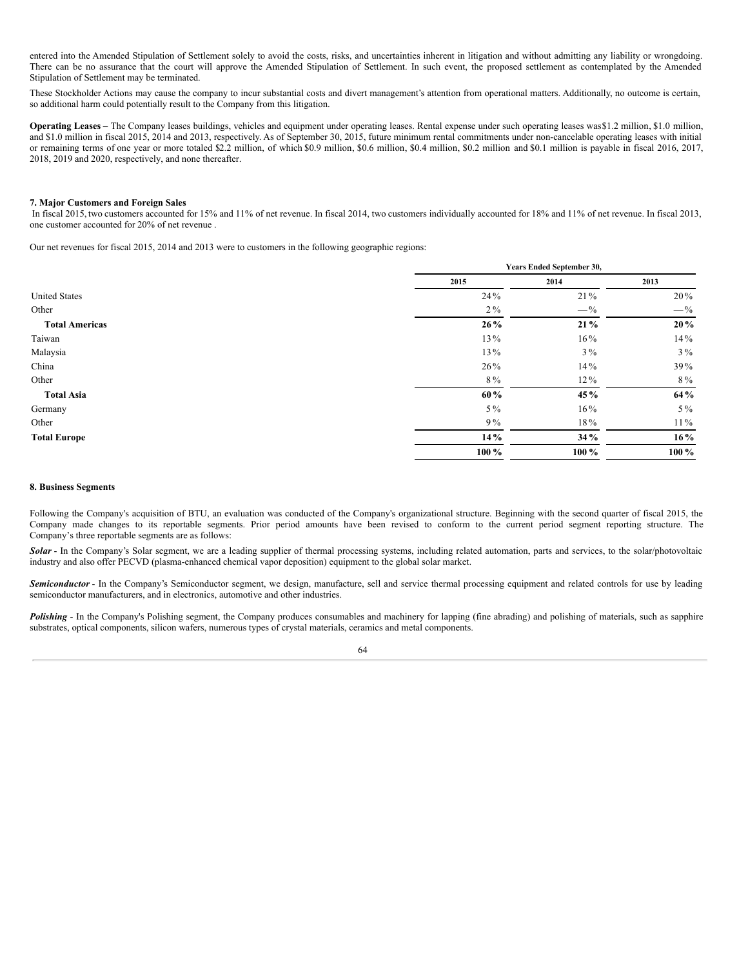entered into the Amended Stipulation of Settlement solely to avoid the costs, risks, and uncertainties inherent in litigation and without admitting any liability or wrongdoing. There can be no assurance that the court will approve the Amended Stipulation of Settlement. In such event, the proposed settlement as contemplated by the Amended Stipulation of Settlement may be terminated.

These Stockholder Actions may cause the company to incur substantial costs and divert management's attention from operational matters. Additionally, no outcome is certain, so additional harm could potentially result to the Company from this litigation.

**Operating Leases –** The Company leases buildings, vehicles and equipment under operating leases. Rental expense under such operating leases was\$1.2 million, \$1.0 million, and \$1.0 million in fiscal 2015, 2014 and 2013, respectively. As of September 30, 2015, future minimum rental commitments under non-cancelable operating leases with initial or remaining terms of one year or more totaled \$2.2 million, of which \$0.9 million, \$0.6 million, \$0.4 million, \$0.2 million and \$0.1 million is payable in fiscal 2016, 2017, 2018, 2019 and 2020, respectively, and none thereafter.

### **7. Major Customers and Foreign Sales**

In fiscal 2015, two customers accounted for 15% and 11% of net revenue. In fiscal 2014, two customers individually accounted for 18% and 11% of net revenue. In fiscal 2013, one customer accounted for 20% of net revenue .

Our net revenues for fiscal 2015, 2014 and 2013 were to customers in the following geographic regions:

|                       |         | Years Ended September 30, |         |  |  |  |  |
|-----------------------|---------|---------------------------|---------|--|--|--|--|
|                       | 2015    | 2014                      | 2013    |  |  |  |  |
| <b>United States</b>  | 24 %    | 21%                       | 20%     |  |  |  |  |
| Other                 | $2\%$   | $-$ %                     | $-\%$   |  |  |  |  |
| <b>Total Americas</b> | $26\%$  | $21\%$                    | 20%     |  |  |  |  |
| Taiwan                | 13%     | $16\%$                    | 14%     |  |  |  |  |
| Malaysia              | 13%     | $3\%$                     | $3\%$   |  |  |  |  |
| China                 | 26%     | 14%                       | 39%     |  |  |  |  |
| Other                 | $8\%$   | $12\%$                    | 8 %     |  |  |  |  |
| <b>Total Asia</b>     | 60 %    | 45%                       | 64 %    |  |  |  |  |
| Germany               | $5\%$   | $16\%$                    | $5\%$   |  |  |  |  |
| Other                 | $9\%$   | 18%                       | $11\%$  |  |  |  |  |
| <b>Total Europe</b>   | $14\%$  | $34\%$                    | $16\%$  |  |  |  |  |
|                       | $100\%$ | 100 %                     | $100\%$ |  |  |  |  |

#### **8. Business Segments**

Following the Company's acquisition of BTU, an evaluation was conducted of the Company's organizational structure. Beginning with the second quarter of fiscal 2015, the Company made changes to its reportable segments. Prior period amounts have been revised to conform to the current period segment reporting structure. The Company's three reportable segments are as follows:

Solar - In the Company's Solar segment, we are a leading supplier of thermal processing systems, including related automation, parts and services, to the solar/photovoltaic industry and also offer PECVD (plasma-enhanced chemical vapor deposition) equipment to the global solar market.

*Semiconductor* - In the Company's Semiconductor segment, we design, manufacture, sell and service thermal processing equipment and related controls for use by leading semiconductor manufacturers, and in electronics, automotive and other industries.

Polishing - In the Company's Polishing segment, the Company produces consumables and machinery for lapping (fine abrading) and polishing of materials, such as sapphire substrates, optical components, silicon wafers, numerous types of crystal materials, ceramics and metal components.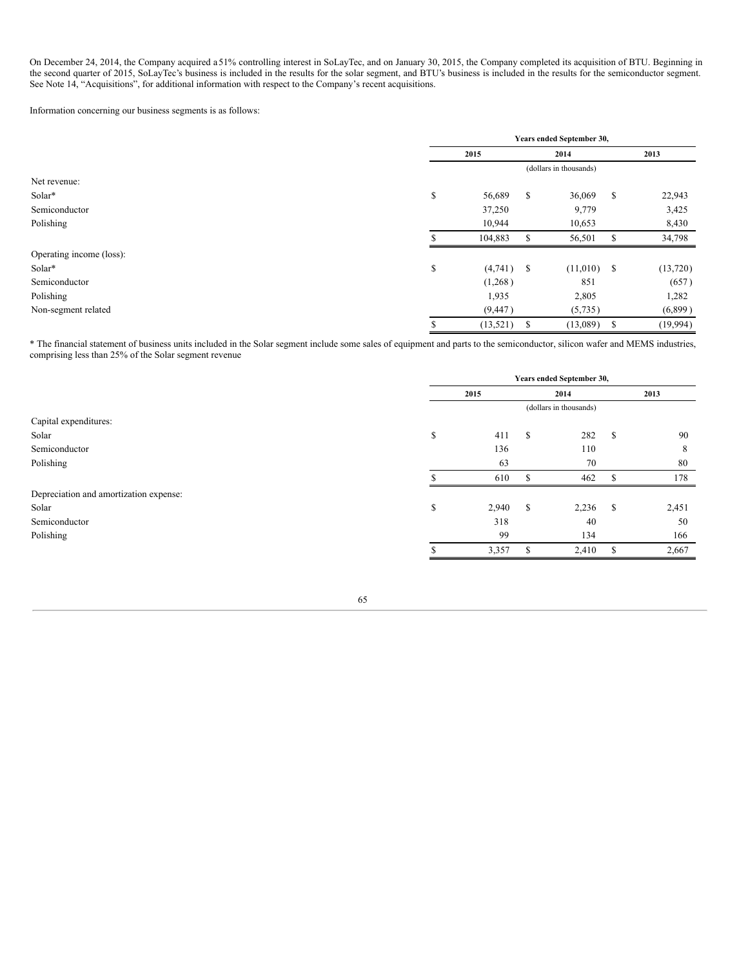On December 24, 2014, the Company acquired a 51% controlling interest in SoLayTec, and on January 30, 2015, the Company completed its acquisition of BTU. Beginning in the second quarter of 2015, SoLayTec's business is included in the results for the solar segment, and BTU's business is included in the results for the semiconductor segment. See Note 14, "Acquisitions", for additional information with respect to the Company's recent acquisitions.

Information concerning our business segments is as follows:

|                          |    | Years ended September 30, |              |                        |    |          |  |
|--------------------------|----|---------------------------|--------------|------------------------|----|----------|--|
|                          |    | 2015                      |              | 2014                   |    | 2013     |  |
|                          |    |                           |              | (dollars in thousands) |    |          |  |
| Net revenue:             |    |                           |              |                        |    |          |  |
| Solar*                   | \$ | 56,689                    | S            | 36,069                 | \$ | 22,943   |  |
| Semiconductor            |    | 37,250                    |              | 9,779                  |    | 3,425    |  |
| Polishing                |    | 10,944                    |              | 10,653                 |    | 8,430    |  |
|                          |    | 104,883                   | S            | 56,501                 | S  | 34,798   |  |
| Operating income (loss): |    |                           |              |                        |    |          |  |
| Solar*                   | \$ | (4,741)                   | $\mathbf{s}$ | (11,010)               | -S | (13,720) |  |
| Semiconductor            |    | (1,268)                   |              | 851                    |    | (657)    |  |
| Polishing                |    | 1,935                     |              | 2,805                  |    | 1,282    |  |
| Non-segment related      |    | (9, 447)                  |              | (5,735)                |    | (6,899)  |  |
|                          | S  | (13, 521)                 | \$           | (13,089)               | S  | (19,994) |  |

\* The financial statement of business units included in the Solar segment include some sales of equipment and parts to the semiconductor, silicon wafer and MEMS industries, comprising less than 25% of the Solar segment revenue

|                                        | Years ended September 30, |     |                        |      |       |
|----------------------------------------|---------------------------|-----|------------------------|------|-------|
|                                        | 2015                      |     | 2014                   | 2013 |       |
|                                        |                           |     | (dollars in thousands) |      |       |
| Capital expenditures:                  |                           |     |                        |      |       |
| Solar                                  | \$<br>411                 | S.  | 282                    | S    | 90    |
| Semiconductor                          | 136                       |     | 110                    |      | 8     |
| Polishing                              | 63                        |     | 70                     |      | 80    |
|                                        | 610                       | \$. | 462                    | \$.  | 178   |
| Depreciation and amortization expense: |                           |     |                        |      |       |
| Solar                                  | \$<br>2,940               | -S  | 2,236                  | S    | 2,451 |
| Semiconductor                          | 318                       |     | 40                     |      | 50    |
| Polishing                              | 99                        |     | 134                    |      | 166   |
|                                        | 3,357                     | \$  | 2,410                  | S    | 2,667 |

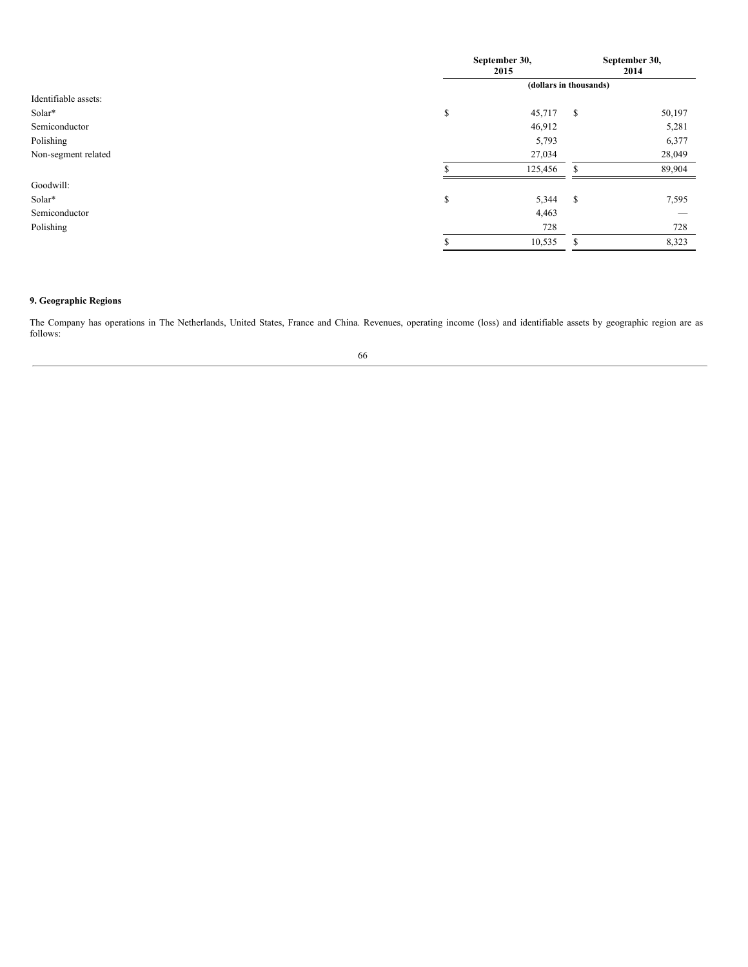|                      | September 30,<br>2015 |                        | September 30,<br>2014 |
|----------------------|-----------------------|------------------------|-----------------------|
|                      |                       | (dollars in thousands) |                       |
| Identifiable assets: |                       |                        |                       |
| Solar*               | \$<br>45,717          | S                      | 50,197                |
| Semiconductor        | 46,912                |                        | 5,281                 |
| Polishing            | 5,793                 |                        | 6,377                 |
| Non-segment related  | 27,034                |                        | 28,049                |
|                      | 125,456               | S.                     | 89,904                |
| Goodwill:            |                       |                        |                       |
| Solar*               | \$<br>5,344           | $\mathbb{S}$           | 7,595                 |
| Semiconductor        | 4,463                 |                        |                       |
| Polishing            | 728                   |                        | 728                   |
|                      | \$<br>10,535          | \$                     | 8,323                 |

# **9. Geographic Regions**

The Company has operations in The Netherlands, United States, France and China. Revenues, operating income (loss) and identifiable assets by geographic region are as follows: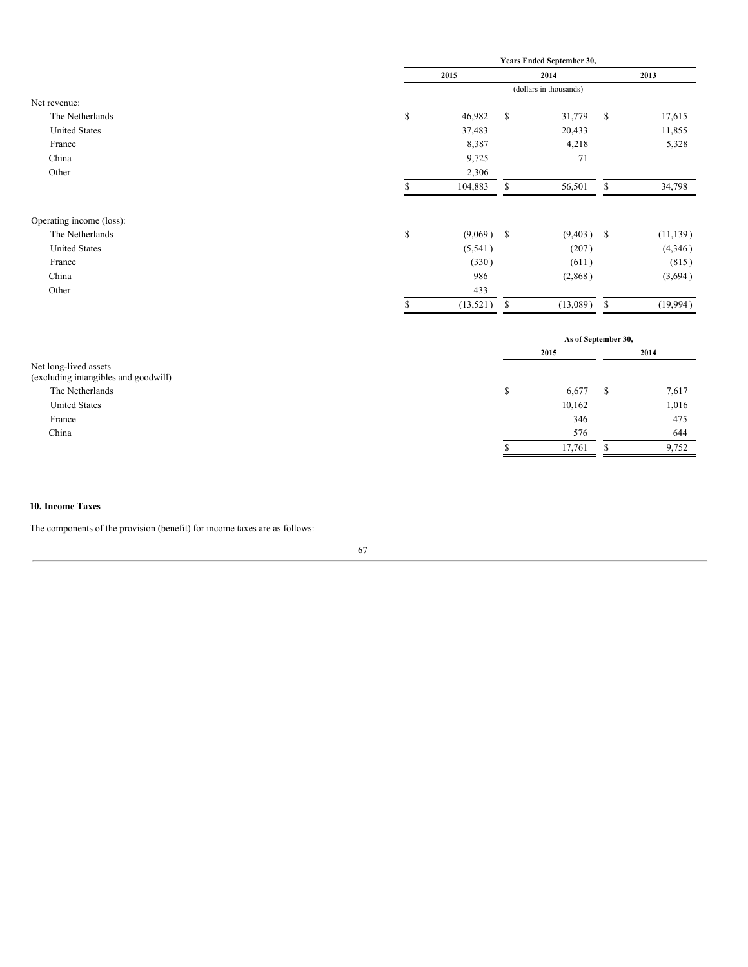|                                                               |                         | Years Ended September 30, |                        |     |           |  |
|---------------------------------------------------------------|-------------------------|---------------------------|------------------------|-----|-----------|--|
|                                                               | 2015                    |                           | 2014                   |     | 2013      |  |
|                                                               |                         |                           | (dollars in thousands) |     |           |  |
| Net revenue:                                                  |                         |                           |                        |     |           |  |
| The Netherlands                                               | \$<br>46,982            | \$                        | 31,779                 | \$  | 17,615    |  |
| <b>United States</b>                                          | 37,483                  |                           | 20,433                 |     | 11,855    |  |
| France                                                        | 8,387                   |                           | 4,218                  |     | 5,328     |  |
| China                                                         | 9,725                   |                           | 71                     |     |           |  |
| Other                                                         | 2,306                   |                           |                        |     |           |  |
|                                                               | 104,883<br>\$           | \$                        | 56,501                 | \$  | 34,798    |  |
| Operating income (loss):                                      |                         |                           |                        |     |           |  |
| The Netherlands                                               | $\mathbb{S}$<br>(9,069) | -\$                       | (9, 403)               | - S | (11, 139) |  |
| <b>United States</b>                                          | (5, 541)                |                           | (207)                  |     | (4,346)   |  |
| France                                                        | (330)                   |                           | (611)                  |     | (815)     |  |
| China                                                         | 986                     |                           | (2,868)                |     | (3,694)   |  |
| Other                                                         | 433                     |                           | -                      |     |           |  |
|                                                               | S.<br>(13,521)          | $\mathbb{S}$              | (13,089)               | \$  | (19,994)  |  |
|                                                               |                         |                           | As of September 30,    |     |           |  |
|                                                               |                         |                           | 2015                   |     | 2014      |  |
| Net long-lived assets<br>(excluding intangibles and goodwill) |                         |                           |                        |     |           |  |
| The Netherlands                                               |                         | \$                        | 6,677                  | \$  | 7,617     |  |
| <b>United States</b>                                          |                         |                           | 10,162                 |     | 1,016     |  |
| France                                                        |                         |                           | 346                    |     | 475       |  |
| China                                                         |                         |                           | 576                    |     | 644       |  |

# **10. Income Taxes**

The components of the provision (benefit) for income taxes are as follows:

 $\overline{\text{S}}$  17,761  $\overline{\text{S}}$  9,752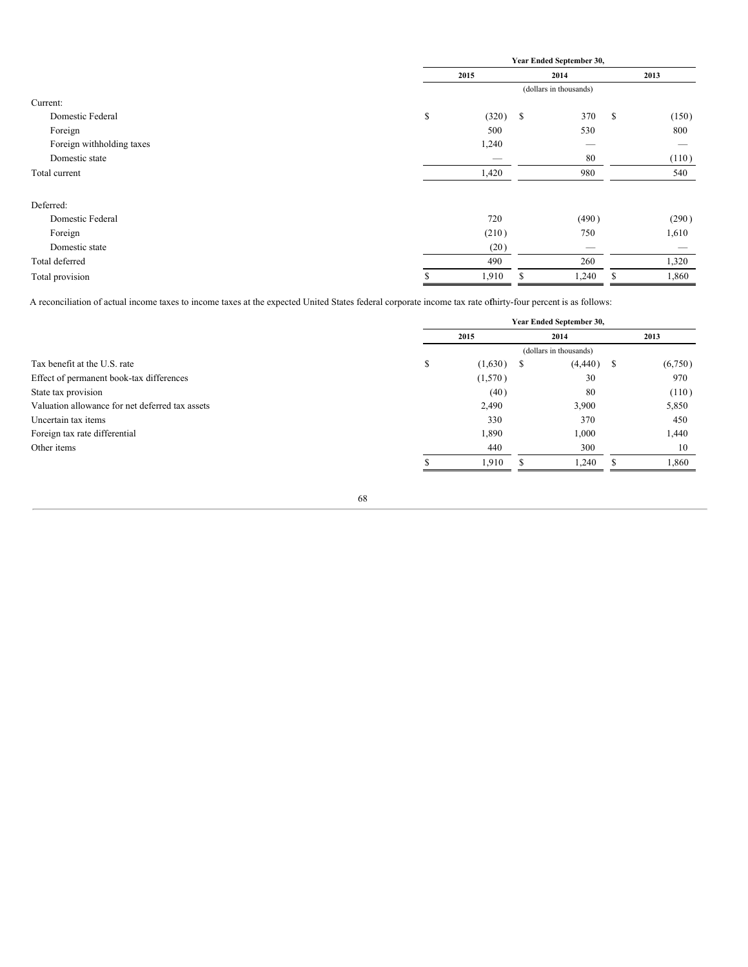|                           | Year Ended September 30, |       |    |                          |   |       |
|---------------------------|--------------------------|-------|----|--------------------------|---|-------|
|                           |                          | 2015  |    | 2014                     |   | 2013  |
|                           |                          |       |    | (dollars in thousands)   |   |       |
| Current:                  |                          |       |    |                          |   |       |
| Domestic Federal          | \$                       | (320) | \$ | 370                      | S | (150) |
| Foreign                   |                          | 500   |    | 530                      |   | 800   |
| Foreign withholding taxes |                          | 1,240 |    | $\overline{\phantom{a}}$ |   |       |
| Domestic state            |                          |       |    | 80                       |   | (110) |
| Total current             |                          | 1,420 |    | 980                      |   | 540   |
|                           |                          |       |    |                          |   |       |
| Domestic Federal          |                          | 720   |    | (490)                    |   | (290) |
| Foreign                   |                          | (210) |    | 750                      |   | 1,610 |
| Domestic state            |                          | (20)  |    |                          |   |       |
|                           |                          | 490   |    | 260                      |   | 1,320 |
|                           | S                        | 1,910 | S  | 1,240                    | ъ | 1,860 |

A reconciliation of actual income taxes to income taxes at the expected United States federal corporate income tax rate ofthirty-four percent is as follows:

|                                                 |      | Year Ended September 30, |     |                        |      |         |  |
|-------------------------------------------------|------|--------------------------|-----|------------------------|------|---------|--|
|                                                 | 2015 |                          |     | 2014                   |      | 2013    |  |
|                                                 |      |                          |     | (dollars in thousands) |      |         |  |
| Tax benefit at the U.S. rate                    | \$   | (1,630)                  | \$. | (4, 440)               | - \$ | (6,750) |  |
| Effect of permanent book-tax differences        |      | (1,570)                  |     | 30                     |      | 970     |  |
| State tax provision                             |      | (40)                     |     | 80                     |      | (110)   |  |
| Valuation allowance for net deferred tax assets |      | 2,490                    |     | 3,900                  |      | 5,850   |  |
| Uncertain tax items                             |      | 330                      |     | 370                    |      | 450     |  |
| Foreign tax rate differential                   |      | 1,890                    |     | 1,000                  |      | 1,440   |  |
| Other items                                     |      | 440                      |     | 300                    |      | 10      |  |
|                                                 |      | 1,910                    | ъ   | 1,240                  | -S   | 1,860   |  |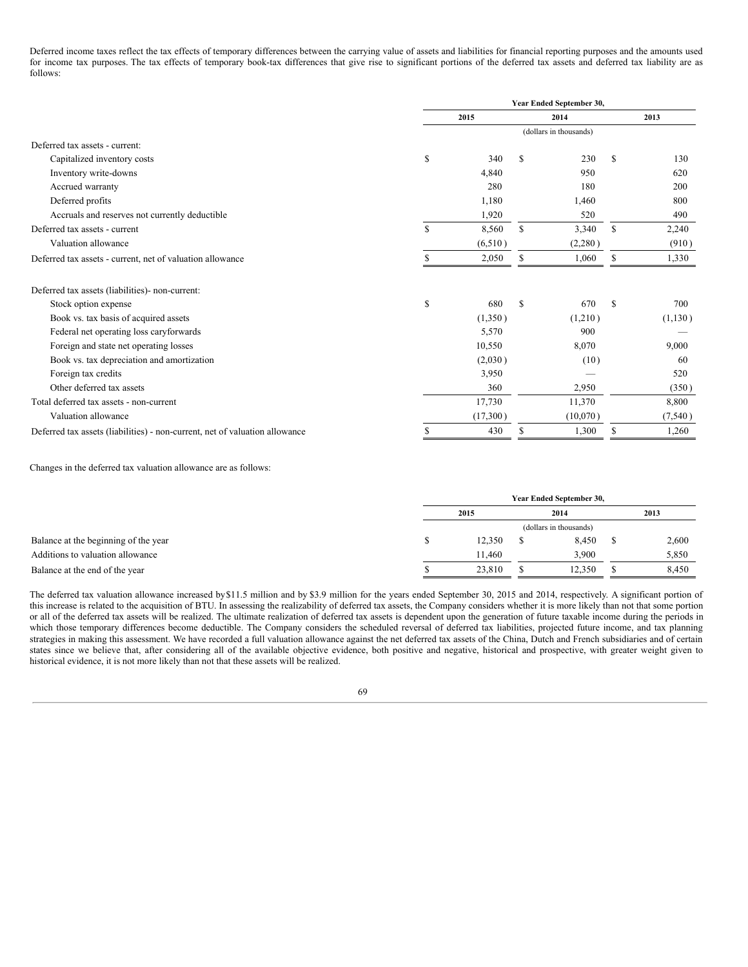Deferred income taxes reflect the tax effects of temporary differences between the carrying value of assets and liabilities for financial reporting purposes and the amounts used for income tax purposes. The tax effects of temporary book-tax differences that give rise to significant portions of the deferred tax assets and deferred tax liability are as follows:

|                                                                             | Year Ended September 30, |          |               |                        |    |          |  |  |
|-----------------------------------------------------------------------------|--------------------------|----------|---------------|------------------------|----|----------|--|--|
|                                                                             |                          | 2015     |               | 2014                   |    | 2013     |  |  |
|                                                                             |                          |          |               | (dollars in thousands) |    |          |  |  |
| Deferred tax assets - current:                                              |                          |          |               |                        |    |          |  |  |
| Capitalized inventory costs                                                 | \$                       | 340      | <sup>\$</sup> | 230                    | S  | 130      |  |  |
| Inventory write-downs                                                       |                          | 4,840    |               | 950                    |    | 620      |  |  |
| Accrued warranty                                                            |                          | 280      |               | 180                    |    | 200      |  |  |
| Deferred profits                                                            |                          | 1,180    |               | 1,460                  |    | 800      |  |  |
| Accruals and reserves not currently deductible                              |                          | 1,920    |               | 520                    |    | 490      |  |  |
| Deferred tax assets - current                                               | S                        | 8,560    | \$            | 3,340                  | S  | 2,240    |  |  |
| Valuation allowance                                                         |                          | (6,510)  |               | (2,280)                |    | (910)    |  |  |
| Deferred tax assets - current, net of valuation allowance                   |                          | 2,050    | \$            | 1,060                  | S  | 1,330    |  |  |
| Deferred tax assets (liabilities)- non-current:                             |                          |          |               |                        |    |          |  |  |
| Stock option expense                                                        | \$                       | 680      | <sup>S</sup>  | 670                    | S  | 700      |  |  |
| Book vs. tax basis of acquired assets                                       |                          | (1,350)  |               | (1,210)                |    | (1, 130) |  |  |
| Federal net operating loss caryforwards                                     |                          | 5,570    |               | 900                    |    |          |  |  |
| Foreign and state net operating losses                                      |                          | 10,550   |               | 8,070                  |    | 9,000    |  |  |
| Book vs. tax depreciation and amortization                                  |                          | (2,030)  |               | (10)                   |    | 60       |  |  |
| Foreign tax credits                                                         |                          | 3,950    |               |                        |    | 520      |  |  |
| Other deferred tax assets                                                   |                          | 360      |               | 2,950                  |    | (350)    |  |  |
| Total deferred tax assets - non-current                                     |                          | 17,730   |               | 11,370                 |    | 8,800    |  |  |
| Valuation allowance                                                         |                          | (17,300) |               | (10,070)               |    | (7, 540) |  |  |
| Deferred tax assets (liabilities) - non-current, net of valuation allowance |                          | 430      | S             | 1,300                  | \$ | 1,260    |  |  |

Changes in the deferred tax valuation allowance are as follows:

|                                      | Year Ended September 30, |  |                        |  |       |  |  |  |
|--------------------------------------|--------------------------|--|------------------------|--|-------|--|--|--|
|                                      | 2015                     |  | 2014                   |  | 2013  |  |  |  |
|                                      |                          |  | (dollars in thousands) |  |       |  |  |  |
| Balance at the beginning of the year | 12.350                   |  | 8,450                  |  | 2,600 |  |  |  |
| Additions to valuation allowance     | 11.460                   |  | 3.900                  |  | 5,850 |  |  |  |
|                                      | 23.810                   |  | 12.350                 |  | 8,450 |  |  |  |

The deferred tax valuation allowance increased by \$11.5 million and by \$3.9 million for the years ended September 30, 2015 and 2014, respectively. A significant portion of this increase is related to the acquisition of BTU. In assessing the realizability of deferred tax assets, the Company considers whether it is more likely than not that some portion or all of the deferred tax assets will be realized. The ultimate realization of deferred tax assets is dependent upon the generation of future taxable income during the periods in which those temporary differences become deductible. The Company considers the scheduled reversal of deferred tax liabilities, projected future income, and tax planning strategies in making this assessment. We have recorded a full valuation allowance against the net deferred tax assets of the China, Dutch and French subsidiaries and of certain states since we believe that, after considering all of the available objective evidence, both positive and negative, historical and prospective, with greater weight given to historical evidence, it is not more likely than not that these assets will be realized.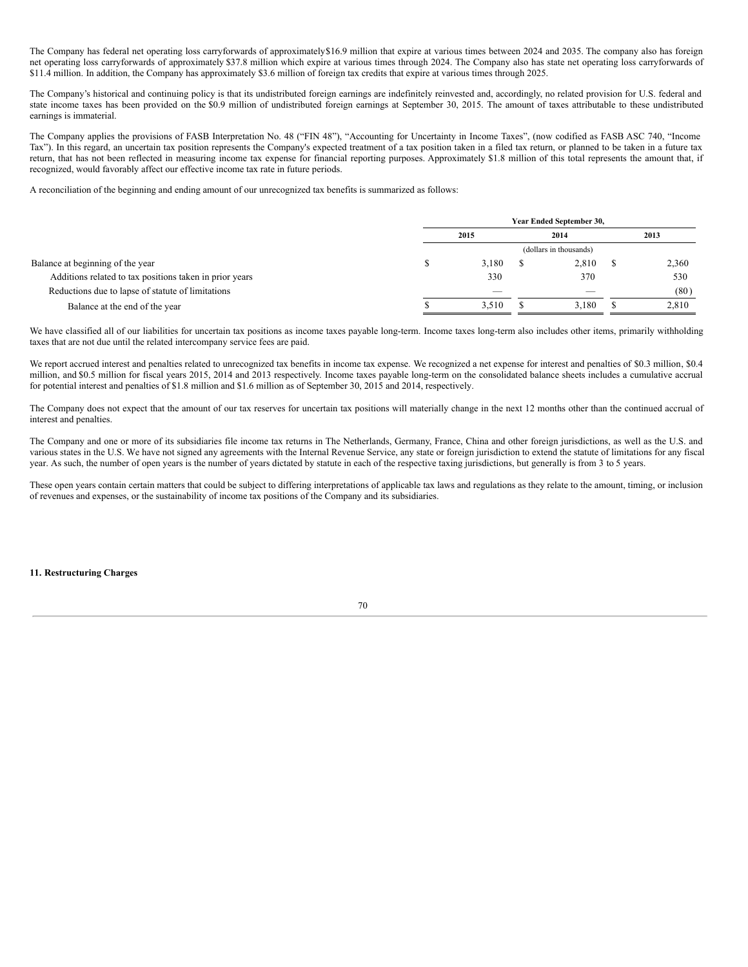The Company has federal net operating loss carryforwards of approximately\$16.9 million that expire at various times between 2024 and 2035. The company also has foreign net operating loss carryforwards of approximately \$37.8 million which expire at various times through 2024. The Company also has state net operating loss carryforwards of \$11.4 million. In addition, the Company has approximately \$3.6 million of foreign tax credits that expire at various times through 2025.

The Company's historical and continuing policy is that its undistributed foreign earnings are indefinitely reinvested and, accordingly, no related provision for U.S. federal and state income taxes has been provided on the \$0.9 million of undistributed foreign earnings at September 30, 2015. The amount of taxes attributable to these undistributed earnings is immaterial.

The Company applies the provisions of FASB Interpretation No. 48 ("FIN 48"), "Accounting for Uncertainty in Income Taxes", (now codified as FASB ASC 740, "Income Tax"). In this regard, an uncertain tax position represents the Company's expected treatment of a tax position taken in a filed tax return, or planned to be taken in a future tax return, that has not been reflected in measuring income tax expense for financial reporting purposes. Approximately \$1.8 million of this total represents the amount that, if recognized, would favorably affect our effective income tax rate in future periods.

A reconciliation of the beginning and ending amount of our unrecognized tax benefits is summarized as follows:

|                                                         |                        | Year Ended September 30, |  |       |  |       |  |  |  |  |  |
|---------------------------------------------------------|------------------------|--------------------------|--|-------|--|-------|--|--|--|--|--|
|                                                         |                        | 2015                     |  | 2014  |  | 2013  |  |  |  |  |  |
|                                                         | (dollars in thousands) |                          |  |       |  |       |  |  |  |  |  |
| Balance at beginning of the year                        |                        | 3,180                    |  | 2,810 |  | 2,360 |  |  |  |  |  |
| Additions related to tax positions taken in prior years |                        | 330                      |  | 370   |  | 530   |  |  |  |  |  |
| Reductions due to lapse of statute of limitations       |                        | __                       |  | -     |  | (80)  |  |  |  |  |  |
| Balance at the end of the year                          |                        | 3,510                    |  | 3.180 |  | 2,810 |  |  |  |  |  |

We have classified all of our liabilities for uncertain tax positions as income taxes payable long-term. Income taxes long-term also includes other items, primarily withholding taxes that are not due until the related intercompany service fees are paid.

We report accrued interest and penalties related to unrecognized tax benefits in income tax expense. We recognized a net expense for interest and penalties of \$0.3 million, \$0.4 million, and \$0.5 million for fiscal years 2015, 2014 and 2013 respectively. Income taxes payable long-term on the consolidated balance sheets includes a cumulative accrual for potential interest and penalties of \$1.8 million and \$1.6 million as of September 30, 2015 and 2014, respectively.

The Company does not expect that the amount of our tax reserves for uncertain tax positions will materially change in the next 12 months other than the continued accrual of interest and penalties.

The Company and one or more of its subsidiaries file income tax returns in The Netherlands, Germany, France, China and other foreign jurisdictions, as well as the U.S. and various states in the U.S. We have not signed any agreements with the Internal Revenue Service, any state or foreign jurisdiction to extend the statute of limitations for any fiscal year. As such, the number of open years is the number of years dictated by statute in each of the respective taxing jurisdictions, but generally is from 3 to 5 years.

These open years contain certain matters that could be subject to differing interpretations of applicable tax laws and regulations as they relate to the amount, timing, or inclusion of revenues and expenses, or the sustainability of income tax positions of the Company and its subsidiaries.

#### **11. Restructuring Charges**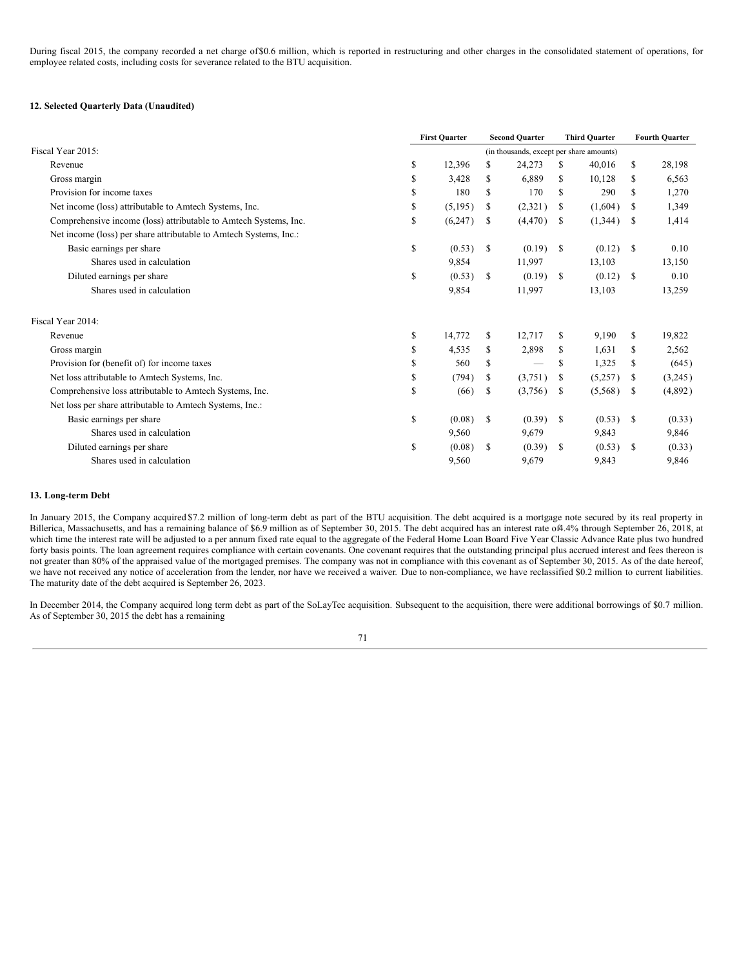During fiscal 2015, the company recorded a net charge of\$0.6 million, which is reported in restructuring and other charges in the consolidated statement of operations, for employee related costs, including costs for severance related to the BTU acquisition.

## **12. Selected Quarterly Data (Unaudited)**

|                                                                   | <b>First Quarter</b> |         | <b>Second Quarter</b> |          | <b>Third Quarter</b>                     |          | <b>Fourth Quarter</b> |         |  |
|-------------------------------------------------------------------|----------------------|---------|-----------------------|----------|------------------------------------------|----------|-----------------------|---------|--|
| Fiscal Year 2015:                                                 |                      |         |                       |          | (in thousands, except per share amounts) |          |                       |         |  |
| Revenue                                                           | \$                   | 12,396  | \$                    | 24,273   | S                                        | 40,016   | \$                    | 28,198  |  |
| Gross margin                                                      | \$                   | 3,428   | $\mathbb{S}$          | 6,889    | S                                        | 10,128   | \$                    | 6,563   |  |
| Provision for income taxes                                        | \$                   | 180     | S                     | 170      | $\mathbf S$                              | 290      | \$                    | 1,270   |  |
| Net income (loss) attributable to Amtech Systems, Inc.            | \$                   | (5,195) | <sup>\$</sup>         | (2,321)  | S                                        | (1,604)  | \$                    | 1,349   |  |
| Comprehensive income (loss) attributable to Amtech Systems, Inc.  | \$                   | (6,247) | \$                    | (4, 470) | S                                        | (1, 344) | \$                    | 1,414   |  |
| Net income (loss) per share attributable to Amtech Systems, Inc.: |                      |         |                       |          |                                          |          |                       |         |  |
| Basic earnings per share                                          | \$                   | (0.53)  | <sup>\$</sup>         | (0.19)   | -S                                       | (0.12)   | <sup>\$</sup>         | 0.10    |  |
| Shares used in calculation                                        |                      | 9,854   |                       | 11,997   |                                          | 13,103   |                       | 13,150  |  |
| Diluted earnings per share                                        | \$                   | (0.53)  | <sup>\$</sup>         | (0.19)   | S                                        | (0.12)   | <sup>\$</sup>         | 0.10    |  |
| Shares used in calculation                                        |                      | 9,854   |                       | 11,997   |                                          | 13,103   |                       | 13,259  |  |
| Fiscal Year 2014:                                                 |                      |         |                       |          |                                          |          |                       |         |  |
| Revenue                                                           | \$                   | 14,772  | \$                    | 12,717   | S                                        | 9,190    | \$                    | 19,822  |  |
| Gross margin                                                      | \$                   | 4,535   | $\mathbb{S}$          | 2,898    | S                                        | 1,631    | S.                    | 2,562   |  |
| Provision for (benefit of) for income taxes                       | \$                   | 560     | \$                    |          | \$                                       | 1,325    | \$                    | (645)   |  |
| Net loss attributable to Amtech Systems, Inc.                     | \$                   | (794)   | <sup>\$</sup>         | (3,751)  | S                                        | (5,257)  | \$                    | (3,245) |  |
| Comprehensive loss attributable to Amtech Systems, Inc.           | \$                   | (66)    | \$                    | (3,756)  | S                                        | (5,568)  | \$                    | (4,892) |  |
| Net loss per share attributable to Amtech Systems, Inc.:          |                      |         |                       |          |                                          |          |                       |         |  |
| Basic earnings per share                                          | \$                   | (0.08)  | <sup>\$</sup>         | (0.39)   | - S                                      | (0.53)   | <sup>\$</sup>         | (0.33)  |  |
| Shares used in calculation                                        |                      | 9,560   |                       | 9,679    |                                          | 9,843    |                       | 9,846   |  |
| Diluted earnings per share                                        | S                    | (0.08)  | <sup>\$</sup>         | (0.39)   | S                                        | (0.53)   | \$                    | (0.33)  |  |
| Shares used in calculation                                        |                      | 9,560   |                       | 9,679    |                                          | 9,843    |                       | 9,846   |  |

### **13. Long-term Debt**

In January 2015, the Company acquired \$7.2 million of long-term debt as part of the BTU acquisition. The debt acquired is a mortgage note secured by its real property in Billerica, Massachusetts, and has a remaining balance of \$6.9 million as of September 30, 2015. The debt acquired has an interest rate of 4.4% through September 26, 2018, at which time the interest rate will be adjusted to a per annum fixed rate equal to the aggregate of the Federal Home Loan Board Five Year Classic Advance Rate plus two hundred forty basis points. The loan agreement requires compliance with certain covenants. One covenant requires that the outstanding principal plus accrued interest and fees thereon is not greater than 80% of the appraised value of the mortgaged premises. The company was not in compliance with this covenant as of September 30, 2015. As of the date hereof, we have not received any notice of acceleration from the lender, nor have we received a waiver. Due to non-compliance, we have reclassified \$0.2 million to current liabilities. The maturity date of the debt acquired is September 26, 2023.

In December 2014, the Company acquired long term debt as part of the SoLayTec acquisition. Subsequent to the acquisition, there were additional borrowings of \$0.7 million. As of September 30, 2015 the debt has a remaining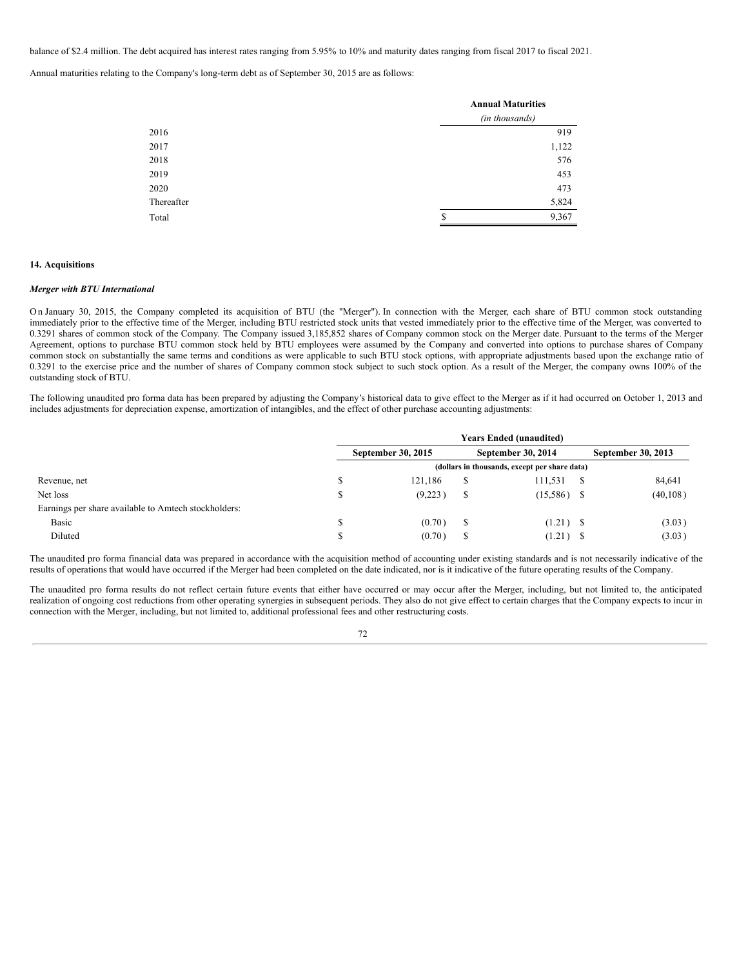balance of \$2.4 million. The debt acquired has interest rates ranging from 5.95% to 10% and maturity dates ranging from fiscal 2017 to fiscal 2021.

Annual maturities relating to the Company's long-term debt as of September 30, 2015 are as follows:

|            | <b>Annual Maturities</b> |                |
|------------|--------------------------|----------------|
|            |                          | (in thousands) |
| 2016       |                          | 919            |
| 2017       |                          | 1,122          |
| 2018       |                          | 576            |
| 2019       |                          | 453            |
| 2020       |                          | 473            |
| Thereafter |                          | 5,824          |
| Total      | \$                       | 9,367          |

## **14. Acquisitions**

#### *Merger with BTU International*

On January 30, 2015, the Company completed its acquisition of BTU (the "Merger"). In connection with the Merger, each share of BTU common stock outstanding immediately prior to the effective time of the Merger, including BTU restricted stock units that vested immediately prior to the effective time of the Merger, was converted to 0.3291 shares of common stock of the Company. The Company issued 3,185,852 shares of Company common stock on the Merger date. Pursuant to the terms of the Merger Agreement, options to purchase BTU common stock held by BTU employees were assumed by the Company and converted into options to purchase shares of Company common stock on substantially the same terms and conditions as were applicable to such BTU stock options, with appropriate adjustments based upon the exchange ratio of 0.3291 to the exercise price and the number of shares of Company common stock subject to such stock option. As a result of the Merger, the company owns 100% of the outstanding stock of BTU.

The following unaudited pro forma data has been prepared by adjusting the Company's historical data to give effect to the Merger as if it had occurred on October 1, 2013 and includes adjustments for depreciation expense, amortization of intangibles, and the effect of other purchase accounting adjustments:

|                                                      | <b>Years Ended (unaudited)</b> |                           |   |                                               |     |                           |
|------------------------------------------------------|--------------------------------|---------------------------|---|-----------------------------------------------|-----|---------------------------|
|                                                      |                                | <b>September 30, 2015</b> |   | September 30, 2014                            |     | <b>September 30, 2013</b> |
|                                                      |                                |                           |   | (dollars in thousands, except per share data) |     |                           |
| Revenue, net                                         | S                              | 121,186                   |   | 111,531                                       | S   | 84,641                    |
| Net loss                                             | <sup>\$</sup>                  | (9,223)                   | S | (15,586)                                      | - S | (40, 108)                 |
| Earnings per share available to Amtech stockholders: |                                |                           |   |                                               |     |                           |
| Basic                                                |                                | (0.70)                    |   | $(1.21)$ \$                                   |     | (3.03)                    |
| Diluted                                              | ъ                              | (0.70)                    | S | $(1.21)$ \$                                   |     | (3.03)                    |

The unaudited pro forma financial data was prepared in accordance with the acquisition method of accounting under existing standards and is not necessarily indicative of the results of operations that would have occurred if the Merger had been completed on the date indicated, nor is it indicative of the future operating results of the Company.

The unaudited pro forma results do not reflect certain future events that either have occurred or may occur after the Merger, including, but not limited to, the anticipated realization of ongoing cost reductions from other operating synergies in subsequent periods. They also do not give effect to certain charges that the Company expects to incur in connection with the Merger, including, but not limited to, additional professional fees and other restructuring costs.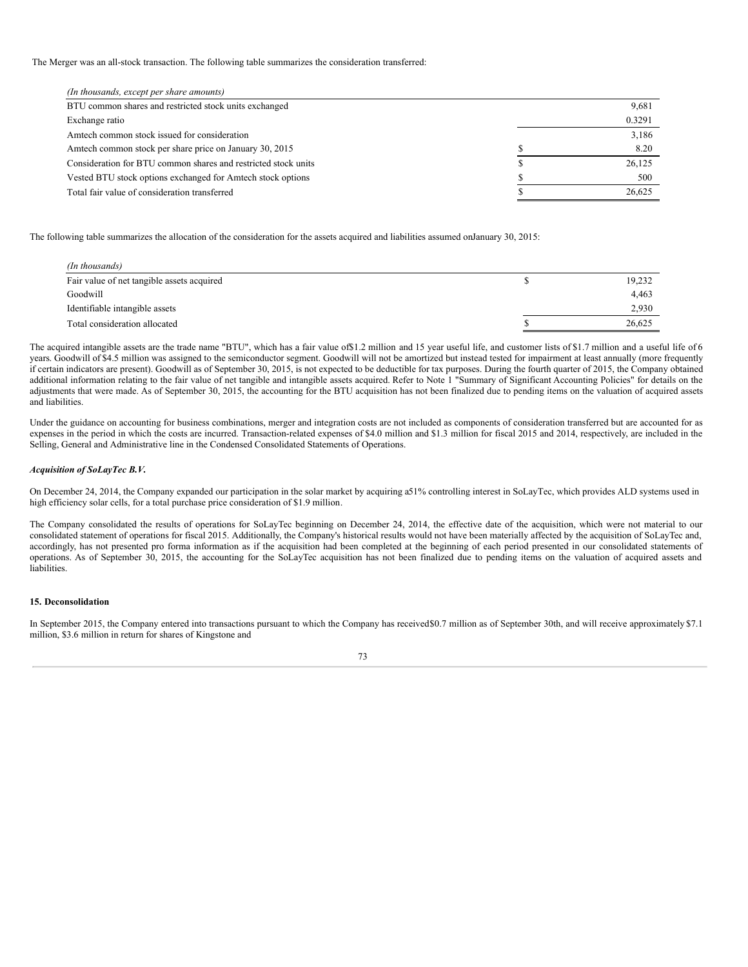The Merger was an all-stock transaction. The following table summarizes the consideration transferred:

| (In thousands, except per share amounts)               |        |  |  |
|--------------------------------------------------------|--------|--|--|
| BTU common shares and restricted stock units exchanged |        |  |  |
| Exchange ratio                                         |        |  |  |
|                                                        | 3,186  |  |  |
|                                                        | 8.20   |  |  |
|                                                        | 26,125 |  |  |
|                                                        | 500    |  |  |
|                                                        | 26.625 |  |  |
|                                                        |        |  |  |

The following table summarizes the allocation of the consideration for the assets acquired and liabilities assumed onJanuary 30, 2015:

| (In thousands)                             |  |        |  |  |
|--------------------------------------------|--|--------|--|--|
| Fair value of net tangible assets acquired |  | 19.232 |  |  |
| Goodwill                                   |  | 4.463  |  |  |
| Identifiable intangible assets             |  | 2,930  |  |  |
| Total consideration allocated              |  | 26.625 |  |  |

The acquired intangible assets are the trade name "BTU", which has a fair value of \$1.2 million and 15 year useful life, and customer lists of \$1.7 million and a useful life of 6 years. Goodwill of \$4.5 million was assigned to the semiconductor segment. Goodwill will not be amortized but instead tested for impairment at least annually (more frequently if certain indicators are present). Goodwill as of September 30, 2015, is not expected to be deductible for tax purposes. During the fourth quarter of 2015, the Company obtained additional information relating to the fair value of net tangible and intangible assets acquired. Refer to Note 1 "Summary of Significant Accounting Policies" for details on the adjustments that were made. As of September 30, 2015, the accounting for the BTU acquisition has not been finalized due to pending items on the valuation of acquired assets and liabilities.

Under the guidance on accounting for business combinations, merger and integration costs are not included as components of consideration transferred but are accounted for as expenses in the period in which the costs are incurred. Transaction-related expenses of \$4.0 million and \$1.3 million for fiscal 2015 and 2014, respectively, are included in the Selling, General and Administrative line in the Condensed Consolidated Statements of Operations.

#### *Acquisition of SoLayTec B.V.*

On December 24, 2014, the Company expanded our participation in the solar market by acquiring a51% controlling interest in SoLayTec, which provides ALD systems used in high efficiency solar cells, for a total purchase price consideration of \$1.9 million.

The Company consolidated the results of operations for SoLayTec beginning on December 24, 2014, the effective date of the acquisition, which were not material to our consolidated statement of operations for fiscal 2015. Additionally, the Company's historical results would not have been materially affected by the acquisition of SoLayTec and, accordingly, has not presented pro forma information as if the acquisition had been completed at the beginning of each period presented in our consolidated statements of operations. As of September 30, 2015, the accounting for the SoLayTec acquisition has not been finalized due to pending items on the valuation of acquired assets and liabilities.

#### **15. Deconsolidation**

In September 2015, the Company entered into transactions pursuant to which the Company has received\$0.7 million as of September 30th, and will receive approximately \$7.1 million, \$3.6 million in return for shares of Kingstone and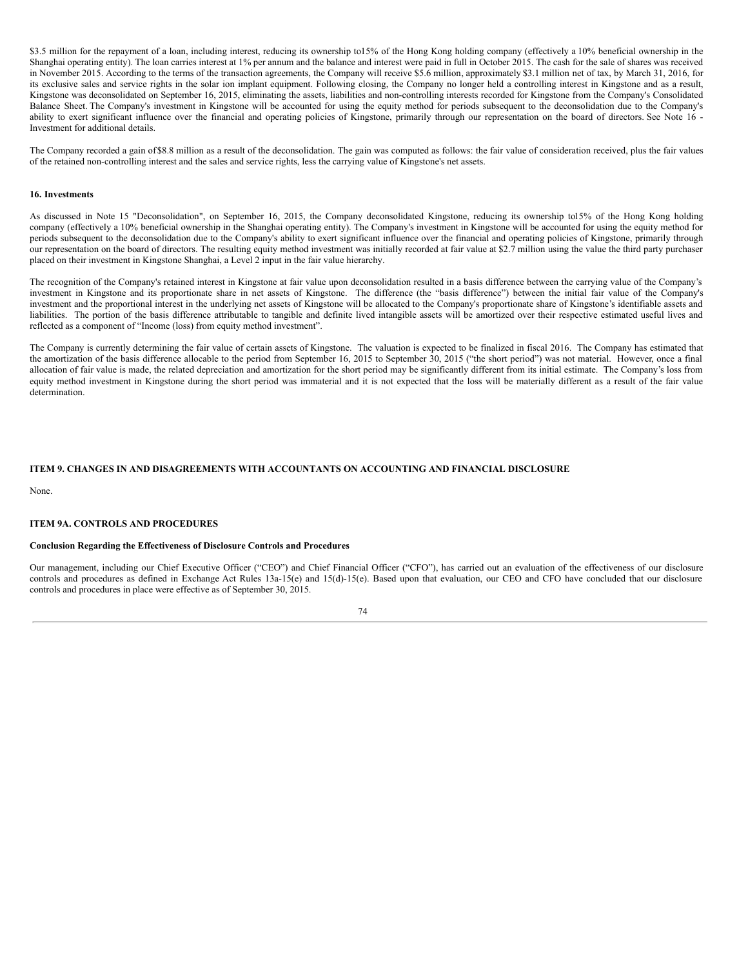\$3.5 million for the repayment of a loan, including interest, reducing its ownership to15% of the Hong Kong holding company (effectively a 10% beneficial ownership in the Shanghai operating entity). The loan carries interest at 1% per annum and the balance and interest were paid in full in October 2015. The cash for the sale of shares was received in November 2015. According to the terms of the transaction agreements, the Company will receive \$5.6 million, approximately \$3.1 million net of tax, by March 31, 2016, for its exclusive sales and service rights in the solar ion implant equipment. Following closing, the Company no longer held a controlling interest in Kingstone and as a result, Kingstone was deconsolidated on September 16, 2015, eliminating the assets, liabilities and non-controlling interests recorded for Kingstone from the Company's Consolidated Balance Sheet. The Company's investment in Kingstone will be accounted for using the equity method for periods subsequent to the deconsolidation due to the Company's ability to exert significant influence over the financial and operating policies of Kingstone, primarily through our representation on the board of directors. See Note 16 -Investment for additional details.

The Company recorded a gain of \$8.8 million as a result of the deconsolidation. The gain was computed as follows: the fair value of consideration received, plus the fair values of the retained non-controlling interest and the sales and service rights, less the carrying value of Kingstone's net assets.

## **16. Investments**

As discussed in Note 15 "Deconsolidation", on September 16, 2015, the Company deconsolidated Kingstone, reducing its ownership to15% of the Hong Kong holding company (effectively a 10% beneficial ownership in the Shanghai operating entity). The Company's investment in Kingstone will be accounted for using the equity method for periods subsequent to the deconsolidation due to the Company's ability to exert significant influence over the financial and operating policies of Kingstone, primarily through our representation on the board of directors. The resulting equity method investment was initially recorded at fair value at \$2.7 million using the value the third party purchaser placed on their investment in Kingstone Shanghai, a Level 2 input in the fair value hierarchy.

The recognition of the Company's retained interest in Kingstone at fair value upon deconsolidation resulted in a basis difference between the carrying value of the Company's investment in Kingstone and its proportionate share in net assets of Kingstone. The difference (the "basis difference") between the initial fair value of the Company's investment and the proportional interest in the underlying net assets of Kingstone will be allocated to the Company's proportionate share of Kingstone's identifiable assets and liabilities. The portion of the basis difference attributable to tangible and definite lived intangible assets will be amortized over their respective estimated useful lives and reflected as a component of "Income (loss) from equity method investment".

The Company is currently determining the fair value of certain assets of Kingstone. The valuation is expected to be finalized in fiscal 2016. The Company has estimated that the amortization of the basis difference allocable to the period from September 16, 2015 to September 30, 2015 ("the short period") was not material. However, once a final allocation of fair value is made, the related depreciation and amortization for the short period may be significantly different from its initial estimate. The Company's loss from equity method investment in Kingstone during the short period was immaterial and it is not expected that the loss will be materially different as a result of the fair value determination.

#### **ITEM 9. CHANGES IN AND DISAGREEMENTS WITH ACCOUNTANTS ON ACCOUNTING AND FINANCIAL DISCLOSURE**

None.

## **ITEM 9A. CONTROLS AND PROCEDURES**

#### **Conclusion Regarding the Effectiveness of Disclosure Controls and Procedures**

Our management, including our Chief Executive Officer ("CEO") and Chief Financial Officer ("CFO"), has carried out an evaluation of the effectiveness of our disclosure controls and procedures as defined in Exchange Act Rules 13a-15(e) and 15(d)-15(e). Based upon that evaluation, our CEO and CFO have concluded that our disclosure controls and procedures in place were effective as of September 30, 2015.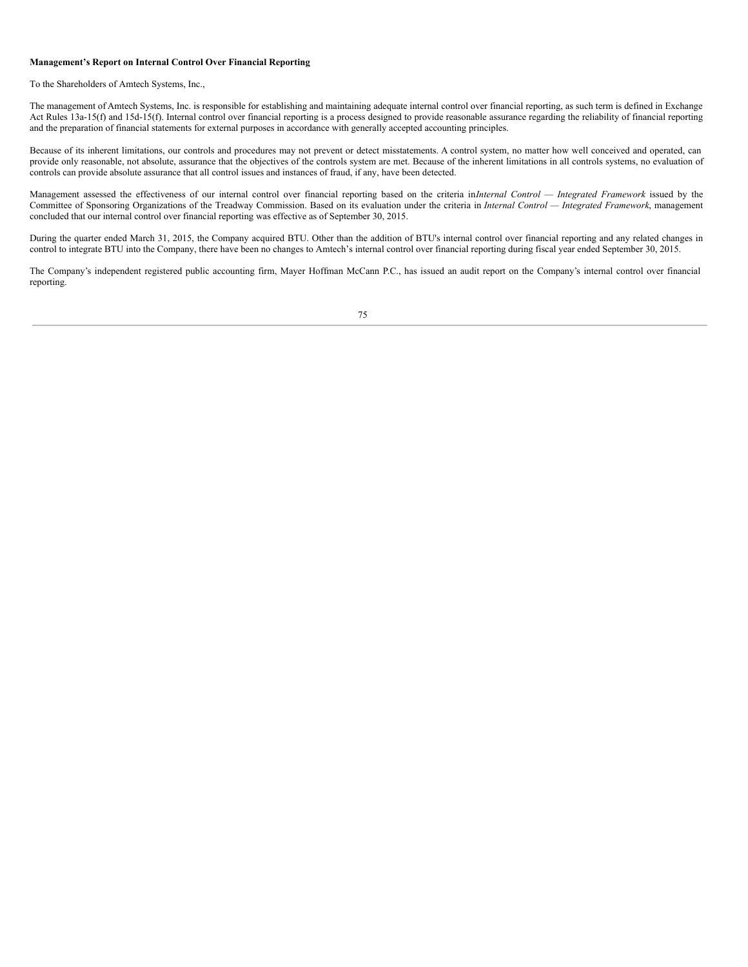## **Management's Report on Internal Control Over Financial Reporting**

To the Shareholders of Amtech Systems, Inc.,

The management of Amtech Systems, Inc. is responsible for establishing and maintaining adequate internal control over financial reporting, as such term is defined in Exchange Act Rules 13a-15(f) and 15d-15(f). Internal control over financial reporting is a process designed to provide reasonable assurance regarding the reliability of financial reporting and the preparation of financial statements for external purposes in accordance with generally accepted accounting principles.

Because of its inherent limitations, our controls and procedures may not prevent or detect misstatements. A control system, no matter how well conceived and operated, can provide only reasonable, not absolute, assurance that the objectives of the controls system are met. Because of the inherent limitations in all controls systems, no evaluation of controls can provide absolute assurance that all control issues and instances of fraud, if any, have been detected.

Management assessed the effectiveness of our internal control over financial reporting based on the criteria in*Internal Control — Integrated Framework* issued by the Committee of Sponsoring Organizations of the Treadway Commission. Based on its evaluation under the criteria in *Internal Control — Integrated Framework*, management concluded that our internal control over financial reporting was effective as of September 30, 2015.

During the quarter ended March 31, 2015, the Company acquired BTU. Other than the addition of BTU's internal control over financial reporting and any related changes in control to integrate BTU into the Company, there have been no changes to Amtech's internal control over financial reporting during fiscal year ended September 30, 2015.

The Company's independent registered public accounting firm, Mayer Hoffman McCann P.C., has issued an audit report on the Company's internal control over financial reporting.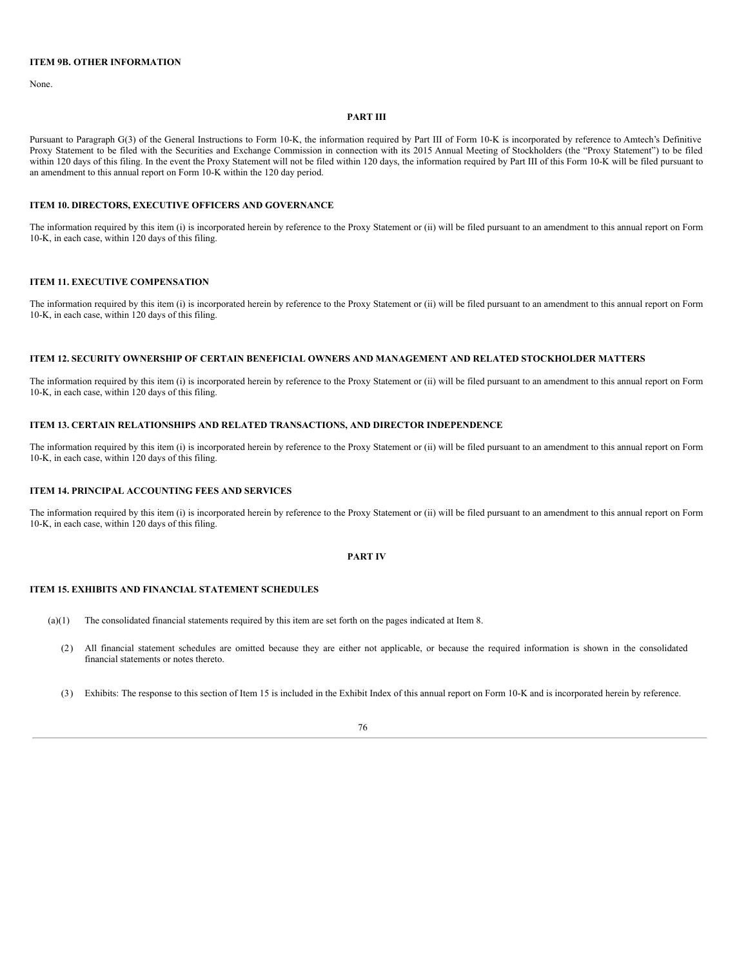## **ITEM 9B. OTHER INFORMATION**

None.

### **PART III**

Pursuant to Paragraph G(3) of the General Instructions to Form 10-K, the information required by Part III of Form 10-K is incorporated by reference to Amtech's Definitive Proxy Statement to be filed with the Securities and Exchange Commission in connection with its 2015 Annual Meeting of Stockholders (the "Proxy Statement") to be filed within 120 days of this filing. In the event the Proxy Statement will not be filed within 120 days, the information required by Part III of this Form 10-K will be filed pursuant to an amendment to this annual report on Form 10-K within the 120 day period.

#### **ITEM 10. DIRECTORS, EXECUTIVE OFFICERS AND GOVERNANCE**

The information required by this item (i) is incorporated herein by reference to the Proxy Statement or (ii) will be filed pursuant to an amendment to this annual report on Form 10-K, in each case, within 120 days of this filing.

# **ITEM 11. EXECUTIVE COMPENSATION**

The information required by this item (i) is incorporated herein by reference to the Proxy Statement or (ii) will be filed pursuant to an amendment to this annual report on Form 10-K, in each case, within 120 days of this filing.

#### **ITEM 12. SECURITY OWNERSHIP OF CERTAIN BENEFICIAL OWNERS AND MANAGEMENT AND RELATED STOCKHOLDER MATTERS**

The information required by this item (i) is incorporated herein by reference to the Proxy Statement or (ii) will be filed pursuant to an amendment to this annual report on Form 10-K, in each case, within 120 days of this filing.

### **ITEM 13. CERTAIN RELATIONSHIPS AND RELATED TRANSACTIONS, AND DIRECTOR INDEPENDENCE**

The information required by this item (i) is incorporated herein by reference to the Proxy Statement or (ii) will be filed pursuant to an amendment to this annual report on Form 10-K, in each case, within 120 days of this filing.

# **ITEM 14. PRINCIPAL ACCOUNTING FEES AND SERVICES**

The information required by this item (i) is incorporated herein by reference to the Proxy Statement or (ii) will be filed pursuant to an amendment to this annual report on Form 10-K, in each case, within 120 days of this filing.

### **PART IV**

#### **ITEM 15. EXHIBITS AND FINANCIAL STATEMENT SCHEDULES**

- (a)(1) The consolidated financial statements required by this item are set forth on the pages indicated at Item 8.
	- (2) All financial statement schedules are omitted because they are either not applicable, or because the required information is shown in the consolidated financial statements or notes thereto.
	- (3) Exhibits: The response to this section of Item 15 is included in the Exhibit Index of this annual report on Form 10-K and is incorporated herein by reference.

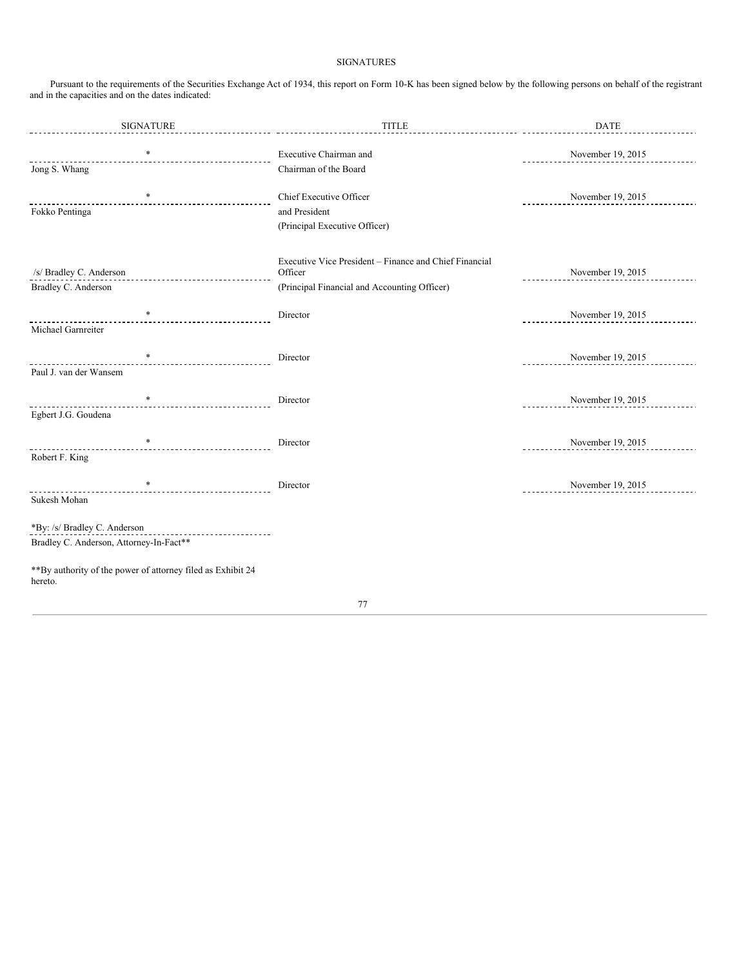# SIGNATURES

Pursuant to the requirements of the Securities Exchange Act of 1934, this report on Form 10-K has been signed below by the following persons on behalf of the registrant and in the capacities and on the dates indicated:

| $\ast$<br>Executive Chairman and<br>November 19, 2015<br>Jong S. Whang<br>Chairman of the Board<br>$\ast$<br>Chief Executive Officer<br>November 19, 2015<br>and President<br>Fokko Pentinga<br>(Principal Executive Officer)<br>Executive Vice President – Finance and Chief Financial<br>Officer<br>/s/ Bradley C. Anderson<br>November 19, 2015<br>Bradley C. Anderson<br>(Principal Financial and Accounting Officer)<br>$\ast$<br>Director<br>November 19, 2015<br>Michael Garnreiter<br>November 19, 2015<br>Director<br>Paul J. van der Wansem<br>$\ast$<br>November 19, 2015<br>Director<br>Egbert J.G. Goudena<br>$\ast$<br>Director<br>November 19, 2015<br>Robert F. King<br>$\ast$<br>November 19, 2015<br>Director<br>Sukesh Mohan<br>*By: /s/ Bradley C. Anderson<br>Bradley C. Anderson, Attorney-In-Fact**<br>** By authority of the power of attorney filed as Exhibit 24<br>hereto.<br>77 | <b>SIGNATURE</b> | <b>TITLE</b> | <b>DATE</b> |
|-------------------------------------------------------------------------------------------------------------------------------------------------------------------------------------------------------------------------------------------------------------------------------------------------------------------------------------------------------------------------------------------------------------------------------------------------------------------------------------------------------------------------------------------------------------------------------------------------------------------------------------------------------------------------------------------------------------------------------------------------------------------------------------------------------------------------------------------------------------------------------------------------------------|------------------|--------------|-------------|
|                                                                                                                                                                                                                                                                                                                                                                                                                                                                                                                                                                                                                                                                                                                                                                                                                                                                                                             |                  |              |             |
|                                                                                                                                                                                                                                                                                                                                                                                                                                                                                                                                                                                                                                                                                                                                                                                                                                                                                                             |                  |              |             |
|                                                                                                                                                                                                                                                                                                                                                                                                                                                                                                                                                                                                                                                                                                                                                                                                                                                                                                             |                  |              |             |
|                                                                                                                                                                                                                                                                                                                                                                                                                                                                                                                                                                                                                                                                                                                                                                                                                                                                                                             |                  |              |             |
|                                                                                                                                                                                                                                                                                                                                                                                                                                                                                                                                                                                                                                                                                                                                                                                                                                                                                                             |                  |              |             |
|                                                                                                                                                                                                                                                                                                                                                                                                                                                                                                                                                                                                                                                                                                                                                                                                                                                                                                             |                  |              |             |
|                                                                                                                                                                                                                                                                                                                                                                                                                                                                                                                                                                                                                                                                                                                                                                                                                                                                                                             |                  |              |             |
|                                                                                                                                                                                                                                                                                                                                                                                                                                                                                                                                                                                                                                                                                                                                                                                                                                                                                                             |                  |              |             |
|                                                                                                                                                                                                                                                                                                                                                                                                                                                                                                                                                                                                                                                                                                                                                                                                                                                                                                             |                  |              |             |
|                                                                                                                                                                                                                                                                                                                                                                                                                                                                                                                                                                                                                                                                                                                                                                                                                                                                                                             |                  |              |             |
|                                                                                                                                                                                                                                                                                                                                                                                                                                                                                                                                                                                                                                                                                                                                                                                                                                                                                                             |                  |              |             |
|                                                                                                                                                                                                                                                                                                                                                                                                                                                                                                                                                                                                                                                                                                                                                                                                                                                                                                             |                  |              |             |
|                                                                                                                                                                                                                                                                                                                                                                                                                                                                                                                                                                                                                                                                                                                                                                                                                                                                                                             |                  |              |             |
|                                                                                                                                                                                                                                                                                                                                                                                                                                                                                                                                                                                                                                                                                                                                                                                                                                                                                                             |                  |              |             |
|                                                                                                                                                                                                                                                                                                                                                                                                                                                                                                                                                                                                                                                                                                                                                                                                                                                                                                             |                  |              |             |
|                                                                                                                                                                                                                                                                                                                                                                                                                                                                                                                                                                                                                                                                                                                                                                                                                                                                                                             |                  |              |             |
|                                                                                                                                                                                                                                                                                                                                                                                                                                                                                                                                                                                                                                                                                                                                                                                                                                                                                                             |                  |              |             |
|                                                                                                                                                                                                                                                                                                                                                                                                                                                                                                                                                                                                                                                                                                                                                                                                                                                                                                             |                  |              |             |
|                                                                                                                                                                                                                                                                                                                                                                                                                                                                                                                                                                                                                                                                                                                                                                                                                                                                                                             |                  |              |             |
|                                                                                                                                                                                                                                                                                                                                                                                                                                                                                                                                                                                                                                                                                                                                                                                                                                                                                                             |                  |              |             |
|                                                                                                                                                                                                                                                                                                                                                                                                                                                                                                                                                                                                                                                                                                                                                                                                                                                                                                             |                  |              |             |
|                                                                                                                                                                                                                                                                                                                                                                                                                                                                                                                                                                                                                                                                                                                                                                                                                                                                                                             |                  |              |             |
|                                                                                                                                                                                                                                                                                                                                                                                                                                                                                                                                                                                                                                                                                                                                                                                                                                                                                                             |                  |              |             |
|                                                                                                                                                                                                                                                                                                                                                                                                                                                                                                                                                                                                                                                                                                                                                                                                                                                                                                             |                  |              |             |
|                                                                                                                                                                                                                                                                                                                                                                                                                                                                                                                                                                                                                                                                                                                                                                                                                                                                                                             |                  |              |             |
|                                                                                                                                                                                                                                                                                                                                                                                                                                                                                                                                                                                                                                                                                                                                                                                                                                                                                                             |                  |              |             |
|                                                                                                                                                                                                                                                                                                                                                                                                                                                                                                                                                                                                                                                                                                                                                                                                                                                                                                             |                  |              |             |
|                                                                                                                                                                                                                                                                                                                                                                                                                                                                                                                                                                                                                                                                                                                                                                                                                                                                                                             |                  |              |             |
|                                                                                                                                                                                                                                                                                                                                                                                                                                                                                                                                                                                                                                                                                                                                                                                                                                                                                                             |                  |              |             |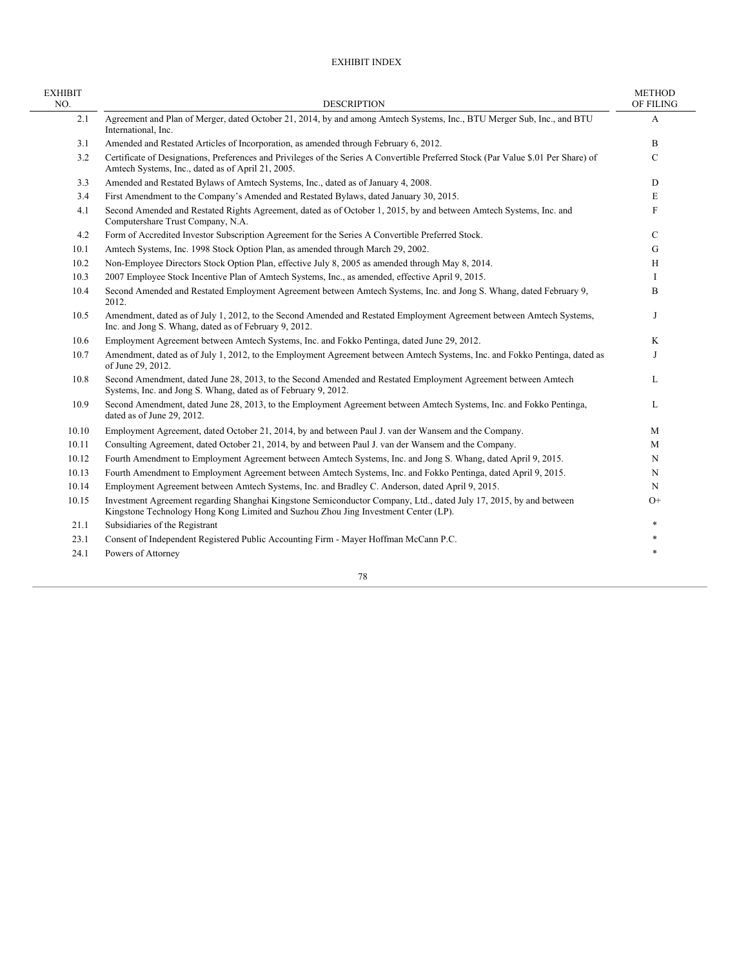# EXHIBIT INDEX

| <b>EXHIBIT</b><br>NO. | <b>DESCRIPTION</b>                                                                                                                                                                                        | <b>METHOD</b><br>OF FILING |
|-----------------------|-----------------------------------------------------------------------------------------------------------------------------------------------------------------------------------------------------------|----------------------------|
| 2.1                   | Agreement and Plan of Merger, dated October 21, 2014, by and among Amtech Systems, Inc., BTU Merger Sub, Inc., and BTU<br>International, Inc.                                                             | A                          |
| 3.1                   | Amended and Restated Articles of Incorporation, as amended through February 6, 2012.                                                                                                                      | $\mathbf B$                |
| 3.2                   | Certificate of Designations, Preferences and Privileges of the Series A Convertible Preferred Stock (Par Value \$.01 Per Share) of<br>Amtech Systems, Inc., dated as of April 21, 2005.                   | $\mathbf C$                |
| 3.3                   | Amended and Restated Bylaws of Amtech Systems, Inc., dated as of January 4, 2008.                                                                                                                         | D                          |
| 3.4                   | First Amendment to the Company's Amended and Restated Bylaws, dated January 30, 2015.                                                                                                                     | E                          |
| 4.1                   | Second Amended and Restated Rights Agreement, dated as of October 1, 2015, by and between Amtech Systems, Inc. and<br>Computershare Trust Company, N.A.                                                   | ${\rm F}$                  |
| 4.2                   | Form of Accredited Investor Subscription Agreement for the Series A Convertible Preferred Stock.                                                                                                          | $\mathsf{C}$               |
| 10.1                  | Amtech Systems, Inc. 1998 Stock Option Plan, as amended through March 29, 2002.                                                                                                                           | G                          |
| 10.2                  | Non-Employee Directors Stock Option Plan, effective July 8, 2005 as amended through May 8, 2014.                                                                                                          | H                          |
| 10.3                  | 2007 Employee Stock Incentive Plan of Amtech Systems, Inc., as amended, effective April 9, 2015.                                                                                                          | $\bf{I}$                   |
| 10.4                  | Second Amended and Restated Employment Agreement between Amtech Systems, Inc. and Jong S. Whang, dated February 9,<br>2012.                                                                               | B                          |
| 10.5                  | Amendment, dated as of July 1, 2012, to the Second Amended and Restated Employment Agreement between Amtech Systems,<br>Inc. and Jong S. Whang, dated as of February 9, 2012.                             | J                          |
| 10.6                  | Employment Agreement between Amtech Systems, Inc. and Fokko Pentinga, dated June 29, 2012.                                                                                                                | K                          |
| 10.7                  | Amendment, dated as of July 1, 2012, to the Employment Agreement between Amtech Systems, Inc. and Fokko Pentinga, dated as<br>of June 29, 2012.                                                           | J                          |
| 10.8                  | Second Amendment, dated June 28, 2013, to the Second Amended and Restated Employment Agreement between Amtech<br>Systems, Inc. and Jong S. Whang, dated as of February 9, 2012.                           | L                          |
| 10.9                  | Second Amendment, dated June 28, 2013, to the Employment Agreement between Amtech Systems, Inc. and Fokko Pentinga,<br>dated as of June 29, 2012.                                                         | L                          |
| 10.10                 | Employment Agreement, dated October 21, 2014, by and between Paul J. van der Wansem and the Company.                                                                                                      | M                          |
| 10.11                 | Consulting Agreement, dated October 21, 2014, by and between Paul J. van der Wansem and the Company.                                                                                                      | M                          |
| 10.12                 | Fourth Amendment to Employment Agreement between Amtech Systems, Inc. and Jong S. Whang, dated April 9, 2015.                                                                                             | $\mathbf N$                |
| 10.13                 | Fourth Amendment to Employment Agreement between Amtech Systems, Inc. and Fokko Pentinga, dated April 9, 2015.                                                                                            | ${\bf N}$                  |
| 10.14                 | Employment Agreement between Amtech Systems, Inc. and Bradley C. Anderson, dated April 9, 2015.                                                                                                           | N                          |
| 10.15                 | Investment Agreement regarding Shanghai Kingstone Semiconductor Company, Ltd., dated July 17, 2015, by and between<br>Kingstone Technology Hong Kong Limited and Suzhou Zhou Jing Investment Center (LP). | $O+$                       |
| 21.1                  | Subsidiaries of the Registrant                                                                                                                                                                            | *                          |
| 23.1                  | Consent of Independent Registered Public Accounting Firm - Mayer Hoffman McCann P.C.                                                                                                                      | $\ast$                     |
| 24.1                  | Powers of Attorney                                                                                                                                                                                        | $\ast$                     |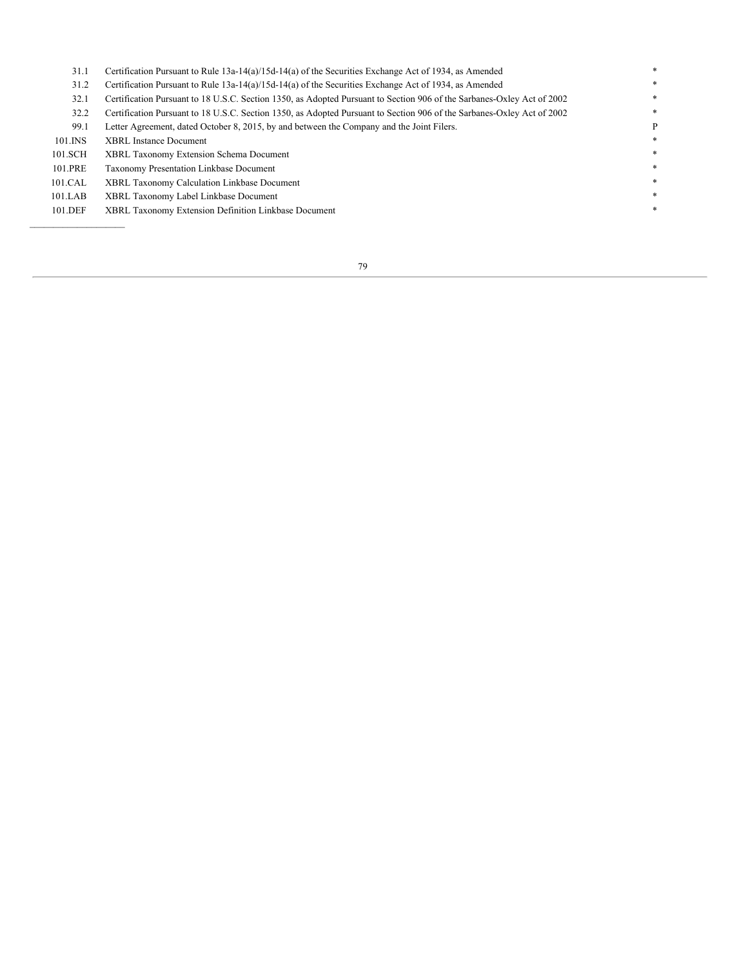| 31.1    | Certification Pursuant to Rule $13a-14(a)/15d-14(a)$ of the Securities Exchange Act of 1934, as Amended                | $*$    |
|---------|------------------------------------------------------------------------------------------------------------------------|--------|
| 31.2    | Certification Pursuant to Rule 13a-14(a)/15d-14(a) of the Securities Exchange Act of 1934, as Amended                  | $*$    |
| 32.1    | Certification Pursuant to 18 U.S.C. Section 1350, as Adopted Pursuant to Section 906 of the Sarbanes-Oxley Act of 2002 | $*$    |
| 32.2    | Certification Pursuant to 18 U.S.C. Section 1350, as Adopted Pursuant to Section 906 of the Sarbanes-Oxley Act of 2002 | $*$    |
| 99.1    | Letter Agreement, dated October 8, 2015, by and between the Company and the Joint Filers.                              | P      |
| 101.INS | <b>XBRL</b> Instance Document                                                                                          | $*$    |
| 101.SCH | <b>XBRL Taxonomy Extension Schema Document</b>                                                                         | $*$    |
| 101.PRE | Taxonomy Presentation Linkbase Document                                                                                | $\ast$ |
| 101.CAL | <b>XBRL Taxonomy Calculation Linkbase Document</b>                                                                     | $*$    |
| 101.LAB | XBRL Taxonomy Label Linkbase Document                                                                                  | $*$    |
| 101.DEF | XBRL Taxonomy Extension Definition Linkbase Document                                                                   | $*$    |
|         |                                                                                                                        |        |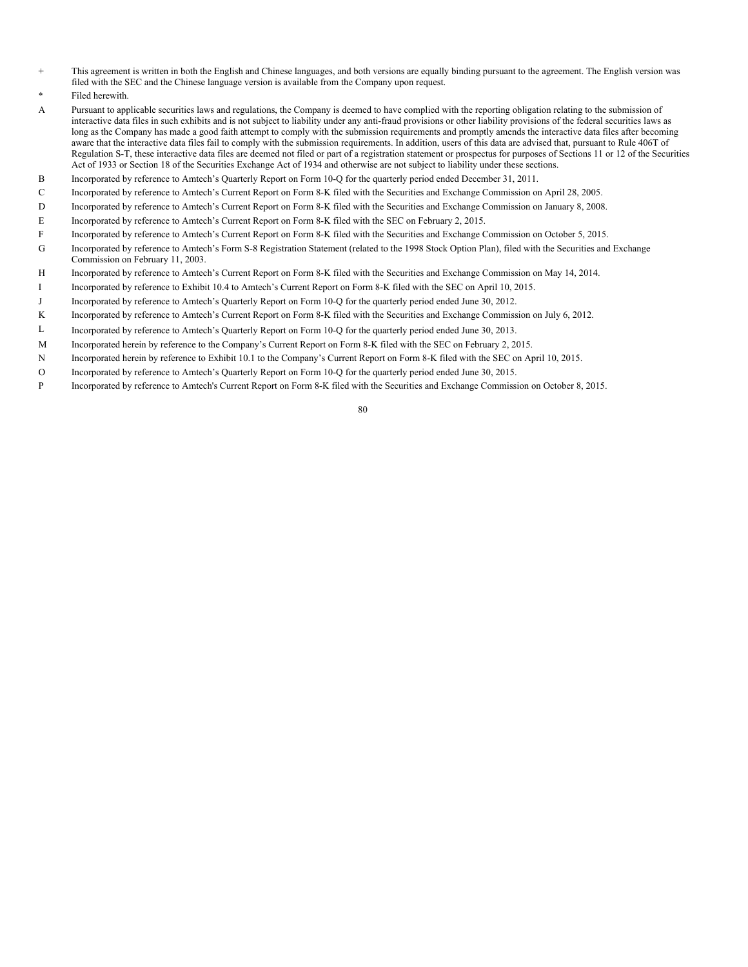- + This agreement is written in both the English and Chinese languages, and both versions are equally binding pursuant to the agreement. The English version was filed with the SEC and the Chinese language version is available from the Company upon request.
- Filed herewith.
- A Pursuant to applicable securities laws and regulations, the Company is deemed to have complied with the reporting obligation relating to the submission of interactive data files in such exhibits and is not subject to liability under any anti-fraud provisions or other liability provisions of the federal securities laws as long as the Company has made a good faith attempt to comply with the submission requirements and promptly amends the interactive data files after becoming aware that the interactive data files fail to comply with the submission requirements. In addition, users of this data are advised that, pursuant to Rule 406T of Regulation S-T, these interactive data files are deemed not filed or part of a registration statement or prospectus for purposes of Sections 11 or 12 of the Securities Act of 1933 or Section 18 of the Securities Exchange Act of 1934 and otherwise are not subject to liability under these sections.
- B Incorporated by reference to Amtech's Quarterly Report on Form 10-Q for the quarterly period ended December 31, 2011.
- C Incorporated by reference to Amtech's Current Report on Form 8-K filed with the Securities and Exchange Commission on April 28, 2005.
- D Incorporated by reference to Amtech's Current Report on Form 8-K filed with the Securities and Exchange Commission on January 8, 2008.
- E Incorporated by reference to Amtech's Current Report on Form 8-K filed with the SEC on February 2, 2015.
- F Incorporated by reference to Amtech's Current Report on Form 8-K filed with the Securities and Exchange Commission on October 5, 2015.
- G Incorporated by reference to Amtech's Form S-8 Registration Statement (related to the 1998 Stock Option Plan), filed with the Securities and Exchange Commission on February 11, 2003.
- H Incorporated by reference to Amtech's Current Report on Form 8-K filed with the Securities and Exchange Commission on May 14, 2014.
- I Incorporated by reference to Exhibit 10.4 to Amtech's Current Report on Form 8-K filed with the SEC on April 10, 2015.
- J Incorporated by reference to Amtech's Quarterly Report on Form 10-Q for the quarterly period ended June 30, 2012.
- K Incorporated by reference to Amtech's Current Report on Form 8-K filed with the Securities and Exchange Commission on July 6, 2012.
- L Incorporated by reference to Amtech's Quarterly Report on Form 10-Q for the quarterly period ended June 30, 2013.
- M Incorporated herein by reference to the Company's Current Report on Form 8-K filed with the SEC on February 2, 2015.
- N Incorporated herein by reference to Exhibit 10.1 to the Company's Current Report on Form 8-K filed with the SEC on April 10, 2015.
- O Incorporated by reference to Amtech's Quarterly Report on Form 10-Q for the quarterly period ended June 30, 2015.
- P Incorporated by reference to Amtech's Current Report on Form 8-K filed with the Securities and Exchange Commission on October 8, 2015.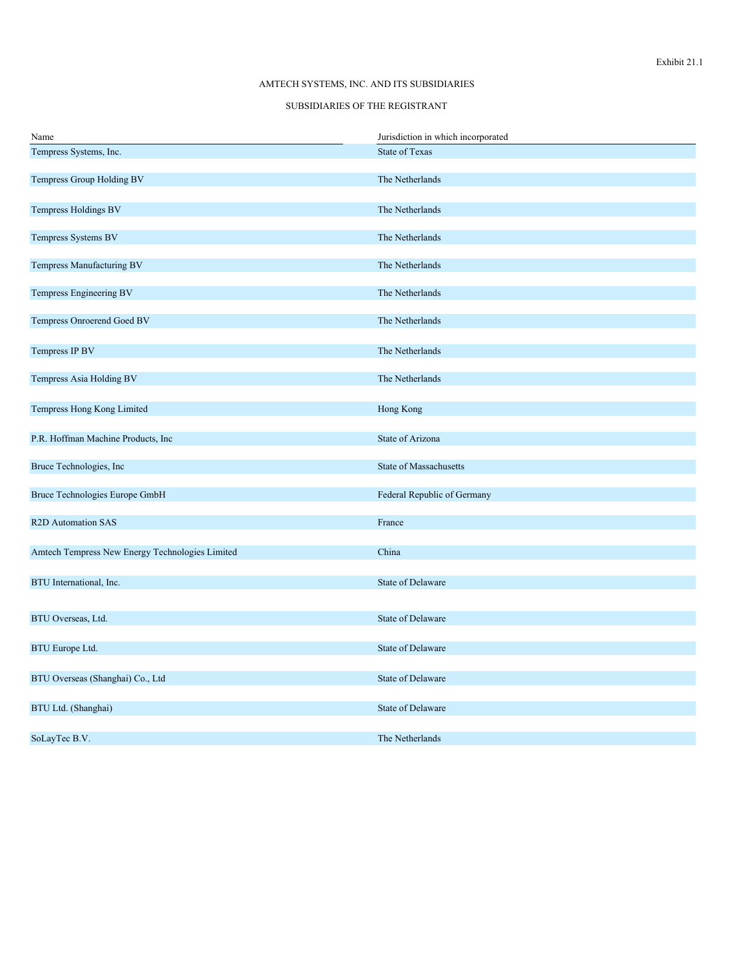## AMTECH SYSTEMS, INC. AND ITS SUBSIDIARIES

# SUBSIDIARIES OF THE REGISTRANT

| Name                                            | Jurisdiction in which incorporated |
|-------------------------------------------------|------------------------------------|
| Tempress Systems, Inc.                          | <b>State of Texas</b>              |
|                                                 |                                    |
| Tempress Group Holding BV                       | The Netherlands                    |
|                                                 |                                    |
| Tempress Holdings BV                            | The Netherlands                    |
| Tempress Systems BV                             | The Netherlands                    |
|                                                 |                                    |
| Tempress Manufacturing BV                       | The Netherlands                    |
|                                                 |                                    |
| Tempress Engineering BV                         | The Netherlands                    |
| Tempress Onroerend Goed BV                      | The Netherlands                    |
|                                                 |                                    |
| Tempress IP BV                                  | The Netherlands                    |
|                                                 |                                    |
| Tempress Asia Holding BV                        | The Netherlands                    |
|                                                 |                                    |
| Tempress Hong Kong Limited                      | Hong Kong                          |
|                                                 |                                    |
| P.R. Hoffman Machine Products, Inc.             | State of Arizona                   |
| Bruce Technologies, Inc.                        | <b>State of Massachusetts</b>      |
|                                                 |                                    |
| Bruce Technologies Europe GmbH                  | Federal Republic of Germany        |
|                                                 |                                    |
| <b>R2D Automation SAS</b>                       | France                             |
|                                                 |                                    |
| Amtech Tempress New Energy Technologies Limited | China                              |
|                                                 |                                    |
| BTU International, Inc.                         | <b>State of Delaware</b>           |
|                                                 |                                    |
| BTU Overseas, Ltd.                              | <b>State of Delaware</b>           |
|                                                 |                                    |
| BTU Europe Ltd.                                 | <b>State of Delaware</b>           |
|                                                 |                                    |
| BTU Overseas (Shanghai) Co., Ltd                | <b>State of Delaware</b>           |
| BTU Ltd. (Shanghai)                             | <b>State of Delaware</b>           |
|                                                 |                                    |
| SoLayTec B.V.                                   | The Netherlands                    |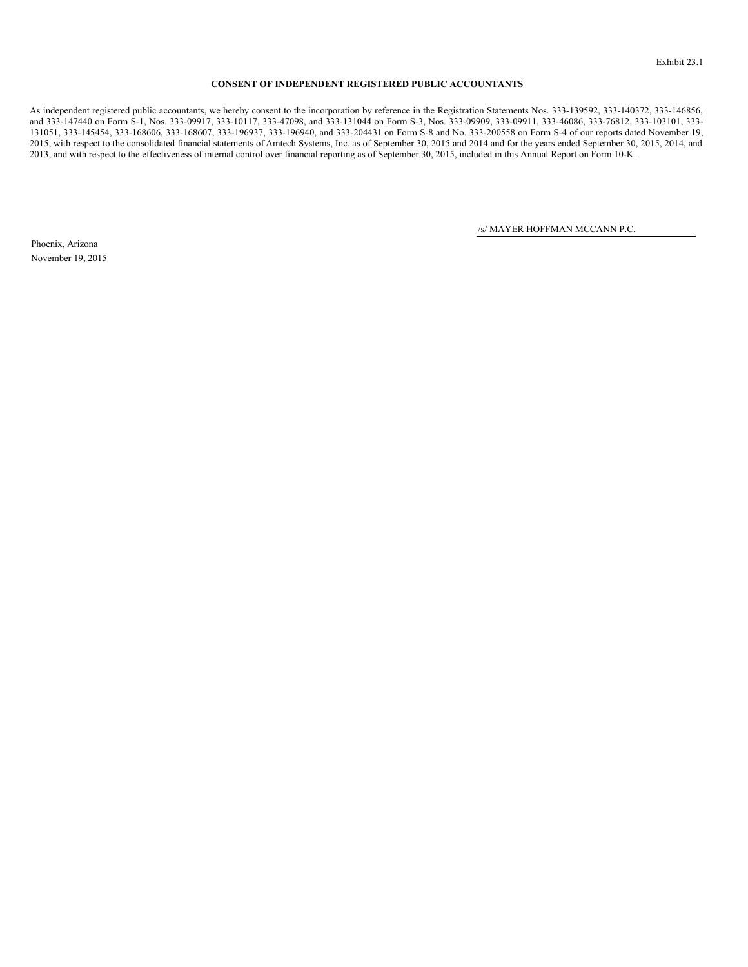## **CONSENT OF INDEPENDENT REGISTERED PUBLIC ACCOUNTANTS**

As independent registered public accountants, we hereby consent to the incorporation by reference in the Registration Statements Nos. 333-139592, 333-140372, 333-146856, and 333-147440 on Form S-1, Nos. 333-09917, 333-10117, 333-47098, and 333-131044 on Form S-3, Nos. 333-09909, 333-09911, 333-46086, 333-76812, 333-103101, 333- 131051, 333-145454, 333-168606, 333-168607, 333-196937, 333-196940, and 333-204431 on Form S-8 and No. 333-200558 on Form S-4 of our reports dated November 19, 2015, with respect to the consolidated financial statements of Amtech Systems, Inc. as of September 30, 2015 and 2014 and for the years ended September 30, 2015, 2014, and 2013, and with respect to the effectiveness of internal control over financial reporting as of September 30, 2015, included in this Annual Report on Form 10-K.

/s/ MAYER HOFFMAN MCCANN P.C.

Phoenix, Arizona November 19, 2015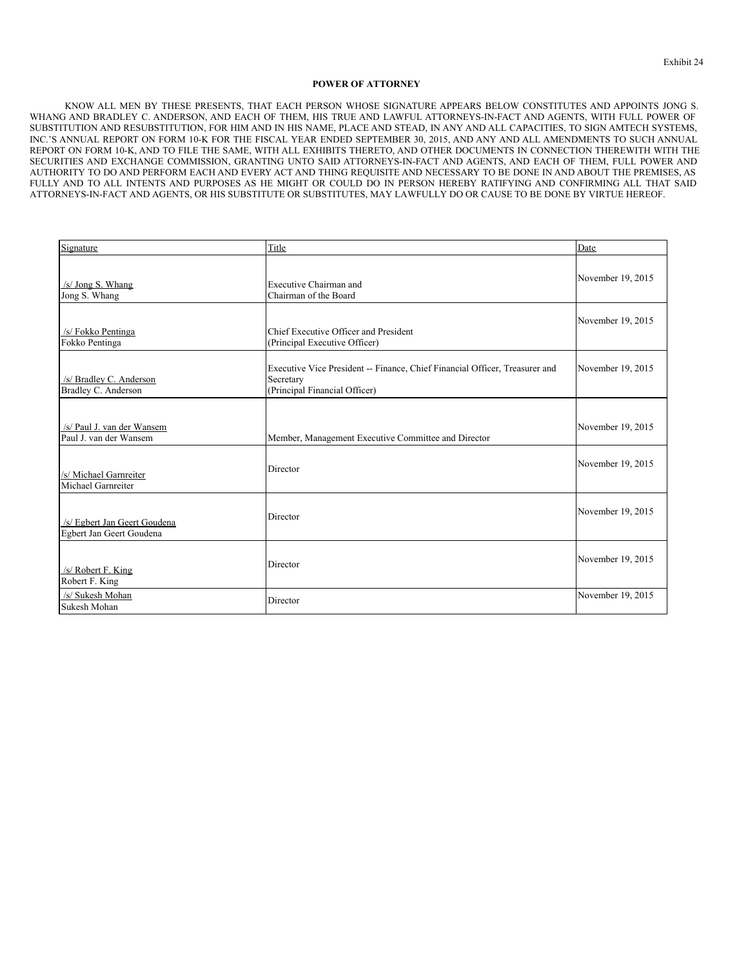# **POWER OF ATTORNEY**

KNOW ALL MEN BY THESE PRESENTS, THAT EACH PERSON WHOSE SIGNATURE APPEARS BELOW CONSTITUTES AND APPOINTS JONG S. WHANG AND BRADLEY C. ANDERSON, AND EACH OF THEM, HIS TRUE AND LAWFUL ATTORNEYS-IN-FACT AND AGENTS, WITH FULL POWER OF SUBSTITUTION AND RESUBSTITUTION, FOR HIM AND IN HIS NAME, PLACE AND STEAD, IN ANY AND ALL CAPACITIES, TO SIGN AMTECH SYSTEMS, INC.'S ANNUAL REPORT ON FORM 10-K FOR THE FISCAL YEAR ENDED SEPTEMBER 30, 2015, AND ANY AND ALL AMENDMENTS TO SUCH ANNUAL REPORT ON FORM 10-K, AND TO FILE THE SAME, WITH ALL EXHIBITS THERETO, AND OTHER DOCUMENTS IN CONNECTION THEREWITH WITH THE SECURITIES AND EXCHANGE COMMISSION, GRANTING UNTO SAID ATTORNEYS-IN-FACT AND AGENTS, AND EACH OF THEM, FULL POWER AND AUTHORITY TO DO AND PERFORM EACH AND EVERY ACT AND THING REQUISITE AND NECESSARY TO BE DONE IN AND ABOUT THE PREMISES, AS FULLY AND TO ALL INTENTS AND PURPOSES AS HE MIGHT OR COULD DO IN PERSON HEREBY RATIFYING AND CONFIRMING ALL THAT SAID ATTORNEYS-IN-FACT AND AGENTS, OR HIS SUBSTITUTE OR SUBSTITUTES, MAY LAWFULLY DO OR CAUSE TO BE DONE BY VIRTUE HEREOF.

| Signature                                                | Title                                                                                                                     | Date              |
|----------------------------------------------------------|---------------------------------------------------------------------------------------------------------------------------|-------------------|
| /s/ Jong S. Whang<br>Jong S. Whang                       | Executive Chairman and<br>Chairman of the Board                                                                           | November 19, 2015 |
| /s/ Fokko Pentinga<br>Fokko Pentinga                     | Chief Executive Officer and President<br>(Principal Executive Officer)                                                    | November 19, 2015 |
| /s/ Bradley C. Anderson<br>Bradley C. Anderson           | Executive Vice President -- Finance, Chief Financial Officer, Treasurer and<br>Secretary<br>(Principal Financial Officer) | November 19, 2015 |
| /s/ Paul J. van der Wansem<br>Paul J. van der Wansem     | Member, Management Executive Committee and Director                                                                       | November 19, 2015 |
| /s/ Michael Garnreiter<br>Michael Garnreiter             | Director                                                                                                                  | November 19, 2015 |
| /s/ Egbert Jan Geert Goudena<br>Egbert Jan Geert Goudena | Director                                                                                                                  | November 19, 2015 |
| /s/ Robert F. King<br>Robert F. King                     | Director                                                                                                                  | November 19, 2015 |
| /s/ Sukesh Mohan<br>Sukesh Mohan                         | Director                                                                                                                  | November 19, 2015 |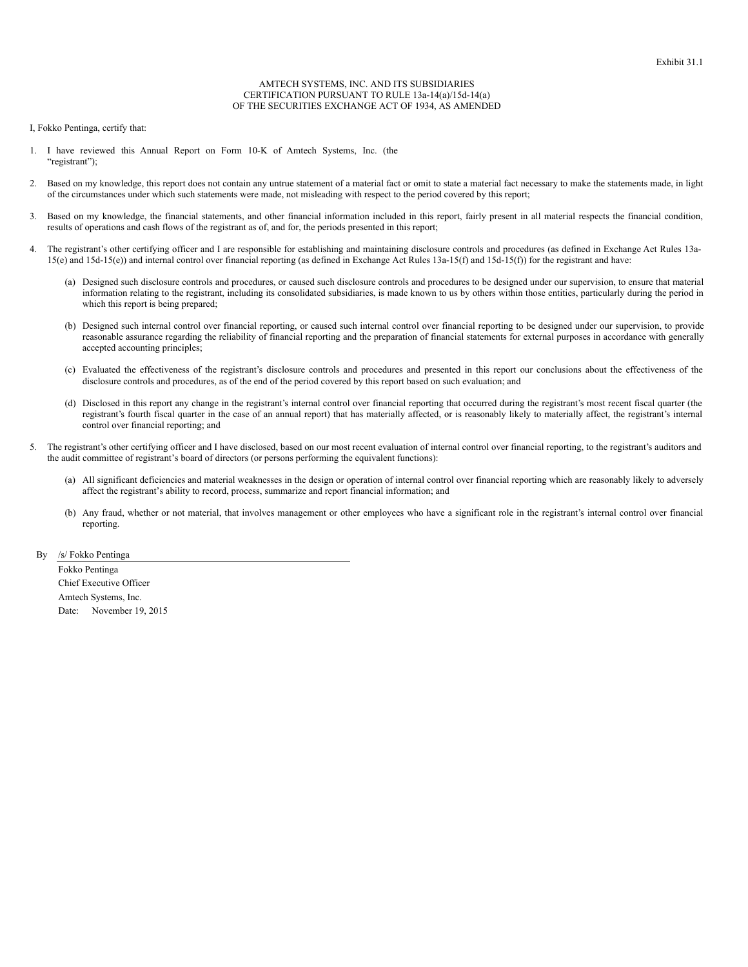#### AMTECH SYSTEMS, INC. AND ITS SUBSIDIARIES CERTIFICATION PURSUANT TO RULE 13a-14(a)/15d-14(a) OF THE SECURITIES EXCHANGE ACT OF 1934, AS AMENDED

I, Fokko Pentinga, certify that:

- 1. I have reviewed this Annual Report on Form 10-K of Amtech Systems, Inc. (the "registrant");
- Based on my knowledge, this report does not contain any untrue statement of a material fact or omit to state a material fact necessary to make the statements made, in light of the circumstances under which such statements were made, not misleading with respect to the period covered by this report;
- 3. Based on my knowledge, the financial statements, and other financial information included in this report, fairly present in all material respects the financial condition, results of operations and cash flows of the registrant as of, and for, the periods presented in this report;
- 4. The registrant's other certifying officer and I are responsible for establishing and maintaining disclosure controls and procedures (as defined in Exchange Act Rules 13a-15(e) and 15d-15(e)) and internal control over financial reporting (as defined in Exchange Act Rules 13a-15(f) and 15d-15(f)) for the registrant and have:
	- (a) Designed such disclosure controls and procedures, or caused such disclosure controls and procedures to be designed under our supervision, to ensure that material information relating to the registrant, including its consolidated subsidiaries, is made known to us by others within those entities, particularly during the period in which this report is being prepared;
	- (b) Designed such internal control over financial reporting, or caused such internal control over financial reporting to be designed under our supervision, to provide reasonable assurance regarding the reliability of financial reporting and the preparation of financial statements for external purposes in accordance with generally accepted accounting principles;
	- (c) Evaluated the effectiveness of the registrant's disclosure controls and procedures and presented in this report our conclusions about the effectiveness of the disclosure controls and procedures, as of the end of the period covered by this report based on such evaluation; and
	- (d) Disclosed in this report any change in the registrant's internal control over financial reporting that occurred during the registrant's most recent fiscal quarter (the registrant's fourth fiscal quarter in the case of an annual report) that has materially affected, or is reasonably likely to materially affect, the registrant's internal control over financial reporting; and
- 5. The registrant's other certifying officer and I have disclosed, based on our most recent evaluation of internal control over financial reporting, to the registrant's auditors and the audit committee of registrant's board of directors (or persons performing the equivalent functions):
	- (a) All significant deficiencies and material weaknesses in the design or operation of internal control over financial reporting which are reasonably likely to adversely affect the registrant's ability to record, process, summarize and report financial information; and
	- (b) Any fraud, whether or not material, that involves management or other employees who have a significant role in the registrant's internal control over financial reporting.

By /s/ Fokko Pentinga

Fokko Pentinga Chief Executive Officer Amtech Systems, Inc. Date: November 19, 2015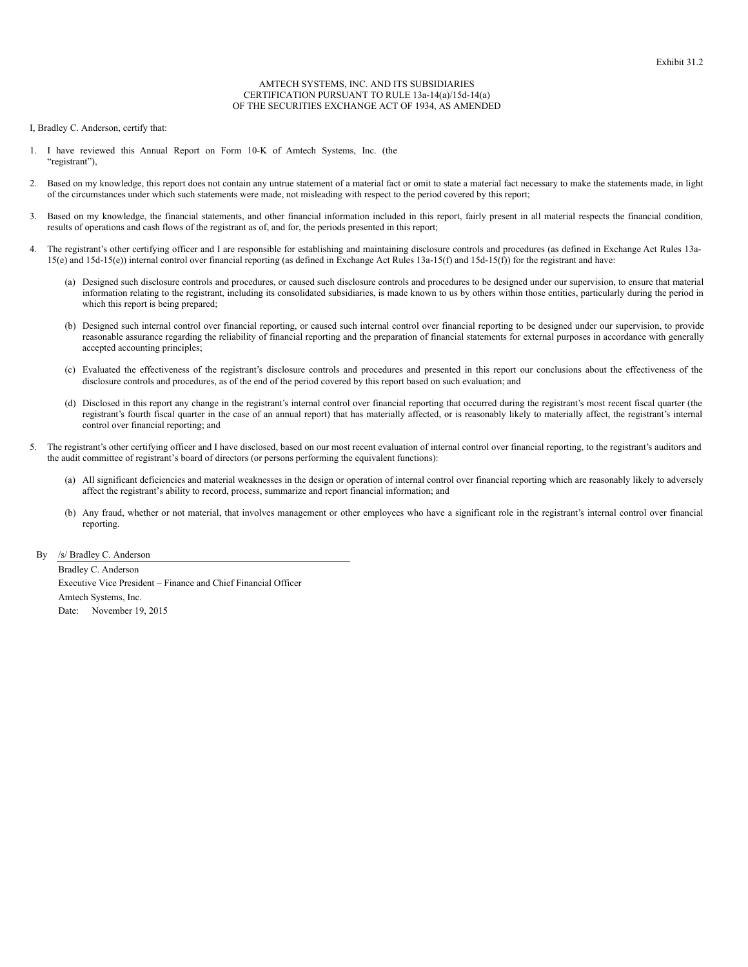#### AMTECH SYSTEMS, INC. AND ITS SUBSIDIARIES CERTIFICATION PURSUANT TO RULE 13a-14(a)/15d-14(a) OF THE SECURITIES EXCHANGE ACT OF 1934, AS AMENDED

I, Bradley C. Anderson, certify that:

- 1. I have reviewed this Annual Report on Form 10-K of Amtech Systems, Inc. (the "registrant"),
- Based on my knowledge, this report does not contain any untrue statement of a material fact or omit to state a material fact necessary to make the statements made, in light of the circumstances under which such statements were made, not misleading with respect to the period covered by this report;
- 3. Based on my knowledge, the financial statements, and other financial information included in this report, fairly present in all material respects the financial condition, results of operations and cash flows of the registrant as of, and for, the periods presented in this report;
- 4. The registrant's other certifying officer and I are responsible for establishing and maintaining disclosure controls and procedures (as defined in Exchange Act Rules 13a-15(e) and 15d-15(e)) internal control over financial reporting (as defined in Exchange Act Rules 13a-15(f) and 15d-15(f)) for the registrant and have:
	- (a) Designed such disclosure controls and procedures, or caused such disclosure controls and procedures to be designed under our supervision, to ensure that material information relating to the registrant, including its consolidated subsidiaries, is made known to us by others within those entities, particularly during the period in which this report is being prepared;
	- (b) Designed such internal control over financial reporting, or caused such internal control over financial reporting to be designed under our supervision, to provide reasonable assurance regarding the reliability of financial reporting and the preparation of financial statements for external purposes in accordance with generally accepted accounting principles;
	- (c) Evaluated the effectiveness of the registrant's disclosure controls and procedures and presented in this report our conclusions about the effectiveness of the disclosure controls and procedures, as of the end of the period covered by this report based on such evaluation; and
	- (d) Disclosed in this report any change in the registrant's internal control over financial reporting that occurred during the registrant's most recent fiscal quarter (the registrant's fourth fiscal quarter in the case of an annual report) that has materially affected, or is reasonably likely to materially affect, the registrant's internal control over financial reporting; and
- 5. The registrant's other certifying officer and I have disclosed, based on our most recent evaluation of internal control over financial reporting, to the registrant's auditors and the audit committee of registrant's board of directors (or persons performing the equivalent functions):
	- (a) All significant deficiencies and material weaknesses in the design or operation of internal control over financial reporting which are reasonably likely to adversely affect the registrant's ability to record, process, summarize and report financial information; and
	- (b) Any fraud, whether or not material, that involves management or other employees who have a significant role in the registrant's internal control over financial reporting.
- By /s/ Bradley C. Anderson

Bradley C. Anderson Executive Vice President – Finance and Chief Financial Officer Amtech Systems, Inc. Date: November 19, 2015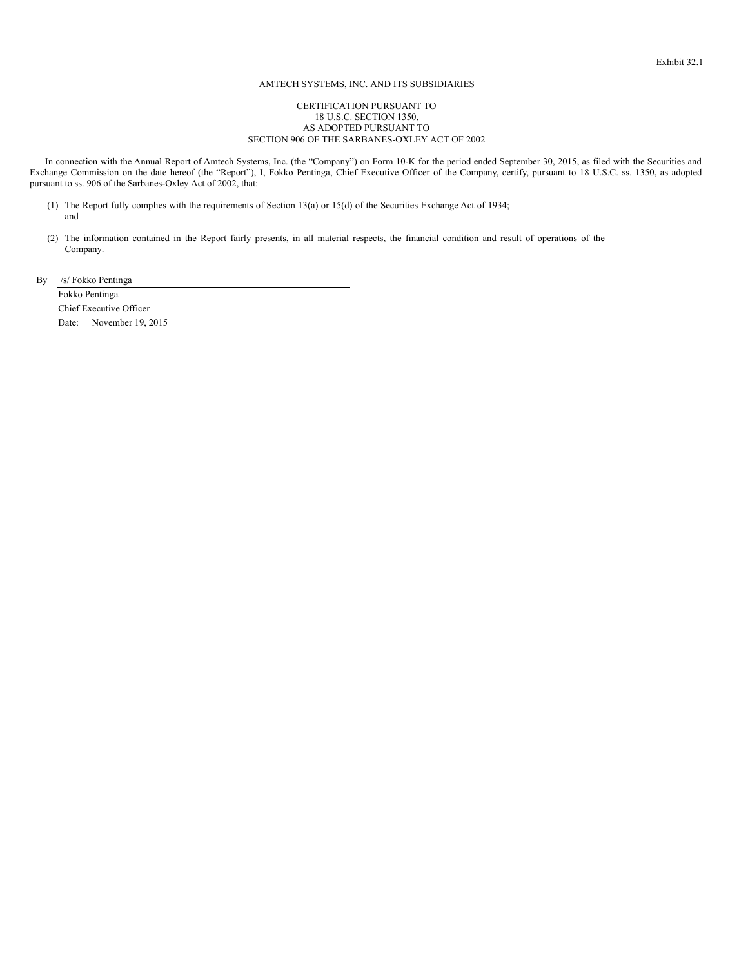## AMTECH SYSTEMS, INC. AND ITS SUBSIDIARIES

#### CERTIFICATION PURSUANT TO 18 U.S.C. SECTION 1350, AS ADOPTED PURSUANT TO SECTION 906 OF THE SARBANES-OXLEY ACT OF 2002

In connection with the Annual Report of Amtech Systems, Inc. (the "Company") on Form 10-K for the period ended September 30, 2015, as filed with the Securities and Exchange Commission on the date hereof (the "Report"), I, Fokko Pentinga, Chief Executive Officer of the Company, certify, pursuant to 18 U.S.C. ss. 1350, as adopted pursuant to ss. 906 of the Sarbanes-Oxley Act of 2002, that:

- (1) The Report fully complies with the requirements of Section 13(a) or 15(d) of the Securities Exchange Act of 1934; and
- (2) The information contained in the Report fairly presents, in all material respects, the financial condition and result of operations of the Company.

By /s/ Fokko Pentinga

Fokko Pentinga Chief Executive Officer Date: November 19, 2015